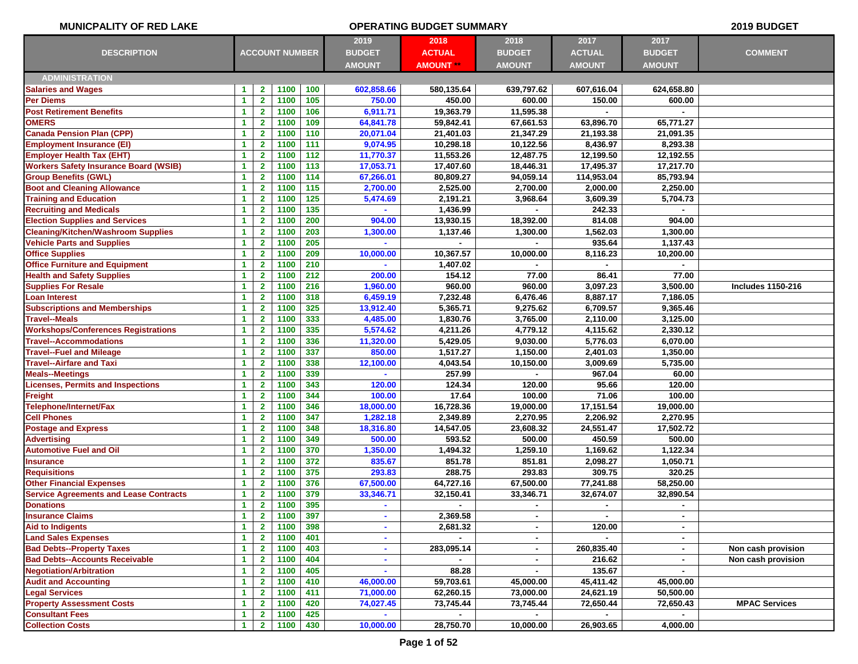| <b>MUNICPALITY OF RED LAKE</b>                |                      |                              |                       |            |                  | <b>OPERATING BUDGET SUMMARY</b> |                  |                    |                    | 2019 BUDGET              |
|-----------------------------------------------|----------------------|------------------------------|-----------------------|------------|------------------|---------------------------------|------------------|--------------------|--------------------|--------------------------|
|                                               |                      |                              |                       |            | 2019             | 2018                            | 2018             | 2017               | 2017               |                          |
| <b>DESCRIPTION</b>                            |                      |                              | <b>ACCOUNT NUMBER</b> |            | <b>BUDGET</b>    | <b>ACTUAL</b>                   | <b>BUDGET</b>    | <b>ACTUAL</b>      | <b>BUDGET</b>      | <b>COMMENT</b>           |
|                                               |                      |                              |                       |            | <b>AMOUNT</b>    | <b>AMOUNT</b>                   | <b>AMOUNT</b>    | <b>AMOUNT</b>      | <b>AMOUNT</b>      |                          |
| <b>ADMINISTRATION</b>                         |                      |                              |                       |            |                  |                                 |                  |                    |                    |                          |
| <b>Salaries and Wages</b>                     | 1                    | $\mathbf{2}$                 | 1100                  | 100        | 602,858.66       | 580,135.64                      | 639,797.62       | 607,616.04         | 624,658.80         |                          |
| <b>Per Diems</b>                              | $\blacktriangleleft$ | $\mathbf{2}$                 | 1100                  | 105        | 750.00           | 450.00                          | 600.00           | 150.00             | 600.00             |                          |
| <b>Post Retirement Benefits</b>               | $\blacktriangleleft$ | $\overline{2}$               | 1100                  | 106        | 6,911.71         | 19,363.79                       | 11,595.38        |                    |                    |                          |
| <b>OMERS</b>                                  | $\blacktriangleleft$ | $\mathbf{2}$                 | 1100                  | 109        | 64,841.78        | 59,842.41                       | 67,661.53        | 63,896.70          | 65,771.27          |                          |
| <b>Canada Pension Plan (CPP)</b>              | 1                    | $\mathbf{2}$                 | 1100                  | 110        | 20,071.04        | 21,401.03                       | 21,347.29        | 21,193.38          | 21,091.35          |                          |
| <b>Employment Insurance (EI)</b>              | $\mathbf{1}$         | $\mathbf{2}$                 | 1100                  | 111        | 9,074.95         | 10,298.18                       | 10,122.56        | 8,436.97           | 8,293.38           |                          |
| <b>Employer Health Tax (EHT)</b>              | $\blacktriangleleft$ | $\mathbf{2}$                 | 1100                  | 112        | 11,770.37        | 11,553.26                       | 12,487.75        | 12,199.50          | 12,192.55          |                          |
| <b>Workers Safety Insurance Board (WSIB)</b>  | $\blacktriangleleft$ | $\mathbf{2}$                 | 1100                  | 113        | 17,053.71        | 17,407.60                       | 18,446.31        | 17,495.37          | 17,217.70          |                          |
| <b>Group Benefits (GWL)</b>                   | $\mathbf{1}$         | $\overline{2}$               | 1100                  | 114        | 67,266.01        | 80,809.27                       | 94,059.14        | 114,953.04         | 85,793.94          |                          |
| <b>Boot and Cleaning Allowance</b>            | $\blacktriangleleft$ | $\mathbf{2}$                 | 1100                  | 115        | 2,700.00         | 2,525.00                        | 2,700.00         | 2,000.00           | 2,250.00           |                          |
| <b>Training and Education</b>                 | 1                    | $\mathbf{2}$                 | 1100                  | 125        | 5,474.69         | 2,191.21                        | 3,968.64         | 3,609.39           | 5,704.73           |                          |
| <b>Recruiting and Medicals</b>                | $\blacktriangleleft$ | $\mathbf{2}$                 | 1100                  | 135        |                  | 1,436.99                        |                  | 242.33             |                    |                          |
| <b>Election Supplies and Services</b>         | $\blacktriangleleft$ | $\mathbf{2}$                 | 1100                  | 200        | 904.00           | 13,930.15                       | 18,392.00        | 814.08             | 904.00             |                          |
| <b>Cleaning/Kitchen/Washroom Supplies</b>     | 1                    | $\overline{2}$               | 1100                  | 203        | 1,300.00         | 1,137.46                        | 1,300.00         | 1,562.03           | 1,300.00           |                          |
| <b>Vehicle Parts and Supplies</b>             | $\blacktriangleleft$ | $\overline{2}$               | 1100                  | 205        |                  |                                 |                  | 935.64             | 1,137.43           |                          |
| <b>Office Supplies</b>                        | $\blacktriangleleft$ | $\mathbf{2}$                 | 1100                  | 209        | 10,000.00        | 10,367.57                       | 10,000.00        | 8,116.23           | 10,200.00          |                          |
| <b>Office Furniture and Equipment</b>         | $\blacktriangleleft$ | $\mathbf{2}$                 | 1100                  | 210        |                  | 1,407.02                        |                  |                    |                    |                          |
| <b>Health and Safety Supplies</b>             | $\blacktriangleleft$ | $\mathbf{2}$                 | 1100                  | 212        | 200.00           | 154.12                          | 77.00            | 86.41              | 77.00              |                          |
| <b>Supplies For Resale</b>                    | $\blacktriangleleft$ | $\mathbf{2}$                 | 1100                  | 216        | 1,960.00         | 960.00                          | 960.00           | 3,097.23           | 3,500.00           | <b>Includes 1150-216</b> |
| <b>Loan Interest</b>                          | $\mathbf{1}$         | $\overline{2}$               | 1100                  | 318        | 6,459.19         | 7,232.48                        | 6,476.46         | 8,887.17           | 7,186.05           |                          |
| <b>Subscriptions and Memberships</b>          | $\blacktriangleleft$ | $\mathbf{2}$                 | 1100                  | 325        | 13,912.40        | 5,365.71                        | 9,275.62         | 6,709.57           | 9,365.46           |                          |
| <b>Travel--Meals</b>                          | 1                    | $\mathbf{2}$                 | 1100                  | 333        | 4,485.00         | 1,830.76                        | 3,765.00         | 2,110.00           | 3,125.00           |                          |
| <b>Workshops/Conferences Registrations</b>    | $\blacktriangleleft$ | $\mathbf{2}$                 | 1100                  | 335        | 5,574.62         | 4,211.26                        | 4,779.12         | 4,115.62           | 2,330.12           |                          |
| <b>Travel--Accommodations</b>                 | $\mathbf{1}$         | $\mathbf{2}$                 | 1100                  | 336        | 11,320.00        | 5,429.05                        | 9,030.00         | 5,776.03           | 6,070.00           |                          |
| <b>Travel--Fuel and Mileage</b>               | 1                    | $\mathbf{2}$                 | 1100                  | 337        | 850.00           | 1,517.27                        | 1,150.00         | 2,401.03           | 1,350.00           |                          |
| <b>Travel--Airfare and Taxi</b>               | 1                    | $\mathbf{2}$                 | 1100                  | 338        | 12,100.00        | 4,043.54                        | 10,150.00        | 3,009.69           | 5,735.00           |                          |
| <b>Meals--Meetings</b>                        | $\blacktriangleleft$ | $\overline{2}$               | 1100                  | 339        |                  | 257.99                          |                  | 967.04             | 60.00              |                          |
| <b>Licenses, Permits and Inspections</b>      | 1                    | $\mathbf{2}$                 | 1100                  | 343        | 120.00           | 124.34                          | 120.00           | 95.66              | 120.00             |                          |
| <b>Freight</b>                                | $\blacktriangleleft$ | $\mathbf{2}$                 | 1100                  | 344        | 100.00           | 17.64                           | 100.00           | 71.06              | 100.00             |                          |
| Telephone/Internet/Fax                        | $\blacktriangleleft$ | $\mathbf{2}$                 | 1100                  | 346        | 18,000.00        | 16,728.36                       | 19,000.00        | 17,151.54          | 19,000.00          |                          |
| <b>Cell Phones</b>                            | $\mathbf{1}$         | $\mathbf{2}$                 | 1100                  | 347        | 1,282.18         | 2,349.89                        | 2,270.95         | 2,206.92           | 2,270.95           |                          |
| <b>Postage and Express</b>                    | $\blacktriangleleft$ | $\mathbf{2}$                 | 1100                  | 348        | 18,316.80        | 14,547.05                       | 23,608.32        | 24,551.47          | 17,502.72          |                          |
| <b>Advertising</b>                            | $\blacktriangleleft$ | $\overline{2}$               | 1100                  | 349        | 500.00           | 593.52                          | 500.00           | 450.59             | 500.00             |                          |
| <b>Automotive Fuel and Oil</b>                | $\mathbf{1}$         | $\mathbf{2}$                 | 1100                  | 370        | 1,350.00         | 1,494.32                        | 1,259.10         | 1,169.62           | 1,122.34           |                          |
| <b>Insurance</b><br><b>Requisitions</b>       | $\blacktriangleleft$ | $\mathbf{2}$                 | 1100<br>1100          | 372<br>375 | 835.67<br>293.83 | 851.78<br>288.75                | 851.81<br>293.83 | 2,098.27<br>309.75 | 1,050.71<br>320.25 |                          |
| <b>Other Financial Expenses</b>               | 1<br>$\mathbf{1}$    | $\mathbf{2}$<br>$\mathbf{2}$ | 1100                  | 376        | 67,500.00        | 64,727.16                       | 67,500.00        | 77,241.88          | 58,250.00          |                          |
| <b>Service Agreements and Lease Contracts</b> | $\mathbf{1}$         | $\mathbf{2}$                 | 1100                  | 379        | 33,346.71        | 32,150.41                       | 33,346.71        | 32,674.07          | 32,890.54          |                          |
| <b>Donations</b>                              | 1                    | $\overline{\mathbf{2}}$      | 1100 395              |            |                  |                                 |                  |                    |                    |                          |
| <b>Insurance Claims</b>                       | $\blacktriangleleft$ | $\mathbf{2}$                 | 1100                  | 397        | $\blacksquare$   | 2,369.58                        | ۰                | $\sim$             | $\sim$             |                          |
| <b>Aid to Indigents</b>                       | $\blacktriangleleft$ | $\mathbf{2}$                 | 1100                  | 398        | ٠                | 2,681.32                        | ٠                | 120.00             | $\blacksquare$     |                          |
| <b>Land Sales Expenses</b>                    | 1                    | $\mathbf{2}$                 | 1100                  | 401        | ٠                |                                 | $\blacksquare$   |                    | $\sim$             |                          |
| <b>Bad Debts--Property Taxes</b>              | $\blacktriangleleft$ | $\mathbf{2}$                 | 1100                  | 403        | $\sim$           | 283,095.14                      | $\sim$           | 260,835.40         | $\sim$             | Non cash provision       |
| <b>Bad Debts--Accounts Receivable</b>         | 1                    | $\mathbf{2}$                 | 1100                  | 404        | ٠                |                                 | ۰                | 216.62             | $\blacksquare$     | Non cash provision       |
| <b>Negotiation/Arbitration</b>                | $\mathbf{1}$         | $\mathbf{2}$                 | 1100                  | 405        |                  | 88.28                           |                  | 135.67             |                    |                          |
| <b>Audit and Accounting</b>                   | $\blacktriangleleft$ | $\mathbf{2}$                 | 1100                  | 410        | 46,000.00        | 59,703.61                       | 45,000.00        | 45,411.42          | 45,000.00          |                          |
| <b>Legal Services</b>                         | $\blacktriangleleft$ | $\mathbf{2}$                 | 1100                  | 411        | 71,000.00        | 62,260.15                       | 73,000.00        | 24,621.19          | 50,500.00          |                          |
| <b>Property Assessment Costs</b>              | 1                    | $\mathbf{2}$                 | 1100                  | 420        | 74,027.45        | 73,745.44                       | 73,745.44        | 72,650.44          | 72,650.43          | <b>MPAC Services</b>     |
| <b>Consultant Fees</b>                        | $\blacktriangleleft$ | $\mathbf{2}$                 | 1100                  | 425        | $\blacksquare$   |                                 | ۰                |                    | $\sim$             |                          |
| <b>Collection Costs</b>                       | $\blacktriangleleft$ | $\mathbf{2}$                 | 1100                  | 430        | 10,000.00        | 28,750.70                       | 10,000.00        | 26,903.65          | 4,000.00           |                          |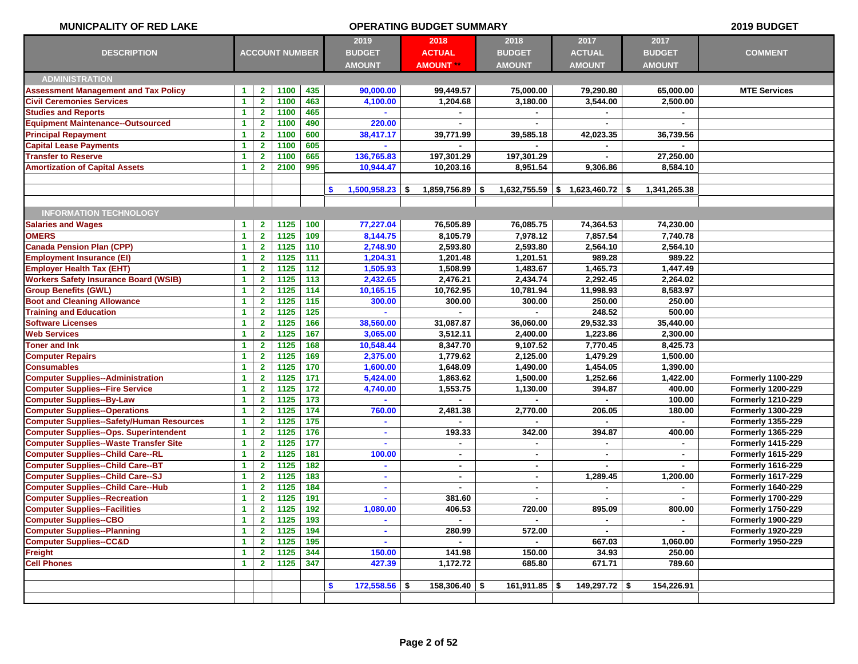| <b>MUNICPALITY OF RED LAKE</b>                   |                      |                |                       |       |                          | <b>OPERATING BUDGET SUMMARY</b> |                 |                                |                      | 2019 BUDGET              |
|--------------------------------------------------|----------------------|----------------|-----------------------|-------|--------------------------|---------------------------------|-----------------|--------------------------------|----------------------|--------------------------|
|                                                  |                      |                |                       |       | 2019                     | 2018                            | 2018            | 2017                           | 2017                 |                          |
| <b>DESCRIPTION</b>                               |                      |                | <b>ACCOUNT NUMBER</b> |       | <b>BUDGET</b>            | <b>ACTUAL</b>                   | <b>BUDGET</b>   | <b>ACTUAL</b>                  | <b>BUDGET</b>        | <b>COMMENT</b>           |
|                                                  |                      |                |                       |       | <b>AMOUNT</b>            | <b>AMOUNT **</b>                | <b>AMOUNT</b>   | <b>AMOUNT</b>                  | <b>AMOUNT</b>        |                          |
| <b>ADMINISTRATION</b>                            |                      |                |                       |       |                          |                                 |                 |                                |                      |                          |
| <b>Assessment Management and Tax Policy</b>      | 1                    | $\mathbf{2}$   | 1100                  | 435   | 90,000.00                | 99,449.57                       | 75,000.00       | 79,290.80                      | 65,000.00            | <b>MTE Services</b>      |
| <b>Civil Ceremonies Services</b>                 | -1                   | $\mathbf{2}$   | 1100                  | 463   | 4,100.00                 | 1,204.68                        | 3,180.00        | 3,544.00                       | 2,500.00             |                          |
| <b>Studies and Reports</b>                       | $\blacktriangleleft$ | $\mathbf{2}$   | 1100                  | 465   |                          |                                 |                 |                                |                      |                          |
| <b>Equipment Maintenance--Outsourced</b>         | $\blacktriangleleft$ | $\mathbf{2}$   | 1100                  | 490   | 220.00                   |                                 | ۰               |                                | $\sim$               |                          |
| <b>Principal Repayment</b>                       | $\blacktriangleleft$ | $\overline{2}$ | 1100                  | 600   | 38,417.17                | 39,771.99                       | 39,585.18       | 42,023.35                      | 36,739.56            |                          |
| <b>Capital Lease Payments</b>                    | 1                    | $\mathbf{2}$   | 1100                  | 605   |                          |                                 |                 |                                |                      |                          |
| <b>Transfer to Reserve</b>                       | 1                    | $\mathbf{2}$   | 1100                  | 665   | 136,765.83               | 197,301.29                      | 197,301.29      |                                | 27,250.00            |                          |
| <b>Amortization of Capital Assets</b>            | $\blacktriangleleft$ | $\mathbf{2}$   | 2100                  | 995   | 10,944.47                | 10,203.16                       | 8,951.54        | 9,306.86                       | 8,584.10             |                          |
|                                                  |                      |                |                       |       |                          |                                 |                 |                                |                      |                          |
|                                                  |                      |                |                       |       | \$.<br>$1,500,958.23$ \$ | 1,859,756.89 \$                 |                 | $1,632,755.59$ \$ 1,623,460.72 | 1,341,265.38<br>- \$ |                          |
|                                                  |                      |                |                       |       |                          |                                 |                 |                                |                      |                          |
| <b>INFORMATION TECHNOLOGY</b>                    |                      |                |                       |       |                          |                                 |                 |                                |                      |                          |
| <b>Salaries and Wages</b>                        | -1                   | $\mathbf{2}$   | 1125                  | 100   | 77,227.04                | 76,505.89                       | 76,085.75       | 74,364.53                      | 74,230.00            |                          |
| <b>OMERS</b>                                     | $\blacktriangleleft$ | $\overline{2}$ | 1125                  | 109   | 8,144.75                 | 8,105.79                        | 7,978.12        | 7,857.54                       | 7,740.78             |                          |
| <b>Canada Pension Plan (CPP)</b>                 | 1                    | $\mathbf{2}$   | 1125                  | 110   | 2,748.90                 | 2,593.80                        | 2,593.80        | 2,564.10                       | 2,564.10             |                          |
| <b>Employment Insurance (EI)</b>                 | -1                   | $\overline{2}$ | 1125                  | 111   | 1,204.31                 | 1,201.48                        | 1,201.51        | 989.28                         | 989.22               |                          |
| <b>Employer Health Tax (EHT)</b>                 | $\blacktriangleleft$ | $\overline{2}$ | 1125                  | 112   | 1,505.93                 | 1,508.99                        | 1,483.67        | 1,465.73                       | 1,447.49             |                          |
| <b>Workers Safety Insurance Board (WSIB)</b>     | $\blacktriangleleft$ | $\mathbf{2}$   | 1125                  | 113   | 2,432.65                 | 2,476.21                        | 2,434.74        | 2,292.45                       | 2,264.02             |                          |
| <b>Group Benefits (GWL)</b>                      | $\blacktriangleleft$ | $\mathbf{2}$   | 1125                  | 114   | 10,165.15                | 10,762.95                       | 10,781.94       | 11,998.93                      | 8,583.97             |                          |
| <b>Boot and Cleaning Allowance</b>               | 1                    | $\overline{2}$ | 1125                  | 115   | 300.00                   | 300.00                          | 300.00          | 250.00                         | 250.00               |                          |
| <b>Training and Education</b>                    | $\blacktriangleleft$ | $\mathbf{2}$   | 1125                  | 125   |                          |                                 |                 | 248.52                         | 500.00               |                          |
| <b>Software Licenses</b>                         | $\blacktriangleleft$ | $\mathbf{2}$   | 1125                  | 166   | 38,560.00                | 31,087.87                       | 36,060.00       | 29,532.33                      | 35,440.00            |                          |
| <b>Web Services</b>                              | 1                    | $\mathbf{2}$   | 1125                  | 167   | 3,065.00                 | 3,512.11                        | 2,400.00        | 1,223.86                       | 2,300.00             |                          |
| <b>Toner and Ink</b>                             | $\blacktriangleleft$ | $\mathbf{2}$   | 1125                  | 168   | 10,548.44                | 8,347.70                        | 9,107.52        | 7,770.45                       | 8,425.73             |                          |
| <b>Computer Repairs</b>                          | $\blacktriangleleft$ | $\overline{2}$ | 1125                  | 169   | 2,375.00                 | 1,779.62                        | 2,125.00        | 1,479.29                       | 1,500.00             |                          |
| <b>Consumables</b>                               | 1                    | $\mathbf{2}$   | 1125                  | 170   | 1,600.00                 | 1,648.09                        | 1,490.00        | 1,454.05                       | 1,390.00             |                          |
| <b>Computer Supplies--Administration</b>         | $\blacktriangleleft$ | $\mathbf{2}$   | 1125                  | 171   | 5,424.00                 | 1,863.62                        | 1,500.00        | 1,252.66                       | 1,422.00             | <b>Formerly 1100-229</b> |
| <b>Computer Supplies--Fire Service</b>           | $\blacktriangleleft$ | $\mathbf{2}$   | 1125                  | 172   | 4,740.00                 | 1,553.75                        | 1,130.00        | 394.87                         | 400.00               | <b>Formerly 1200-229</b> |
| <b>Computer Supplies--By-Law</b>                 | 1                    | $\mathbf{2}$   | 1125                  | 173   |                          |                                 |                 |                                | 100.00               | <b>Formerly 1210-229</b> |
| <b>Computer Supplies--Operations</b>             | $\blacktriangleleft$ | $\mathbf{2}$   | 1125                  | 174   | 760.00                   | 2,481.38                        | 2,770.00        | 206.05                         | 180.00               | <b>Formerly 1300-229</b> |
| <b>Computer Supplies--Safety/Human Resources</b> | $\blacktriangleleft$ | $\mathbf{2}$   | 1125                  | 175   | ٠                        |                                 |                 |                                |                      | <b>Formerly 1355-229</b> |
| <b>Computer Supplies--Ops. Superintendent</b>    | 1                    | $\mathbf{2}$   | 1125                  | 176   |                          | 193.33                          | 342.00          | 394.87                         | 400.00               | <b>Formerly 1365-229</b> |
| <b>Computer Supplies--Waste Transfer Site</b>    | $\blacktriangleleft$ | $\mathbf{2}$   | 1125                  | 177   | $\blacksquare$           | $\sim$                          | ×.              | $\mathbf{r}$                   | $\sim$               | <b>Formerly 1415-229</b> |
| <b>Computer Supplies--Child Care--RL</b>         | -1                   | $\mathbf{2}$   | 1125                  | 181   | 100.00                   | $\blacksquare$                  | ٠               | $\blacksquare$                 | ۰                    | <b>Formerly 1615-229</b> |
| <b>Computer Supplies--Child Care--BT</b>         | -1                   | $\mathbf{2}$   | 1125                  | 182   |                          | $\blacksquare$                  | $\blacksquare$  |                                |                      | Formerly 1616-229        |
| <b>Computer Supplies--Child Care--SJ</b>         | $\mathbf{1}$         | $\mathbf{2}$   | 1125                  | 183   | $\mathbf{r}$             | $\sim$                          | $\blacksquare$  | 1,289.45                       | 1,200.00             | <b>Formerly 1617-229</b> |
| <b>Computer Supplies--Child Care--Hub</b>        | 1                    | $\mathbf{2}$   | 1125                  | 184   | $\blacksquare$           |                                 | $\blacksquare$  |                                |                      | <b>Formerly 1640-229</b> |
| <b>Computer Supplies--Recreation</b>             | $\blacktriangleleft$ | $\mathbf{2}$   | 1125                  | 191   | $\sim$                   | 381.60                          | $\blacksquare$  | $\blacksquare$                 | ٠                    | <b>Formerly 1700-229</b> |
| <b>Computer Supplies--Facilities</b>             | $\blacktriangleleft$ | $2^{\circ}$    | 1125                  | 192   | 1,080.00                 | 406.53                          | 720.00          | 895.09                         | 800.00               | <b>Formerly 1750-229</b> |
| <b>Computer Supplies--CBO</b>                    | $\blacktriangleleft$ | $\mathbf{2}$   | 1125                  | 193   |                          |                                 | $\blacksquare$  |                                |                      | <b>Formerly 1900-229</b> |
| <b>Computer Supplies--Planning</b>               | -1                   | $\mathbf{2}$   | 1125                  | 194   |                          | 280.99                          | 572.00          |                                |                      | <b>Formerly 1920-229</b> |
| <b>Computer Supplies--CC&amp;D</b>               | $\blacktriangleleft$ | $\mathbf{2}$   | 1125                  | $195$ |                          | ÷.                              | $\blacksquare$  | 667.03                         | 1,060.00             | <b>Formerly 1950-229</b> |
| <b>Freight</b>                                   | $\blacktriangleleft$ | $\mathbf{2}$   | 1125                  | 344   | 150.00                   | 141.98                          | 150.00          | 34.93                          | 250.00               |                          |
| <b>Cell Phones</b>                               | $\blacktriangleleft$ | $\mathbf{2}$   | 1125                  | 347   | 427.39                   | 1,172.72                        | 685.80          | 671.71                         | 789.60               |                          |
|                                                  |                      |                |                       |       |                          |                                 |                 |                                |                      |                          |
|                                                  |                      |                |                       |       | \$<br>$172,558.56$ \$    | $158,306.40$ \$                 | $161,911.85$ \$ | $149,297.72$ \$                | 154,226.91           |                          |
|                                                  |                      |                |                       |       |                          |                                 |                 |                                |                      |                          |
|                                                  |                      |                |                       |       |                          |                                 |                 |                                |                      |                          |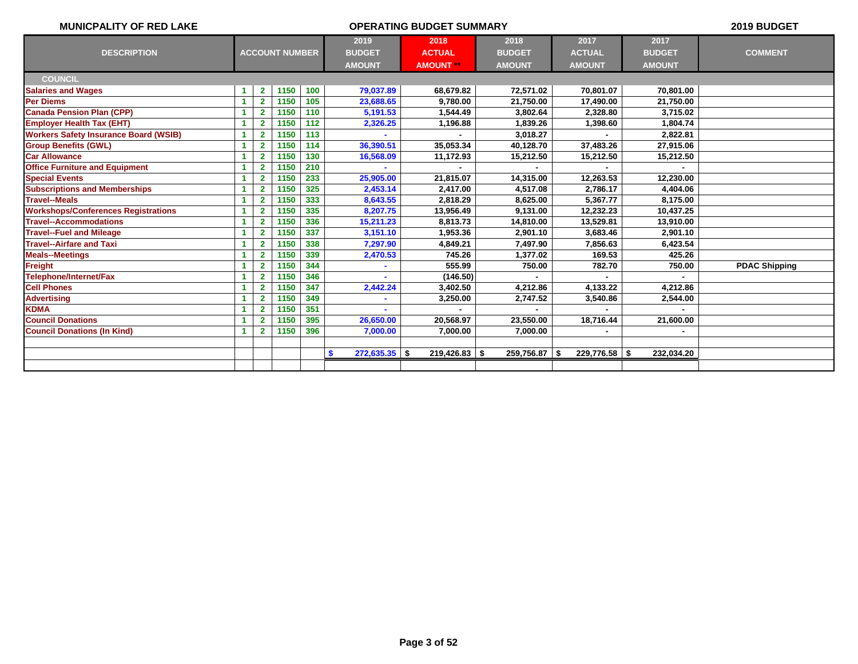| <b>MUNICPALITY OF RED LAKE</b>               |   |                         |                       |     |                                        | 2019 BUDGET                               |                                        |                                        |                                        |                      |
|----------------------------------------------|---|-------------------------|-----------------------|-----|----------------------------------------|-------------------------------------------|----------------------------------------|----------------------------------------|----------------------------------------|----------------------|
| <b>DESCRIPTION</b>                           |   |                         | <b>ACCOUNT NUMBER</b> |     | 2019<br><b>BUDGET</b><br><b>AMOUNT</b> | 2018<br><b>ACTUAL</b><br><b>AMOUNT</b> ** | 2018<br><b>BUDGET</b><br><b>AMOUNT</b> | 2017<br><b>ACTUAL</b><br><b>AMOUNT</b> | 2017<br><b>BUDGET</b><br><b>AMOUNT</b> | <b>COMMENT</b>       |
| <b>COUNCIL</b>                               |   |                         |                       |     |                                        |                                           |                                        |                                        |                                        |                      |
| <b>Salaries and Wages</b>                    | 1 | $\mathbf{2}$            | 1150                  | 100 | 79,037.89                              | 68,679.82                                 | 72,571.02                              | 70,801.07                              | 70,801.00                              |                      |
| Per Diems                                    |   | $\mathbf{2}$            | 1150                  | 105 | 23,688.65                              | 9,780.00                                  | 21,750.00                              | 17,490.00                              | 21,750.00                              |                      |
| <b>Canada Pension Plan (CPP)</b>             | 1 | $\overline{2}$          | 1150                  | 110 | 5,191.53                               | 1,544.49                                  | 3,802.64                               | 2,328.80                               | 3,715.02                               |                      |
| <b>Employer Health Tax (EHT)</b>             | 1 | $\overline{2}$          | 1150                  | 112 | 2,326.25                               | 1,196.88                                  | 1,839.26                               | 1,398.60                               | 1.804.74                               |                      |
| <b>Workers Safety Insurance Board (WSIB)</b> |   | $\mathbf{2}$            | 1150                  | 113 |                                        |                                           | 3,018.27                               |                                        | 2,822.81                               |                      |
| <b>Group Benefits (GWL)</b>                  |   | $\overline{\mathbf{2}}$ | 1150                  | 114 | 36,390.51                              | 35,053.34                                 | 40,128.70                              | 37,483.26                              | 27,915.06                              |                      |
| <b>Car Allowance</b>                         |   | $\overline{2}$          | 1150                  | 130 | 16,568.09                              | 11,172.93                                 | 15,212.50                              | 15,212.50                              | 15,212.50                              |                      |
| <b>Office Furniture and Equipment</b>        | 1 | $\overline{2}$          | 1150                  | 210 |                                        |                                           |                                        |                                        |                                        |                      |
| <b>Special Events</b>                        |   | $\overline{2}$          | 1150                  | 233 | 25,905.00                              | 21,815.07                                 | 14,315.00                              | 12,263.53                              | 12,230.00                              |                      |
| <b>Subscriptions and Memberships</b>         | 1 | $\overline{2}$          | 1150                  | 325 | 2,453.14                               | 2,417.00                                  | 4,517.08                               | 2,786.17                               | 4,404.06                               |                      |
| <b>Travel--Meals</b>                         | 1 | $\overline{2}$          | 1150                  | 333 | 8,643.55                               | 2.818.29                                  | 8,625.00                               | 5.367.77                               | 8.175.00                               |                      |
| <b>Workshops/Conferences Registrations</b>   |   | $\overline{2}$          | 1150                  | 335 | 8,207.75                               | 13,956.49                                 | 9,131.00                               | 12,232.23                              | 10,437.25                              |                      |
| <b>Travel--Accommodations</b>                |   | $\overline{\mathbf{2}}$ | 1150                  | 336 | 15,211.23                              | 8,813.73                                  | 14,810.00                              | 13,529.81                              | 13,910.00                              |                      |
| <b>Travel--Fuel and Mileage</b>              |   | $\overline{2}$          | 1150                  | 337 | 3,151.10                               | 1,953.36                                  | 2,901.10                               | 3,683.46                               | 2,901.10                               |                      |
| <b>Travel--Airfare and Taxi</b>              |   | $\overline{2}$          | 1150                  | 338 | 7,297.90                               | 4,849.21                                  | 7,497.90                               | 7,856.63                               | 6,423.54                               |                      |
| <b>Meals--Meetings</b>                       |   | $\overline{2}$          | 1150                  | 339 | 2,470.53                               | 745.26                                    | 1,377.02                               | 169.53                                 | 425.26                                 |                      |
| <b>Freight</b>                               | 1 | $\overline{2}$          | 1150                  | 344 | ٠                                      | 555.99                                    | 750.00                                 | 782.70                                 | 750.00                                 | <b>PDAC Shipping</b> |
| Telephone/Internet/Fax                       | 1 | $\overline{2}$          | 1150                  | 346 |                                        | (146.50)                                  |                                        |                                        |                                        |                      |
| <b>Cell Phones</b>                           |   | $\overline{2}$          | 1150                  | 347 | 2,442.24                               | 3.402.50                                  | 4,212.86                               | 4,133.22                               | 4,212.86                               |                      |
| <b>Advertising</b>                           |   | $\overline{\mathbf{2}}$ | 1150                  | 349 |                                        | 3,250.00                                  | 2,747.52                               | 3,540.86                               | 2,544.00                               |                      |
| <b>KDMA</b>                                  |   | $\overline{2}$          | 1150                  | 351 |                                        |                                           |                                        |                                        |                                        |                      |
| <b>Council Donations</b>                     | 1 | $\overline{2}$          | 1150                  | 395 | 26,650.00                              | 20,568.97                                 | 23,550.00                              | 18,716.44                              | 21,600.00                              |                      |
| <b>Council Donations (In Kind)</b>           | 1 | $\overline{\mathbf{2}}$ | 1150                  | 396 | 7,000.00                               | 7,000.00                                  | 7,000.00                               |                                        |                                        |                      |
|                                              |   |                         |                       |     |                                        |                                           |                                        |                                        |                                        |                      |
|                                              |   |                         |                       |     | $272,635.35$ \$<br><b>S</b>            | $219,426.83$ \$                           | 259,756.87                             | $229,776.58$ \$<br>-\$                 | 232,034.20                             |                      |
|                                              |   |                         |                       |     |                                        |                                           |                                        |                                        |                                        |                      |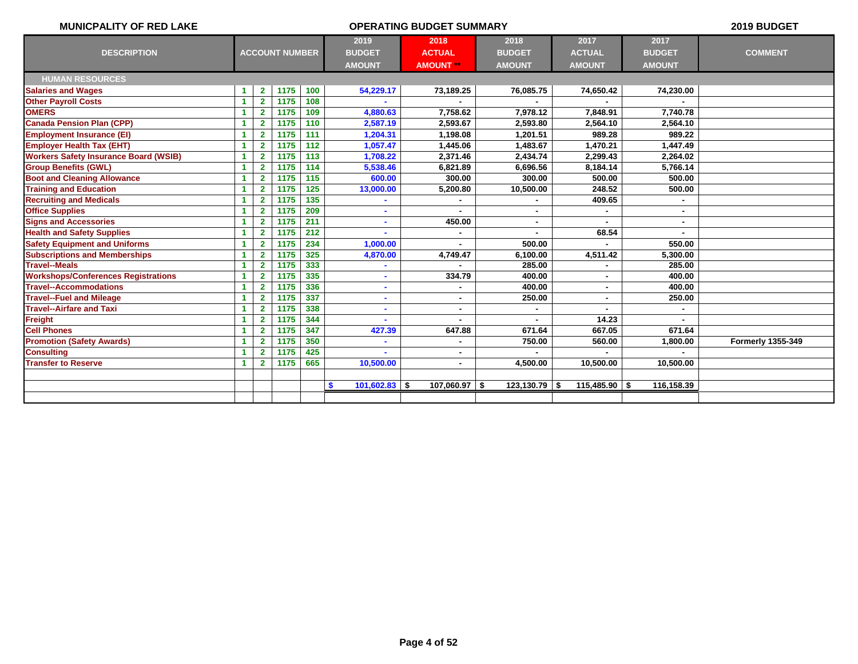| <b>MUNICPALITY OF RED LAKE</b>               |    |                |                       |     |                       | <b>OPERATING BUDGET SUMMARY</b> |                 |               |               | 2019 BUDGET              |
|----------------------------------------------|----|----------------|-----------------------|-----|-----------------------|---------------------------------|-----------------|---------------|---------------|--------------------------|
|                                              |    |                |                       |     | 2019                  | 2018                            | 2018            | 2017          | 2017          |                          |
| <b>DESCRIPTION</b>                           |    |                | <b>ACCOUNT NUMBER</b> |     | <b>BUDGET</b>         | <b>ACTUAL</b>                   | <b>BUDGET</b>   | <b>ACTUAL</b> | <b>BUDGET</b> | <b>COMMENT</b>           |
|                                              |    |                |                       |     | <b>AMOUNT</b>         | <b>AMOUNT **</b>                | <b>AMOUNT</b>   | <b>AMOUNT</b> | <b>AMOUNT</b> |                          |
| <b>HUMAN RESOURCES</b>                       |    |                |                       |     |                       |                                 |                 |               |               |                          |
| <b>Salaries and Wages</b>                    | -1 | $\mathbf{2}$   | 1175                  | 100 | 54,229.17             | 73,189.25                       | 76,085.75       | 74,650.42     | 74,230.00     |                          |
| <b>Other Payroll Costs</b>                   | -1 | $\overline{2}$ | 1175                  | 108 |                       |                                 |                 |               |               |                          |
| <b>OMERS</b>                                 | -1 | $\overline{2}$ | 1175                  | 109 | 4,880.63              | 7,758.62                        | 7,978.12        | 7,848.91      | 7,740.78      |                          |
| <b>Canada Pension Plan (CPP)</b>             |    | $\overline{2}$ | 1175                  | 110 | 2,587.19              | 2.593.67                        | 2,593.80        | 2,564.10      | 2,564.10      |                          |
| <b>Employment Insurance (EI)</b>             |    | $\mathbf{2}$   | 1175                  | 111 | 1,204.31              | 1,198.08                        | 1,201.51        | 989.28        | 989.22        |                          |
| <b>Employer Health Tax (EHT)</b>             | 1  | $\overline{2}$ | 1175                  | 112 | 1,057.47              | 1,445.06                        | 1,483.67        | 1,470.21      | 1,447.49      |                          |
| <b>Workers Safety Insurance Board (WSIB)</b> | 1  | $\overline{2}$ | 1175                  | 113 | 1,708.22              | 2,371.46                        | 2,434.74        | 2,299.43      | 2,264.02      |                          |
| <b>Group Benefits (GWL)</b>                  |    | $\overline{2}$ | 1175                  | 114 | 5,538.46              | 6,821.89                        | 6,696.56        | 8,184.14      | 5,766.14      |                          |
| <b>Boot and Cleaning Allowance</b>           |    | $\overline{2}$ | 1175                  | 115 | 600.00                | 300.00                          | 300.00          | 500.00        | 500.00        |                          |
| <b>Training and Education</b>                |    | $\mathbf{2}$   | 1175                  | 125 | 13,000.00             | 5,200.80                        | 10,500.00       | 248.52        | 500.00        |                          |
| <b>Recruiting and Medicals</b>               |    | $\overline{2}$ | 1175                  | 135 |                       |                                 |                 | 409.65        |               |                          |
| <b>Office Supplies</b>                       | 4  | $\overline{2}$ | 1175                  | 209 |                       |                                 |                 |               |               |                          |
| <b>Signs and Accessories</b>                 | -1 | $\overline{2}$ | 1175                  | 211 |                       | 450.00                          |                 |               |               |                          |
| <b>Health and Safety Supplies</b>            |    | $\overline{2}$ | 1175                  | 212 |                       |                                 |                 | 68.54         |               |                          |
| <b>Safety Equipment and Uniforms</b>         |    | $\overline{2}$ | 1175                  | 234 | 1,000.00              |                                 | 500.00          |               | 550.00        |                          |
| <b>Subscriptions and Memberships</b>         |    | $\overline{2}$ | 1175                  | 325 | 4,870.00              | 4,749.47                        | 6,100.00        | 4,511.42      | 5,300.00      |                          |
| <b>Travel--Meals</b>                         |    | $\overline{2}$ | 1175                  | 333 |                       |                                 | 285.00          |               | 285.00        |                          |
| <b>Workshops/Conferences Registrations</b>   | 1  | $\overline{2}$ | 1175                  | 335 |                       | 334.79                          | 400.00          |               | 400.00        |                          |
| <b>Travel--Accommodations</b>                | -1 | $\overline{2}$ | 1175                  | 336 |                       |                                 | 400.00          | ٠             | 400.00        |                          |
| <b>Travel--Fuel and Mileage</b>              |    | $\overline{2}$ | 1175                  | 337 |                       | $\blacksquare$                  | 250.00          | ٠             | 250.00        |                          |
| <b>Travel--Airfare and Taxi</b>              |    | $\mathbf{2}$   | 1175                  | 338 | ٠                     | ۰                               | $\blacksquare$  |               |               |                          |
| Freight                                      |    | $\overline{2}$ | 1175                  | 344 |                       |                                 |                 | 14.23         |               |                          |
| <b>Cell Phones</b>                           |    | $\overline{2}$ | 1175                  | 347 | 427.39                | 647.88                          | 671.64          | 667.05        | 671.64        |                          |
| <b>Promotion (Safety Awards)</b>             |    | $\overline{2}$ | 1175                  | 350 |                       | ۰                               | 750.00          | 560.00        | 1,800.00      | <b>Formerly 1355-349</b> |
| <b>Consulting</b>                            | -1 | $\overline{2}$ | 1175                  | 425 |                       | $\blacksquare$                  |                 |               |               |                          |
| <b>Transfer to Reserve</b>                   | -1 | $\overline{2}$ | 1175                  | 665 | 10,500.00             | $\blacksquare$                  | 4,500.00        | 10,500.00     | 10,500.00     |                          |
|                                              |    |                |                       |     |                       |                                 |                 |               |               |                          |
|                                              |    |                |                       |     | $101,602.83$ \$<br>S. | $107,060.97$ \$                 | $123,130.79$ \$ | 115,485.90    | 116,158.39    |                          |
|                                              |    |                |                       |     |                       |                                 |                 |               |               |                          |
|                                              |    |                |                       |     |                       |                                 |                 |               |               |                          |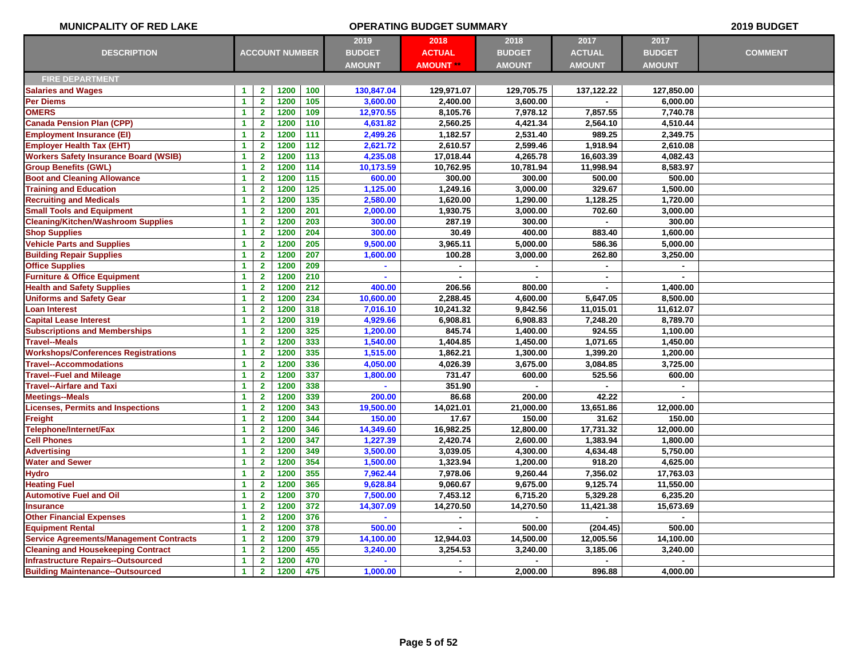| <b>MUNICPALITY OF RED LAKE</b>                 |                      |                         |                       |     |               | <b>OPERATING BUDGET SUMMARY</b> |               |                |                | 2019 BUDGET    |
|------------------------------------------------|----------------------|-------------------------|-----------------------|-----|---------------|---------------------------------|---------------|----------------|----------------|----------------|
|                                                |                      |                         |                       |     | 2019          | 2018                            | 2018          | 2017           | 2017           |                |
| <b>DESCRIPTION</b>                             |                      |                         | <b>ACCOUNT NUMBER</b> |     | <b>BUDGET</b> | <b>ACTUAL</b>                   | <b>BUDGET</b> | <b>ACTUAL</b>  | <b>BUDGET</b>  | <b>COMMENT</b> |
|                                                |                      |                         |                       |     | <b>AMOUNT</b> | <b>AMOUNT</b>                   | <b>AMOUNT</b> | <b>AMOUNT</b>  | <b>AMOUNT</b>  |                |
| <b>FIRE DEPARTMENT</b>                         |                      |                         |                       |     |               |                                 |               |                |                |                |
| <b>Salaries and Wages</b>                      | -1                   | $\mathbf{2}$            | 1200                  | 100 | 130,847.04    | 129,971.07                      | 129,705.75    | 137,122.22     | 127,850.00     |                |
| Per Diems                                      | 1                    | $\mathbf{2}$            | 1200                  | 105 | 3,600.00      | 2,400.00                        | 3,600.00      |                | 6,000.00       |                |
| <b>OMERS</b>                                   | $\blacktriangleleft$ | $\mathbf{2}$            | 1200                  | 109 | 12,970.55     | 8,105.76                        | 7,978.12      | 7,857.55       | 7,740.78       |                |
| <b>Canada Pension Plan (CPP)</b>               | $\blacktriangleleft$ | $\overline{2}$          | 1200                  | 110 | 4,631.82      | 2,560.25                        | 4,421.34      | 2,564.10       | 4,510.44       |                |
| <b>Employment Insurance (EI)</b>               | $\blacktriangleleft$ | $\overline{\mathbf{2}}$ | 1200                  | 111 | 2,499.26      | 1,182.57                        | 2,531.40      | 989.25         | 2,349.75       |                |
| <b>Employer Health Tax (EHT)</b>               | $\blacktriangleleft$ | $\overline{2}$          | 1200                  | 112 | 2,621.72      | 2,610.57                        | 2,599.46      | 1,918.94       | 2,610.08       |                |
| <b>Workers Safety Insurance Board (WSIB)</b>   | $\mathbf{1}$         | $\overline{\mathbf{2}}$ | 1200                  | 113 | 4,235.08      | 17,018.44                       | 4,265.78      | 16,603.39      | 4,082.43       |                |
| <b>Group Benefits (GWL)</b>                    | $\blacktriangleleft$ | $\overline{2}$          | 1200                  | 114 | 10,173.59     | 10,762.95                       | 10,781.94     | 11,998.94      | 8,583.97       |                |
| <b>Boot and Cleaning Allowance</b>             | $\blacktriangleleft$ | $\mathbf{2}$            | 1200                  | 115 | 600.00        | 300.00                          | 300.00        | 500.00         | 500.00         |                |
| <b>Training and Education</b>                  | $\blacktriangleleft$ | $\mathbf{2}$            | 1200                  | 125 | 1,125.00      | 1,249.16                        | 3,000.00      | 329.67         | 1,500.00       |                |
| <b>Recruiting and Medicals</b>                 | $\blacktriangleleft$ | $\mathbf{2}$            | 1200                  | 135 | 2,580.00      | 1,620.00                        | 1,290.00      | 1,128.25       | 1,720.00       |                |
| <b>Small Tools and Equipment</b>               | $\blacktriangleleft$ | $\overline{2}$          | 1200                  | 201 | 2,000.00      | 1,930.75                        | 3,000.00      | 702.60         | 3,000.00       |                |
| <b>Cleaning/Kitchen/Washroom Supplies</b>      | $\blacktriangleleft$ | $\overline{2}$          | 1200                  | 203 | 300.00        | 287.19                          | 300.00        |                | 300.00         |                |
| <b>Shop Supplies</b>                           | $\blacktriangleleft$ | $\overline{2}$          | 1200                  | 204 | 300.00        | 30.49                           | 400.00        | 883.40         | 1,600.00       |                |
| <b>Vehicle Parts and Supplies</b>              | 1                    | $\overline{\mathbf{2}}$ | 1200                  | 205 | 9,500.00      | 3,965.11                        | 5,000.00      | 586.36         | 5,000.00       |                |
| <b>Building Repair Supplies</b>                | 1                    | $\overline{\mathbf{2}}$ | 1200                  | 207 | 1,600.00      | 100.28                          | 3,000.00      | 262.80         | 3,250.00       |                |
| <b>Office Supplies</b>                         | 1                    | $\overline{2}$          | 1200                  | 209 |               |                                 |               |                |                |                |
| <b>Furniture &amp; Office Equipment</b>        | $\blacktriangleleft$ | $\overline{2}$          | 1200                  | 210 |               |                                 |               | $\blacksquare$ | $\overline{a}$ |                |
| <b>Health and Safety Supplies</b>              | $\blacktriangleleft$ | $\overline{2}$          | 1200                  | 212 | 400.00        | 206.56                          | 800.00        | $\sim$         | 1,400.00       |                |
| <b>Uniforms and Safety Gear</b>                | $\blacktriangleleft$ | $\overline{2}$          | 1200                  | 234 | 10,600.00     | 2,288.45                        | 4,600.00      | 5,647.05       | 8,500.00       |                |
| <b>Loan Interest</b>                           | $\blacktriangleleft$ | $\overline{2}$          | 1200                  | 318 | 7,016.10      | 10,241.32                       | 9,842.56      | 11,015.01      | 11,612.07      |                |
| <b>Capital Lease Interest</b>                  | $\blacktriangleleft$ | $\overline{2}$          | 1200                  | 319 | 4,929.66      | 6,908.81                        | 6,908.83      | 7,248.20       | 8.789.70       |                |
| <b>Subscriptions and Memberships</b>           | $\blacktriangleleft$ | $\mathbf{2}$            | 1200                  | 325 | 1,200.00      | 845.74                          | 1,400.00      | 924.55         | 1,100.00       |                |
| <b>Travel--Meals</b>                           | 1                    | $\overline{\mathbf{2}}$ | 1200                  | 333 | 1,540.00      | 1,404.85                        | 1,450.00      | 1,071.65       | 1,450.00       |                |
| <b>Workshops/Conferences Registrations</b>     | $\blacktriangleleft$ | $\mathbf{2}$            | 1200                  | 335 | 1,515.00      | 1,862.21                        | 1,300.00      | 1,399.20       | 1,200.00       |                |
| <b>Travel--Accommodations</b>                  | $\blacktriangleleft$ | $\mathbf{2}$            | 1200                  | 336 | 4,050.00      | 4,026.39                        | 3,675.00      | 3,084.85       | 3,725.00       |                |
| <b>Travel--Fuel and Mileage</b>                | 1                    | $\overline{2}$          | 1200                  | 337 | 1,800.00      | 731.47                          | 600.00        | 525.56         | 600.00         |                |
| <b>Travel--Airfare and Taxi</b>                | 1                    | $\overline{2}$          | 1200                  | 338 |               | 351.90                          |               |                | $\blacksquare$ |                |
| <b>Meetings--Meals</b>                         | $\mathbf{1}$         | $\mathbf{2}$            | 1200                  | 339 | 200.00        | 86.68                           | 200.00        | 42.22          |                |                |
| <b>Licenses, Permits and Inspections</b>       | $\mathbf{1}$         | $\mathbf{2}$            | 1200                  | 343 | 19,500.00     | 14,021.01                       | 21,000.00     | 13,651.86      | 12,000.00      |                |
| <b>Freight</b>                                 | $\blacktriangleleft$ | $\overline{\mathbf{2}}$ | 1200                  | 344 | 150.00        | 17.67                           | 150.00        | 31.62          | 150.00         |                |
| Telephone/Internet/Fax                         | $\blacktriangleleft$ | $\mathbf{2}$            | 1200                  | 346 | 14,349.60     | 16,982.25                       | 12,800.00     | 17,731.32      | 12,000.00      |                |
| <b>Cell Phones</b>                             | $\mathbf{1}$         | $\overline{2}$          | 1200                  | 347 | 1,227.39      | 2,420.74                        | 2,600.00      | 1,383.94       | 1,800.00       |                |
| <b>Advertising</b>                             | $\blacktriangleleft$ | $\mathbf{2}$            | 1200                  | 349 | 3,500.00      | 3,039.05                        | 4,300.00      | 4,634.48       | 5,750.00       |                |
| <b>Water and Sewer</b>                         | $\blacktriangleleft$ | $\overline{2}$          | 1200                  | 354 | 1,500.00      | 1,323.94                        | 1,200.00      | 918.20         | 4,625.00       |                |
| <b>Hydro</b>                                   | $\blacktriangleleft$ | $\mathbf{2}$            | 1200                  | 355 | 7,962.44      | 7,978.06                        | 9,260.44      | 7,356.02       | 17,763.03      |                |
| <b>Heating Fuel</b>                            | $\blacktriangleleft$ | $\mathbf{2}$            | 1200                  | 365 | 9,628.84      | 9,060.67                        | 9,675.00      | 9,125.74       | 11,550.00      |                |
| <b>Automotive Fuel and Oil</b>                 | $\blacktriangleleft$ | $\mathbf{2}$            | 1200                  | 370 | 7,500.00      | 7,453.12                        | 6,715.20      | 5,329.28       | 6,235.20       |                |
| <b>Insurance</b>                               | $\blacktriangleleft$ | $\overline{2}$          | 1200                  | 372 | 14,307.09     | 14,270.50                       | 14,270.50     | 11,421.38      | 15,673.69      |                |
| <b>Other Financial Expenses</b>                | $\blacktriangleleft$ | $\mathbf{2}$            | 1200                  | 376 |               |                                 |               |                |                |                |
| <b>Equipment Rental</b>                        | 1                    | $\mathbf{2}$            | 1200                  | 378 | 500.00        |                                 | 500.00        | (204.45)       | 500.00         |                |
| <b>Service Agreements/Management Contracts</b> | $\blacktriangleleft$ | $\mathbf{2}$            | 1200                  | 379 | 14,100.00     | 12,944.03                       | 14,500.00     | 12,005.56      | 14,100.00      |                |
| <b>Cleaning and Housekeeping Contract</b>      | 1                    | $\overline{2}$          | 1200                  | 455 | 3,240.00      | 3,254.53                        | 3,240.00      | 3,185.06       | 3,240.00       |                |
| <b>Infrastructure Repairs--Outsourced</b>      | $\blacktriangleleft$ | $\mathbf{2}$            | 1200                  | 470 |               |                                 |               |                |                |                |
| <b>Building Maintenance--Outsourced</b>        | $\blacktriangleleft$ | $\overline{2}$          | 1200                  | 475 | 1,000.00      | ä,                              | 2,000.00      | 896.88         | 4,000.00       |                |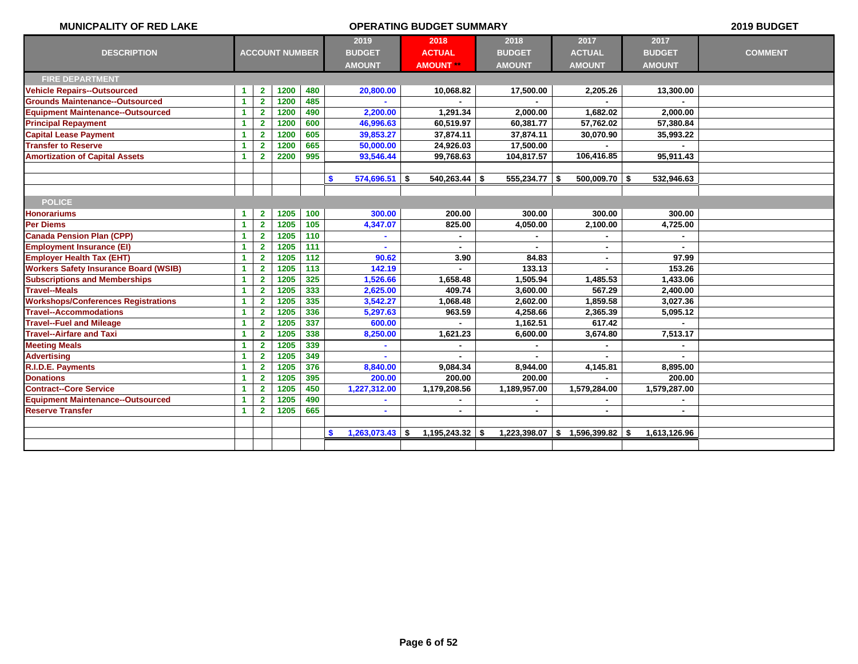| <b>MUNICPALITY OF RED LAKE</b>               |                      |                |                       |     |                                  | 2019 BUDGET      |                   |                 |               |                |
|----------------------------------------------|----------------------|----------------|-----------------------|-----|----------------------------------|------------------|-------------------|-----------------|---------------|----------------|
|                                              |                      |                |                       |     | 2019                             | 2018             | 2018              | 2017            | 2017          |                |
| <b>DESCRIPTION</b>                           |                      |                | <b>ACCOUNT NUMBER</b> |     | <b>BUDGET</b>                    | <b>ACTUAL</b>    | <b>BUDGET</b>     | <b>ACTUAL</b>   | <b>BUDGET</b> | <b>COMMENT</b> |
|                                              |                      |                |                       |     | <b>AMOUNT</b>                    | <b>AMOUNT</b> ** | <b>AMOUNT</b>     | <b>AMOUNT</b>   | <b>AMOUNT</b> |                |
| <b>FIRE DEPARTMENT</b>                       |                      |                |                       |     |                                  |                  |                   |                 |               |                |
| <b>Vehicle Repairs--Outsourced</b>           | -1                   | $\mathbf{2}$   | 1200                  | 480 | 20,800.00                        | 10,068.82        | 17,500.00         | 2,205.26        | 13,300.00     |                |
| <b>Grounds Maintenance--Outsourced</b>       | -1                   | $\mathbf{2}$   | 1200                  | 485 |                                  |                  |                   |                 |               |                |
| <b>Equipment Maintenance--Outsourced</b>     | $\blacktriangleleft$ | $\mathbf{2}$   | 1200                  | 490 | 2,200.00                         | 1,291.34         | 2,000.00          | 1,682.02        | 2,000.00      |                |
| <b>Principal Repayment</b>                   | $\blacktriangleleft$ | $\mathbf{2}$   | 1200                  | 600 | 46,996.63                        | 60,519.97        | 60,381.77         | 57,762.02       | 57,380.84     |                |
| <b>Capital Lease Payment</b>                 | $\blacktriangleleft$ | $\overline{2}$ | 1200                  | 605 | 39,853.27                        | 37,874.11        | 37,874.11         | 30,070.90       | 35,993.22     |                |
| <b>Transfer to Reserve</b>                   | $\blacktriangleleft$ | $\mathbf{2}$   | 1200                  | 665 | 50,000.00                        | 24,926.03        | 17,500.00         |                 |               |                |
| <b>Amortization of Capital Assets</b>        | -1                   | $\mathbf{2}$   | 2200                  | 995 | 93,546.44                        | 99,768.63        | 104,817.57        | 106,416.85      | 95,911.43     |                |
|                                              |                      |                |                       |     |                                  |                  |                   |                 |               |                |
|                                              |                      |                |                       |     | $574,696.51$ \$<br>$\mathbf{\$}$ | $540,263.44$ \$  | $555,234.77$ \$   | $500,009.70$ \$ | 532,946.63    |                |
|                                              |                      |                |                       |     |                                  |                  |                   |                 |               |                |
| <b>POLICE</b>                                |                      |                |                       |     |                                  |                  |                   |                 |               |                |
| <b>Honorariums</b>                           | $\blacktriangleleft$ | $\mathbf{2}$   | 1205                  | 100 | 300.00                           | 200.00           | 300.00            | 300.00          | 300.00        |                |
| <b>Per Diems</b>                             | $\blacktriangleleft$ | $\mathbf{2}$   | 1205                  | 105 | 4,347.07                         | 825.00           | 4,050.00          | 2,100.00        | 4,725.00      |                |
| <b>Canada Pension Plan (CPP)</b>             | -1                   | $\mathbf{2}$   | 1205                  | 110 |                                  |                  |                   |                 |               |                |
| <b>Employment Insurance (EI)</b>             | $\blacktriangleleft$ | $\overline{2}$ | 1205                  | 111 |                                  |                  |                   |                 |               |                |
| <b>Employer Health Tax (EHT)</b>             | $\blacktriangleleft$ | $\mathbf{2}$   | 1205                  | 112 | 90.62                            | 3.90             | 84.83             | $\blacksquare$  | 97.99         |                |
| <b>Workers Safety Insurance Board (WSIB)</b> | $\blacktriangleleft$ | $\mathbf{2}$   | 1205                  | 113 | 142.19                           | $\overline{a}$   | 133.13            | $\blacksquare$  | 153.26        |                |
| <b>Subscriptions and Memberships</b>         | $\blacktriangleleft$ | $\overline{2}$ | 1205                  | 325 | 1,526.66                         | 1,658.48         | 1,505.94          | 1,485.53        | 1,433.06      |                |
| <b>Travel--Meals</b>                         | $\blacktriangleleft$ | $\mathbf{2}$   | 1205                  | 333 | 2,625.00                         | 409.74           | 3,600.00          | 567.29          | 2,400.00      |                |
| <b>Workshops/Conferences Registrations</b>   | $\blacktriangleleft$ | $\mathbf{2}$   | 1205                  | 335 | 3,542.27                         | 1,068.48         | 2,602.00          | 1,859.58        | 3,027.36      |                |
| <b>Travel--Accommodations</b>                | $\blacktriangleleft$ | $\overline{2}$ | 1205                  | 336 | 5,297.63                         | 963.59           | 4,258.66          | 2,365.39        | 5,095.12      |                |
| <b>Travel--Fuel and Mileage</b>              | -1                   | $\overline{2}$ | 1205                  | 337 | 600.00                           |                  | 1,162.51          | 617.42          |               |                |
| <b>Travel--Airfare and Taxi</b>              | $\blacktriangleleft$ | $\mathbf{2}$   | 1205                  | 338 | 8,250.00                         | 1,621.23         | 6,600.00          | 3,674.80        | 7,513.17      |                |
| <b>Meeting Meals</b>                         | $\blacktriangleleft$ | $\mathbf{2}$   | 1205                  | 339 |                                  |                  |                   |                 |               |                |
| <b>Advertising</b>                           | $\blacktriangleleft$ | $\overline{2}$ | 1205                  | 349 |                                  |                  |                   |                 |               |                |
| R.I.D.E. Payments                            | $\blacktriangleleft$ | $\overline{2}$ | 1205                  | 376 | 8,840.00                         | 9,084.34         | 8,944.00          | 4,145.81        | 8,895.00      |                |
| <b>Donations</b>                             | $\blacktriangleleft$ | $\overline{2}$ | 1205                  | 395 | 200.00                           | 200.00           | 200.00            |                 | 200.00        |                |
| <b>Contract--Core Service</b>                | -1                   | $\mathbf{2}$   | 1205                  | 450 | 1,227,312.00                     | 1,179,208.56     | 1,189,957.00      | 1,579,284.00    | 1,579,287.00  |                |
| <b>Equipment Maintenance--Outsourced</b>     | $\blacktriangleleft$ | $\mathbf{2}$   | 1205                  | 490 |                                  |                  |                   |                 |               |                |
| <b>Reserve Transfer</b>                      | $\blacktriangleleft$ | $\overline{2}$ | 1205                  | 665 | $\sim$                           | $\blacksquare$   |                   | ٠               |               |                |
|                                              |                      |                |                       |     |                                  |                  |                   |                 |               |                |
|                                              |                      |                |                       |     | $1,263,073.43$ \$<br>-S          | 1,195,243.32     | $1,223,398.07$ \$ | 1,596,399.82    | 1,613,126.96  |                |
|                                              |                      |                |                       |     |                                  |                  |                   |                 |               |                |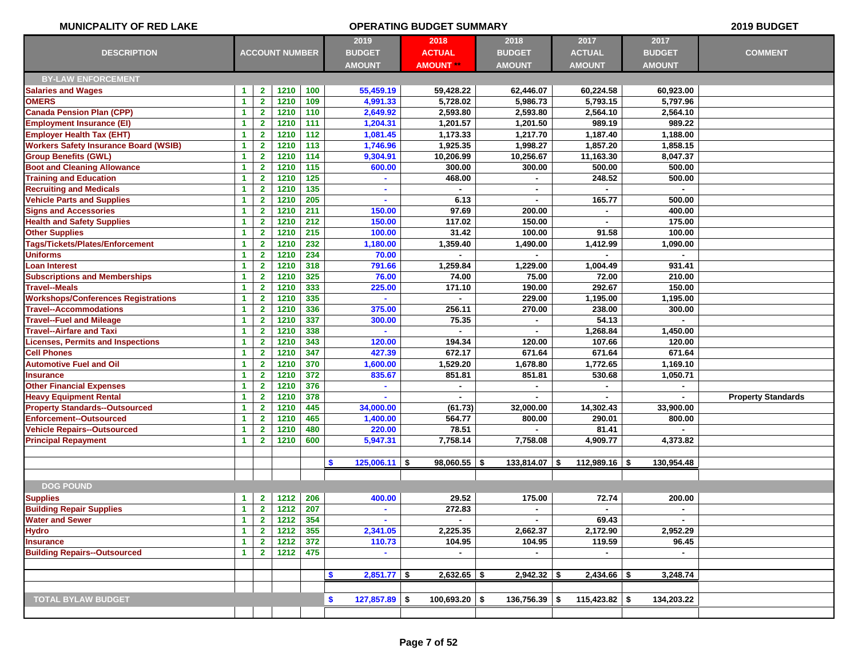| MUNICPALITY OF RED LAKE                      | <b>OPERATING BUDGET SUMMARY</b> |                         |                       |                        |                           |                  |                  |                 |                | 2019 BUDGET               |
|----------------------------------------------|---------------------------------|-------------------------|-----------------------|------------------------|---------------------------|------------------|------------------|-----------------|----------------|---------------------------|
|                                              |                                 |                         |                       |                        | 2019                      | 2018             | 2018             | 2017            | 2017           |                           |
| <b>DESCRIPTION</b>                           |                                 |                         | <b>ACCOUNT NUMBER</b> |                        | <b>BUDGET</b>             | <b>ACTUAL</b>    | <b>BUDGET</b>    | <b>ACTUAL</b>   | <b>BUDGET</b>  | <b>COMMENT</b>            |
|                                              |                                 |                         |                       |                        | <b>AMOUNT</b>             | <b>AMOUNT **</b> | <b>AMOUNT</b>    | <b>AMOUNT</b>   | <b>AMOUNT</b>  |                           |
| <b>BY-LAW ENFORCEMENT</b>                    |                                 |                         |                       |                        |                           |                  |                  |                 |                |                           |
| <b>Salaries and Wages</b>                    | 1                               | $\mathbf{2}$            | 1210                  | 100                    | 55,459.19                 | 59,428.22        | 62,446.07        | 60,224.58       | 60,923.00      |                           |
| <b>OMERS</b>                                 | $\blacktriangleleft$            | $\mathbf{2}$            | 1210                  | 109                    | 4,991.33                  | 5,728.02         | 5,986.73         | 5,793.15        | 5,797.96       |                           |
| <b>Canada Pension Plan (CPP)</b>             | 1                               | $\mathbf{2}$            | 1210                  | 110                    | 2,649.92                  | 2,593.80         | 2,593.80         | 2,564.10        | 2,564.10       |                           |
| <b>Employment Insurance (EI)</b>             | 1                               | $\mathbf{2}$            | 1210                  | 111                    | 1,204.31                  | 1,201.57         | 1,201.50         | 989.19          | 989.22         |                           |
| <b>Employer Health Tax (EHT)</b>             | $\blacktriangleleft$            | $\mathbf{2}$            | 1210                  | 112                    | 1,081.45                  | 1,173.33         | 1,217.70         | 1,187.40        | 1.188.00       |                           |
| <b>Workers Safety Insurance Board (WSIB)</b> | -1                              | $\overline{\mathbf{2}}$ | 1210                  | 113                    | 1,746.96                  | 1,925.35         | 1,998.27         | 1,857.20        | 1,858.15       |                           |
| <b>Group Benefits (GWL)</b>                  | 1                               | $\overline{\mathbf{2}}$ | 1210                  | 114                    | 9,304.91                  | 10,206.99        | 10,256.67        | 11,163.30       | 8,047.37       |                           |
| <b>Boot and Cleaning Allowance</b>           | 1                               | $\mathbf{2}$            | 1210                  | 115                    | 600.00                    | 300.00           | 300.00           | 500.00          | 500.00         |                           |
| <b>Training and Education</b>                | 1                               | $\mathbf{2}$            | 1210                  | 125                    |                           | 468.00           |                  | 248.52          | 500.00         |                           |
| <b>Recruiting and Medicals</b>               | 1                               | $\mathbf{2}$            | 1210                  | 135                    | $\blacksquare$            |                  | $\blacksquare$   |                 |                |                           |
| <b>Vehicle Parts and Supplies</b>            | $\blacktriangleleft$            | $\mathbf{2}$            | 1210                  | 205                    | $\sim$                    | 6.13             | $\blacksquare$   | 165.77          | 500.00         |                           |
| <b>Signs and Accessories</b>                 | 1                               | $\mathbf{2}$            | 1210                  | 211                    | 150.00                    | 97.69            | 200.00           |                 | 400.00         |                           |
| <b>Health and Safety Supplies</b>            | $\blacktriangleleft$            | $\mathbf{2}$            | 1210                  | 212                    | 150.00                    | 117.02           | 150.00           |                 | 175.00         |                           |
| <b>Other Supplies</b>                        | $\blacktriangleleft$            | $\mathbf{2}$            | 1210                  | 215                    | 100.00                    | 31.42            | 100.00           | 91.58           | 100.00         |                           |
| Tags/Tickets/Plates/Enforcement              | 1                               | $\mathbf{2}$            | 1210                  | 232                    | 1,180.00                  | 1,359.40         | 1,490.00         | 1,412.99        | 1,090.00       |                           |
| <b>Uniforms</b>                              | $\blacktriangleleft$            | $\mathbf{2}$            | 1210                  | 234                    | 70.00                     | $\blacksquare$   | $\mathbf{r}$     |                 | $\sim$         |                           |
| Loan Interest                                | $\blacktriangleleft$            | $\mathbf{2}$            | 1210                  | 318                    | 791.66                    | 1,259.84         | 1,229.00         | 1.004.49        | 931.41         |                           |
| <b>Subscriptions and Memberships</b>         | 1                               | $\mathbf{2}$            | 1210                  | 325                    | 76.00                     | 74.00            | 75.00            | 72.00           | 210.00         |                           |
| <b>Travel--Meals</b>                         | 1                               | $\mathbf{2}$            | 1210                  | 333                    | 225.00                    | 171.10           | 190.00           | 292.67          | 150.00         |                           |
| <b>Workshops/Conferences Registrations</b>   | $\blacktriangleleft$            | $\mathbf{2}$            | 1210                  | 335                    |                           |                  | 229.00           | 1,195.00        | 1,195.00       |                           |
| <b>Travel--Accommodations</b>                | -1                              | $\mathbf{2}$            | 1210                  | 336                    | 375.00                    | 256.11           | 270.00           | 238.00          | 300.00         |                           |
| <b>Travel--Fuel and Mileage</b>              | 1                               | $\mathbf{2}$            | 1210                  | 337                    | 300.00                    | 75.35            |                  | 54.13           | $\blacksquare$ |                           |
| <b>Travel--Airfare and Taxi</b>              | -1                              | $\mathbf{2}$            | 1210                  | 338                    |                           |                  |                  | 1,268.84        | 1,450.00       |                           |
| <b>Licenses, Permits and Inspections</b>     | $\blacktriangleleft$            | $\mathbf{2}$            | 1210                  | 343                    | 120.00                    | 194.34           | 120.00           | 107.66          | 120.00         |                           |
| <b>Cell Phones</b>                           | $\blacktriangleleft$            | $\mathbf{2}$            | 1210                  | 347                    | 427.39                    | 672.17           | 671.64           | 671.64          | 671.64         |                           |
| <b>Automotive Fuel and Oil</b>               | 1                               | $\mathbf{2}$            | 1210                  | 370                    | 1,600.00                  | 1,529.20         | 1,678.80         | 1,772.65        | 1,169.10       |                           |
| <b>Insurance</b>                             | 1                               | $\mathbf{2}$            | 1210                  | 372                    | 835.67                    | 851.81           | 851.81           | 530.68          | 1,050.71       |                           |
| <b>Other Financial Expenses</b>              | $\blacktriangleleft$            | $\mathbf{2}$            | 1210                  | 376                    |                           |                  |                  |                 |                |                           |
| <b>Heavy Equipment Rental</b>                | 1                               | $\mathbf{2}$            | 1210                  | 378                    |                           |                  |                  |                 |                | <b>Property Standards</b> |
| <b>Property Standards--Outsourced</b>        | $\blacktriangleleft$            | $\mathbf{2}$            | 1210                  | 445                    | 34,000.00                 | (61.73)          | 32,000.00        | 14,302.43       | 33,900.00      |                           |
| <b>Enforcement--Outsourced</b>               | $\blacktriangleleft$            | $\mathbf{2}$            | 1210                  | 465                    | 1,400.00                  | 564.77           | 800.00           | 290.01          | 800.00         |                           |
| <b>Vehicle Repairs--Outsourced</b>           | $\blacktriangleleft$            | $\mathbf{2}$            | 1210                  | 480                    | 220.00                    | 78.51            |                  | 81.41           |                |                           |
| <b>Principal Repayment</b>                   | $\blacktriangleleft$            | $\mathbf{2}$            | 1210                  | 600                    | 5,947.31                  | 7,758.14         | 7,758.08         | 4,909.77        | 4,373.82       |                           |
|                                              |                                 |                         |                       |                        |                           |                  |                  |                 |                |                           |
|                                              |                                 |                         |                       |                        | \$<br>$125,006.11$ \$     | $98,060.55$ \$   | $133,814.07$ \\$ | $112,989.16$ \$ | 130,954.48     |                           |
|                                              |                                 |                         |                       |                        |                           |                  |                  |                 |                |                           |
| <b>DOG POUND</b>                             |                                 |                         |                       |                        |                           |                  |                  |                 |                |                           |
| <b>Supplies</b>                              | $\blacktriangleleft$            | 2 <sup>7</sup>          | 1212                  | $\vert$ 206            | 400.00                    | 29.52            | 175.00           | 72.74           | 200.00         |                           |
| <b>Building Repair Supplies</b>              | $\blacktriangleleft$            | $\overline{2}$          | 1212                  | 207                    | $\blacksquare$            | 272.83           | $\blacksquare$   | $\blacksquare$  | $\blacksquare$ |                           |
| <b>Water and Sewer</b>                       | $\blacktriangleleft$            | $\mathbf{2}$            | 1212                  | 354                    |                           |                  |                  | 69.43           |                |                           |
| <b>Hydro</b>                                 | $\blacktriangleleft$            | $\mathbf{2}$            | 1212                  | 355<br>$\frac{1}{372}$ | 2,341.05                  | 2,225.35         | 2,662.37         | 2,172.90        | 2,952.29       |                           |
| <b>Insurance</b>                             | $\blacktriangleleft$            | $\mathbf{2}$            | 1212                  |                        | 110.73                    | 104.95           | 104.95           | 119.59          | 96.45          |                           |
| <b>Building Repairs--Outsourced</b>          | $\mathbf{1}$                    | $\mathbf{2}$            | 1212                  | 475                    | $\sim$                    | $\blacksquare$   | $\sim$           | $\blacksquare$  | $\sim$         |                           |
|                                              |                                 |                         |                       |                        | <b>S</b><br>$2,851.77$ \$ | $2,632.65$ \$    | $2,942.32$ \$    | $2,434.66$ \$   |                |                           |
|                                              |                                 |                         |                       |                        |                           |                  |                  |                 | 3,248.74       |                           |
|                                              |                                 |                         |                       |                        |                           |                  |                  |                 |                |                           |
| <b>TOTAL BYLAW BUDGET</b>                    |                                 |                         |                       |                        | \$<br>$127,857.89$ \$     | $100,693.20$ \$  | $136,756.39$ \$  | $115,423.82$ \$ | 134,203.22     |                           |
|                                              |                                 |                         |                       |                        |                           |                  |                  |                 |                |                           |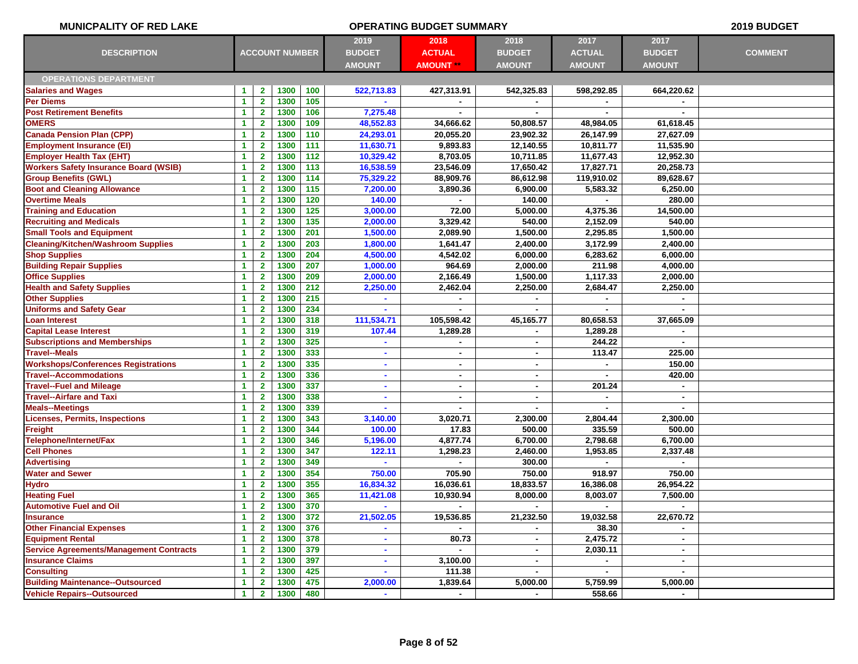| <b>MUNICPALITY OF RED LAKE</b>                 |                                              |                         |                       |     |                        | <b>OPERATING BUDGET SUMMARY</b> |                        |                        |                | 2019 BUDGET    |
|------------------------------------------------|----------------------------------------------|-------------------------|-----------------------|-----|------------------------|---------------------------------|------------------------|------------------------|----------------|----------------|
|                                                |                                              |                         |                       |     | 2019                   | 2018                            | 2018                   | 2017                   | 2017           |                |
| <b>DESCRIPTION</b>                             |                                              |                         | <b>ACCOUNT NUMBER</b> |     | <b>BUDGET</b>          | <b>ACTUAL</b>                   | <b>BUDGET</b>          | <b>ACTUAL</b>          | <b>BUDGET</b>  | <b>COMMENT</b> |
|                                                |                                              |                         |                       |     | <b>AMOUNT</b>          | <b>AMOUNT **</b>                | <b>AMOUNT</b>          | <b>AMOUNT</b>          | <b>AMOUNT</b>  |                |
| <b>OPERATIONS DEPARTMENT</b>                   |                                              |                         |                       |     |                        |                                 |                        |                        |                |                |
| <b>Salaries and Wages</b>                      | $\blacktriangleleft$                         | $\mathbf{2}$            | 1300                  | 100 | 522,713.83             | 427,313.91                      | 542,325.83             | 598,292.85             | 664,220.62     |                |
| <b>Per Diems</b>                               | $\blacktriangleleft$                         | $\mathbf{2}$            | 1300                  | 105 |                        |                                 |                        |                        |                |                |
| <b>Post Retirement Benefits</b>                | $\blacktriangleleft$                         | $\mathbf{2}$            | 1300                  | 106 | 7,275.48               | $\blacksquare$                  | $\blacksquare$         | $\blacksquare$         | $\blacksquare$ |                |
| <b>OMERS</b>                                   | $\blacktriangleleft$                         | $\mathbf{2}$            | 1300                  | 109 | 48,552.83              | 34,666.62                       | 50,808.57              | 48,984.05              | 61,618.45      |                |
| <b>Canada Pension Plan (CPP)</b>               | $\blacktriangleleft$                         | $\mathbf{2}$            | 1300                  | 110 | 24,293.01              | 20,055.20                       | 23,902.32              | 26,147.99              | 27,627.09      |                |
| <b>Employment Insurance (EI)</b>               | $\blacktriangleleft$                         | $\mathbf{2}$            | 1300                  | 111 | 11,630.71              | 9,893.83                        | 12,140.55              | 10,811.77              | 11,535.90      |                |
| <b>Employer Health Tax (EHT)</b>               | $\blacktriangleleft$                         | $\mathbf{2}$            | 1300                  | 112 |                        | 8,703.05                        |                        |                        | 12,952.30      |                |
| <b>Workers Safety Insurance Board (WSIB)</b>   |                                              | $\mathbf{2}$            | 1300                  | 113 | 10,329.42<br>16,538.59 | 23,546.09                       | 10,711.85<br>17,650.42 | 11,677.43<br>17,827.71 | 20,258.73      |                |
| <b>Group Benefits (GWL)</b>                    | $\blacktriangleleft$<br>$\blacktriangleleft$ | $\mathbf{2}$            | 1300                  | 114 |                        | 88,909.76                       | 86,612.98              | 119,910.02             | 89,628.67      |                |
| <b>Boot and Cleaning Allowance</b>             | $\blacktriangleleft$                         | $\mathbf{2}$            | 1300                  | 115 | 75,329.22<br>7,200.00  | 3,890.36                        |                        | 5,583.32               | 6,250.00       |                |
| <b>Overtime Meals</b>                          |                                              | $\mathbf{2}$            | 1300                  | 120 | 140.00                 | $\blacksquare$                  | 6,900.00<br>140.00     |                        | 280.00         |                |
|                                                | $\blacktriangleleft$                         |                         |                       | 125 |                        |                                 |                        |                        |                |                |
| <b>Training and Education</b>                  | $\blacktriangleleft$                         | $\mathbf{2}$            | 1300                  |     | 3,000.00               | 72.00                           | 5,000.00               | 4,375.36               | 14,500.00      |                |
| <b>Recruiting and Medicals</b>                 | $\blacktriangleleft$                         | $\mathbf{2}$            | 1300                  | 135 | 2,000.00               | 3,329.42                        | 540.00                 | 2,152.09               | 540.00         |                |
| <b>Small Tools and Equipment</b>               | $\blacktriangleleft$                         | $\mathbf{2}$            | 1300                  | 201 | 1,500.00               | 2,089.90                        | 1,500.00               | 2,295.85               | 1,500.00       |                |
| <b>Cleaning/Kitchen/Washroom Supplies</b>      | 1                                            | $\mathbf{2}$            | 1300                  | 203 | 1,800.00               | 1,641.47                        | 2,400.00               | 3,172.99               | 2,400.00       |                |
| <b>Shop Supplies</b>                           | $\blacktriangleleft$                         | $\overline{\mathbf{2}}$ | 1300                  | 204 | 4,500.00               | 4,542.02                        | 6,000.00               | 6,283.62               | 6,000.00       |                |
| <b>Building Repair Supplies</b>                | $\blacktriangleleft$                         | $\mathbf{2}$            | 1300                  | 207 | 1,000.00               | 964.69                          | 2,000.00               | 211.98                 | 4,000.00       |                |
| <b>Office Supplies</b>                         | $\blacktriangleleft$                         | $\overline{\mathbf{2}}$ | 1300                  | 209 | 2,000.00               | 2,166.49                        | 1,500.00               | 1,117.33               | 2,000.00       |                |
| <b>Health and Safety Supplies</b>              | $\blacktriangleleft$                         | $\mathbf{2}$            | 1300                  | 212 | 2,250.00               | 2,462.04                        | 2,250.00               | 2,684.47               | 2,250.00       |                |
| <b>Other Supplies</b>                          | $\blacktriangleleft$                         | $\mathbf{2}$            | 1300                  | 215 |                        | $\blacksquare$                  |                        |                        |                |                |
| <b>Uniforms and Safety Gear</b>                | $\blacktriangleleft$                         | $\mathbf{2}$            | 1300                  | 234 |                        |                                 |                        |                        |                |                |
| <b>Loan Interest</b>                           | $\blacktriangleleft$                         | $\mathbf{2}$            | 1300                  | 318 | 111,534.71             | 105,598.42                      | 45,165.77              | 80,658.53              | 37,665.09      |                |
| <b>Capital Lease Interest</b>                  | $\blacktriangleleft$                         | $\mathbf{2}$            | 1300                  | 319 | 107.44                 | 1,289.28                        |                        | 1,289.28               |                |                |
| <b>Subscriptions and Memberships</b>           | $\blacktriangleleft$                         | $\mathbf{2}$            | 1300                  | 325 |                        |                                 |                        | 244.22                 |                |                |
| <b>Travel--Meals</b>                           | $\blacktriangleleft$                         | $\mathbf{2}$            | 1300                  | 333 | $\sim$                 | $\sim$                          | $\blacksquare$         | 113.47                 | 225.00         |                |
| <b>Workshops/Conferences Registrations</b>     | $\blacktriangleleft$                         | $\mathbf{2}$            | 1300                  | 335 |                        | $\blacksquare$                  | $\blacksquare$         |                        | 150.00         |                |
| <b>Travel--Accommodations</b>                  | $\blacktriangleleft$                         | $\mathbf{2}$            | 1300                  | 336 |                        | $\blacksquare$                  | ٠                      |                        | 420.00         |                |
| <b>Travel--Fuel and Mileage</b>                | $\blacktriangleleft$                         | $\mathbf{2}$            | 1300                  | 337 | $\sim$                 | $\blacksquare$                  | $\blacksquare$         | 201.24                 | $\mathbf{r}$   |                |
| <b>Travel--Airfare and Taxi</b>                | $\blacktriangleleft$                         | $\mathbf{2}$            | 1300                  | 338 |                        | ۰                               | ٠                      |                        | $\sim$         |                |
| <b>Meals--Meetings</b>                         | $\blacktriangleleft$                         | $\mathbf{2}$            | 1300                  | 339 | $\sim$                 | ٠                               | ٠                      |                        |                |                |
| <b>Licenses, Permits, Inspections</b>          | $\blacktriangleleft$                         | $\mathbf{2}$            | 1300                  | 343 | 3,140.00               | 3,020.71                        | 2,300.00               | 2,804.44               | 2,300.00       |                |
| Freight                                        | $\blacktriangleleft$                         | $\mathbf{2}$            | 1300                  | 344 | 100.00                 | 17.83                           | 500.00                 | 335.59                 | 500.00         |                |
| Telephone/Internet/Fax                         | $\blacktriangleleft$                         | $\mathbf{2}$            | 1300                  | 346 | 5,196.00               | 4,877.74                        | 6,700.00               | 2,798.68               | 6,700.00       |                |
| <b>Cell Phones</b>                             | $\blacktriangleleft$                         | $\mathbf{2}$            | 1300                  | 347 | 122.11                 | 1,298.23                        | 2,460.00               | 1,953.85               | 2,337.48       |                |
| <b>Advertising</b>                             | $\blacktriangleleft$                         | $\mathbf{2}$            | 1300                  | 349 |                        |                                 | 300.00                 |                        |                |                |
| <b>Water and Sewer</b>                         | $\blacktriangleleft$                         | $\mathbf{2}$            | 1300                  | 354 | 750.00                 | 705.90                          | 750.00                 | 918.97                 | 750.00         |                |
| <b>Hydro</b>                                   | $\blacktriangleleft$                         | $\mathbf{2}$            | 1300                  | 355 | 16,834.32              | 16.036.61                       | 18,833.57              | 16,386.08              | 26,954.22      |                |
| <b>Heating Fuel</b>                            | 1                                            | $\mathbf{2}$            | 1300                  | 365 | 11,421.08              | 10,930.94                       | 8,000.00               | 8,003.07               | 7,500.00       |                |
| <b>Automotive Fuel and Oil</b>                 | $\mathbf{1}$                                 | 2 <sub>1</sub>          | 1300   370            |     | $\sim$                 | $\sim 100$                      | $\sim$                 | $\sim 100$             |                |                |
| <b>Insurance</b>                               | $\blacktriangleleft$                         | $\overline{\mathbf{2}}$ | 1300                  | 372 | 21,502.05              | 19,536.85                       | 21,232.50              | 19,032.58              | 22,670.72      |                |
| <b>Other Financial Expenses</b>                | $\blacktriangleleft$                         | $\mathbf{2}$            | 1300                  | 376 |                        | $\sim$                          |                        | 38.30                  | $\sim$         |                |
| <b>Equipment Rental</b>                        | $\blacktriangleleft$                         | $\mathbf{2}$            | 1300                  | 378 | $\sim$                 | 80.73                           | $\blacksquare$         | 2,475.72               | $\sim$         |                |
| <b>Service Agreements/Management Contracts</b> | $\blacktriangleleft$                         | $\mathbf{2}$            | 1300                  | 379 |                        |                                 |                        | 2,030.11               | $\sim$         |                |
| <b>Insurance Claims</b>                        | $\blacktriangleleft$                         | $\mathbf{2}$            | 1300                  | 397 | $\sim$                 | 3,100.00                        | $\sim$                 | $\sim$                 | $\sim$         |                |
| <b>Consulting</b>                              | $\blacktriangleleft$                         | $\mathbf{2}$            | 1300                  | 425 | $\sim$                 | 111.38                          | $\blacksquare$         | $\sim$                 | $\sim$         |                |
| <b>Building Maintenance--Outsourced</b>        | $\blacktriangleleft$                         | $\mathbf{2}$            | 1300                  | 475 | 2,000.00               | 1,839.64                        | 5,000.00               | 5,759.99               | 5,000.00       |                |
| <b>Vehicle Repairs--Outsourced</b>             | $\blacktriangleleft$                         | $\mathbf{2}$            | 1300                  | 480 | $\sim$                 | $\sim$                          | $\sim$                 | 558.66                 | $\sim$         |                |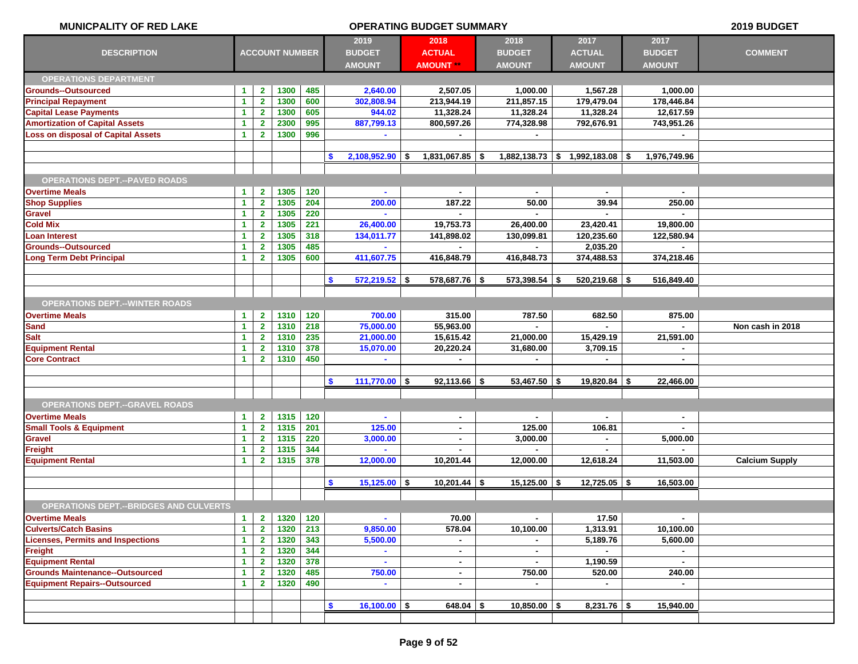| <b>MUNICPALITY OF RED LAKE</b>                | <b>OPERATING BUDGET SUMMARY</b> |                         |                       |       |                                        |                                           |                                        | 2019 BUDGET                            |                                        |                       |
|-----------------------------------------------|---------------------------------|-------------------------|-----------------------|-------|----------------------------------------|-------------------------------------------|----------------------------------------|----------------------------------------|----------------------------------------|-----------------------|
| <b>DESCRIPTION</b>                            |                                 |                         | <b>ACCOUNT NUMBER</b> |       | 2019<br><b>BUDGET</b><br><b>AMOUNT</b> | 2018<br><b>ACTUAL</b><br><b>AMOUNT **</b> | 2018<br><b>BUDGET</b><br><b>AMOUNT</b> | 2017<br><b>ACTUAL</b><br><b>AMOUNT</b> | 2017<br><b>BUDGET</b><br><b>AMOUNT</b> | <b>COMMENT</b>        |
| <b>OPERATIONS DEPARTMENT</b>                  |                                 |                         |                       |       |                                        |                                           |                                        |                                        |                                        |                       |
| <b>Grounds--Outsourced</b>                    | $\blacktriangleleft$            | $\mathbf{2}$            | 1300                  | 485   | 2,640.00                               | 2,507.05                                  | 1,000.00                               | 1,567.28                               | 1.000.00                               |                       |
| <b>Principal Repayment</b>                    | $\blacktriangleleft$            | $\overline{2}$          | 1300                  | 600   | 302,808.94                             | 213,944.19                                | 211,857.15                             | 179,479.04                             | 178,446.84                             |                       |
| <b>Capital Lease Payments</b>                 | $\blacktriangleleft$            | $\mathbf{2}$            | 1300                  | 605   | 944.02                                 | 11,328.24                                 | 11,328.24                              | 11,328.24                              | 12,617.59                              |                       |
| <b>Amortization of Capital Assets</b>         | $\blacktriangleleft$            | $\overline{\mathbf{2}}$ | 2300                  | 995   | 887,799.13                             | 800,597.26                                | 774,328.98                             | 792,676.91                             | 743,951.26                             |                       |
| <b>Loss on disposal of Capital Assets</b>     | $\blacktriangleleft$            | $\mathbf{2}$            | 1300                  | 996   |                                        | $\blacksquare$                            | ۰.                                     |                                        | $\sim$                                 |                       |
|                                               |                                 |                         |                       |       |                                        |                                           |                                        |                                        |                                        |                       |
|                                               |                                 |                         |                       |       | s.<br>$2,108,952.90$ \$                | $1,831,067.85$ \$                         |                                        | $1,882,138.73$ \$ 1,992,183.08 \$      | 1,976,749.96                           |                       |
|                                               |                                 |                         |                       |       |                                        |                                           |                                        |                                        |                                        |                       |
| <b>OPERATIONS DEPT.--PAVED ROADS</b>          |                                 |                         |                       |       |                                        |                                           |                                        |                                        |                                        |                       |
| <b>Overtime Meals</b>                         | $\blacktriangleleft$            | $\mathbf{2}$            | 1305                  | 120   | $\blacksquare$                         | $\blacksquare$                            | $\blacksquare$                         |                                        |                                        |                       |
| <b>Shop Supplies</b>                          | $\blacktriangleleft$            | $\mathbf{2}$            | 1305                  | 204   | 200.00                                 | 187.22                                    | 50.00                                  | 39.94                                  | 250.00                                 |                       |
| <b>Gravel</b>                                 | $\blacktriangleleft$            | $\mathbf{2}$            | 1305                  | 220   |                                        |                                           |                                        |                                        |                                        |                       |
| <b>Cold Mix</b>                               | $\blacktriangleleft$            | $\mathbf{2}$            | 1305                  | 221   | 26,400.00                              | 19,753.73                                 | 26,400.00                              | 23,420.41                              | 19,800.00                              |                       |
| <b>Loan Interest</b>                          | $\blacktriangleleft$            | $\overline{2}$          | 1305                  | 318   | 134,011.77                             | 141,898.02                                | 130,099.81                             | 120,235.60                             | 122,580.94                             |                       |
| <b>Grounds--Outsourced</b>                    | $\blacktriangleleft$            | $\mathbf{2}$            | 1305                  | 485   |                                        |                                           |                                        | 2,035.20                               |                                        |                       |
| <b>Long Term Debt Principal</b>               | $\blacktriangleleft$            | $\mathbf{2}$            | 1305                  | 600   | 411,607.75                             | 416,848.79                                | 416,848.73                             | 374,488.53                             | 374,218.46                             |                       |
|                                               |                                 |                         |                       |       |                                        |                                           |                                        |                                        |                                        |                       |
|                                               |                                 |                         |                       |       | $572,219.52$ \$<br>\$                  | $578,687.76$ \$                           | 573,398.54 \$                          | $520,219.68$ \$                        | 516,849.40                             |                       |
|                                               |                                 |                         |                       |       |                                        |                                           |                                        |                                        |                                        |                       |
| <b>OPERATIONS DEPT.--WINTER ROADS</b>         |                                 |                         |                       |       |                                        |                                           |                                        |                                        |                                        |                       |
| <b>Overtime Meals</b>                         | $\blacktriangleleft$            | $\mathbf{2}$            | 1310                  | 120   | 700.00                                 | 315.00                                    | 787.50                                 | 682.50                                 | 875.00                                 |                       |
| <b>Sand</b>                                   | $\blacktriangleleft$            | $\overline{\mathbf{2}}$ | 1310                  | 218   | 75,000.00                              | 55,963.00                                 |                                        |                                        |                                        | Non cash in 2018      |
| <b>Salt</b>                                   | $\blacktriangleleft$            | $\mathbf{2}$            | 1310                  | 235   | 21,000.00                              | 15,615.42                                 | 21,000.00                              | 15,429.19                              | 21,591.00                              |                       |
| <b>Equipment Rental</b>                       | $\blacktriangleleft$            | $\mathbf{2}$            | 1310                  | 378   | 15,070.00                              | 20,220.24                                 | 31,680.00                              | 3,709.15                               |                                        |                       |
| <b>Core Contract</b>                          | $\blacktriangleleft$            | $\mathbf{2}$            | 1310                  | 450   |                                        | ×.                                        | $\blacksquare$                         | $\blacksquare$                         | $\blacksquare$                         |                       |
|                                               |                                 |                         |                       |       |                                        |                                           |                                        |                                        |                                        |                       |
|                                               |                                 |                         |                       |       | \$<br>$111,770.00$ \$                  | $92,113.66$ \$                            | $53,467.50$ \$                         | $19,820.84$ \ \$                       | 22,466.00                              |                       |
|                                               |                                 |                         |                       |       |                                        |                                           |                                        |                                        |                                        |                       |
| <b>OPERATIONS DEPT.--GRAVEL ROADS</b>         |                                 |                         |                       |       |                                        |                                           |                                        |                                        |                                        |                       |
| <b>Overtime Meals</b>                         | $\blacktriangleleft$            | $\mathbf{2}$            | 1315                  | 120   | $\blacksquare$                         | $\blacksquare$                            | $\blacksquare$                         | $\blacksquare$                         | $\blacksquare$                         |                       |
| <b>Small Tools &amp; Equipment</b>            | $\blacktriangleleft$            | $\mathbf{2}$            | 1315                  | 201   | 125.00                                 | $\blacksquare$                            | 125.00                                 | 106.81                                 |                                        |                       |
| <b>Gravel</b>                                 | $\blacktriangleleft$            | $\overline{\mathbf{2}}$ | 1315                  | 220   | 3,000.00                               | ٠                                         | 3,000.00                               |                                        | 5,000.00                               |                       |
| Freight                                       | $\blacktriangleleft$            | $\overline{\mathbf{2}}$ | 1315                  | 344   |                                        | ٠                                         |                                        | $\blacksquare$                         |                                        |                       |
| <b>Equipment Rental</b>                       | $\blacktriangleleft$            | $\overline{2}$          | 1315                  | 378   | 12,000.00                              | 10,201.44                                 | 12,000.00                              | 12,618.24                              | 11,503.00                              | <b>Calcium Supply</b> |
|                                               |                                 |                         |                       |       |                                        |                                           |                                        |                                        |                                        |                       |
|                                               |                                 |                         |                       |       | $15,125.00$ \$<br><b>S</b>             | $10,201.44$ \$                            | $15,125.00$ \$                         | $12,725.05$ \$                         | 16,503.00                              |                       |
|                                               |                                 |                         |                       |       |                                        |                                           |                                        |                                        |                                        |                       |
| <b>OPERATIONS DEPT.--BRIDGES AND CULVERTS</b> |                                 |                         |                       |       |                                        |                                           |                                        |                                        |                                        |                       |
| <b>Overtime Meals</b>                         | $\blacktriangleleft$            | $\overline{2}$          | 1320                  | 120   | $\sim$                                 | 70.00                                     | $\blacksquare$                         | 17.50                                  | $\sim$                                 |                       |
| <b>Culverts/Catch Basins</b>                  | $\blacktriangleleft$            | $\mathbf{2}$            | 1320                  | 213   | 9,850.00                               | 578.04                                    | 10,100.00                              | 1,313.91                               | 10,100.00                              |                       |
| <b>Licenses, Permits and Inspections</b>      | $\blacktriangleleft$            | $\mathbf{2}$            | 1320                  | $343$ | 5,500.00                               | $\blacksquare$                            |                                        | 5,189.76                               | 5,600.00                               |                       |
| Freight                                       | $\blacktriangleleft$            | $\overline{2}$          | 1320                  | 344   | $\sim$                                 | $\blacksquare$                            | $\blacksquare$                         |                                        | $\sim$                                 |                       |
| <b>Equipment Rental</b>                       | $\blacktriangleleft$            | $\overline{2}$          | 1320                  | 378   |                                        | $\blacksquare$                            |                                        | 1,190.59                               | $\blacksquare$                         |                       |
| <b>Grounds Maintenance--Outsourced</b>        | $\blacktriangleleft$            | $\mathbf{2}$            | 1320                  | 485   | 750.00                                 | $\blacksquare$                            | 750.00                                 | 520.00                                 | 240.00                                 |                       |
| <b>Equipment Repairs--Outsourced</b>          | $\blacktriangleleft$            | $\overline{2}$          | 1320                  | 490   | $\sim$                                 | $\blacksquare$                            | $\blacksquare$                         | $\sim$                                 | $\sim$                                 |                       |
|                                               |                                 |                         |                       |       |                                        |                                           |                                        |                                        |                                        |                       |
|                                               |                                 |                         |                       |       | $\mathbf{\$}$<br>$16,100.00$ \$        | $648.04$ \$                               | $10,850.00$ \$                         | $8,231.76$ \$                          | 15,940.00                              |                       |
|                                               |                                 |                         |                       |       |                                        |                                           |                                        |                                        |                                        |                       |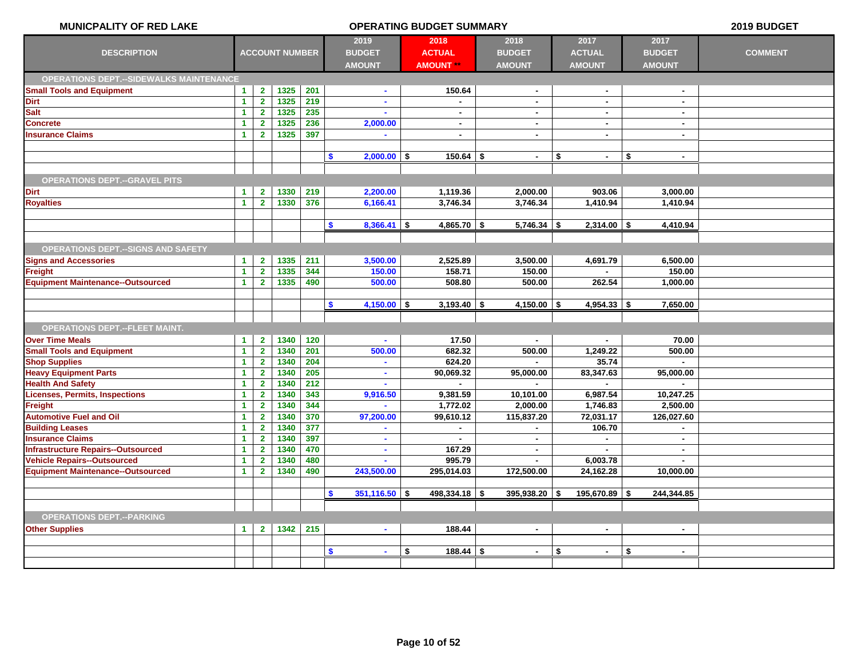| <b>MUNICPALITY OF RED LAKE</b>                       |                                      |                                         |                       |            | <b>OPERATING BUDGET SUMMARY</b> |    |                     |  |                             |               |                 |      |                     | 2019 BUDGET    |
|------------------------------------------------------|--------------------------------------|-----------------------------------------|-----------------------|------------|---------------------------------|----|---------------------|--|-----------------------------|---------------|-----------------|------|---------------------|----------------|
|                                                      |                                      |                                         |                       |            | 2019                            |    | 2018                |  | 2018                        | 2017          |                 |      | 2017                |                |
| <b>DESCRIPTION</b>                                   |                                      |                                         | <b>ACCOUNT NUMBER</b> |            | <b>BUDGET</b>                   |    | <b>ACTUAL</b>       |  | <b>BUDGET</b>               | <b>ACTUAL</b> |                 |      | <b>BUDGET</b>       | <b>COMMENT</b> |
|                                                      |                                      |                                         |                       |            | <b>AMOUNT</b>                   |    | <b>AMOUNT **</b>    |  | <b>AMOUNT</b>               | <b>AMOUNT</b> |                 |      | <b>AMOUNT</b>       |                |
| <b>OPERATIONS DEPT.--SIDEWALKS MAINTENANCE</b>       |                                      |                                         |                       |            |                                 |    |                     |  |                             |               |                 |      |                     |                |
| <b>Small Tools and Equipment</b>                     | $\mathbf{1}$                         | $\mathbf{2}$                            | 1325                  | 201        | ٠                               |    | 150.64              |  | $\blacksquare$              |               | $\sim$          |      |                     |                |
| <b>Dirt</b>                                          | $\mathbf{1}$                         | $\mathbf{2}$                            | 1325                  | 219        | $\mathbf{r}$                    |    |                     |  | $\blacksquare$              |               | $\blacksquare$  |      | $\sim$              |                |
| <b>Salt</b>                                          | $\overline{1}$                       | $\overline{2}$                          | 1325                  | 235        |                                 |    | $\blacksquare$      |  | $\blacksquare$              |               | $\blacksquare$  |      | $\sim$              |                |
| <b>Concrete</b>                                      | $\mathbf{1}$                         | $\overline{\mathbf{2}}$                 | 1325                  | 236        | 2,000.00                        |    | $\blacksquare$      |  | $\blacksquare$              |               | $\blacksquare$  |      | $\sim$              |                |
| <b>Insurance Claims</b>                              | $\mathbf{1}$                         | $\mathbf{2}$                            | 1325                  | 397        |                                 |    | $\blacksquare$      |  | $\blacksquare$              |               | $\blacksquare$  |      | $\sim$              |                |
|                                                      |                                      |                                         |                       |            |                                 |    |                     |  |                             |               |                 |      |                     |                |
|                                                      |                                      |                                         |                       |            | \$<br>$2,000.00$ \$             |    | $150.64$ \$         |  | $\blacksquare$              | \$            | $\sim$          | \$   | $\sim$              |                |
|                                                      |                                      |                                         |                       |            |                                 |    |                     |  |                             |               |                 |      |                     |                |
| <b>OPERATIONS DEPT.--GRAVEL PITS</b>                 |                                      |                                         |                       |            |                                 |    |                     |  |                             |               |                 |      |                     |                |
| <b>Dirt</b>                                          | $\mathbf{1}$                         | $\mathbf{2}$                            | 1330                  | 219        | 2,200.00                        |    | 1,119.36            |  | 2,000.00                    |               | 903.06          |      | 3,000.00            |                |
| <b>Royalties</b>                                     | $\blacktriangleleft$                 | $\overline{2}$                          | 1330                  | 376        | 6,166.41                        |    | 3,746.34            |  | 3,746.34                    | 1,410.94      |                 |      | 1,410.94            |                |
|                                                      |                                      |                                         |                       |            |                                 |    |                     |  |                             |               |                 |      |                     |                |
|                                                      |                                      |                                         |                       |            | $8,366.41$ \$<br>$\mathbf{\$}$  |    | $4,865.70$ \$       |  | $5,746.34$ \$               |               | $2,314.00$ \ \$ |      | 4,410.94            |                |
|                                                      |                                      |                                         |                       |            |                                 |    |                     |  |                             |               |                 |      |                     |                |
| <b>OPERATIONS DEPT. -- SIGNS AND SAFETY</b>          |                                      |                                         |                       |            |                                 |    |                     |  |                             |               |                 |      |                     |                |
| <b>Signs and Accessories</b>                         | $\blacktriangleleft$                 | $\mathbf{2}$                            | 1335                  | 211        | 3,500.00                        |    | 2,525.89            |  | 3,500.00                    | 4,691.79      |                 |      | 6,500.00            |                |
| Freight                                              | $\blacktriangleleft$                 | $\overline{2}$                          | 1335                  | 344        | 150.00                          |    | 158.71              |  | 150.00                      |               | $\blacksquare$  |      | 150.00              |                |
| <b>Equipment Maintenance--Outsourced</b>             | $\blacktriangleleft$                 | $\mathbf{2}$                            | 1335                  | 490        | 500.00                          |    | 508.80              |  | 500.00                      |               | 262.54          |      | 1,000.00            |                |
|                                                      |                                      |                                         |                       |            |                                 |    |                     |  |                             |               |                 |      |                     |                |
|                                                      |                                      |                                         |                       |            | $4,150.00$ \$<br>S.             |    | $3,193.40$ \$       |  | 4,150.00                    | -\$           | $4,954.33$ \\$  |      | 7,650.00            |                |
|                                                      |                                      |                                         |                       |            |                                 |    |                     |  |                             |               |                 |      |                     |                |
| <b>OPERATIONS DEPT.--FLEET MAINT.</b>                |                                      |                                         |                       |            |                                 |    |                     |  |                             |               |                 |      |                     |                |
| <b>Over Time Meals</b>                               | $\mathbf{1}$                         | $\mathbf{2}$                            | 1340                  | 120        | $\blacksquare$                  |    | 17.50               |  | $\sim$                      |               | $\sim$          |      | 70.00               |                |
| <b>Small Tools and Equipment</b>                     | $\mathbf{1}$                         | $\overline{\mathbf{2}}$                 | 1340                  | 201        | 500.00                          |    | 682.32              |  | 500.00                      | 1,249.22      |                 |      | 500.00              |                |
| <b>Shop Supplies</b><br><b>Heavy Equipment Parts</b> | $\mathbf{1}$<br>$\blacktriangleleft$ | $\mathbf{2}$<br>$\overline{\mathbf{2}}$ | 1340<br>1340          | 204<br>205 | $\sim$<br>$\blacksquare$        |    | 624.20<br>90,069.32 |  | $\blacksquare$<br>95,000.00 | 83,347.63     | 35.74           |      | $\sim$<br>95,000.00 |                |
| <b>Health And Safety</b>                             | $\blacktriangleleft$                 | $\mathbf{2}$                            | 1340                  | 212        |                                 |    |                     |  |                             |               |                 |      |                     |                |
| <b>Licenses, Permits, Inspections</b>                | $\overline{1}$                       | $\overline{2}$                          | 1340                  | 343        | 9,916.50                        |    | 9,381.59            |  | 10,101.00                   | 6,987.54      |                 |      | 10,247.25           |                |
| Freight                                              | $\blacktriangleleft$                 | $\overline{2}$                          | 1340                  | 344        |                                 |    | 1,772.02            |  | 2,000.00                    | 1,746.83      |                 |      | 2,500.00            |                |
| <b>Automotive Fuel and Oil</b>                       | $\overline{1}$                       | $\overline{\mathbf{2}}$                 | 1340                  | 370        | 97,200.00                       |    | 99,610.12           |  | 115,837.20                  | 72,031.17     |                 |      | 126,027.60          |                |
| <b>Building Leases</b>                               | $\blacktriangleleft$                 | $\overline{2}$                          | 1340                  | 377        |                                 |    | $\blacksquare$      |  |                             |               | 106.70          |      |                     |                |
| <b>Insurance Claims</b>                              | $\overline{1}$                       | $\overline{\mathbf{2}}$                 | 1340                  | 397        | $\mathbf{r}$                    |    |                     |  | $\mathbf{r}$                |               |                 |      | $\sim$              |                |
| <b>Infrastructure Repairs--Outsourced</b>            | $\blacktriangleleft$                 | $\mathbf{2}$                            | 1340                  | 470        | $\mathbf{r}$                    |    | 167.29              |  | $\blacksquare$              |               |                 |      | $\sim$              |                |
| <b>Vehicle Repairs--Outsourced</b>                   | $\blacktriangleleft$                 | $\overline{\mathbf{2}}$                 | 1340                  | 480        |                                 |    | 995.79              |  | $\blacksquare$              | 6,003.78      |                 |      |                     |                |
| <b>Equipment Maintenance--Outsourced</b>             | $\mathbf{1}$                         | $\mathbf{2}$                            | 1340                  | 490        | 243,500.00                      |    | 295,014.03          |  | 172,500.00                  | 24,162.28     |                 |      | 10,000.00           |                |
|                                                      |                                      |                                         |                       |            |                                 |    |                     |  |                             |               |                 |      |                     |                |
|                                                      |                                      |                                         |                       |            | \$<br>$351,116.50$ \$           |    | $498,334.18$ \$     |  | $395,938.20$ \$             | 195,670.89    |                 | - \$ | 244,344.85          |                |
|                                                      |                                      |                                         |                       |            |                                 |    |                     |  |                             |               |                 |      |                     |                |
| <b>OPERATIONS DEPT.--PARKING</b>                     |                                      |                                         |                       |            |                                 |    |                     |  |                             |               |                 |      |                     |                |
| <b>Other Supplies</b>                                | $\blacktriangleleft$                 | $\mathbf{2}$                            | 1342                  | 215        | $\bullet$                       |    | 188.44              |  | $\blacksquare$              |               | $\sim$          |      | $\sim$              |                |
|                                                      |                                      |                                         |                       |            |                                 |    |                     |  |                             |               |                 |      |                     |                |
|                                                      |                                      |                                         |                       |            | <b>S</b><br>$\mathbf{r}$        | \$ | $188.44$ \$         |  | $\mathbf{r}$                | \$            | $\blacksquare$  | \$   | $\sim$              |                |
|                                                      |                                      |                                         |                       |            |                                 |    |                     |  |                             |               |                 |      |                     |                |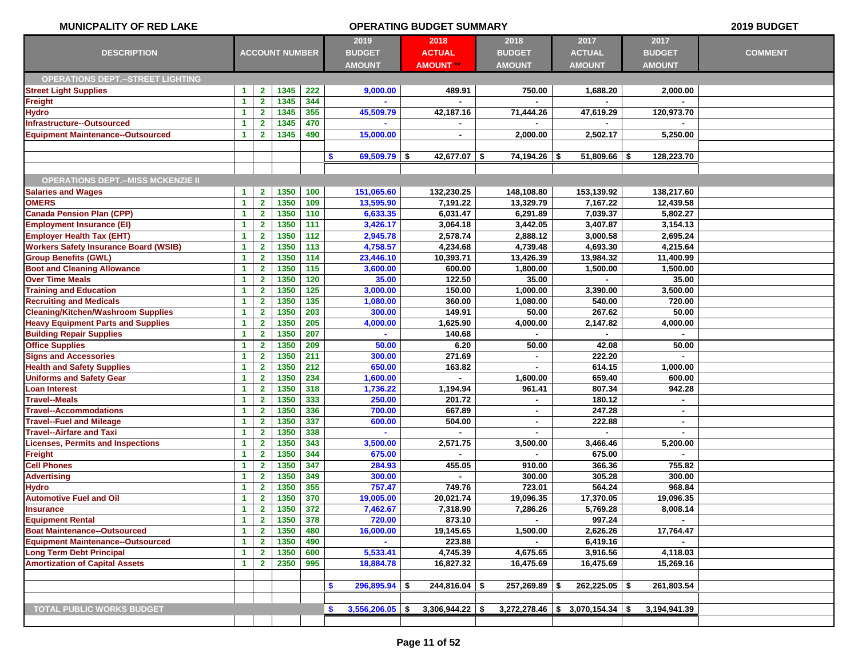| <b>MUNICPALITY OF RED LAKE</b>               |                      |                |                       |                  | 2019 BUDGET                       |                   |                 |                                   |               |                |
|----------------------------------------------|----------------------|----------------|-----------------------|------------------|-----------------------------------|-------------------|-----------------|-----------------------------------|---------------|----------------|
|                                              |                      |                |                       |                  | 2019                              | 2018              | 2018            | 2017                              | 2017          |                |
| <b>DESCRIPTION</b>                           |                      |                | <b>ACCOUNT NUMBER</b> |                  | <b>BUDGET</b>                     | <b>ACTUAL</b>     | <b>BUDGET</b>   | <b>ACTUAL</b>                     | <b>BUDGET</b> | <b>COMMENT</b> |
|                                              |                      |                |                       |                  | <b>AMOUNT</b>                     | <b>AMOUNT **</b>  | <b>AMOUNT</b>   | <b>AMOUNT</b>                     | <b>AMOUNT</b> |                |
| <b>OPERATIONS DEPT.--STREET LIGHTING</b>     |                      |                |                       |                  |                                   |                   |                 |                                   |               |                |
| <b>Street Light Supplies</b>                 | $\blacktriangleleft$ | $\mathbf{2}$   | 1345                  | 222              | 9,000.00                          | 489.91            | 750.00          | 1,688.20                          | 2,000.00      |                |
| Freight                                      | $\blacktriangleleft$ | $\mathbf{2}$   | 1345                  | 344              |                                   |                   |                 |                                   |               |                |
| <b>Hydro</b>                                 | $\blacktriangleleft$ | $\overline{2}$ | 1345                  | 355              | 45,509.79                         | 42,187.16         | 71,444.26       | 47,619.29                         | 120,973.70    |                |
| Infrastructure--Outsourced                   | $\blacktriangleleft$ | $\mathbf{2}$   | 1345                  | 470              |                                   |                   |                 |                                   |               |                |
| <b>Equipment Maintenance--Outsourced</b>     | $\blacktriangleleft$ | $\overline{2}$ | 1345                  | 490              | 15,000.00                         | $\blacksquare$    | 2,000.00        | 2,502.17                          | 5,250.00      |                |
|                                              |                      |                |                       |                  |                                   |                   |                 |                                   |               |                |
|                                              |                      |                |                       |                  | \$<br>$69,509.79$ \$              | $42,677.07$ \$    | 74,194.26 \$    | $51,809.66$   \$                  | 128,223.70    |                |
|                                              |                      |                |                       |                  |                                   |                   |                 |                                   |               |                |
| <b>OPERATIONS DEPT.--MISS MCKENZIE II</b>    |                      |                |                       |                  |                                   |                   |                 |                                   |               |                |
| <b>Salaries and Wages</b>                    | $\blacktriangleleft$ | $\mathbf{2}$   | 1350                  | 100              | 151,065.60                        | 132,230.25        | 148,108.80      | 153,139.92                        | 138,217.60    |                |
| <b>OMERS</b>                                 | $\blacktriangleleft$ | $\mathbf{2}$   | 1350                  | 109              | 13,595.90                         | 7,191.22          | 13,329.79       | 7,167.22                          | 12,439.58     |                |
| <b>Canada Pension Plan (CPP)</b>             | $\blacktriangleleft$ | $\mathbf{2}$   | 1350                  | 110              | 6,633.35                          | 6,031.47          | 6,291.89        | 7,039.37                          | 5,802.27      |                |
| <b>Employment Insurance (EI)</b>             | $\blacktriangleleft$ | $\mathbf{2}$   | 1350                  | 111              | 3,426.17                          | 3,064.18          | 3,442.05        | 3,407.87                          | 3,154.13      |                |
| <b>Employer Health Tax (EHT)</b>             | $\blacktriangleleft$ | $\mathbf{2}$   | 1350                  | 112              | 2,945.78                          | 2,578.74          | 2,888.12        | 3,000.58                          | 2,695.24      |                |
| <b>Workers Safety Insurance Board (WSIB)</b> | $\blacktriangleleft$ | $\mathbf{2}$   | 1350                  | 113              | 4,758.57                          | 4,234.68          | 4,739.48        | 4,693.30                          | 4.215.64      |                |
| <b>Group Benefits (GWL)</b>                  | $\blacktriangleleft$ | $\mathbf{2}$   | 1350                  | 114              | 23,446.10                         | 10,393.71         | 13,426.39       | 13,984.32                         | 11,400.99     |                |
| <b>Boot and Cleaning Allowance</b>           | $\blacktriangleleft$ | $\overline{2}$ | 1350                  | 115              | 3,600.00                          | 600.00            | 1,800.00        | 1,500.00                          | 1,500.00      |                |
| <b>Over Time Meals</b>                       | $\blacktriangleleft$ | $\mathbf{2}$   | 1350                  | 120              | 35.00                             | 122.50            | 35.00           |                                   | 35.00         |                |
| <b>Training and Education</b>                | $\blacktriangleleft$ | $\mathbf{2}$   | 1350                  | $\overline{125}$ | 3,000.00                          | 150.00            | 1,000.00        | 3,390.00                          | 3,500.00      |                |
| <b>Recruiting and Medicals</b>               | $\blacktriangleleft$ | $\mathbf{2}$   | 1350                  | 135              | 1,080.00                          | 360.00            | 1,080.00        | 540.00                            | 720.00        |                |
| <b>Cleaning/Kitchen/Washroom Supplies</b>    | $\blacktriangleleft$ | $\mathbf{2}$   | 1350                  | 203              | 300.00                            | 149.91            | 50.00           | 267.62                            | 50.00         |                |
| <b>Heavy Equipment Parts and Supplies</b>    | $\blacktriangleleft$ | $\mathbf{2}$   | 1350                  | 205              | 4,000.00                          | 1,625.90          | 4,000.00        | 2,147.82                          | 4,000.00      |                |
| <b>Building Repair Supplies</b>              | $\blacktriangleleft$ | $\mathbf{2}$   | 1350                  | 207              |                                   | 140.68            |                 |                                   |               |                |
| <b>Office Supplies</b>                       | $\blacktriangleleft$ | $\mathbf{2}$   | 1350                  | 209              | 50.00                             | 6.20              | 50.00           | 42.08                             | 50.00         |                |
| <b>Signs and Accessories</b>                 | $\blacktriangleleft$ | $\overline{2}$ | 1350                  | 211              | 300.00                            | 271.69            | $\blacksquare$  | 222.20                            | $\sim$        |                |
| <b>Health and Safety Supplies</b>            | $\blacktriangleleft$ | $\mathbf{2}$   | 1350                  | 212              | 650.00                            | 163.82            |                 | 614.15                            | 1,000.00      |                |
| <b>Uniforms and Safety Gear</b>              | $\blacktriangleleft$ | $\mathbf{2}$   | 1350                  | 234              | 1,600.00                          |                   | 1,600.00        | 659.40                            | 600.00        |                |
| <b>Loan Interest</b>                         | $\blacktriangleleft$ | $\mathbf{2}$   | 1350                  | 318              | 1,736.22                          | 1,194.94          | 961.41          | 807.34                            | 942.28        |                |
| <b>Travel--Meals</b>                         | $\blacktriangleleft$ | $\mathbf{2}$   | 1350                  | 333              | 250.00                            | 201.72            |                 | 180.12                            |               |                |
| <b>Travel--Accommodations</b>                | $\blacktriangleleft$ | $\mathbf{2}$   | 1350                  | 336              | 700.00                            | 667.89            | $\blacksquare$  | 247.28                            | $\sim$        |                |
| <b>Travel--Fuel and Mileage</b>              | $\blacktriangleleft$ | $\overline{2}$ | 1350                  | 337              | 600.00                            | 504.00            | ٠               | 222.88                            | ٠             |                |
| <b>Travel--Airfare and Taxi</b>              | $\blacktriangleleft$ | $\mathbf{2}$   | 1350                  | 338              |                                   |                   |                 |                                   |               |                |
| <b>Licenses, Permits and Inspections</b>     | $\blacktriangleleft$ | $\mathbf{2}$   | 1350                  | 343              | 3,500.00                          | 2,571.75          | 3,500.00        | 3,466.46                          | 5,200.00      |                |
| <b>Freight</b>                               | $\blacktriangleleft$ | $\mathbf{2}$   | 1350                  | 344              | 675.00                            |                   |                 | 675.00                            |               |                |
| <b>Cell Phones</b>                           | $\blacktriangleleft$ | $\mathbf{2}$   | 1350                  | 347              | 284.93                            | 455.05            | 910.00          | 366.36                            | 755.82        |                |
| <b>Advertising</b>                           | $\blacktriangleleft$ | $\mathbf{2}$   | 1350                  | 349              | 300.00                            |                   | 300.00          | 305.28                            | 300.00        |                |
| <b>Hydro</b>                                 | $\blacktriangleleft$ | $\mathbf{2}$   | 1350                  | 355              | 757.47                            | 749.76            | 723.01          | 564.24                            | 968.84        |                |
| <b>Automotive Fuel and Oil</b>               | $\blacktriangleleft$ | $\overline{2}$ | 1350                  | 370              | 19,005.00                         | 20,021.74         | 19,096.35       | 17,370.05                         | 19,096.35     |                |
| <b>Insurance</b>                             | $\blacktriangleleft$ | $\mathbf{2}$   | 1350                  | 372              | 7,462.67                          | 7,318.90          | 7,286.26        | 5,769.28                          | 8,008.14      |                |
| <b>Equipment Rental</b>                      | $\blacktriangleleft$ | $\overline{2}$ | 1350                  | 378              | 720.00                            | 873.10            |                 | 997.24                            |               |                |
| <b>Boat Maintenance--Outsourced</b>          | $\blacktriangleleft$ | $\mathbf{2}$   | 1350                  | 480              | 16,000.00                         | 19,145.65         | 1,500.00        | 2,626.26                          | 17,764.47     |                |
| <b>Equipment Maintenance--Outsourced</b>     | $\blacktriangleleft$ | $\overline{2}$ | 1350                  | 490              |                                   | 223.88            |                 | 6,419.16                          |               |                |
| <b>Long Term Debt Principal</b>              | $\blacktriangleleft$ | $\mathbf{2}$   | 1350                  | 600              | 5,533.41                          | 4,745.39          | 4,675.65        | 3,916.56                          | 4,118.03      |                |
| <b>Amortization of Capital Assets</b>        | $\blacktriangleleft$ | $\mathbf{2}$   | 2350                  | 995              | 18,884.78                         | 16,827.32         | 16,475.69       | 16,475.69                         | 15,269.16     |                |
|                                              |                      |                |                       |                  |                                   |                   |                 |                                   |               |                |
|                                              |                      |                |                       |                  | $296,895.94$ \$<br>\$             | $244,816.04$ \$   | $257,269.89$ \$ | $262,225.05$ \$                   | 261,803.54    |                |
|                                              |                      |                |                       |                  |                                   |                   |                 |                                   |               |                |
| <b>TOTAL PUBLIC WORKS BUDGET</b>             |                      |                |                       |                  | $3,556,206.05$ \$<br>$\mathbf{s}$ | $3,306,944.22$ \$ |                 | $3,272,278.46$ \$ 3,070,154.34 \$ | 3,194,941.39  |                |
|                                              |                      |                |                       |                  |                                   |                   |                 |                                   |               |                |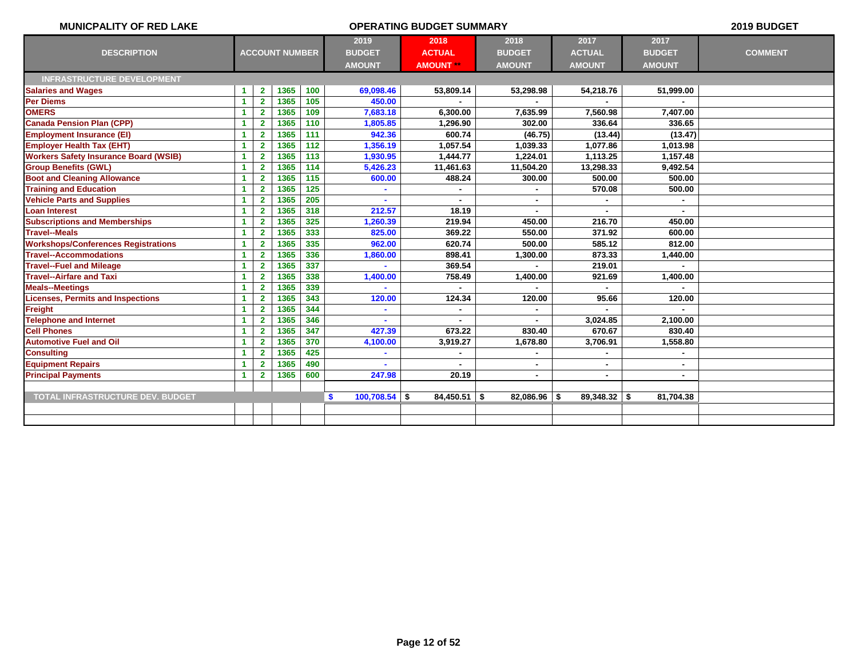| <b>MUNICPALITY OF RED LAKE</b>               |                      |                |                       |     |                       | <b>OPERATING BUDGET SUMMARY</b> |                |                |                | 2019 BUDGET    |
|----------------------------------------------|----------------------|----------------|-----------------------|-----|-----------------------|---------------------------------|----------------|----------------|----------------|----------------|
|                                              |                      |                |                       |     | 2019                  | 2018                            | 2018           | 2017           | 2017           |                |
| <b>DESCRIPTION</b>                           |                      |                | <b>ACCOUNT NUMBER</b> |     | <b>BUDGET</b>         | <b>ACTUAL</b>                   | <b>BUDGET</b>  | <b>ACTUAL</b>  | <b>BUDGET</b>  | <b>COMMENT</b> |
|                                              |                      |                |                       |     | <b>AMOUNT</b>         | <b>AMOUNT **</b>                | <b>AMOUNT</b>  | <b>AMOUNT</b>  | <b>AMOUNT</b>  |                |
| <b>INFRASTRUCTURE DEVELOPMENT</b>            |                      |                |                       |     |                       |                                 |                |                |                |                |
| <b>Salaries and Wages</b>                    | 1                    | $\mathbf{2}$   | 1365                  | 100 | 69,098.46             | 53,809.14                       | 53,298.98      | 54,218.76      | 51,999.00      |                |
| <b>Per Diems</b>                             | -1                   | $\overline{2}$ | 1365                  | 105 | 450.00                |                                 |                |                |                |                |
| <b>OMERS</b>                                 | -1                   | $\overline{2}$ | 1365                  | 109 | 7,683.18              | 6,300.00                        | 7,635.99       | 7,560.98       | 7,407.00       |                |
| <b>Canada Pension Plan (CPP)</b>             | 1                    | $\overline{2}$ | 1365                  | 110 | 1,805.85              | 1,296.90                        | 302.00         | 336.64         | 336.65         |                |
| <b>Employment Insurance (EI)</b>             | 1                    | $\overline{2}$ | 1365                  | 111 | 942.36                | 600.74                          | (46.75)        | (13.44)        | (13.47)        |                |
| <b>Employer Health Tax (EHT)</b>             | $\blacktriangleleft$ | $\overline{2}$ | 1365                  | 112 | 1,356.19              | 1,057.54                        | 1,039.33       | 1,077.86       | 1,013.98       |                |
| <b>Workers Safety Insurance Board (WSIB)</b> | $\blacktriangleleft$ | $\overline{2}$ | 1365                  | 113 | 1,930.95              | 1,444.77                        | 1,224.01       | 1,113.25       | 1,157.48       |                |
| <b>Group Benefits (GWL)</b>                  | $\blacktriangleleft$ | $\mathbf{2}$   | 1365                  | 114 | 5,426.23              | 11,461.63                       | 11,504.20      | 13,298.33      | 9,492.54       |                |
| <b>Boot and Cleaning Allowance</b>           | -1                   | $\mathbf{2}$   | 1365                  | 115 | 600.00                | 488.24                          | 300.00         | 500.00         | 500.00         |                |
| <b>Training and Education</b>                | $\blacktriangleleft$ | $\mathbf{2}$   | 1365                  | 125 |                       |                                 | ä,             | 570.08         | 500.00         |                |
| <b>Vehicle Parts and Supplies</b>            | -1                   | $\overline{2}$ | 1365                  | 205 |                       | $\blacksquare$                  | ÷              |                |                |                |
| <b>Loan Interest</b>                         | $\blacktriangleleft$ | $\overline{2}$ | 1365                  | 318 | 212.57                | 18.19                           |                |                | $\blacksquare$ |                |
| <b>Subscriptions and Memberships</b>         | $\blacktriangleleft$ | $\overline{2}$ | 1365                  | 325 | 1,260.39              | 219.94                          | 450.00         | 216.70         | 450.00         |                |
| <b>Travel--Meals</b>                         | $\blacktriangleleft$ | $\overline{2}$ | 1365                  | 333 | 825.00                | 369.22                          | 550.00         | 371.92         | 600.00         |                |
| <b>Workshops/Conferences Registrations</b>   | $\blacktriangleleft$ | $\overline{2}$ | 1365                  | 335 | 962.00                | 620.74                          | 500.00         | 585.12         | 812.00         |                |
| <b>Travel--Accommodations</b>                | $\blacktriangleleft$ | $\overline{2}$ | 1365                  | 336 | 1,860.00              | 898.41                          | 1,300.00       | 873.33         | 1,440.00       |                |
| <b>Travel--Fuel and Mileage</b>              | $\blacktriangleleft$ | $\overline{2}$ | 1365                  | 337 |                       | 369.54                          |                | 219.01         |                |                |
| <b>Travel--Airfare and Taxi</b>              | $\blacktriangleleft$ | $\overline{2}$ | 1365                  | 338 | 1,400.00              | 758.49                          | 1,400.00       | 921.69         | 1,400.00       |                |
| <b>Meals--Meetings</b>                       | 1                    | $\overline{2}$ | 1365                  | 339 |                       |                                 |                |                |                |                |
| <b>Licenses, Permits and Inspections</b>     | $\blacktriangleleft$ | $\mathbf{2}$   | 1365                  | 343 | 120.00                | 124.34                          | 120.00         | 95.66          | 120.00         |                |
| <b>Freight</b>                               | 1                    | $\mathbf{2}$   | 1365                  | 344 |                       |                                 |                |                |                |                |
| <b>Telephone and Internet</b>                | 1                    | $\overline{2}$ | 1365                  | 346 |                       |                                 | ٠              | 3,024.85       | 2,100.00       |                |
| <b>Cell Phones</b>                           | 1                    | $\overline{2}$ | 1365                  | 347 | 427.39                | 673.22                          | 830.40         | 670.67         | 830.40         |                |
| <b>Automotive Fuel and Oil</b>               | $\blacktriangleleft$ | $\overline{2}$ | 1365                  | 370 | 4,100.00              | 3,919.27                        | 1,678.80       | 3,706.91       | 1,558.80       |                |
| <b>Consulting</b>                            | 1                    | $\overline{2}$ | 1365                  | 425 |                       |                                 | $\blacksquare$ |                | ٠              |                |
| <b>Equipment Repairs</b>                     | 1                    | $\overline{2}$ | 1365                  | 490 |                       |                                 | $\blacksquare$ | ٠              | ٠              |                |
| <b>Principal Payments</b>                    | $\blacktriangleleft$ | $\overline{2}$ | 1365                  | 600 | 247.98                | 20.19                           | ۰              | ٠              | ٠              |                |
|                                              |                      |                |                       |     |                       |                                 |                |                |                |                |
| <b>TOTAL INFRASTRUCTURE DEV. BUDGET</b>      |                      |                |                       |     | $100,708.54$ \$<br>-S | $84,450.51$ \$                  | $82,086.96$ \$ | $89,348.32$ \$ | 81,704.38      |                |
|                                              |                      |                |                       |     |                       |                                 |                |                |                |                |
|                                              |                      |                |                       |     |                       |                                 |                |                |                |                |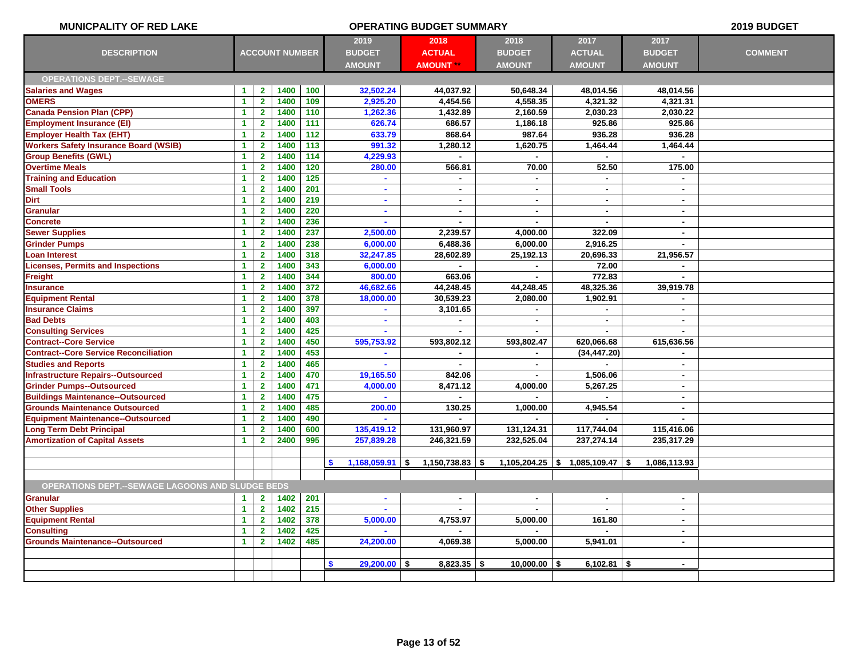| <b>MUNICPALITY OF RED LAKE</b>                          |                      |                |                       | 2019 BUDGET |                         |                    |                |                                   |                          |                |
|---------------------------------------------------------|----------------------|----------------|-----------------------|-------------|-------------------------|--------------------|----------------|-----------------------------------|--------------------------|----------------|
|                                                         |                      |                |                       |             | 2019                    | 2018               | 2018           | 2017                              | 2017                     |                |
| <b>DESCRIPTION</b>                                      |                      |                | <b>ACCOUNT NUMBER</b> |             | <b>BUDGET</b>           | <b>ACTUAL</b>      | <b>BUDGET</b>  | <b>ACTUAL</b>                     | <b>BUDGET</b>            | <b>COMMENT</b> |
|                                                         |                      |                |                       |             | <b>AMOUNT</b>           | <b>AMOUNT</b>      | <b>AMOUNT</b>  | <b>AMOUNT</b>                     | <b>AMOUNT</b>            |                |
| <b>OPERATIONS DEPT.--SEWAGE</b>                         |                      |                |                       |             |                         |                    |                |                                   |                          |                |
| <b>Salaries and Wages</b>                               | $\blacktriangleleft$ | $\mathbf{2}$   | 1400                  | 100         | 32,502.24               | 44,037.92          | 50,648.34      | 48,014.56                         | 48,014.56                |                |
| <b>OMERS</b>                                            | $\blacktriangleleft$ | $\mathbf{2}$   | 1400                  | 109         | 2,925.20                | 4,454.56           | 4,558.35       | 4,321.32                          | 4,321.31                 |                |
| <b>Canada Pension Plan (CPP)</b>                        | $\blacktriangleleft$ | $\overline{2}$ | 1400                  | 110         | 1,262.36                | 1,432.89           | 2,160.59       | 2,030.23                          | 2,030.22                 |                |
| <b>Employment Insurance (EI)</b>                        | $\blacktriangleleft$ | $\overline{2}$ | 1400                  | 111         | 626.74                  | 686.57             | 1,186.18       | 925.86                            | 925.86                   |                |
| <b>Employer Health Tax (EHT)</b>                        | $\blacktriangleleft$ | $\overline{2}$ | 1400                  | 112         | 633.79                  | 868.64             | 987.64         | 936.28                            | 936.28                   |                |
| <b>Workers Safety Insurance Board (WSIB)</b>            | $\blacktriangleleft$ | $\overline{2}$ | 1400                  | 113         | 991.32                  | 1,280.12           | 1,620.75       | 1,464.44                          | 1,464.44                 |                |
| <b>Group Benefits (GWL)</b>                             | $\blacktriangleleft$ | $\mathbf{2}$   | 1400                  | 114         | 4,229.93                |                    | $\blacksquare$ | $\blacksquare$                    | $\blacksquare$           |                |
| <b>Overtime Meals</b>                                   | $\blacktriangleleft$ | $\mathbf{2}$   | 1400                  | 120         | 280.00                  | 566.81             | 70.00          | 52.50                             | 175.00                   |                |
| <b>Training and Education</b>                           | $\blacktriangleleft$ | $\overline{2}$ | 1400                  | 125         | $\blacksquare$          | $\blacksquare$     | $\blacksquare$ | $\blacksquare$                    | $\bullet$                |                |
| <b>Small Tools</b>                                      | $\blacktriangleleft$ | $\mathbf{2}$   | 1400                  | 201         |                         | $\blacksquare$     | $\blacksquare$ |                                   | $\overline{\phantom{a}}$ |                |
| <b>Dirt</b>                                             | $\mathbf{1}$         | $\mathbf{2}$   | 1400                  | 219         | $\sim$                  | $\blacksquare$     | $\blacksquare$ | $\blacksquare$                    | $\blacksquare$           |                |
| <b>Granular</b>                                         | $\blacktriangleleft$ | $\overline{2}$ | 1400                  | 220         |                         | ä,                 | $\blacksquare$ | ä,                                | $\mathbf{r}$             |                |
| <b>Concrete</b>                                         | $\blacktriangleleft$ | $\overline{2}$ | 1400                  | 236         | ÷                       | $\blacksquare$     | $\overline{a}$ | $\blacksquare$                    | $\blacksquare$           |                |
| <b>Sewer Supplies</b>                                   | $\blacktriangleleft$ | $\overline{2}$ | 1400                  | 237         | 2,500.00                | 2,239.57           | 4,000.00       | 322.09                            | $\mathbf{r}$             |                |
| <b>Grinder Pumps</b>                                    | $\blacktriangleleft$ | $\mathbf{2}$   | 1400                  | 238         | 6,000.00                | 6,488.36           | 6,000.00       | 2,916.25                          | $\sim$                   |                |
| Loan Interest                                           | $\blacktriangleleft$ | $\overline{2}$ | 1400                  | 318         | 32,247.85               | 28,602.89          | 25,192.13      | 20,696.33                         | 21,956.57                |                |
| <b>Licenses, Permits and Inspections</b>                | $\blacktriangleleft$ | $\mathbf{2}$   | 1400                  | 343         | 6,000.00                |                    | $\blacksquare$ | 72.00                             | $\sim$                   |                |
| Freight                                                 | $\blacktriangleleft$ | $\overline{2}$ | 1400                  | 344         | 800.00                  | 663.06             | $\blacksquare$ | 772.83                            | $\blacksquare$           |                |
| Insurance                                               | $\blacktriangleleft$ | $\overline{2}$ | 1400                  | 372         | 46,682.66               | 44,248.45          | 44,248.45      | 48,325.36                         | 39,919.78                |                |
| <b>Equipment Rental</b>                                 | $\overline{1}$       | $\mathbf{2}$   | 1400                  | 378         | 18,000.00               | 30,539.23          | 2,080.00       | 1,902.91                          | $\mathbf{r}$             |                |
| <b>Insurance Claims</b>                                 | $\blacktriangleleft$ | $\overline{2}$ | 1400                  | 397         |                         | 3,101.65           |                |                                   | $\blacksquare$           |                |
| <b>Bad Debts</b>                                        | $\blacktriangleleft$ | $\overline{2}$ | 1400                  | 403         | $\blacksquare$          |                    | $\blacksquare$ |                                   | $\blacksquare$           |                |
| <b>Consulting Services</b>                              | $\blacktriangleleft$ | $\mathbf{2}$   | 1400                  | 425         |                         |                    |                |                                   | $\sim$                   |                |
| <b>Contract--Core Service</b>                           | $\blacktriangleleft$ | $\mathbf{2}$   | 1400                  | 450         | 595,753.92              | 593,802.12         | 593,802.47     | 620,066.68                        | 615,636.56               |                |
| <b>Contract--Core Service Reconciliation</b>            | $\blacktriangleleft$ | $\overline{2}$ | 1400                  | 453         |                         |                    | $\blacksquare$ | (34, 447.20)                      | $\mathbf{r}$             |                |
| <b>Studies and Reports</b>                              | $\blacktriangleleft$ | $\overline{2}$ | 1400                  | 465         | ÷                       | $\blacksquare$     | $\blacksquare$ |                                   | $\mathbf{r}$             |                |
| <b>Infrastructure Repairs--Outsourced</b>               | $\blacktriangleleft$ | $\mathbf{2}$   | 1400                  | 470         | 19,165.50               | 842.06             | $\blacksquare$ | 1,506.06                          | $\blacksquare$           |                |
| <b>Grinder Pumps--Outsourced</b>                        | $\blacktriangleleft$ | $\overline{2}$ | 1400                  | 471         | 4,000.00                | 8,471.12           | 4,000.00       | 5,267.25                          | $\blacksquare$           |                |
| <b>Buildings Maintenance--Outsourced</b>                | $\blacktriangleleft$ | 2 <sup>1</sup> | 1400                  | 475         | $\blacksquare$          |                    |                |                                   | $\sim$                   |                |
| <b>Grounds Maintenance Outsourced</b>                   | $\blacktriangleleft$ | $\mathbf{2}$   | 1400                  | 485         | 200.00                  | 130.25             | 1,000.00       | 4,945.54                          | $\sim$                   |                |
| <b>Equipment Maintenance--Outsourced</b>                | $\blacktriangleleft$ | $\mathbf{2}$   | 1400                  | 490         |                         |                    |                |                                   |                          |                |
| <b>Long Term Debt Principal</b>                         | $\blacktriangleleft$ | $\mathbf{2}$   | 1400                  | 600         | 135,419.12              | 131,960.97         | 131,124.31     | 117,744.04                        | 115,416.06               |                |
| <b>Amortization of Capital Assets</b>                   | $\blacktriangleleft$ | $\overline{2}$ | 2400                  | 995         | 257,839.28              | 246,321.59         | 232,525.04     | 237,274.14                        | 235,317.29               |                |
|                                                         |                      |                |                       |             |                         |                    |                |                                   |                          |                |
|                                                         |                      |                |                       |             | \$<br>$1,168,059.91$ \$ | $1,150,738.83$ \\$ |                | $1,105,204.25$ \$ 1,085,109.47 \$ | 1,086,113.93             |                |
|                                                         |                      |                |                       |             |                         |                    |                |                                   |                          |                |
| <b>OPERATIONS DEPT.--SEWAGE LAGOONS AND SLUDGE BEDS</b> |                      |                |                       |             |                         |                    |                |                                   |                          |                |
| <b>Granular</b>                                         | $\blacktriangleleft$ | $\mathbf{2}$   | 1402                  | 201         | $\blacksquare$          | $\blacksquare$     | $\blacksquare$ | $\blacksquare$                    | $\blacksquare$           |                |
| <b>Other Supplies</b>                                   | $\blacktriangleleft$ | $\mathbf{2}$   | 1402                  | 215         |                         |                    |                |                                   | $\mathbf{r}$             |                |
| <b>Equipment Rental</b>                                 | $\blacktriangleleft$ | $\mathbf{2}$   | 1402                  | 378         | 5,000.00                | 4,753.97           | 5,000.00       | 161.80                            | $\blacksquare$           |                |
| <b>Consulting</b>                                       | $\blacktriangleleft$ | $\overline{2}$ | 1402                  | 425         |                         |                    |                |                                   | $\blacksquare$           |                |
| <b>Grounds Maintenance--Outsourced</b>                  | $\blacktriangleleft$ | $\overline{2}$ | 1402                  | 485         | 24,200.00               | 4,069.38           | 5,000.00       | 5,941.01                          | $\mathbf{r}$             |                |
|                                                         |                      |                |                       |             |                         |                    |                |                                   |                          |                |
|                                                         |                      |                |                       |             | S.<br>$29,200.00$ \$    | $8,823.35$ \\$     | $10,000.00$ \$ | $6,102.81$ \ \$                   | $\sim$                   |                |
|                                                         |                      |                |                       |             |                         |                    |                |                                   |                          |                |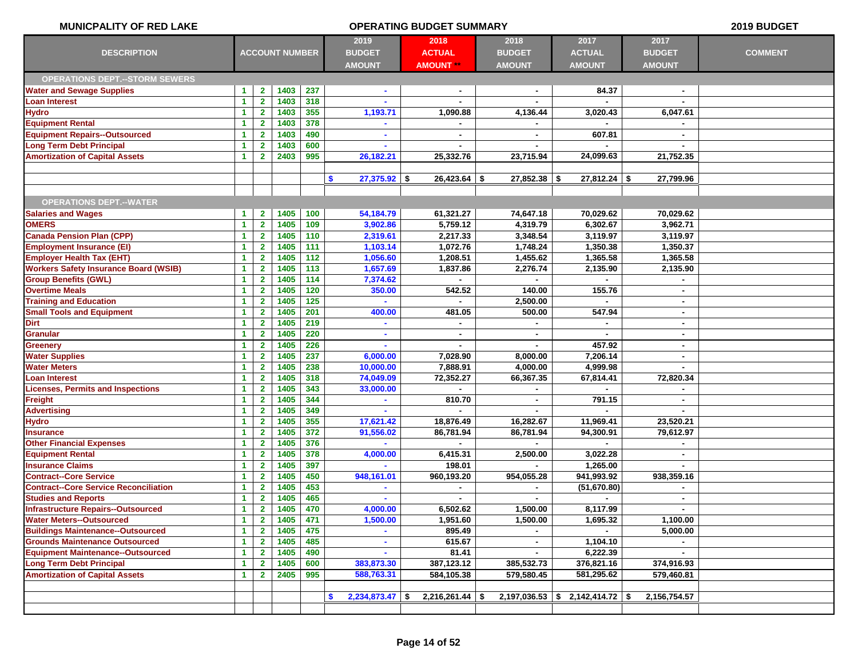| <b>MUNICPALITY OF RED LAKE</b>               | <b>OPERATING BUDGET SUMMARY</b> |                         |                       |     |                                        |                                           |                                        | 2019 BUDGET                            |                                        |                |
|----------------------------------------------|---------------------------------|-------------------------|-----------------------|-----|----------------------------------------|-------------------------------------------|----------------------------------------|----------------------------------------|----------------------------------------|----------------|
| <b>DESCRIPTION</b>                           |                                 |                         | <b>ACCOUNT NUMBER</b> |     | 2019<br><b>BUDGET</b><br><b>AMOUNT</b> | 2018<br><b>ACTUAL</b><br><b>AMOUNT</b> ** | 2018<br><b>BUDGET</b><br><b>AMOUNT</b> | 2017<br><b>ACTUAL</b><br><b>AMOUNT</b> | 2017<br><b>BUDGET</b><br><b>AMOUNT</b> | <b>COMMENT</b> |
| <b>OPERATIONS DEPT.--STORM SEWERS</b>        |                                 |                         |                       |     |                                        |                                           |                                        |                                        |                                        |                |
| <b>Water and Sewage Supplies</b>             | $\mathbf{1}$                    | $\mathbf{2}$            | 1403                  | 237 | $\blacksquare$                         | $\sim$                                    |                                        | 84.37                                  |                                        |                |
| Loan Interest                                | 1                               | $\mathbf{2}$            | 1403                  | 318 |                                        |                                           |                                        |                                        |                                        |                |
| <b>Hydro</b>                                 | $\blacktriangleleft$            | $\mathbf{2}$            | 1403                  | 355 | 1,193.71                               | 1,090.88                                  | 4,136.44                               | 3,020.43                               | 6,047.61                               |                |
| <b>Equipment Rental</b>                      | -1                              | $\overline{2}$          | 1403                  | 378 |                                        | $\blacksquare$                            |                                        |                                        |                                        |                |
| <b>Equipment Repairs--Outsourced</b>         | 1                               | $\mathbf{2}$            | 1403                  | 490 |                                        |                                           |                                        | 607.81                                 |                                        |                |
| <b>Long Term Debt Principal</b>              | 1                               | $\overline{2}$          | 1403                  | 600 | $\blacksquare$                         | ٠                                         |                                        |                                        | $\sim$                                 |                |
| <b>Amortization of Capital Assets</b>        | $\blacktriangleleft$            | $\mathbf{2}$            | 2403                  | 995 | 26,182.21                              | 25,332.76                                 | 23,715.94                              | 24,099.63                              | 21,752.35                              |                |
|                                              |                                 |                         |                       |     |                                        |                                           |                                        |                                        |                                        |                |
|                                              |                                 |                         |                       |     | \$<br>$27,375.92$ \$                   | $26,423.64$ \$                            | $27,852.38$ \$                         | $27,812.24$ \$                         | 27,799.96                              |                |
|                                              |                                 |                         |                       |     |                                        |                                           |                                        |                                        |                                        |                |
| <b>OPERATIONS DEPT.--WATER</b>               |                                 |                         |                       |     |                                        |                                           |                                        |                                        |                                        |                |
| <b>Salaries and Wages</b>                    | -1                              | $\mathbf{2}$            | 1405                  | 100 | 54,184.79                              | 61,321.27                                 | 74,647.18                              | 70,029.62                              | 70,029.62                              |                |
| <b>OMERS</b>                                 | 1                               | $\mathbf{2}$            | 1405                  | 109 | 3,902.86                               | 5,759.12                                  | 4,319.79                               | 6,302.67                               | 3,962.71                               |                |
| <b>Canada Pension Plan (CPP)</b>             | $\blacktriangleleft$            | $\mathbf{2}$            | 1405                  | 110 | 2,319.61                               | 2,217.33                                  | 3,348.54                               | 3,119.97                               | 3,119.97                               |                |
| <b>Employment Insurance (EI)</b>             | 1                               | $\mathbf{2}$            | 1405                  | 111 | 1,103.14                               | 1,072.76                                  | 1,748.24                               | 1,350.38                               | 1,350.37                               |                |
| <b>Employer Health Tax (EHT)</b>             | 1                               | $\mathbf{2}$            | 1405                  | 112 | 1,056.60                               | 1,208.51                                  | 1,455.62                               | 1,365.58                               | 1,365.58                               |                |
| <b>Workers Safety Insurance Board (WSIB)</b> | $\blacktriangleleft$            | $\overline{\mathbf{2}}$ | 1405                  | 113 | 1,657.69                               | 1,837.86                                  | 2,276.74                               | 2,135.90                               | 2,135.90                               |                |
| <b>Group Benefits (GWL)</b>                  | -1                              | $\overline{2}$          | 1405                  | 114 | 7,374.62                               |                                           |                                        |                                        |                                        |                |
| <b>Overtime Meals</b>                        | -1                              | $\mathbf{2}$            | 1405                  | 120 | 350.00                                 | 542.52                                    | 140.00                                 | 155.76                                 |                                        |                |
| <b>Training and Education</b>                | $\blacktriangleleft$            | $\mathbf{2}$            | 1405                  | 125 | $\mathbf{r}$                           | ÷.                                        | 2,500.00                               | $\blacksquare$                         | $\sim$                                 |                |
| <b>Small Tools and Equipment</b>             | -1                              | $\mathbf{2}$            | 1405                  | 201 | 400.00                                 | 481.05                                    | 500.00                                 | 547.94                                 | $\sim$                                 |                |
| <b>Dirt</b>                                  | -1                              | $\mathbf{2}$            | 1405                  | 219 |                                        |                                           |                                        |                                        |                                        |                |
| <b>Granular</b>                              | $\blacktriangleleft$            | $\mathbf{2}$            | 1405                  | 220 | $\blacksquare$                         | ×.                                        | $\blacksquare$                         | $\blacksquare$                         | $\blacksquare$                         |                |
| <b>Greenery</b>                              | 1                               | $\mathbf{2}$            | 1405                  | 226 |                                        |                                           |                                        | 457.92                                 | $\sim$                                 |                |
| <b>Water Supplies</b>                        | 1                               | $\mathbf{2}$            | 1405                  | 237 | 6,000.00                               | 7,028.90                                  | 8,000.00                               | 7,206.14                               |                                        |                |
| <b>Water Meters</b>                          | $\blacktriangleleft$            | $\mathbf{2}$            | 1405                  | 238 | 10,000.00                              | 7,888.91                                  | 4,000.00                               | 4,999.98                               | $\sim$                                 |                |
| Loan Interest                                | 1                               | $\mathbf{2}$            | 1405                  | 318 | 74,049.09                              | 72,352.27                                 | 66,367.35                              | 67,814.41                              | 72,820.34                              |                |
| <b>Licenses, Permits and Inspections</b>     | 1                               | $\mathbf{2}$            | 1405                  | 343 | 33,000.00                              |                                           |                                        |                                        |                                        |                |
| Freight                                      | 1                               | $\overline{2}$          | 1405                  | 344 |                                        | 810.70                                    | $\blacksquare$                         | 791.15                                 | $\mathbf{r}$                           |                |
| <b>Advertising</b>                           | 1                               | $\mathbf{2}$            | 1405                  | 349 |                                        |                                           |                                        |                                        |                                        |                |
| <b>Hydro</b>                                 | 1                               | $\mathbf{2}$            | 1405                  | 355 | 17,621.42                              | 18,876.49                                 | 16,282.67                              | 11,969.41                              | 23,520.21                              |                |
| <b>Insurance</b>                             | 1                               | $\overline{2}$          | 1405                  | 372 | 91,556.02                              | 86,781.94                                 | 86,781.94                              | 94,300.91                              | 79,612.97                              |                |
| <b>Other Financial Expenses</b>              | $\blacktriangleleft$            | $\mathbf{2}$            | 1405                  | 376 |                                        |                                           |                                        |                                        |                                        |                |
| <b>Equipment Rental</b>                      | -1                              | $\mathbf{2}$            | 1405                  | 378 | 4,000.00                               | 6,415.31                                  | 2,500.00                               | 3,022.28                               | $\sim$                                 |                |
| <b>Insurance Claims</b>                      | -1                              | $\mathbf{2}$            | 1405                  | 397 |                                        | 198.01                                    |                                        | 1,265.00                               |                                        |                |
| <b>Contract--Core Service</b>                | 1                               | $\mathbf{2}$            | 1405                  | 450 | 948,161.01                             | 960,193.20                                | 954,055.28                             | 941,993.92                             | 938,359.16                             |                |
| <b>Contract--Core Service Reconciliation</b> | 1                               | $\mathbf{2}$            | 1405                  | 453 |                                        | ۰.                                        | ٠                                      | (51, 670.80)                           |                                        |                |
| <b>Studies and Reports</b>                   | 1                               | $\overline{2}$          | 1405                  | 465 |                                        |                                           |                                        | ٠                                      |                                        |                |
| <b>Infrastructure Repairs--Outsourced</b>    | $\mathbf{1}$                    | $\mathbf{2}$            | 1405                  | 470 | 4,000.00                               | 6,502.62                                  | 1,500.00                               | 8,117.99                               | $\sim$                                 |                |
| <b>Water Meters--Outsourced</b>              | $\blacktriangleleft$            | 2 <sup>1</sup>          | 1405                  | 471 | 1,500.00                               | 1,951.60                                  | 1,500.00                               | 1,695.32                               | 1,100.00                               |                |
| <b>Buildings Maintenance--Outsourced</b>     | 1                               | $\mathbf{2}$            | 1405                  | 475 |                                        | 895.49                                    |                                        |                                        | 5,000.00                               |                |
| <b>Grounds Maintenance Outsourced</b>        | $\blacktriangleleft$            | $\mathbf{2}$            | 1405                  | 485 | $\blacksquare$                         | 615.67                                    | $\blacksquare$                         | 1,104.10                               | $\sim$                                 |                |
| <b>Equipment Maintenance--Outsourced</b>     | $\blacktriangleleft$            | $\mathbf{2}$            | 1405                  | 490 |                                        | 81.41                                     |                                        | 6,222.39                               | $\sim$                                 |                |
| <b>Long Term Debt Principal</b>              | 1                               | $\mathbf{2}$            | 1405                  | 600 | 383,873.30                             | 387,123.12                                | 385,532.73                             | 376,821.16                             | 374,916.93                             |                |
| <b>Amortization of Capital Assets</b>        | $\mathbf{1}$                    | $\mathbf{2}$            | 2405                  | 995 | 588,763.31                             | 584,105.38                                | 579,580.45                             | 581,295.62                             | 579,460.81                             |                |
|                                              |                                 |                         |                       |     |                                        |                                           |                                        |                                        |                                        |                |
|                                              |                                 |                         |                       |     | $2,234,873.47$ \$<br>$\mathbf{s}$      | $2,216,261.44$ \$                         |                                        | $2,197,036.53$ \$ 2,142,414.72 \$      | 2,156,754.57                           |                |
|                                              |                                 |                         |                       |     |                                        |                                           |                                        |                                        |                                        |                |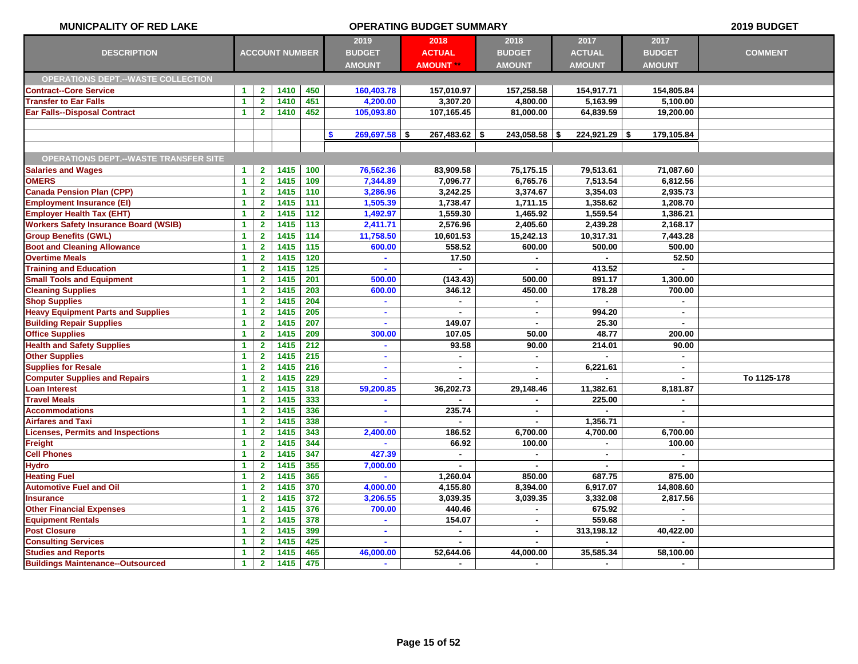| <b>MUNICPALITY OF RED LAKE</b>               |                      |                         |                       | 2019 BUDGET |                       |                  |                 |                 |                |                |
|----------------------------------------------|----------------------|-------------------------|-----------------------|-------------|-----------------------|------------------|-----------------|-----------------|----------------|----------------|
|                                              |                      |                         |                       |             | 2019                  | 2018             | 2018            | 2017            | 2017           |                |
| <b>DESCRIPTION</b>                           |                      |                         | <b>ACCOUNT NUMBER</b> |             | <b>BUDGET</b>         | <b>ACTUAL</b>    | <b>BUDGET</b>   | <b>ACTUAL</b>   | <b>BUDGET</b>  | <b>COMMENT</b> |
|                                              |                      |                         |                       |             | <b>AMOUNT</b>         | <b>AMOUNT **</b> | <b>AMOUNT</b>   | <b>AMOUNT</b>   | <b>AMOUNT</b>  |                |
| <b>OPERATIONS DEPT.--WASTE COLLECTION</b>    |                      |                         |                       |             |                       |                  |                 |                 |                |                |
| <b>Contract--Core Service</b>                | $\blacktriangleleft$ | 2 <sup>7</sup>          | 1410                  | 450         | 160,403.78            | 157,010.97       | 157,258.58      | 154,917.71      | 154,805.84     |                |
| <b>Transfer to Ear Falls</b>                 | $\blacktriangleleft$ | $\overline{2}$          | 1410                  | 451         | 4,200.00              | 3,307.20         | 4,800.00        | 5,163.99        | 5,100.00       |                |
| <b>Ear Falls--Disposal Contract</b>          | $\blacktriangleleft$ | $\overline{2}$          | 1410                  | 452         | 105,093.80            | 107,165.45       | 81,000.00       | 64,839.59       | 19,200.00      |                |
|                                              |                      |                         |                       |             |                       |                  |                 |                 |                |                |
|                                              |                      |                         |                       |             | \$<br>$269,697.58$ \$ | $267,483.62$ \$  | $243,058.58$ \$ | $224,921.29$ \$ | 179,105.84     |                |
|                                              |                      |                         |                       |             |                       |                  |                 |                 |                |                |
| <b>OPERATIONS DEPT.--WASTE TRANSFER SITE</b> |                      |                         |                       |             |                       |                  |                 |                 |                |                |
| <b>Salaries and Wages</b>                    | $\blacktriangleleft$ | $\mathbf{2}$            | 1415                  | 100         | 76,562.36             | 83,909.58        | 75,175.15       | 79,513.61       | 71,087.60      |                |
| <b>OMERS</b>                                 | $\blacktriangleleft$ | $\mathbf{2}$            | 1415                  | 109         | 7,344.89              | 7,096.77         | 6,765.76        | 7,513.54        | 6,812.56       |                |
| <b>Canada Pension Plan (CPP)</b>             | $\blacktriangleleft$ | $\mathbf{2}$            | 1415                  | 110         | 3,286.96              | 3,242.25         | 3,374.67        | 3,354.03        | 2,935.73       |                |
| <b>Employment Insurance (EI)</b>             | $\blacktriangleleft$ | $\overline{2}$          | 1415                  | 111         | 1,505.39              | 1,738.47         | 1,711.15        | 1,358.62        | 1,208.70       |                |
| <b>Employer Health Tax (EHT)</b>             | $\blacktriangleleft$ | $\overline{2}$          | 1415                  | 112         | 1,492.97              | 1,559.30         | 1,465.92        | 1,559.54        | 1,386.21       |                |
| <b>Workers Safety Insurance Board (WSIB)</b> | $\blacktriangleleft$ | $\mathbf{2}$            | 1415                  | 113         | 2,411.71              | 2,576.96         | 2,405.60        | 2,439.28        | 2,168.17       |                |
| <b>Group Benefits (GWL)</b>                  | $\blacktriangleleft$ | $\overline{2}$          | 1415                  | 114         | 11,758.50             | 10,601.53        | 15,242.13       | 10,317.31       | 7,443.28       |                |
| <b>Boot and Cleaning Allowance</b>           | $\blacktriangleleft$ | $\overline{2}$          | 1415                  | 115         | 600.00                | 558.52           | 600.00          | 500.00          | 500.00         |                |
| <b>Overtime Meals</b>                        | $\blacktriangleleft$ | $\overline{2}$          | 1415                  | 120         | ×.                    | 17.50            | $\mathbf{r}$    |                 | 52.50          |                |
| <b>Training and Education</b>                | $\mathbf{1}$         | $\overline{2}$          | 1415                  | 125         | ×.                    | $\mathbf{r}$     | $\mathbf{r}$    | 413.52          | $\sim$         |                |
| <b>Small Tools and Equipment</b>             | $\blacktriangleleft$ | $\overline{2}$          | 1415                  | 201         | 500.00                | (143.43)         | 500.00          | 891.17          | 1,300.00       |                |
| <b>Cleaning Supplies</b>                     | $\blacktriangleleft$ | $\mathbf{2}$            | 1415                  | 203         | 600.00                | 346.12           | 450.00          | 178.28          | 700.00         |                |
| <b>Shop Supplies</b>                         | $\blacktriangleleft$ | $\overline{\mathbf{2}}$ | 1415                  | 204         | $\mathbf{r}$          | $\blacksquare$   | $\sim$          | $\sim$          | $\sim$         |                |
| <b>Heavy Equipment Parts and Supplies</b>    | $\blacktriangleleft$ | $\overline{2}$          | 1415                  | 205         | $\sim$                | $\blacksquare$   | $\blacksquare$  | 994.20          | $\sim$         |                |
| <b>Building Repair Supplies</b>              | $\blacktriangleleft$ | $\overline{2}$          | 1415                  | 207         |                       | 149.07           | $\blacksquare$  | 25.30           | $\blacksquare$ |                |
| <b>Office Supplies</b>                       | $\blacktriangleleft$ | $\overline{2}$          | 1415                  | 209         | 300.00                | 107.05           | 50.00           | 48.77           | 200.00         |                |
| <b>Health and Safety Supplies</b>            | $\blacktriangleleft$ | $\overline{2}$          | 1415                  | 212         | $\mathbf{r}$          | 93.58            | 90.00           | 214.01          | 90.00          |                |
| <b>Other Supplies</b>                        | $\blacktriangleleft$ | $\overline{2}$          | 1415                  | 215         | $\sim$                | $\blacksquare$   | $\sim$          | $\sim$          | $\sim$         |                |
| <b>Supplies for Resale</b>                   | 1                    | $\mathbf{2}$            | 1415                  | 216         | $\blacksquare$        | $\blacksquare$   | $\mathbf{r}$    | 6,221.61        | $\sim$         |                |
| <b>Computer Supplies and Repairs</b>         | $\mathbf{1}$         | $\mathbf{2}$            | 1415                  | 229         | $\sim$                | ۰                |                 |                 |                | To 1125-178    |
| <b>Loan Interest</b>                         | 1                    | $\mathbf{2}$            | 1415                  | 318         | 59,200.85             | 36,202.73        | 29,148.46       | 11,382.61       | 8,181.87       |                |
| <b>Travel Meals</b>                          | $\blacktriangleleft$ | $\mathbf{2}$            | 1415                  | 333         | $\sim$                | $\blacksquare$   | $\blacksquare$  | 225.00          | $\sim$         |                |
| <b>Accommodations</b>                        | $\blacktriangleleft$ | $\overline{2}$          | 1415                  | 336         | $\blacksquare$        | 235.74           | $\blacksquare$  |                 | $\blacksquare$ |                |
| <b>Airfares and Taxi</b>                     | $\blacktriangleleft$ | $\overline{2}$          | 1415                  | 338         |                       |                  |                 | 1,356.71        |                |                |
| <b>Licenses, Permits and Inspections</b>     | 1                    | $\overline{2}$          | 1415                  | 343         | 2,400.00              | 186.52           | 6,700.00        | 4,700.00        | 6,700.00       |                |
| Freight                                      | -1                   | $\overline{2}$          | 1415                  | 344         |                       | 66.92            | 100.00          |                 | 100.00         |                |
| <b>Cell Phones</b>                           | 1                    | $\overline{2}$          | 1415                  | 347         | 427.39                | $\blacksquare$   | $\blacksquare$  | $\sim$          | $\sim$         |                |
| <b>Hydro</b>                                 | 1                    | $\mathbf{2}$            | 1415                  | 355         | 7,000.00              |                  |                 |                 |                |                |
| <b>Heating Fuel</b>                          | 1                    | $\overline{\mathbf{2}}$ | 1415                  | 365         |                       | 1,260.04         | 850.00          | 687.75          | 875.00         |                |
| <b>Automotive Fuel and Oil</b>               | 1                    | $\overline{\mathbf{2}}$ | 1415                  | 370         | 4,000.00              | 4,155.80         | 8,394.00        | 6,917.07        | 14,808.60      |                |
| <b>Insurance</b>                             | $\blacktriangleleft$ | $\overline{2}$          | 1415                  | 372         | 3,206.55              | 3,039.35         | 3,039.35        | 3,332.08        | 2,817.56       |                |
| <b>Other Financial Expenses</b>              | 1                    | $\overline{2}$          | 1415                  | 376         | 700.00                | 440.46           |                 | 675.92          |                |                |
| <b>Equipment Rentals</b>                     | $\mathbf{1}$         | $\mathbf{2}$            | 1415                  | 378         |                       | 154.07           | $\blacksquare$  | 559.68          |                |                |
| <b>Post Closure</b>                          | $\mathbf{1}$         | $\mathbf{2}$            | 1415                  | 399         |                       | ä,               | $\blacksquare$  | 313,198.12      | 40,422.00      |                |
| <b>Consulting Services</b>                   | $\mathbf{1}$         | $\overline{2}$          | 1415                  | 425         |                       |                  |                 |                 |                |                |
| <b>Studies and Reports</b>                   | 1                    | $\mathbf{2}$            | 1415                  | 465         | 46,000.00             | 52,644.06        | 44,000.00       | 35,585.34       | 58,100.00      |                |
| <b>Buildings Maintenance--Outsourced</b>     | $\blacktriangleleft$ | $\overline{2}$          | 1415                  | 475         |                       |                  |                 |                 |                |                |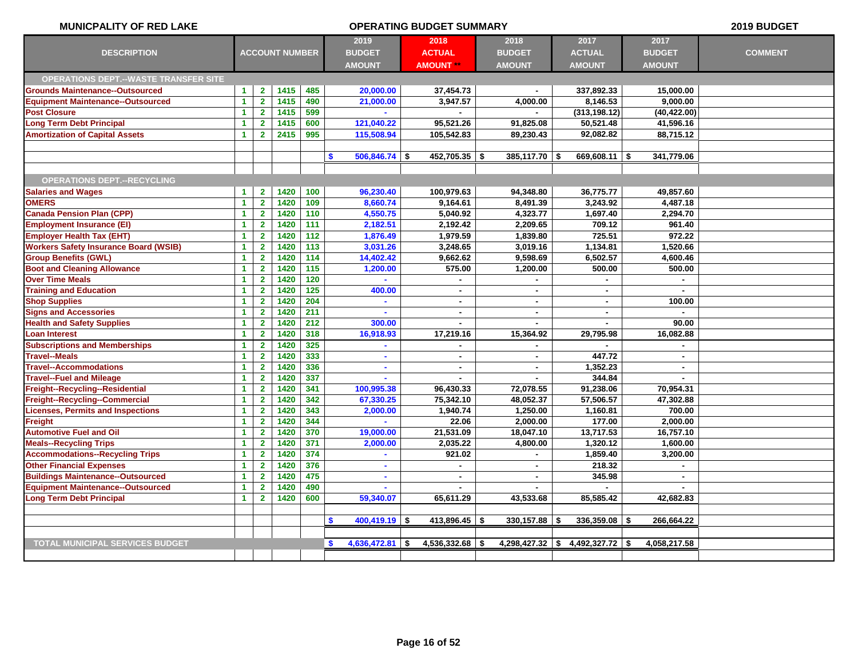| <b>MUNICPALITY OF RED LAKE</b>               |                      |                         | <b>2019 BUDGET</b>    |       |                                   |                          |                   |                  |                      |                |
|----------------------------------------------|----------------------|-------------------------|-----------------------|-------|-----------------------------------|--------------------------|-------------------|------------------|----------------------|----------------|
|                                              |                      |                         |                       |       | 2019                              | 2018                     | 2018              | 2017             | 2017                 |                |
| <b>DESCRIPTION</b>                           |                      |                         | <b>ACCOUNT NUMBER</b> |       | <b>BUDGET</b>                     | <b>ACTUAL</b>            | <b>BUDGET</b>     | <b>ACTUAL</b>    | <b>BUDGET</b>        | <b>COMMENT</b> |
|                                              |                      |                         |                       |       | <b>AMOUNT</b>                     | <b>AMOUNT **</b>         | <b>AMOUNT</b>     | <b>AMOUNT</b>    | <b>AMOUNT</b>        |                |
| <b>OPERATIONS DEPT.--WASTE TRANSFER SITE</b> |                      |                         |                       |       |                                   |                          |                   |                  |                      |                |
| <b>Grounds Maintenance--Outsourced</b>       | $\mathbf{1}$         | $\mathbf{2}$            | 1415                  | 485   | 20,000.00                         | 37,454.73                |                   | 337,892.33       | 15,000.00            |                |
| <b>Equipment Maintenance--Outsourced</b>     | $\blacktriangleleft$ | $\overline{2}$          | 1415                  | 490   | 21,000.00                         | 3,947.57                 | 4,000.00          | 8,146.53         | 9,000.00             |                |
| <b>Post Closure</b>                          | $\blacktriangleleft$ | $\overline{2}$          | 1415                  | 599   |                                   |                          |                   | (313, 198.12)    | (40, 422.00)         |                |
| <b>Long Term Debt Principal</b>              | $\blacktriangleleft$ | $\mathbf{2}$            | 1415                  | 600   | 121,040.22                        | 95,521.26                | 91,825.08         | 50,521.48        | 41,596.16            |                |
| <b>Amortization of Capital Assets</b>        | $\blacktriangleleft$ | $\overline{2}$          | 2415                  | 995   | 115,508.94                        | 105,542.83               | 89,230.43         | 92,082.82        | 88,715.12            |                |
|                                              |                      |                         |                       |       |                                   |                          |                   |                  |                      |                |
|                                              |                      |                         |                       |       | \$.<br>$506,846.74$ \$            | $452,705.35$ \$          | 385,117.70 \$     | $669,608.11$ \$  | 341,779.06           |                |
| <b>OPERATIONS DEPT.--RECYCLING</b>           |                      |                         |                       |       |                                   |                          |                   |                  |                      |                |
| <b>Salaries and Wages</b>                    | $\blacktriangleleft$ | $\mathbf{2}$            | 1420                  | 100   | 96,230.40                         | 100,979.63               | 94,348.80         | 36,775.77        | 49,857.60            |                |
| <b>OMERS</b>                                 | $\blacktriangleleft$ | $\overline{2}$          | 1420                  | 109   | 8,660.74                          | 9,164.61                 | 8,491.39          | 3,243.92         | 4.487.18             |                |
| <b>Canada Pension Plan (CPP)</b>             | $\blacktriangleleft$ | $\overline{2}$          | 1420                  | 110   | 4,550.75                          | 5,040.92                 | 4,323.77          | 1,697.40         | 2,294.70             |                |
| <b>Employment Insurance (EI)</b>             | $\blacktriangleleft$ | $\overline{2}$          | 1420                  | 111   | 2,182.51                          | 2,192.42                 | 2,209.65          | 709.12           | 961.40               |                |
| <b>Employer Health Tax (EHT)</b>             | $\blacktriangleleft$ | $\overline{2}$          | 1420                  | 112   | 1,876.49                          | 1,979.59                 | 1,839.80          | 725.51           | 972.22               |                |
| <b>Workers Safety Insurance Board (WSIB)</b> | $\blacktriangleleft$ | $\overline{2}$          | 1420                  | 113   | 3,031.26                          | 3,248.65                 | 3,019.16          | 1,134.81         | 1,520.66             |                |
| <b>Group Benefits (GWL)</b>                  | $\blacktriangleleft$ | $\overline{2}$          | 1420                  | 114   | 14,402.42                         | 9,662.62                 | 9,598.69          | 6,502.57         | 4,600.46             |                |
| <b>Boot and Cleaning Allowance</b>           | $\blacktriangleleft$ | $\overline{2}$          | 1420                  | 115   | 1,200.00                          | 575.00                   | 1,200.00          | 500.00           | 500.00               |                |
| <b>Over Time Meals</b>                       | $\blacktriangleleft$ | $\overline{2}$          | 1420                  | 120   |                                   |                          |                   |                  | $\sim$               |                |
| <b>Training and Education</b>                | $\blacktriangleleft$ | $\overline{2}$          | 1420                  | $125$ | 400.00                            | $\blacksquare$           |                   | $\blacksquare$   | $\sim$               |                |
| <b>Shop Supplies</b>                         | $\blacktriangleleft$ | $\mathbf{2}$            | 1420                  | 204   |                                   | $\blacksquare$           | $\sim$            | $\sim$           | 100.00               |                |
| <b>Signs and Accessories</b>                 | $\blacktriangleleft$ | $\overline{2}$          | 1420                  | 211   |                                   | $\blacksquare$           | $\sim$            | $\sim$           | $\mathbf{r}$         |                |
| <b>Health and Safety Supplies</b>            | $\blacktriangleleft$ | $\overline{2}$          | 1420                  | 212   | 300.00                            | $\overline{a}$           | $\blacksquare$    | $\mathbf{r}$     | 90.00                |                |
| <b>Loan Interest</b>                         | $\blacktriangleleft$ | $\overline{2}$          | 1420                  | 318   | 16,918.93                         | 17,219.16                | 15,364.92         | 29,795.98        | 16,082.88            |                |
| <b>Subscriptions and Memberships</b>         | $\blacktriangleleft$ | $\overline{2}$          | 1420                  | 325   |                                   |                          |                   |                  |                      |                |
| <b>Travel--Meals</b>                         | $\blacktriangleleft$ | $\overline{2}$          | 1420                  | 333   |                                   | $\blacksquare$           |                   | 447.72           | $\sim$               |                |
| <b>Travel--Accommodations</b>                | $\blacktriangleleft$ | $\mathbf{2}$            | 1420                  | 336   | $\mathbf{r}$                      | $\blacksquare$           | $\blacksquare$    | 1,352.23         | $\sim$               |                |
| <b>Travel--Fuel and Mileage</b>              | $\blacktriangleleft$ | $\overline{\mathbf{2}}$ | 1420                  | 337   |                                   |                          |                   | 344.84           |                      |                |
| Freight--Recycling--Residential              | $\blacktriangleleft$ | $\mathbf{2}$            | 1420                  | 341   | 100,995.38                        | 96,430.33                | 72,078.55         | 91,238.06        | 70,954.31            |                |
| Freight--Recycling--Commercial               | $\blacktriangleleft$ | $\mathbf{2}$            | 1420                  | 342   | 67,330.25                         | 75,342.10                | 48,052.37         | 57,506.57        | 47,302.88            |                |
| <b>Licenses, Permits and Inspections</b>     | $\blacktriangleleft$ | $\overline{2}$          | 1420                  | 343   | 2,000.00                          | 1,940.74                 | 1,250.00          | 1,160.81         | 700.00               |                |
| Freight                                      | $\blacktriangleleft$ | $\overline{2}$          | 1420                  | 344   |                                   | 22.06                    | 2,000.00          | 177.00           | 2,000.00             |                |
| <b>Automotive Fuel and Oil</b>               | $\blacktriangleleft$ | $\overline{2}$          | 1420                  | 370   | 19,000.00                         | 21,531.09                | 18,047.10         | 13,717.53        | 16,757.10            |                |
| <b>Meals--Recycling Trips</b>                | $\blacktriangleleft$ | $\mathbf{2}$            | 1420                  | 371   | 2,000.00                          | 2,035.22                 | 4,800.00          | 1,320.12         | 1,600.00             |                |
| <b>Accommodations--Recycling Trips</b>       | $\blacktriangleleft$ | $\mathbf{2}$            | 1420                  | 374   |                                   | 921.02                   |                   | 1,859.40         | 3,200.00             |                |
| <b>Other Financial Expenses</b>              | $\blacktriangleleft$ | $\mathbf{2}$            | 1420                  | 376   |                                   |                          |                   | 218.32           |                      |                |
| <b>Buildings Maintenance--Outsourced</b>     | $\blacktriangleleft$ | $\overline{2}$          | 1420                  | 475   |                                   | $\blacksquare$           | $\sim$            | 345.98           | $\sim$               |                |
| <b>Equipment Maintenance--Outsourced</b>     | $\blacktriangleleft$ | $\overline{\mathbf{2}}$ | 1420                  | 490   |                                   |                          |                   |                  |                      |                |
| <b>Long Term Debt Principal</b>              | $\blacktriangleleft$ | $\overline{2}$          | 1420                  | 600   | 59,340.07                         | 65,611.29                | 43,533.68         | 85,585.42        | 42,682.83            |                |
|                                              |                      |                         |                       |       |                                   |                          |                   |                  |                      |                |
|                                              |                      |                         |                       |       | s.<br>$400,419.19$ \$             | 413,896.45 $\frac{1}{3}$ | $330,157.88$ \$   | $336,359.08$ \\$ | 266,664.22           |                |
|                                              |                      |                         |                       |       |                                   |                          |                   |                  |                      |                |
| <b>TOTAL MUNICIPAL SERVICES BUDGET</b>       |                      |                         |                       |       | $4,636,472.81$ \$<br>$\mathbf{s}$ | $4,536,332.68$ \$        | $4,298,427.32$ \$ | 4,492,327.72     | 4,058,217.58<br>∣\$. |                |
|                                              |                      |                         |                       |       |                                   |                          |                   |                  |                      |                |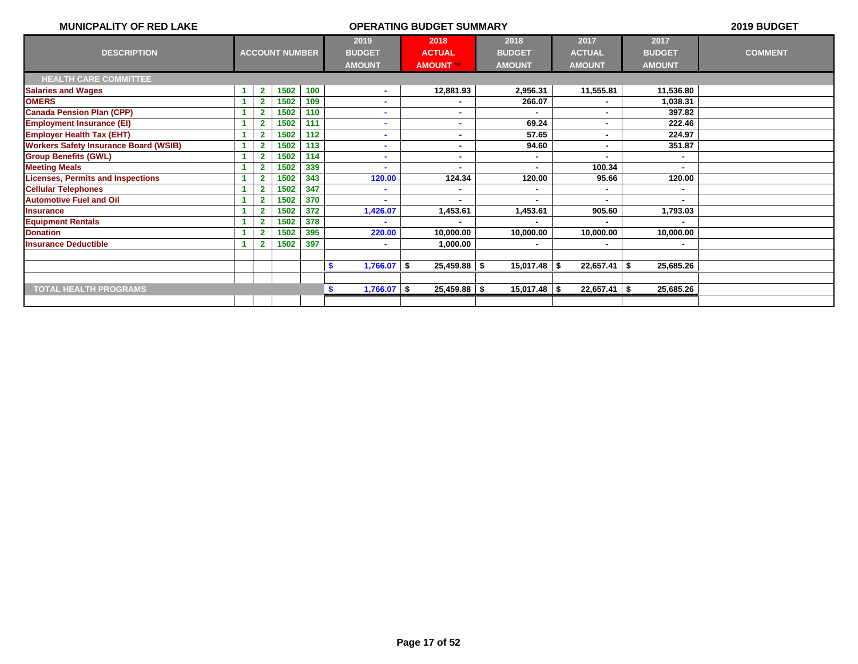| <b>MUNICPALITY OF RED LAKE</b>               |    |                         |                       |     |                      | <b>OPERATING BUDGET SUMMARY</b> |                |                |                | 2019 BUDGET    |
|----------------------------------------------|----|-------------------------|-----------------------|-----|----------------------|---------------------------------|----------------|----------------|----------------|----------------|
|                                              |    |                         |                       |     | 2019                 | 2018                            | 2018           | 2017           | 2017           |                |
| <b>DESCRIPTION</b>                           |    |                         | <b>ACCOUNT NUMBER</b> |     | <b>BUDGET</b>        | <b>ACTUAL</b>                   | <b>BUDGET</b>  | <b>ACTUAL</b>  | <b>BUDGET</b>  | <b>COMMENT</b> |
|                                              |    |                         |                       |     | <b>AMOUNT</b>        | <b>AMOUNT **</b>                | <b>AMOUNT</b>  | <b>AMOUNT</b>  | <b>AMOUNT</b>  |                |
| <b>HEALTH CARE COMMITTEE</b>                 |    |                         |                       |     |                      |                                 |                |                |                |                |
| <b>Salaries and Wages</b>                    | -1 | $\mathbf{2}$            | 1502                  | 100 | ۰                    | 12,881.93                       | 2,956.31       | 11,555.81      | 11,536.80      |                |
| <b>OMERS</b>                                 |    |                         | 1502                  | 109 |                      |                                 | 266.07         |                | 1,038.31       |                |
| <b>Canada Pension Plan (CPP)</b>             |    | $\overline{\mathbf{2}}$ | 1502                  | 110 | $\blacksquare$       | $\blacksquare$                  | $\blacksquare$ | $\blacksquare$ | 397.82         |                |
| <b>Employment Insurance (EI)</b>             |    |                         | 1502                  | 111 |                      | $\blacksquare$                  | 69.24          | ٠.             | 222.46         |                |
| <b>Employer Health Tax (EHT)</b>             |    |                         | 1502                  | 112 |                      | ٠                               | 57.65          | ٠              | 224.97         |                |
| <b>Workers Safety Insurance Board (WSIB)</b> |    | $\overline{\mathbf{2}}$ | 1502                  | 113 | $\blacksquare$       | $\blacksquare$                  | 94.60          | $\blacksquare$ | 351.87         |                |
| <b>Group Benefits (GWL)</b>                  |    |                         | 1502                  | 114 |                      | ۰                               |                |                |                |                |
| <b>Meeting Meals</b>                         |    |                         | 1502                  | 339 |                      | ۰                               |                | 100.34         | $\blacksquare$ |                |
| <b>Licenses, Permits and Inspections</b>     |    |                         | 1502                  | 343 | 120.00               | 124.34                          | 120.00         | 95.66          | 120.00         |                |
| <b>Cellular Telephones</b>                   |    | $\overline{\mathbf{2}}$ | 1502                  | 347 |                      | ۰                               |                | ٠              |                |                |
| <b>Automotive Fuel and Oil</b>               |    | $\overline{2}$          | 1502                  | 370 |                      | $\blacksquare$                  |                | $\blacksquare$ |                |                |
| <b>Insurance</b>                             |    |                         | 1502                  | 372 | 1,426.07             | 1,453.61                        | 1,453.61       | 905.60         | 1,793.03       |                |
| <b>Equipment Rentals</b>                     |    | $\overline{\mathbf{2}}$ | 1502                  | 378 |                      | $\blacksquare$                  |                |                |                |                |
| <b>Donation</b>                              |    |                         | 1502                  | 395 | 220.00               | 10,000.00                       | 10,000.00      | 10,000.00      | 10,000.00      |                |
| <b>Insurance Deductible</b>                  |    |                         | 1502                  | 397 |                      | 1,000.00                        |                | ۰              |                |                |
|                                              |    |                         |                       |     |                      |                                 |                |                |                |                |
|                                              |    |                         |                       |     | $1,766.07$ \$<br>-\$ | $25,459.88$ \\$                 | $15,017.48$ \$ | $22,657.41$ \$ | 25,685.26      |                |
|                                              |    |                         |                       |     |                      |                                 |                |                |                |                |
| <b>TOTAL HEALTH PROGRAMS</b>                 |    |                         |                       |     | $1,766.07$ \$<br>S.  | $25,459.88$ \\$                 | $15,017.48$ \$ | $22,657.41$ \$ | 25,685.26      |                |
|                                              |    |                         |                       |     |                      |                                 |                |                |                |                |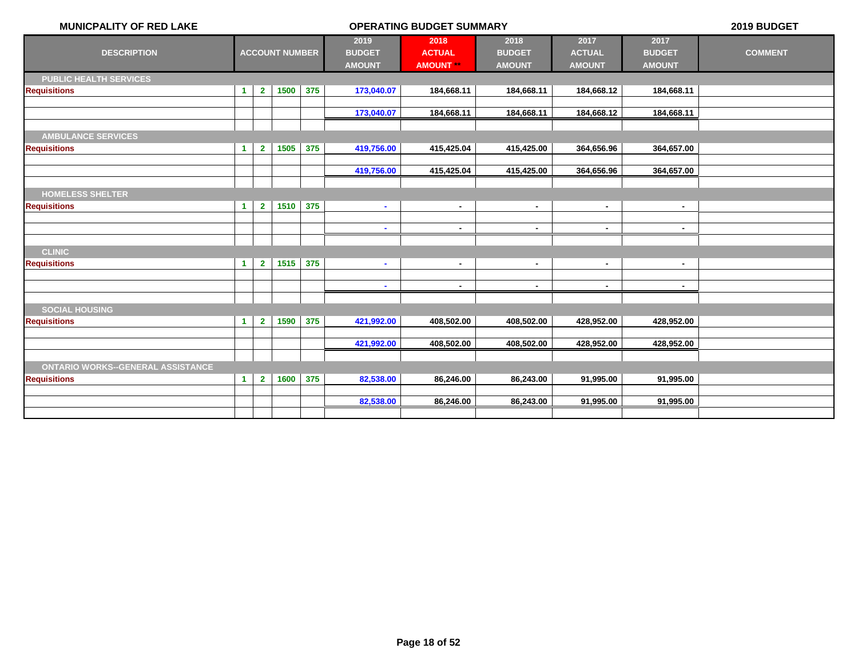| <b>MUNICPALITY OF RED LAKE</b>               | <b>OPERATING BUDGET SUMMARY</b> |                |                       |     |                                        |                                        |                                        |                                        |                                        | 2019 BUDGET    |
|----------------------------------------------|---------------------------------|----------------|-----------------------|-----|----------------------------------------|----------------------------------------|----------------------------------------|----------------------------------------|----------------------------------------|----------------|
| <b>DESCRIPTION</b>                           |                                 |                | <b>ACCOUNT NUMBER</b> |     | 2019<br><b>BUDGET</b><br><b>AMOUNT</b> | 2018<br><b>ACTUAL</b><br><b>AMOUNT</b> | 2018<br><b>BUDGET</b><br><b>AMOUNT</b> | 2017<br><b>ACTUAL</b><br><b>AMOUNT</b> | 2017<br><b>BUDGET</b><br><b>AMOUNT</b> | <b>COMMENT</b> |
| <b>PUBLIC HEALTH SERVICES</b>                |                                 |                |                       |     |                                        |                                        |                                        |                                        |                                        |                |
| <b>Requisitions</b>                          | $\blacktriangleleft$            | $\overline{2}$ | 1500                  | 375 | 173,040.07                             | 184,668.11                             | 184,668.11                             | 184,668.12                             | 184,668.11                             |                |
|                                              |                                 |                |                       |     |                                        |                                        |                                        |                                        |                                        |                |
|                                              |                                 |                |                       |     | 173,040.07                             | 184,668.11                             | 184,668.11                             | 184,668.12                             | 184,668.11                             |                |
| <b>AMBULANCE SERVICES</b>                    |                                 |                |                       |     |                                        |                                        |                                        |                                        |                                        |                |
| <b>Requisitions</b>                          | $\blacktriangleleft$            | $\mathbf{2}$   | 1505                  | 375 | 419,756.00                             | 415,425.04                             | 415,425.00                             | 364,656.96                             | 364,657.00                             |                |
|                                              |                                 |                |                       |     |                                        |                                        |                                        |                                        |                                        |                |
|                                              |                                 |                |                       |     | 419,756.00                             | 415,425.04                             | 415,425.00                             | 364,656.96                             | 364,657.00                             |                |
|                                              |                                 |                |                       |     |                                        |                                        |                                        |                                        |                                        |                |
| <b>HOMELESS SHELTER</b>                      |                                 |                |                       |     |                                        |                                        |                                        |                                        |                                        |                |
| <b>Requisitions</b>                          | $\blacktriangleleft$            | $\overline{2}$ | 1510                  | 375 | $\sim$                                 | $\blacksquare$                         | $\blacksquare$                         | $\blacksquare$                         | $\sim$                                 |                |
|                                              |                                 |                |                       |     | $\sim$                                 | $\sim$                                 | $\blacksquare$                         | $\sim$                                 | $\sim$                                 |                |
|                                              |                                 |                |                       |     |                                        |                                        |                                        |                                        |                                        |                |
| <b>CLINIC</b>                                |                                 |                |                       |     |                                        |                                        |                                        |                                        |                                        |                |
| <b>Requisitions</b>                          | $\blacktriangleleft$            | $\overline{2}$ | 1515                  | 375 | $\sim$                                 | $\blacksquare$                         | $\blacksquare$                         | $\blacksquare$                         | $\blacksquare$                         |                |
|                                              |                                 |                |                       |     |                                        |                                        |                                        |                                        |                                        |                |
|                                              |                                 |                |                       |     |                                        | $\overline{\phantom{a}}$               |                                        | ٠                                      | ٠                                      |                |
|                                              |                                 |                |                       |     |                                        |                                        |                                        |                                        |                                        |                |
| <b>SOCIAL HOUSING</b><br><b>Requisitions</b> | $\blacktriangleleft$            | $\overline{2}$ | 1590                  | 375 | 421,992.00                             | 408,502.00                             | 408,502.00                             | 428,952.00                             | 428,952.00                             |                |
|                                              |                                 |                |                       |     |                                        |                                        |                                        |                                        |                                        |                |
|                                              |                                 |                |                       |     | 421,992.00                             | 408,502.00                             | 408,502.00                             | 428,952.00                             | 428,952.00                             |                |
|                                              |                                 |                |                       |     |                                        |                                        |                                        |                                        |                                        |                |
| <b>ONTARIO WORKS--GENERAL ASSISTANCE</b>     |                                 |                |                       |     |                                        |                                        |                                        |                                        |                                        |                |
| <b>Requisitions</b>                          | $\blacktriangleleft$            | $\mathbf{2}$   | 1600                  | 375 | 82,538.00                              | 86,246.00                              | 86,243.00                              | 91,995.00                              | 91,995.00                              |                |
|                                              |                                 |                |                       |     |                                        |                                        |                                        |                                        |                                        |                |
|                                              |                                 |                |                       |     | 82,538.00                              | 86,246.00                              | 86,243.00                              | 91,995.00                              | 91,995.00                              |                |
|                                              |                                 |                |                       |     |                                        |                                        |                                        |                                        |                                        |                |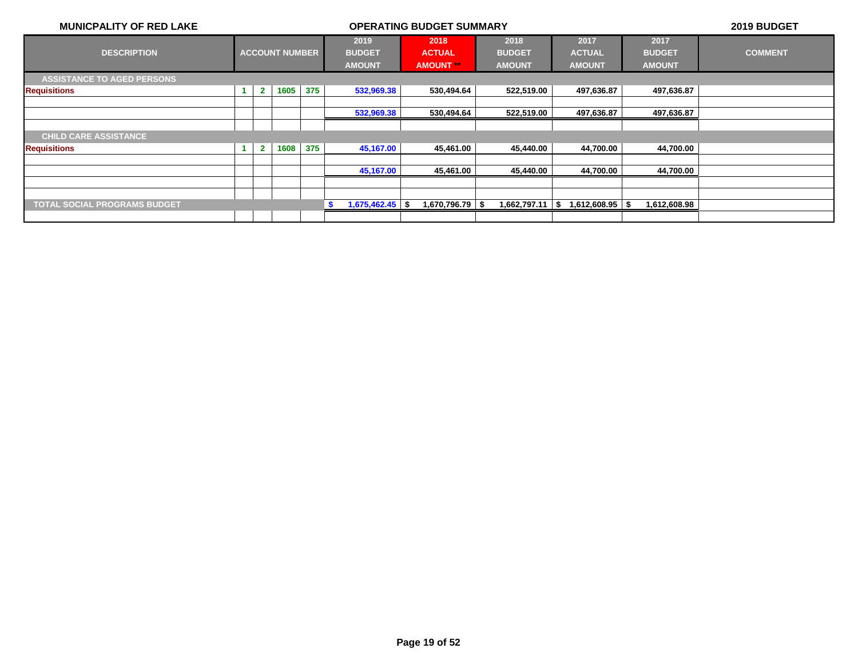| <b>MUNICPALITY OF RED LAKE</b>      | <b>OPERATING BUDGET SUMMARY</b> |                |                       |     |                       |  |                       |  |                       |  | 2019 BUDGET           |                       |                |
|-------------------------------------|---------------------------------|----------------|-----------------------|-----|-----------------------|--|-----------------------|--|-----------------------|--|-----------------------|-----------------------|----------------|
| <b>DESCRIPTION</b>                  |                                 |                | <b>ACCOUNT NUMBER</b> |     | 2019<br><b>BUDGET</b> |  | 2018<br><b>ACTUAL</b> |  | 2018<br><b>BUDGET</b> |  | 2017<br><b>ACTUAL</b> | 2017<br><b>BUDGET</b> | <b>COMMENT</b> |
|                                     |                                 |                |                       |     | <b>AMOUNT</b>         |  | <b>AMOUNT</b>         |  | <b>AMOUNT</b>         |  | <b>AMOUNT</b>         | <b>AMOUNT</b>         |                |
| <b>ASSISTANCE TO AGED PERSONS</b>   |                                 |                |                       |     |                       |  |                       |  |                       |  |                       |                       |                |
| <b>Requisitions</b>                 | $\blacktriangleleft$            | $\mathbf{2}$   | 1605                  | 375 | 532,969.38            |  | 530,494.64            |  | 522,519.00            |  | 497,636.87            | 497,636.87            |                |
|                                     |                                 |                |                       |     |                       |  |                       |  |                       |  |                       |                       |                |
|                                     |                                 |                |                       |     | 532,969.38            |  | 530,494.64            |  | 522,519.00            |  | 497,636.87            | 497,636.87            |                |
|                                     |                                 |                |                       |     |                       |  |                       |  |                       |  |                       |                       |                |
| <b>CHILD CARE ASSISTANCE</b>        |                                 |                |                       |     |                       |  |                       |  |                       |  |                       |                       |                |
| <b>Requisitions</b>                 | $\blacktriangleleft$            | $\overline{2}$ | 1608                  | 375 | 45,167.00             |  | 45,461.00             |  | 45,440.00             |  | 44,700.00             | 44,700.00             |                |
|                                     |                                 |                |                       |     |                       |  |                       |  |                       |  |                       |                       |                |
|                                     |                                 |                |                       |     | 45,167.00             |  | 45,461.00             |  | 45,440.00             |  | 44,700.00             | 44,700.00             |                |
|                                     |                                 |                |                       |     |                       |  |                       |  |                       |  |                       |                       |                |
|                                     |                                 |                |                       |     |                       |  |                       |  |                       |  |                       |                       |                |
| <b>TOTAL SOCIAL PROGRAMS BUDGET</b> |                                 |                |                       |     | $1,675,462.45$ \$     |  | 1,670,796.79 S        |  | 1,662,797.11   \$     |  | 1,612,608.95 \$       | 1,612,608.98          |                |
|                                     |                                 |                |                       |     |                       |  |                       |  |                       |  |                       |                       |                |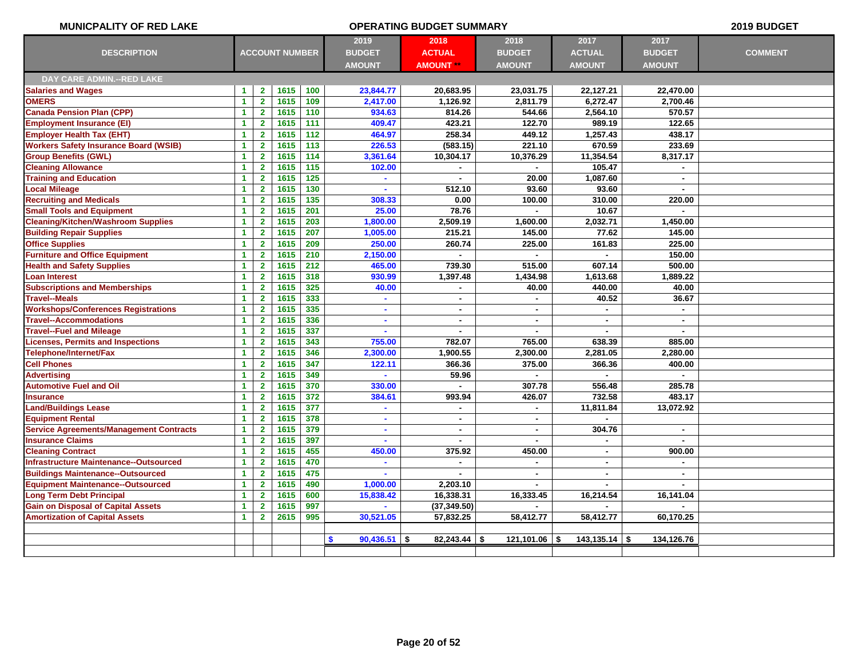| <b>MUNICPALITY OF RED LAKE</b>                 | <b>OPERATING BUDGET SUMMARY</b> |                         |                       |       |                            |                  |                 |                 |                | 2019 BUDGET    |
|------------------------------------------------|---------------------------------|-------------------------|-----------------------|-------|----------------------------|------------------|-----------------|-----------------|----------------|----------------|
|                                                |                                 |                         |                       |       | 2019                       | 2018             | 2018            | 2017            | 2017           |                |
| <b>DESCRIPTION</b>                             |                                 |                         | <b>ACCOUNT NUMBER</b> |       | <b>BUDGET</b>              | <b>ACTUAL</b>    | <b>BUDGET</b>   | <b>ACTUAL</b>   | <b>BUDGET</b>  | <b>COMMENT</b> |
|                                                |                                 |                         |                       |       | <b>AMOUNT</b>              | <b>AMOUNT **</b> | <b>AMOUNT</b>   | <b>AMOUNT</b>   | <b>AMOUNT</b>  |                |
| <b>DAY CARE ADMIN.--RED LAKE</b>               |                                 |                         |                       |       |                            |                  |                 |                 |                |                |
| <b>Salaries and Wages</b>                      | $\blacktriangleleft$            | $\mathbf{2}$            | 1615                  | 100   | 23,844.77                  | 20,683.95        | 23,031.75       | 22,127.21       | 22,470.00      |                |
| <b>OMERS</b>                                   | $\blacktriangleleft$            | $\overline{2}$          | 1615                  | 109   | 2,417.00                   | 1,126.92         | 2,811.79        | 6,272.47        | 2,700.46       |                |
| <b>Canada Pension Plan (CPP)</b>               | $\blacktriangleleft$            | $\mathbf{2}$            | 1615                  | 110   | 934.63                     | 814.26           | 544.66          | 2,564.10        | 570.57         |                |
| <b>Employment Insurance (EI)</b>               | 1                               | $\mathbf{2}$            | 1615                  | 111   | 409.47                     | 423.21           | 122.70          | 989.19          | 122.65         |                |
| <b>Employer Health Tax (EHT)</b>               | $\blacktriangleleft$            | $\mathbf{2}$            | 1615                  | 112   | 464.97                     | 258.34           | 449.12          | 1,257.43        | 438.17         |                |
| <b>Workers Safety Insurance Board (WSIB)</b>   | 1                               | $\mathbf{2}$            | 1615                  | 113   | 226.53                     | (583.15)         | 221.10          | 670.59          | 233.69         |                |
| <b>Group Benefits (GWL)</b>                    | 1                               | $\mathbf{2}$            | 1615                  | 114   | 3,361.64                   | 10,304.17        | 10,376.29       | 11,354.54       | 8,317.17       |                |
| <b>Cleaning Allowance</b>                      | $\blacktriangleleft$            | $\overline{2}$          | 1615                  | 115   | 102.00                     |                  |                 | 105.47          |                |                |
| <b>Training and Education</b>                  | 1                               | $\overline{\mathbf{2}}$ | 1615                  | $125$ | $\mathbf{r}$               |                  | 20.00           | 1,087.60        | $\mathbf{r}$   |                |
| <b>Local Mileage</b>                           | $\blacktriangleleft$            | $\overline{2}$          | 1615                  | $130$ |                            | 512.10           | 93.60           | 93.60           |                |                |
| <b>Recruiting and Medicals</b>                 | $\blacktriangleleft$            | $\overline{2}$          | 1615                  | 135   | 308.33                     | 0.00             | 100.00          | 310.00          | 220.00         |                |
| <b>Small Tools and Equipment</b>               | $\mathbf{1}$                    | $\mathbf{2}$            | 1615                  | 201   | 25.00                      | 78.76            | $\blacksquare$  | 10.67           |                |                |
| <b>Cleaning/Kitchen/Washroom Supplies</b>      | $\blacktriangleleft$            | $\overline{2}$          | 1615                  | 203   | 1,800.00                   | 2,509.19         | 1,600.00        | 2,032.71        | 1,450.00       |                |
| <b>Building Repair Supplies</b>                | $\mathbf{1}$                    | $\mathbf{2}$            | 1615                  | 207   | 1,005.00                   | 215.21           | 145.00          | 77.62           | 145.00         |                |
| <b>Office Supplies</b>                         | $\blacktriangleleft$            | $\overline{2}$          | 1615                  | 209   | 250.00                     | 260.74           | 225.00          | 161.83          | 225.00         |                |
| <b>Furniture and Office Equipment</b>          | $\blacktriangleleft$            | $\overline{2}$          | 1615                  | 210   | 2,150.00                   |                  | $\blacksquare$  | $\sim$          | 150.00         |                |
| <b>Health and Safety Supplies</b>              | $\mathbf{1}$                    | $\mathbf{2}$            | 1615                  | 212   | 465.00                     | 739.30           | 515.00          | 607.14          | 500.00         |                |
| <b>Loan Interest</b>                           | $\blacktriangleleft$            | $\overline{2}$          | 1615                  | 318   | 930.99                     | 1,397.48         | 1,434.98        | 1,613.68        | 1,889.22       |                |
| <b>Subscriptions and Memberships</b>           | $\blacktriangleleft$            | $\overline{2}$          | 1615                  | 325   | 40.00                      | ×.               | 40.00           | 440.00          | 40.00          |                |
| <b>Travel--Meals</b>                           | $\blacktriangleleft$            | $\overline{2}$          | 1615                  | 333   | $\mathbf{r}$               | $\blacksquare$   | $\blacksquare$  | 40.52           | 36.67          |                |
| <b>Workshops/Conferences Registrations</b>     | $\blacktriangleleft$            | $\overline{2}$          | 1615                  | 335   | ×                          | $\blacksquare$   | $\blacksquare$  | $\overline{a}$  | $\blacksquare$ |                |
| <b>Travel--Accommodations</b>                  | $\blacktriangleleft$            | $\mathbf{2}$            | 1615                  | 336   | ×                          | $\blacksquare$   | $\blacksquare$  | $\blacksquare$  | $\mathbf{r}$   |                |
| <b>Travel--Fuel and Mileage</b>                | $\mathbf{1}$                    | $\overline{2}$          | 1615                  | 337   | ×                          | ä,               | $\blacksquare$  | $\blacksquare$  | $\sim$         |                |
| <b>Licenses, Permits and Inspections</b>       | $\blacktriangleleft$            | $\overline{2}$          | 1615                  | 343   | 755.00                     | 782.07           | 765.00          | 638.39          | 885.00         |                |
| Telephone/Internet/Fax                         | $\mathbf{1}$                    | $\overline{2}$          | 1615                  | 346   | 2,300.00                   | 1,900.55         | 2,300.00        | 2,281.05        | 2,280.00       |                |
| <b>Cell Phones</b>                             | $\blacktriangleleft$            | $\overline{2}$          | 1615                  | 347   | 122.11                     | 366.36           | 375.00          | 366.36          | 400.00         |                |
| <b>Advertising</b>                             | 1                               | $\overline{2}$          | 1615                  | 349   |                            | 59.96            |                 |                 |                |                |
| <b>Automotive Fuel and Oil</b>                 | $\blacktriangleleft$            | $\overline{2}$          | 1615                  | 370   | 330.00                     |                  | 307.78          | 556.48          | 285.78         |                |
| <b>Insurance</b>                               | $\blacktriangleleft$            | $\mathbf{2}$            | 1615                  | 372   | 384.61                     | 993.94           | 426.07          | 732.58          | 483.17         |                |
| <b>Land/Buildings Lease</b>                    | $\mathbf{1}$                    | $\overline{2}$          | 1615                  | 377   | $\blacksquare$             | ä,               | $\blacksquare$  | 11,811.84       | 13,072.92      |                |
| <b>Equipment Rental</b>                        | 1                               | $\overline{\mathbf{2}}$ | 1615                  | 378   |                            |                  |                 |                 |                |                |
| <b>Service Agreements/Management Contracts</b> | $\blacktriangleleft$            | $\overline{2}$          | 1615                  | 379   | $\blacksquare$             | ä,               | $\blacksquare$  | 304.76          | $\blacksquare$ |                |
| <b>Insurance Claims</b>                        | $\blacktriangleleft$            | $\mathbf{2}$            | 1615                  | 397   |                            |                  |                 |                 |                |                |
| <b>Cleaning Contract</b>                       | 1                               | $\mathbf{2}$            | 1615                  | 455   | 450.00                     | 375.92           | 450.00          | $\sim$          | 900.00         |                |
| Infrastructure Maintenance--Outsourced         | -1                              | $\overline{2}$          | 1615                  | 470   | $\blacksquare$             | ٠                | $\blacksquare$  | ä,              | $\sim$         |                |
| <b>Buildings Maintenance--Outsourced</b>       | 1                               | $\overline{\mathbf{2}}$ | 1615                  | 475   |                            | ä,               | $\blacksquare$  | $\sim$          | $\mathbf{r}$   |                |
| <b>Equipment Maintenance--Outsourced</b>       | 1                               | $\mathbf{2}$            | 1615                  | 490   | 1,000.00                   | 2,203.10         |                 |                 |                |                |
| <b>Long Term Debt Principal</b>                | 1                               | $\overline{2}$          | 1615                  | 600   | 15,838.42                  | 16,338.31        | 16,333.45       | 16,214.54       | 16,141.04      |                |
| <b>Gain on Disposal of Capital Assets</b>      | 1                               | $\overline{\mathbf{2}}$ | 1615                  | 997   | $\blacksquare$             | (37, 349.50)     | $\blacksquare$  | $\blacksquare$  | $\blacksquare$ |                |
| <b>Amortization of Capital Assets</b>          | $\blacktriangleleft$            | 2 <sup>1</sup>          | 2615                  | 995   | 30,521.05                  | 57,832.25        | 58,412.77       | 58,412.77       | 60,170.25      |                |
|                                                |                                 |                         |                       |       |                            |                  |                 |                 |                |                |
|                                                |                                 |                         |                       |       | <b>S</b><br>$90,436.51$ \$ | $82,243.44$ \\$  | $121,101.06$ \$ | $143,135.14$ \$ | 134,126.76     |                |
|                                                |                                 |                         |                       |       |                            |                  |                 |                 |                |                |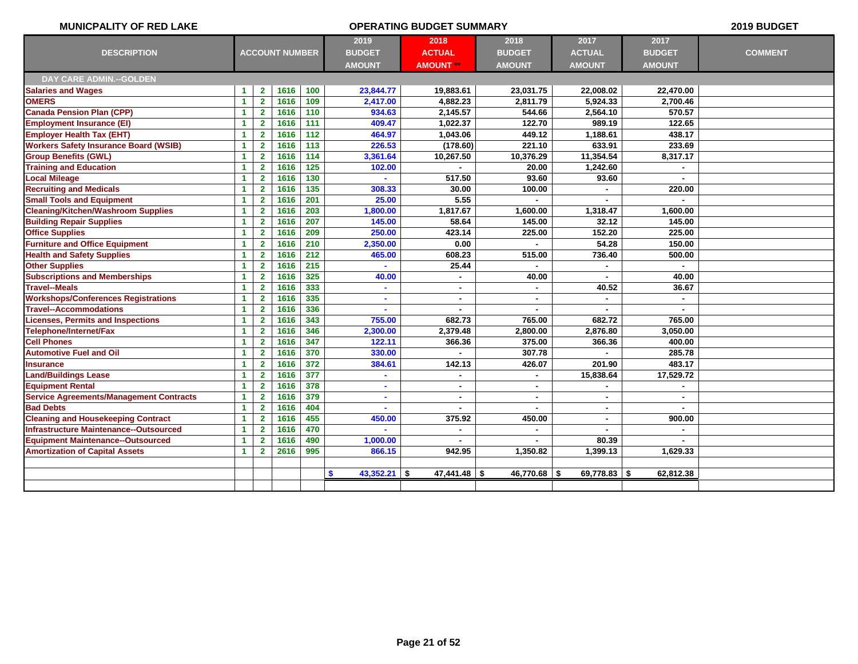| <b>MUNICPALITY OF RED LAKE</b>                 |                      |                         |                       |     |                          | <b>OPERATING BUDGET SUMMARY</b> |                |                |                | 2019 BUDGET    |
|------------------------------------------------|----------------------|-------------------------|-----------------------|-----|--------------------------|---------------------------------|----------------|----------------|----------------|----------------|
|                                                |                      |                         |                       |     | 2019                     | 2018                            | 2018           | 2017           | 2017           |                |
| <b>DESCRIPTION</b>                             |                      |                         | <b>ACCOUNT NUMBER</b> |     | <b>BUDGET</b>            | <b>ACTUAL</b>                   | <b>BUDGET</b>  | <b>ACTUAL</b>  | <b>BUDGET</b>  | <b>COMMENT</b> |
|                                                |                      |                         |                       |     | <b>AMOUNT</b>            | <b>AMOUNT **</b>                | <b>AMOUNT</b>  | <b>AMOUNT</b>  | <b>AMOUNT</b>  |                |
| <b>DAY CARE ADMIN.--GOLDEN</b>                 |                      |                         |                       |     |                          |                                 |                |                |                |                |
| <b>Salaries and Wages</b>                      | $\mathbf{1}$         | $\mathbf{2}$            | 1616                  | 100 | 23,844.77                | 19,883.61                       | 23,031.75      | 22,008.02      | 22,470.00      |                |
| <b>OMERS</b>                                   | $\blacktriangleleft$ | $\overline{\mathbf{2}}$ | 1616                  | 109 | 2,417.00                 | 4,882.23                        | 2,811.79       | 5,924.33       | 2,700.46       |                |
| <b>Canada Pension Plan (CPP)</b>               | $\blacktriangleleft$ | $\mathbf{2}$            | 1616                  | 110 | 934.63                   | 2,145.57                        | 544.66         | 2,564.10       | 570.57         |                |
| <b>Employment Insurance (EI)</b>               | $\mathbf{1}$         | $\mathbf{2}$            | 1616                  | 111 | 409.47                   | 1,022.37                        | 122.70         | 989.19         | 122.65         |                |
| <b>Employer Health Tax (EHT)</b>               | $\mathbf{1}$         | $\mathbf{2}$            | 1616                  | 112 | 464.97                   | 1,043.06                        | 449.12         | 1,188.61       | 438.17         |                |
| <b>Workers Safety Insurance Board (WSIB)</b>   | $\blacktriangleleft$ | $\mathbf{2}$            | 1616                  | 113 | 226.53                   | (178.60)                        | 221.10         | 633.91         | 233.69         |                |
| <b>Group Benefits (GWL)</b>                    | $\blacktriangleleft$ | $\mathbf{2}$            | 1616                  | 114 | 3,361.64                 | 10,267.50                       | 10,376.29      | 11,354.54      | 8,317.17       |                |
| <b>Training and Education</b>                  | $\mathbf{1}$         | $\overline{\mathbf{2}}$ | 1616                  | 125 | 102.00                   |                                 | 20.00          | 1,242.60       |                |                |
| <b>Local Mileage</b>                           | $\blacktriangleleft$ | $\overline{2}$          | 1616                  | 130 |                          | 517.50                          | 93.60          | 93.60          | $\sim$         |                |
| <b>Recruiting and Medicals</b>                 | $\blacktriangleleft$ | $\mathbf{2}$            | 1616                  | 135 | 308.33                   | 30.00                           | 100.00         |                | 220.00         |                |
| <b>Small Tools and Equipment</b>               | $\mathbf{1}$         | $\mathbf{2}$            | 1616                  | 201 | 25.00                    | 5.55                            |                |                |                |                |
| <b>Cleaning/Kitchen/Washroom Supplies</b>      | $\blacktriangleleft$ | $\mathbf{2}$            | 1616                  | 203 | 1,800.00                 | 1,817.67                        | 1,600.00       | 1,318.47       | 1,600.00       |                |
| <b>Building Repair Supplies</b>                | $\mathbf{1}$         | $\mathbf{2}$            | 1616                  | 207 | 145.00                   | 58.64                           | 145.00         | 32.12          | 145.00         |                |
| <b>Office Supplies</b>                         | $\blacktriangleleft$ | $\overline{2}$          | 1616                  | 209 | 250.00                   | 423.14                          | 225.00         | 152.20         | 225.00         |                |
| <b>Furniture and Office Equipment</b>          | $\mathbf{1}$         | $\mathbf{2}$            | 1616                  | 210 | 2,350.00                 | 0.00                            |                | 54.28          | 150.00         |                |
| <b>Health and Safety Supplies</b>              | $\blacktriangleleft$ | $\mathbf{2}$            | 1616                  | 212 | 465.00                   | 608.23                          | 515.00         | 736.40         | 500.00         |                |
| <b>Other Supplies</b>                          | $\blacktriangleleft$ | $\mathbf{2}$            | 1616                  | 215 |                          | 25.44                           |                |                |                |                |
| <b>Subscriptions and Memberships</b>           | $\blacktriangleleft$ | $\mathbf{2}$            | 1616                  | 325 | 40.00                    |                                 | 40.00          |                | 40.00          |                |
| <b>Travel--Meals</b>                           | $\mathbf{1}$         | $\mathbf{2}$            | 1616                  | 333 | $\blacksquare$           | $\blacksquare$                  |                | 40.52          | 36.67          |                |
| <b>Workshops/Conferences Registrations</b>     | 1                    | $\mathbf{2}$            | 1616                  | 335 | ä                        | $\blacksquare$                  | $\blacksquare$ |                |                |                |
| <b>Travel--Accommodations</b>                  | $\blacktriangleleft$ | $\mathbf{2}$            | 1616                  | 336 | $\overline{\phantom{a}}$ | $\blacksquare$                  | $\blacksquare$ | $\blacksquare$ | $\sim$         |                |
| Licenses, Permits and Inspections              | 1                    | $\overline{\mathbf{2}}$ | 1616                  | 343 | 755.00                   | 682.73                          | 765.00         | 682.72         | 765.00         |                |
| Telephone/Internet/Fax                         | $\blacktriangleleft$ | $\mathbf{2}$            | 1616                  | 346 | 2,300.00                 | 2,379.48                        | 2,800.00       | 2,876.80       | 3,050.00       |                |
| <b>Cell Phones</b>                             | $\blacktriangleleft$ | $\mathbf{2}$            | 1616                  | 347 | 122.11                   | 366.36                          | 375.00         | 366.36         | 400.00         |                |
| <b>Automotive Fuel and Oil</b>                 | $\blacktriangleleft$ | $\mathbf{2}$            | 1616                  | 370 | 330.00                   |                                 | 307.78         |                | 285.78         |                |
| <b>Insurance</b>                               | $\mathbf{1}$         | $\mathbf{2}$            | 1616                  | 372 | 384.61                   | 142.13                          | 426.07         | 201.90         | 483.17         |                |
| <b>Land/Buildings Lease</b>                    | 1                    | $\mathbf{2}$            | 1616                  | 377 | $\blacksquare$           | ä,                              | $\blacksquare$ | 15,838.64      | 17,529.72      |                |
| <b>Equipment Rental</b>                        | $\blacktriangleleft$ | $\mathbf{2}$            | 1616                  | 378 | ÷,                       | $\sim$                          | $\blacksquare$ | $\blacksquare$ |                |                |
| <b>Service Agreements/Management Contracts</b> | $\blacktriangleleft$ | $\mathbf{2}$            | 1616                  | 379 |                          |                                 |                | ٠              |                |                |
| <b>Bad Debts</b>                               | $\blacktriangleleft$ | $\mathbf{2}$            | 1616                  | 404 | $\blacksquare$           | $\blacksquare$                  | $\blacksquare$ | $\sim$         | $\blacksquare$ |                |
| <b>Cleaning and Housekeeping Contract</b>      | $\blacktriangleleft$ | $\mathbf{2}$            | 1616                  | 455 | 450.00                   | 375.92                          | 450.00         | ٠              | 900.00         |                |
| <b>Infrastructure Maintenance--Outsourced</b>  | $\blacktriangleleft$ | $\mathbf{2}$            | 1616                  | 470 |                          |                                 | ٠              |                |                |                |
| <b>Equipment Maintenance--Outsourced</b>       | $\mathbf{1}$         | $\mathbf{2}$            | 1616                  | 490 | 1,000.00                 |                                 |                | 80.39          |                |                |
| <b>Amortization of Capital Assets</b>          | $\mathbf{1}$         | $\mathbf{2}$            | 2616                  | 995 | 866.15                   | 942.95                          | 1,350.82       | 1,399.13       | 1,629.33       |                |
|                                                |                      |                         |                       |     |                          |                                 |                |                |                |                |
|                                                |                      |                         |                       |     | $43,352.21$ \$<br>\$     | $47,441.48$ \\$                 | 46,770.68 \$   | $69,778.83$ \$ | 62,812.38      |                |
|                                                |                      |                         |                       |     |                          |                                 |                |                |                |                |
|                                                |                      |                         |                       |     |                          |                                 |                |                |                |                |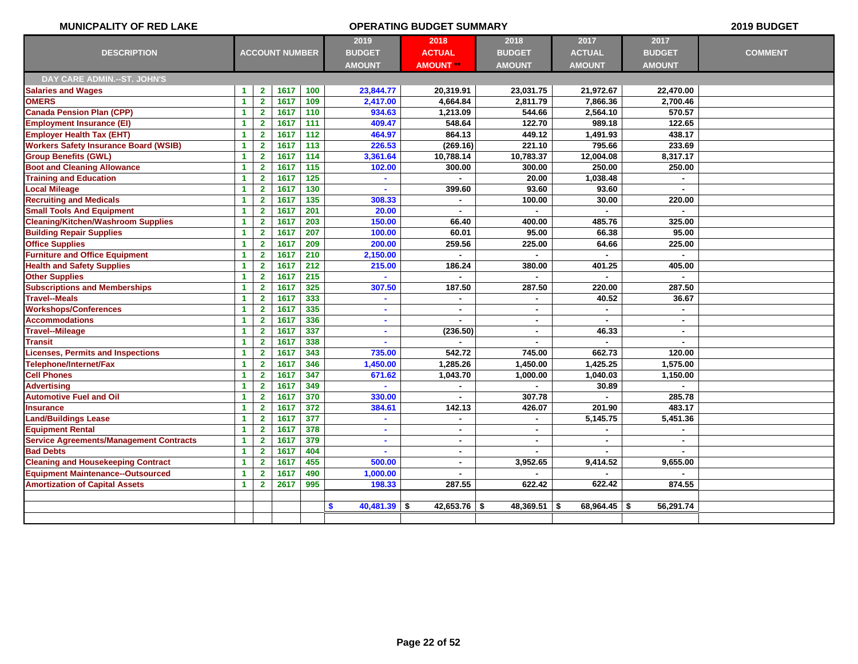| <b>MUNICPALITY OF RED LAKE</b>                 |                      |                         |                       |                  |                            | <b>OPERATING BUDGET SUMMARY</b> |                |               |                  | 2019 BUDGET    |
|------------------------------------------------|----------------------|-------------------------|-----------------------|------------------|----------------------------|---------------------------------|----------------|---------------|------------------|----------------|
|                                                |                      |                         |                       |                  | 2019                       | 2018                            | 2018           | 2017          | 2017             |                |
| <b>DESCRIPTION</b>                             |                      |                         | <b>ACCOUNT NUMBER</b> |                  | <b>BUDGET</b>              | <b>ACTUAL</b>                   | <b>BUDGET</b>  | <b>ACTUAL</b> | <b>BUDGET</b>    | <b>COMMENT</b> |
|                                                |                      |                         |                       |                  | <b>AMOUNT</b>              | <b>AMOUNT</b>                   | <b>AMOUNT</b>  | <b>AMOUNT</b> | <b>AMOUNT</b>    |                |
| DAY CARE ADMIN .-- ST. JOHN'S                  |                      |                         |                       |                  |                            |                                 |                |               |                  |                |
| <b>Salaries and Wages</b>                      | $\blacktriangleleft$ | $\mathbf{2}$            | 1617                  | 100              | 23,844.77                  | 20,319.91                       | 23,031.75      | 21,972.67     | 22,470.00        |                |
| <b>OMERS</b>                                   | $\mathbf{1}$         | $\mathbf{2}$            | 1617                  | 109              | 2,417.00                   | 4,664.84                        | 2,811.79       | 7,866.36      | 2,700.46         |                |
| <b>Canada Pension Plan (CPP)</b>               | $\blacktriangleleft$ | $\mathbf{2}$            | 1617                  | 110              | 934.63                     | 1,213.09                        | 544.66         | 2,564.10      | 570.57           |                |
| <b>Employment Insurance (EI)</b>               | $\mathbf{1}$         | $\overline{\mathbf{2}}$ | 1617                  | 111              | 409.47                     | 548.64                          | 122.70         | 989.18        | 122.65           |                |
| <b>Employer Health Tax (EHT)</b>               | $\blacktriangleleft$ | $\overline{2}$          | 1617                  | 112              | 464.97                     | 864.13                          | 449.12         | 1,491.93      | 438.17           |                |
| <b>Workers Safety Insurance Board (WSIB)</b>   | $\blacktriangleleft$ | $\overline{2}$          | 1617                  | 113              | 226.53                     | (269.16)                        | 221.10         | 795.66        | 233.69           |                |
| <b>Group Benefits (GWL)</b>                    | $\mathbf{1}$         | $\mathbf{2}$            | 1617                  | 114              | 3,361.64                   | 10,788.14                       | 10,783.37      | 12,004.08     | 8,317.17         |                |
| <b>Boot and Cleaning Allowance</b>             | $\mathbf{1}$         | $\overline{\mathbf{2}}$ | 1617                  | $\overline{115}$ | 102.00                     | 300.00                          | 300.00         | 250.00        | 250.00           |                |
| <b>Training and Education</b>                  | 1                    | $\overline{\mathbf{2}}$ | 1617                  | $\overline{125}$ |                            |                                 | 20.00          | 1,038.48      |                  |                |
| <b>Local Mileage</b>                           | $\blacktriangleleft$ | $\mathbf{2}$            | 1617                  | 130              | ä                          | 399.60                          | 93.60          | 93.60         | $\blacksquare$   |                |
| <b>Recruiting and Medicals</b>                 | $\mathbf{1}$         | $\mathbf{2}$            | 1617                  | $\overline{135}$ | 308.33                     | $\sim$                          | 100.00         | 30.00         | 220.00           |                |
| <b>Small Tools And Equipment</b>               | $\blacktriangleleft$ | $\overline{2}$          | 1617                  | 201              | 20.00                      |                                 | ×.             |               | $\blacksquare$   |                |
| <b>Cleaning/Kitchen/Washroom Supplies</b>      | $\mathbf{1}$         | $\mathbf{2}$            | 1617                  | 203              | 150.00                     | 66.40                           | 400.00         | 485.76        | 325.00           |                |
| <b>Building Repair Supplies</b>                | $\blacktriangleleft$ | $\overline{\mathbf{2}}$ | 1617                  | 207              | 100.00                     | 60.01                           | 95.00          | 66.38         | 95.00            |                |
| <b>Office Supplies</b>                         | $\blacktriangleleft$ | $\mathbf{2}$            | 1617                  | 209              | 200.00                     | 259.56                          | 225.00         | 64.66         | 225.00           |                |
| <b>Furniture and Office Equipment</b>          | $\blacktriangleleft$ | $\mathbf{2}$            | 1617                  | 210              | 2,150.00                   |                                 | $\blacksquare$ |               | $\blacksquare$   |                |
| <b>Health and Safety Supplies</b>              | $\mathbf{1}$         | $\overline{2}$          | 1617                  | 212              | 215.00                     | 186.24                          | 380.00         | 401.25        | 405.00           |                |
| <b>Other Supplies</b>                          | $\mathbf{1}$         | $\overline{\mathbf{2}}$ | 1617                  | 215              |                            |                                 |                |               |                  |                |
| <b>Subscriptions and Memberships</b>           | $\mathbf{1}$         | $\overline{2}$          | 1617                  | 325              | 307.50                     | 187.50                          | 287.50         | 220.00        | 287.50           |                |
| <b>Travel--Meals</b>                           | 1                    | $\mathbf{2}$            | 1617                  | 333              | $\blacksquare$             | $\sim$                          | ×.             | 40.52         | 36.67            |                |
| <b>Workshops/Conferences</b>                   | $\blacktriangleleft$ | $\mathbf{2}$            | 1617                  | 335              | $\blacksquare$             | $\blacksquare$                  | $\blacksquare$ |               | $\sim$           |                |
| <b>Accommodations</b>                          | 1                    | $\overline{\mathbf{2}}$ | 1617                  | 336              |                            |                                 | ٠              |               | $\blacksquare$   |                |
| Travel--Mileage                                | 1                    | $\overline{\mathbf{2}}$ | 1617                  | 337              | $\blacksquare$             | (236.50)                        | $\blacksquare$ | 46.33         | $\blacksquare$   |                |
| Transit                                        | 1                    | $\overline{\mathbf{2}}$ | 1617                  | 338              | $\blacksquare$             |                                 |                |               | $\blacksquare$   |                |
| <b>Licenses, Permits and Inspections</b>       | $\blacktriangleleft$ | $\overline{2}$          | 1617                  | 343              | 735.00                     | 542.72                          | 745.00         | 662.73        | 120.00           |                |
| Telephone/Internet/Fax                         | $\blacktriangleleft$ | $\mathbf{2}$            | 1617                  | 346              | 1,450.00                   | 1,285.26                        | 1,450.00       | 1,425.25      | 1,575.00         |                |
| <b>Cell Phones</b>                             | 1                    | $\overline{\mathbf{2}}$ | 1617                  | 347              | 671.62                     | 1,043.70                        | 1,000.00       | 1,040.03      | 1,150.00         |                |
| <b>Advertising</b>                             | $\blacktriangleleft$ | $\mathbf{2}$            | 1617                  | 349              |                            |                                 |                | 30.89         |                  |                |
| <b>Automotive Fuel and Oil</b>                 | $\blacktriangleleft$ | $\mathbf{2}$            | 1617                  | 370              | 330.00                     |                                 | 307.78         |               | 285.78           |                |
| <b>Insurance</b>                               | $\mathbf{1}$         | $\mathbf{2}$            | 1617                  | 372              | 384.61                     | 142.13                          | 426.07         | 201.90        | 483.17           |                |
| <b>Land/Buildings Lease</b>                    | $\mathbf{1}$         | $\overline{\mathbf{2}}$ | 1617                  | 377              |                            |                                 | $\blacksquare$ | 5,145.75      | 5,451.36         |                |
| <b>Equipment Rental</b>                        | 1                    | $\overline{\mathbf{2}}$ | 1617                  | 378              |                            |                                 |                |               |                  |                |
| <b>Service Agreements/Management Contracts</b> | $\blacktriangleleft$ | $\overline{2}$          | 1617                  | 379              | $\blacksquare$             | $\blacksquare$                  | $\blacksquare$ | $\sim$        | $\blacksquare$   |                |
| <b>Bad Debts</b>                               | $\mathbf{1}$         | $\overline{2}$          | 1617                  | 404              | $\blacksquare$             | $\blacksquare$                  | $\blacksquare$ |               |                  |                |
| <b>Cleaning and Housekeeping Contract</b>      | $\blacktriangleleft$ | $\mathbf{2}$            | 1617                  | 455              | 500.00                     | $\blacksquare$                  | 3,952.65       | 9,414.52      | 9,655.00         |                |
| <b>Equipment Maintenance--Outsourced</b>       | 1                    | $\mathbf{2}$            | 1617                  | 490              | 1,000.00                   |                                 |                |               |                  |                |
| <b>Amortization of Capital Assets</b>          | $\mathbf{1}$         | $\overline{\mathbf{2}}$ | 2617                  | 995              | 198.33                     | 287.55                          | 622.42         | 622.42        | 874.55           |                |
|                                                |                      |                         |                       |                  |                            |                                 |                |               |                  |                |
|                                                |                      |                         |                       |                  | $40,481.39$ \$<br><b>S</b> | 42,653.76 $\frac{1}{2}$         | 48,369.51 \$   | 68,964.45     | 56,291.74<br>-\$ |                |
|                                                |                      |                         |                       |                  |                            |                                 |                |               |                  |                |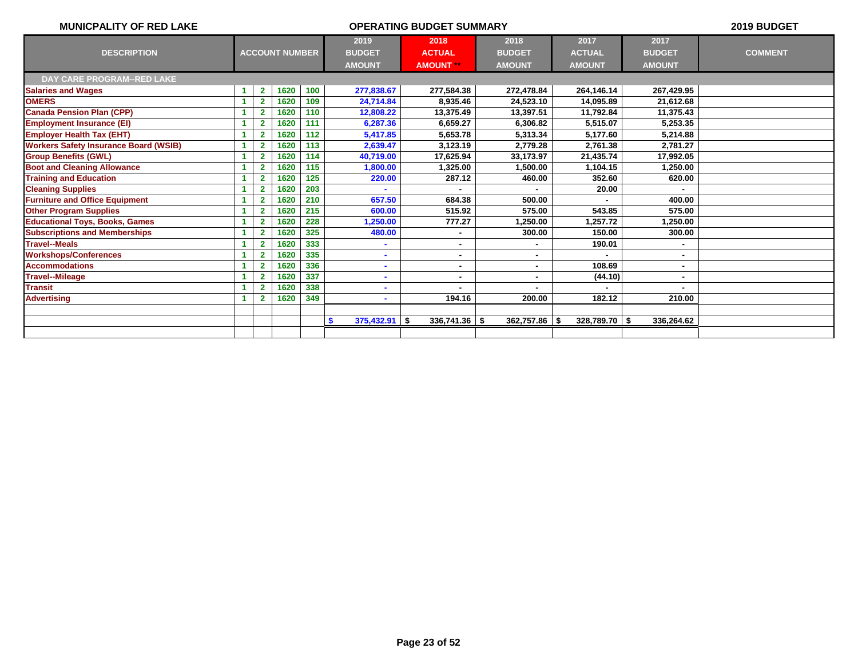| <b>MUNICPALITY OF RED LAKE</b>               |                         |                       |     | 2019 BUDGET            |                  |                 |                 |               |                |
|----------------------------------------------|-------------------------|-----------------------|-----|------------------------|------------------|-----------------|-----------------|---------------|----------------|
|                                              |                         |                       |     | 2019                   | 2018             | 2018            | 2017            | 2017          |                |
| <b>DESCRIPTION</b>                           |                         | <b>ACCOUNT NUMBER</b> |     | <b>BUDGET</b>          | <b>ACTUAL</b>    | <b>BUDGET</b>   | <b>ACTUAL</b>   | <b>BUDGET</b> | <b>COMMENT</b> |
|                                              |                         |                       |     | <b>AMOUNT</b>          | <b>AMOUNT **</b> | <b>AMOUNT</b>   | <b>AMOUNT</b>   | <b>AMOUNT</b> |                |
| DAY CARE PROGRAM--RED LAKE                   |                         |                       |     |                        |                  |                 |                 |               |                |
| <b>Salaries and Wages</b>                    | $\mathbf{2}$            | 1620                  | 100 | 277,838.67             | 277,584.38       | 272,478.84      | 264,146.14      | 267,429.95    |                |
| <b>OMERS</b>                                 | $\overline{2}$          | 1620                  | 109 | 24,714.84              | 8,935.46         | 24,523.10       | 14,095.89       | 21,612.68     |                |
| <b>Canada Pension Plan (CPP)</b>             | $\overline{2}$          | 1620                  | 110 | 12,808.22              | 13,375.49        | 13,397.51       | 11,792.84       | 11,375.43     |                |
| <b>Employment Insurance (EI)</b>             | $\overline{2}$          | 1620                  | 111 | 6,287.36               | 6.659.27         | 6,306.82        | 5,515.07        | 5.253.35      |                |
| <b>Employer Health Tax (EHT)</b>             | $\overline{2}$          | 1620                  | 112 | 5,417.85               | 5,653.78         | 5,313.34        | 5,177.60        | 5,214.88      |                |
| <b>Workers Safety Insurance Board (WSIB)</b> | $\overline{2}$          | 1620                  | 113 | 2,639.47               | 3,123.19         | 2,779.28        | 2.761.38        | 2.781.27      |                |
| <b>Group Benefits (GWL)</b>                  | $\overline{2}$          | 1620                  | 114 | 40,719.00              | 17.625.94        | 33,173.97       | 21,435.74       | 17.992.05     |                |
| <b>Boot and Cleaning Allowance</b>           | $\overline{2}$          | 1620                  | 115 | 1,800.00               | 1,325.00         | 1,500.00        | 1,104.15        | 1,250.00      |                |
| <b>Training and Education</b>                | $\overline{\mathbf{2}}$ | 1620                  | 125 | 220.00                 | 287.12           | 460.00          | 352.60          | 620.00        |                |
| <b>Cleaning Supplies</b>                     | $\overline{\mathbf{2}}$ | 1620                  | 203 |                        |                  |                 | 20.00           |               |                |
| <b>Furniture and Office Equipment</b>        | 2                       | 1620                  | 210 | 657.50                 | 684.38           | 500.00          |                 | 400.00        |                |
| <b>Other Program Supplies</b>                | $\overline{\mathbf{2}}$ | 1620                  | 215 | 600.00                 | 515.92           | 575.00          | 543.85          | 575.00        |                |
| <b>Educational Toys, Books, Games</b>        |                         | 1620                  | 228 | 1,250.00               | 777.27           | 1,250.00        | 1,257.72        | 1,250.00      |                |
| <b>Subscriptions and Memberships</b>         |                         | 1620                  | 325 | 480.00                 |                  | 300.00          | 150.00          | 300.00        |                |
| <b>Travel--Meals</b>                         | $\overline{\mathbf{2}}$ | 1620                  | 333 |                        | $\blacksquare$   |                 | 190.01          |               |                |
| <b>Workshops/Conferences</b>                 |                         | 1620                  | 335 |                        | $\blacksquare$   |                 |                 |               |                |
| <b>Accommodations</b>                        | $\overline{2}$          | 1620                  | 336 |                        | $\blacksquare$   |                 | 108.69          |               |                |
| <b>Travel--Mileage</b>                       | $\overline{\mathbf{2}}$ | 1620                  | 337 |                        |                  |                 | (44.10)         |               |                |
| <b>Transit</b>                               | $\overline{2}$          | 1620                  | 338 |                        |                  |                 |                 |               |                |
| <b>Advertising</b>                           |                         | 1620                  | 349 |                        | 194.16           | 200.00          | 182.12          | 210.00        |                |
|                                              |                         |                       |     |                        |                  |                 |                 |               |                |
|                                              |                         |                       |     | $375,432.91$ \$<br>-\$ | $336,741.36$ \$  | $362,757.86$ \$ | $328,789.70$ \$ | 336,264.62    |                |
|                                              |                         |                       |     |                        |                  |                 |                 |               |                |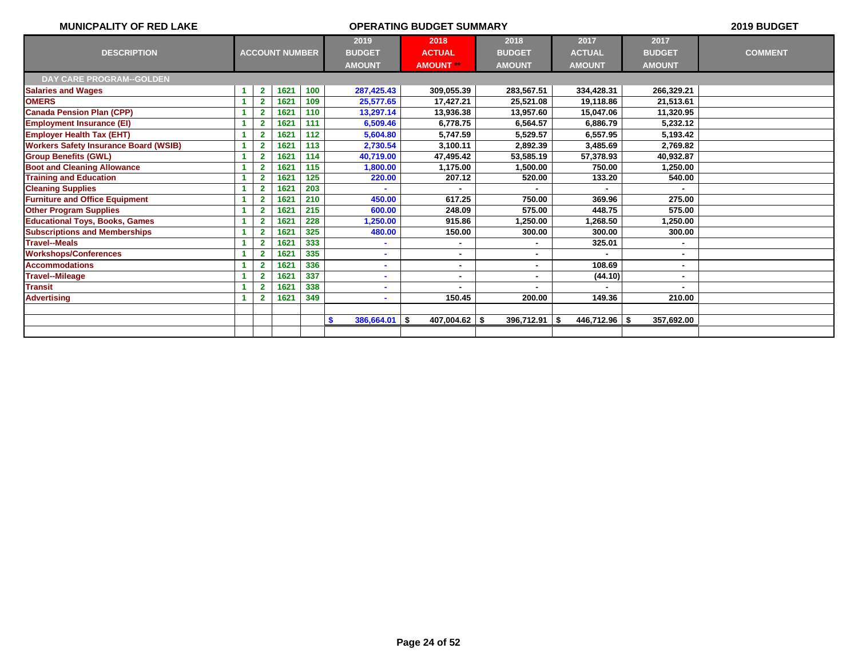| <b>MUNICPALITY OF RED LAKE</b>               |                         |                       |     |                       | 2019 BUDGET      |                 |               |                          |                |
|----------------------------------------------|-------------------------|-----------------------|-----|-----------------------|------------------|-----------------|---------------|--------------------------|----------------|
|                                              |                         |                       |     | 2019                  | 2018             | 2018            | 2017          | 2017                     |                |
| <b>DESCRIPTION</b>                           |                         | <b>ACCOUNT NUMBER</b> |     | <b>BUDGET</b>         | <b>ACTUAL</b>    | <b>BUDGET</b>   | <b>ACTUAL</b> | <b>BUDGET</b>            | <b>COMMENT</b> |
|                                              |                         |                       |     | <b>AMOUNT</b>         | <b>AMOUNT **</b> | <b>AMOUNT</b>   | <b>AMOUNT</b> | <b>AMOUNT</b>            |                |
| <b>DAY CARE PROGRAM--GOLDEN</b>              |                         |                       |     |                       |                  |                 |               |                          |                |
| <b>Salaries and Wages</b>                    | $\mathbf{2}$            | 1621                  | 100 | 287,425.43            | 309,055.39       | 283,567.51      | 334,428.31    | 266,329.21               |                |
| <b>OMERS</b>                                 | $\mathbf{2}$            | 1621                  | 109 | 25,577.65             | 17,427.21        | 25,521.08       | 19,118.86     | 21,513.61                |                |
| <b>Canada Pension Plan (CPP)</b>             | 2                       | 1621                  | 110 | 13,297.14             | 13,936.38        | 13,957.60       | 15,047.06     | 11,320.95                |                |
| <b>Employment Insurance (EI)</b>             | $\mathbf{2}$            | 1621                  | 111 | 6,509.46              | 6.778.75         | 6,564.57        | 6.886.79      | 5.232.12                 |                |
| <b>Employer Health Tax (EHT)</b>             | $\overline{\mathbf{2}}$ | 1621                  | 112 | 5,604.80              | 5.747.59         | 5,529.57        | 6,557.95      | 5,193.42                 |                |
| <b>Workers Safety Insurance Board (WSIB)</b> | $\overline{2}$          | 1621                  | 113 | 2,730.54              | 3.100.11         | 2.892.39        | 3.485.69      | 2.769.82                 |                |
| <b>Group Benefits (GWL)</b>                  | $\overline{2}$          | 1621                  | 114 | 40,719.00             | 47.495.42        | 53,585.19       | 57,378.93     | 40.932.87                |                |
| <b>Boot and Cleaning Allowance</b>           | $\overline{2}$          | 1621                  | 115 | 1,800.00              | 1,175.00         | 1,500.00        | 750.00        | 1,250.00                 |                |
| <b>Training and Education</b>                | $\overline{2}$          | 1621                  | 125 | 220.00                | 207.12           | 520.00          | 133.20        | 540.00                   |                |
| <b>Cleaning Supplies</b>                     | $\overline{2}$          | 1621                  | 203 |                       |                  |                 |               |                          |                |
| <b>Furniture and Office Equipment</b>        | 2                       | 1621                  | 210 | 450.00                | 617.25           | 750.00          | 369.96        | 275.00                   |                |
| <b>Other Program Supplies</b>                | $\overline{2}$          | 1621                  | 215 | 600.00                | 248.09           | 575.00          | 448.75        | 575.00                   |                |
| <b>Educational Toys, Books, Games</b>        | $\overline{2}$          | 1621                  | 228 | 1,250.00              | 915.86           | 1,250.00        | ,268.50       | 1,250.00                 |                |
| <b>Subscriptions and Memberships</b>         | $\overline{2}$          | 1621                  | 325 | 480.00                | 150.00           | 300.00          | 300.00        | 300.00                   |                |
| <b>Travel--Meals</b>                         | 2                       | 1621                  | 333 |                       | $\blacksquare$   | $\blacksquare$  | 325.01        | $\sim$                   |                |
| <b>Workshops/Conferences</b>                 | $\mathbf{2}$            | 1621                  | 335 |                       | $\blacksquare$   |                 |               | $\overline{\phantom{a}}$ |                |
| <b>Accommodations</b>                        |                         | 1621                  | 336 |                       | $\blacksquare$   |                 | 108.69        |                          |                |
| <b>Travel--Mileage</b>                       |                         | 1621                  | 337 |                       | $\blacksquare$   |                 | (44.10)       |                          |                |
| <b>Transit</b>                               |                         | 1621                  | 338 |                       |                  |                 |               |                          |                |
| <b>Advertising</b>                           |                         | 1621                  | 349 |                       | 150.45           | 200.00          | 149.36        | 210.00                   |                |
|                                              |                         |                       |     |                       |                  |                 |               |                          |                |
|                                              |                         |                       |     | $386,664.01$ \$<br>\$ | 407,004.62 \$    | $396,712.91$ \$ | 446,712.96 \$ | 357,692.00               |                |
|                                              |                         |                       |     |                       |                  |                 |               |                          |                |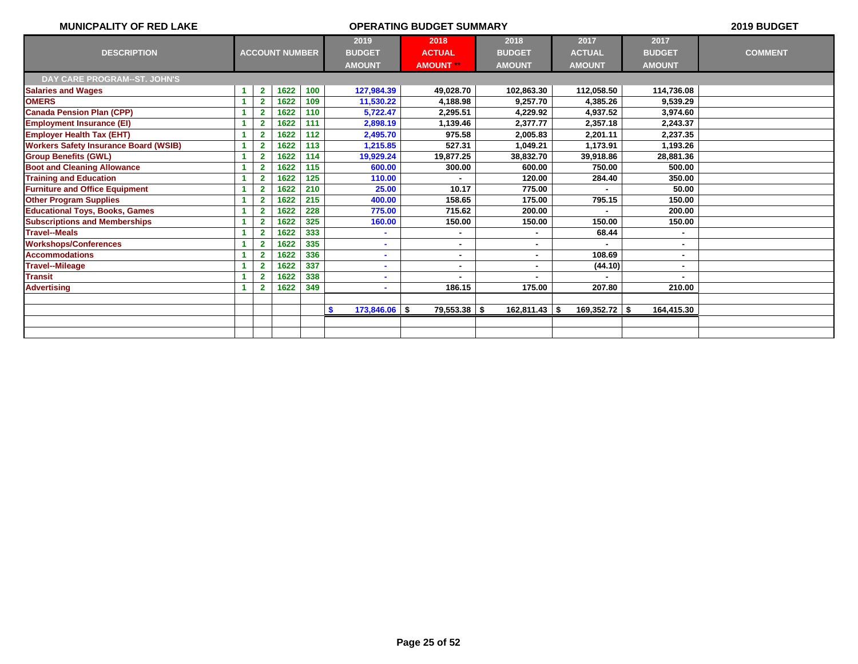| <b>MUNICPALITY OF RED LAKE</b>               |    |                         |                       |     | 2019 BUDGET           |                  |                        |                 |               |                |
|----------------------------------------------|----|-------------------------|-----------------------|-----|-----------------------|------------------|------------------------|-----------------|---------------|----------------|
|                                              |    |                         |                       |     | 2019                  | 2018             | 2018                   | 2017            | 2017          |                |
| <b>DESCRIPTION</b>                           |    |                         | <b>ACCOUNT NUMBER</b> |     | <b>BUDGET</b>         | <b>ACTUAL</b>    | <b>BUDGET</b>          | <b>ACTUAL</b>   | <b>BUDGET</b> | <b>COMMENT</b> |
|                                              |    |                         |                       |     | <b>AMOUNT</b>         | <b>AMOUNT **</b> | <b>AMOUNT</b>          | <b>AMOUNT</b>   | <b>AMOUNT</b> |                |
| DAY CARE PROGRAM--ST. JOHN'S                 |    |                         |                       |     |                       |                  |                        |                 |               |                |
| <b>Salaries and Wages</b>                    |    | $\mathbf{2}$            | 1622                  | 100 | 127,984.39            | 49,028.70        | 102,863.30             | 112,058.50      | 114,736.08    |                |
| <b>OMERS</b>                                 | 1  | $\overline{2}$          | 1622                  | 109 | 11,530.22             | 4,188.98         | 9,257.70               | 4,385.26        | 9,539.29      |                |
| <b>Canada Pension Plan (CPP)</b>             |    | $\overline{2}$          | 1622                  | 110 | 5,722.47              | 2.295.51         | 4,229.92               | 4,937.52        | 3,974.60      |                |
| <b>Employment Insurance (EI)</b>             |    | $\mathbf{2}$            | 1622                  | 111 | 2,898.19              | 1.139.46         | 2,377.77               | 2,357.18        | 2.243.37      |                |
| <b>Employer Health Tax (EHT)</b>             |    | $\overline{2}$          | 1622                  | 112 | 2,495.70              | 975.58           | 2,005.83               | 2,201.11        | 2,237.35      |                |
| <b>Workers Safety Insurance Board (WSIB)</b> |    | $\overline{2}$          | 1622                  | 113 | 1,215.85              | 527.31           | 1,049.21               | 1.173.91        | 1,193.26      |                |
| <b>Group Benefits (GWL)</b>                  |    | $\overline{2}$          | 1622                  | 114 | 19,929.24             | 19.877.25        | 38,832.70              | 39.918.86       | 28,881.36     |                |
| <b>Boot and Cleaning Allowance</b>           |    | $\overline{2}$          | 1622                  | 115 | 600.00                | 300.00           | 600.00                 | 750.00          | 500.00        |                |
| <b>Training and Education</b>                |    | $\overline{\mathbf{2}}$ | 1622                  | 125 | 110.00                |                  | 120.00                 | 284.40          | 350.00        |                |
| <b>Furniture and Office Equipment</b>        |    | $\mathbf{2}$            | 1622                  | 210 | 25.00                 | 10.17            | 775.00                 |                 | 50.00         |                |
| <b>Other Program Supplies</b>                |    | 2                       | 1622                  | 215 | 400.00                | 158.65           | 175.00                 | 795.15          | 150.00        |                |
| <b>Educational Toys, Books, Games</b>        |    | $\overline{2}$          | 1622                  | 228 | 775.00                | 715.62           | 200.00                 |                 | 200.00        |                |
| <b>Subscriptions and Memberships</b>         |    | 2                       | 1622                  | 325 | 160.00                | 150.00           | 150.00                 | 150.00          | 150.00        |                |
| <b>Travel--Meals</b>                         |    | $\overline{\mathbf{2}}$ | 1622                  | 333 |                       | ٠                |                        | 68.44           |               |                |
| <b>Workshops/Conferences</b>                 |    | 2                       | 1622                  | 335 |                       | ٠                |                        |                 |               |                |
| <b>Accommodations</b>                        |    | $\overline{2}$          | 1622                  | 336 |                       | ٠                |                        | 108.69          |               |                |
| <b>Travel--Mileage</b>                       |    | $\overline{2}$          | 1622                  | 337 |                       | ۰                |                        | (44.10)         |               |                |
| <b>Transit</b>                               |    | $\overline{\mathbf{2}}$ | 1622                  | 338 |                       |                  |                        |                 |               |                |
| <b>Advertising</b>                           | -1 | $\overline{2}$          | 1622                  | 349 |                       | 186.15           | 175.00                 | 207.80          | 210.00        |                |
|                                              |    |                         |                       |     |                       |                  |                        |                 |               |                |
|                                              |    |                         |                       |     | $173,846.06$ \$<br>-S | 79,553.38        | -\$<br>$162,811.43$ \$ | $169,352.72$ \$ | 164,415.30    |                |
|                                              |    |                         |                       |     |                       |                  |                        |                 |               |                |
|                                              |    |                         |                       |     |                       |                  |                        |                 |               |                |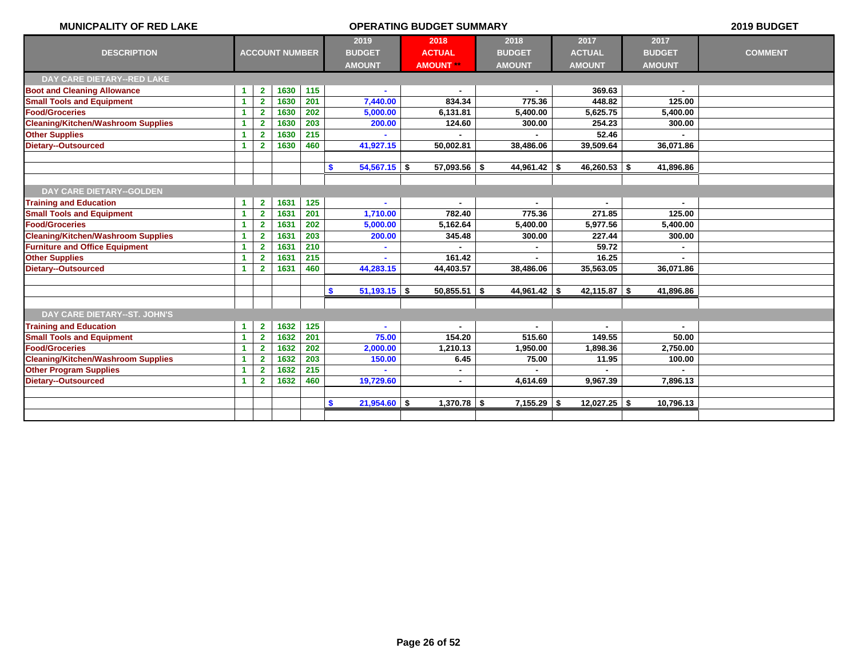| <b>MUNICPALITY OF RED LAKE</b>            |                      |                |                       |     |                                | <b>OPERATING BUDGET SUMMARY</b> |                |                |               | 2019 BUDGET    |
|-------------------------------------------|----------------------|----------------|-----------------------|-----|--------------------------------|---------------------------------|----------------|----------------|---------------|----------------|
|                                           |                      |                |                       |     | 2019                           | 2018                            | 2018           | 2017           | 2017          |                |
| <b>DESCRIPTION</b>                        |                      |                | <b>ACCOUNT NUMBER</b> |     | <b>BUDGET</b>                  | <b>ACTUAL</b>                   | <b>BUDGET</b>  | <b>ACTUAL</b>  | <b>BUDGET</b> | <b>COMMENT</b> |
|                                           |                      |                |                       |     | <b>AMOUNT</b>                  | <b>AMOUNT</b> **                | <b>AMOUNT</b>  | <b>AMOUNT</b>  | <b>AMOUNT</b> |                |
| <b>DAY CARE DIETARY--RED LAKE</b>         |                      |                |                       |     |                                |                                 |                |                |               |                |
| <b>Boot and Cleaning Allowance</b>        | $\blacktriangleleft$ | $\mathbf{2}$   | 1630                  | 115 |                                |                                 |                | 369.63         |               |                |
| <b>Small Tools and Equipment</b>          | $\blacktriangleleft$ | $\overline{2}$ | 1630                  | 201 | 7,440.00                       | 834.34                          | 775.36         | 448.82         | 125.00        |                |
| <b>Food/Groceries</b>                     | $\blacktriangleleft$ | $\overline{2}$ | 1630                  | 202 | 5,000.00                       | 6,131.81                        | 5,400.00       | 5,625.75       | 5,400.00      |                |
| <b>Cleaning/Kitchen/Washroom Supplies</b> | $\blacktriangleleft$ | $\overline{2}$ | 1630                  | 203 | 200.00                         | 124.60                          | 300.00         | 254.23         | 300.00        |                |
| <b>Other Supplies</b>                     | -1                   | $\overline{2}$ | 1630                  | 215 |                                |                                 |                | 52.46          |               |                |
| <b>Dietary--Outsourced</b>                | 1                    | $\overline{2}$ | 1630                  | 460 | 41,927.15                      | 50,002.81                       | 38,486.06      | 39,509.64      | 36,071.86     |                |
|                                           |                      |                |                       |     |                                |                                 |                |                |               |                |
|                                           |                      |                |                       |     | $54,567.15$ \$<br>S.           | $57,093.56$ \$                  | $44,961.42$ \$ | $46,260.53$ \$ | 41,896.86     |                |
|                                           |                      |                |                       |     |                                |                                 |                |                |               |                |
| <b>DAY CARE DIETARY--GOLDEN</b>           |                      |                |                       |     |                                |                                 |                |                |               |                |
| <b>Training and Education</b>             | $\blacktriangleleft$ | $\mathbf{2}$   | 1631                  | 125 |                                | $\blacksquare$                  | $\blacksquare$ | $\blacksquare$ | $\sim$        |                |
| <b>Small Tools and Equipment</b>          | $\blacktriangleleft$ | $\overline{2}$ | 1631                  | 201 | 1,710.00                       | 782.40                          | 775.36         | 271.85         | 125.00        |                |
| <b>Food/Groceries</b>                     | $\blacktriangleleft$ | $\overline{2}$ | 1631                  | 202 | 5,000.00                       | 5,162.64                        | 5,400.00       | 5,977.56       | 5,400.00      |                |
| <b>Cleaning/Kitchen/Washroom Supplies</b> | 1                    | $\overline{2}$ | 1631                  | 203 | 200.00                         | 345.48                          | 300.00         | 227.44         | 300.00        |                |
| <b>Furniture and Office Equipment</b>     | $\blacktriangleleft$ | $\overline{2}$ | 1631                  | 210 |                                |                                 |                | 59.72          |               |                |
| <b>Other Supplies</b>                     | $\blacktriangleleft$ | $\overline{2}$ | 1631                  | 215 |                                | 161.42                          |                | 16.25          |               |                |
| <b>Dietary--Outsourced</b>                | $\blacktriangleleft$ | $\overline{2}$ | 1631                  | 460 | 44,283.15                      | 44,403.57                       | 38,486.06      | 35,563.05      | 36,071.86     |                |
|                                           |                      |                |                       |     |                                |                                 |                |                |               |                |
|                                           |                      |                |                       |     | $\mathbf{s}$<br>$51,193.15$ \$ | $50,855.51$ \$                  | $44,961.42$ \$ | $42,115.87$ \$ | 41,896.86     |                |
|                                           |                      |                |                       |     |                                |                                 |                |                |               |                |
| DAY CARE DIETARY--ST. JOHN'S              |                      |                |                       |     |                                |                                 |                |                |               |                |
| <b>Training and Education</b>             | $\blacktriangleleft$ | $\mathbf{2}$   | 1632                  | 125 |                                |                                 |                |                |               |                |
| <b>Small Tools and Equipment</b>          | $\blacktriangleleft$ | $\overline{2}$ | 1632                  | 201 | 75.00                          | 154.20                          | 515.60         | 149.55         | 50.00         |                |
| <b>Food/Groceries</b>                     | 1                    | $\overline{2}$ | 1632                  | 202 | 2,000.00                       | 1,210.13                        | 1,950.00       | 1,898.36       | 2,750.00      |                |
| <b>Cleaning/Kitchen/Washroom Supplies</b> | 1                    | $\mathbf{2}$   | 1632                  | 203 | 150.00                         | 6.45                            | 75.00          | 11.95          | 100.00        |                |
| <b>Other Program Supplies</b>             | 1                    | $\mathbf{2}$   | 1632                  | 215 |                                |                                 |                |                |               |                |
| <b>Dietary--Outsourced</b>                | 1                    | $\overline{2}$ | 1632                  | 460 | 19,729.60                      | $\blacksquare$                  | 4,614.69       | 9,967.39       | 7,896.13      |                |
|                                           |                      |                |                       |     |                                |                                 |                |                |               |                |
|                                           |                      |                |                       |     | $21,954.60$ \$<br>S.           | $1,370.78$ \$                   | $7,155.29$ \$  | $12,027.25$ \$ | 10,796.13     |                |
|                                           |                      |                |                       |     |                                |                                 |                |                |               |                |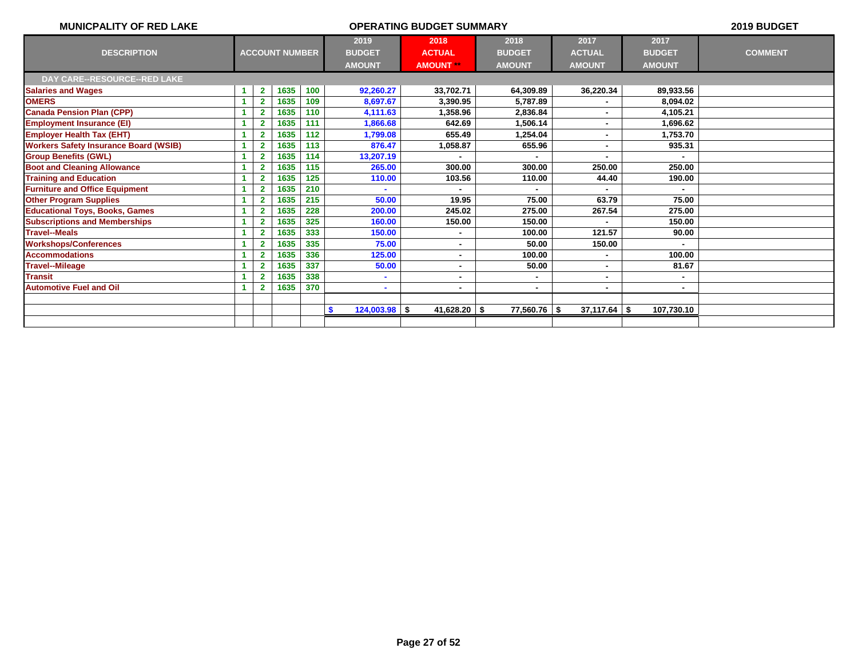| <b>MUNICPALITY OF RED LAKE</b>               |   |                |                       |     | 2019 BUDGET                      |                  |                |                  |               |                |
|----------------------------------------------|---|----------------|-----------------------|-----|----------------------------------|------------------|----------------|------------------|---------------|----------------|
|                                              |   |                |                       |     | 2019                             | 2018             | 2018           | 2017             | 2017          |                |
| <b>DESCRIPTION</b>                           |   |                | <b>ACCOUNT NUMBER</b> |     | <b>BUDGET</b>                    | <b>ACTUAL</b>    | <b>BUDGET</b>  | <b>ACTUAL</b>    | <b>BUDGET</b> | <b>COMMENT</b> |
|                                              |   |                |                       |     | <b>AMOUNT</b>                    | <b>AMOUNT **</b> | <b>AMOUNT</b>  | <b>AMOUNT</b>    | <b>AMOUNT</b> |                |
| DAY CARE--RESOURCE--RED LAKE                 |   |                |                       |     |                                  |                  |                |                  |               |                |
| <b>Salaries and Wages</b>                    | 1 | $\mathbf{2}$   | 1635                  | 100 | 92,260.27                        | 33,702.71        | 64,309.89      | 36,220.34        | 89,933.56     |                |
| <b>OMERS</b>                                 |   | $\mathbf{2}$   | 1635                  | 109 | 8,697.67                         | 3.390.95         | 5,787.89       | ٠                | 8,094.02      |                |
| <b>Canada Pension Plan (CPP)</b>             | 1 | $\overline{2}$ | 1635                  | 110 | 4,111.63                         | 1.358.96         | 2,836.84       |                  | 4.105.21      |                |
| <b>Employment Insurance (EI)</b>             |   |                | 1635                  | 111 | 1,866.68                         | 642.69           | 1,506.14       | ۰                | 1,696.62      |                |
| <b>Employer Health Tax (EHT)</b>             |   |                | 1635                  | 112 | 1,799.08                         | 655.49           | 1,254.04       | ٠                | 1,753.70      |                |
| <b>Workers Safety Insurance Board (WSIB)</b> |   | $\overline{2}$ | 1635                  | 113 | 876.47                           | 1,058.87         | 655.96         | $\blacksquare$   | 935.31        |                |
| <b>Group Benefits (GWL)</b>                  |   |                | 1635                  | 114 | 13,207.19                        |                  |                |                  |               |                |
| <b>Boot and Cleaning Allowance</b>           |   |                | 1635                  | 115 | 265.00                           | 300.00           | 300.00         | 250.00           | 250.00        |                |
| <b>Training and Education</b>                |   | $\mathbf{2}$   | 1635                  | 125 | 110.00                           | 103.56           | 110.00         | 44.40            | 190.00        |                |
| <b>Furniture and Office Equipment</b>        |   | 2              | 1635                  | 210 |                                  |                  |                |                  |               |                |
| <b>Other Program Supplies</b>                |   |                | 1635                  | 215 | 50.00                            | 19.95            | 75.00          | 63.79            | 75.00         |                |
| <b>Educational Toys, Books, Games</b>        |   | $\mathbf{2}$   | 1635                  | 228 | 200.00                           | 245.02           | 275.00         | 267.54           | 275.00        |                |
| <b>Subscriptions and Memberships</b>         |   |                | 1635                  | 325 | 160.00                           | 150.00           | 150.00         |                  | 150.00        |                |
| <b>Travel--Meals</b>                         |   | 2              | 1635                  | 333 | 150.00                           |                  | 100.00         | 121.57           | 90.00         |                |
| <b>Workshops/Conferences</b>                 |   |                | 1635                  | 335 | 75.00                            | $\blacksquare$   | 50.00          | 150.00           |               |                |
| <b>Accommodations</b>                        |   |                | 1635                  | 336 | 125.00                           | ٠                | 100.00         | ٠                | 100.00        |                |
| <b>Travel--Mileage</b>                       |   | 2              | 1635                  | 337 | 50.00                            | $\blacksquare$   | 50.00          | ٠                | 81.67         |                |
| <b>Transit</b>                               |   |                | 1635                  | 338 |                                  | ۰                |                | ۰                |               |                |
| <b>Automotive Fuel and Oil</b>               |   |                | 1635                  | 370 | $\blacksquare$                   | ٠                | $\blacksquare$ | ٠                |               |                |
|                                              |   |                |                       |     |                                  |                  |                |                  |               |                |
|                                              |   |                |                       |     | $\mathbf{\$}$<br>$124,003.98$ \$ | $41,628.20$ \$   | 77,560.76 \$   | $37,117.64$ \ \$ | 107,730.10    |                |
|                                              |   |                |                       |     |                                  |                  |                |                  |               |                |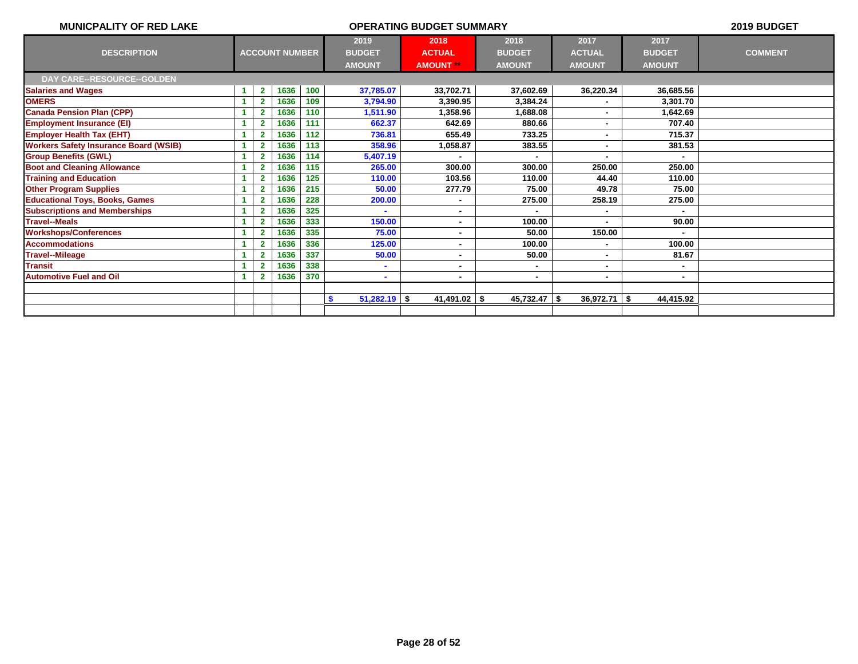| <b>MUNICPALITY OF RED LAKE</b>               |                         | 2019 BUDGET           |     |                                        |                                           |                                        |                                        |                                        |                |
|----------------------------------------------|-------------------------|-----------------------|-----|----------------------------------------|-------------------------------------------|----------------------------------------|----------------------------------------|----------------------------------------|----------------|
| <b>DESCRIPTION</b>                           |                         | <b>ACCOUNT NUMBER</b> |     | 2019<br><b>BUDGET</b><br><b>AMOUNT</b> | 2018<br><b>ACTUAL</b><br><b>AMOUNT **</b> | 2018<br><b>BUDGET</b><br><b>AMOUNT</b> | 2017<br><b>ACTUAL</b><br><b>AMOUNT</b> | 2017<br><b>BUDGET</b><br><b>AMOUNT</b> | <b>COMMENT</b> |
| <b>DAY CARE--RESOURCE--GOLDEN</b>            |                         |                       |     |                                        |                                           |                                        |                                        |                                        |                |
| <b>Salaries and Wages</b>                    | $\mathbf{2}$            | 1636                  | 100 | 37,785.07                              | 33,702.71                                 | 37,602.69                              | 36,220.34                              | 36,685.56                              |                |
| <b>OMERS</b>                                 | $\overline{2}$          | 1636                  | 109 | 3,794.90                               | 3.390.95                                  | 3,384.24                               |                                        | 3.301.70                               |                |
| <b>Canada Pension Plan (CPP)</b>             | $\overline{2}$          | 1636                  | 110 | 1,511.90                               | 1,358.96                                  | 1,688.08                               |                                        | 1,642.69                               |                |
| <b>Employment Insurance (EI)</b>             | 2                       | 1636                  | 111 | 662.37                                 | 642.69                                    | 880.66                                 |                                        | 707.40                                 |                |
| <b>Employer Health Tax (EHT)</b>             |                         | 1636                  | 112 | 736.81                                 | 655.49                                    | 733.25                                 |                                        | 715.37                                 |                |
| <b>Workers Safety Insurance Board (WSIB)</b> | $\overline{\mathbf{2}}$ | 1636                  | 113 | 358.96                                 | 1,058.87                                  | 383.55                                 |                                        | 381.53                                 |                |
| <b>Group Benefits (GWL)</b>                  | 2                       | 1636                  | 114 | 5,407.19                               |                                           |                                        |                                        |                                        |                |
| <b>Boot and Cleaning Allowance</b>           |                         | 1636                  | 115 | 265.00                                 | 300.00                                    | 300.00                                 | 250.00                                 | 250.00                                 |                |
| <b>Training and Education</b>                | 2                       | 1636                  | 125 | 110.00                                 | 103.56                                    | 110.00                                 | 44.40                                  | 110.00                                 |                |
| <b>Other Program Supplies</b>                | $\overline{\mathbf{2}}$ | 1636                  | 215 | 50.00                                  | 277.79                                    | 75.00                                  | 49.78                                  | 75.00                                  |                |
| <b>Educational Toys, Books, Games</b>        |                         | 1636                  | 228 | 200.00                                 | $\blacksquare$                            | 275.00                                 | 258.19                                 | 275.00                                 |                |
| <b>Subscriptions and Memberships</b>         |                         | 1636                  | 325 |                                        |                                           |                                        |                                        |                                        |                |
| <b>Travel--Meals</b>                         | $\overline{\mathbf{2}}$ | 1636                  | 333 | 150.00                                 | $\blacksquare$                            | 100.00                                 |                                        | 90.00                                  |                |
| <b>Workshops/Conferences</b>                 |                         | 1636                  | 335 | 75.00                                  | ۰                                         | 50.00                                  | 150.00                                 |                                        |                |
| <b>Accommodations</b>                        |                         | 1636                  | 336 | 125.00                                 | ۰                                         | 100.00                                 |                                        | 100.00                                 |                |
| <b>Travel--Mileage</b>                       | 2                       | 1636                  | 337 | 50.00                                  | $\blacksquare$                            | 50.00                                  |                                        | 81.67                                  |                |
| <b>Transit</b>                               |                         | 1636                  | 338 |                                        | ۰                                         |                                        |                                        |                                        |                |
| <b>Automotive Fuel and Oil</b>               | 2                       | 1636                  | 370 | $\sim$                                 | $\blacksquare$                            | $\blacksquare$                         | ٠                                      | $\sim$                                 |                |
|                                              |                         |                       |     |                                        |                                           |                                        |                                        |                                        |                |
|                                              |                         |                       |     | $51,282.19$ \$<br>\$                   | 41,491.02                                 | $45,732.47$ \$<br>\$                   | 36,972.71                              | 44,415.92<br>-\$                       |                |
|                                              |                         |                       |     |                                        |                                           |                                        |                                        |                                        |                |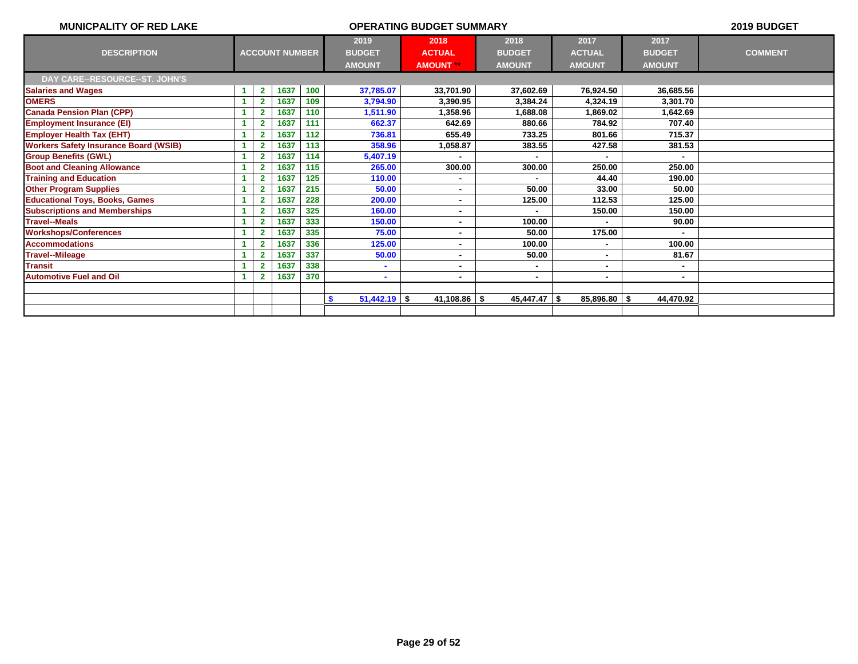| <b>MUNICPALITY OF RED LAKE</b>               |    |                          |                       |     | 2019 BUDGET                |                         |                 |                |               |                |
|----------------------------------------------|----|--------------------------|-----------------------|-----|----------------------------|-------------------------|-----------------|----------------|---------------|----------------|
|                                              |    |                          |                       |     | 2019                       | 2018                    | 2018            | 2017           | 2017          |                |
| <b>DESCRIPTION</b>                           |    |                          | <b>ACCOUNT NUMBER</b> |     | <b>BUDGET</b>              | <b>ACTUAL</b>           | <b>BUDGET</b>   | <b>ACTUAL</b>  | <b>BUDGET</b> | <b>COMMENT</b> |
|                                              |    |                          |                       |     | <b>AMOUNT</b>              | <b>AMOUNT</b> **        | <b>AMOUNT</b>   | <b>AMOUNT</b>  | <b>AMOUNT</b> |                |
| DAY CARE--RESOURCE--ST. JOHN'S               |    |                          |                       |     |                            |                         |                 |                |               |                |
| <b>Salaries and Wages</b>                    |    | $\mathbf{2}$             | 1637                  | 100 | 37,785.07                  | 33,701.90               | 37,602.69       | 76,924.50      | 36,685.56     |                |
| <b>OMERS</b>                                 |    | $\overline{2}$           | 1637                  | 109 | 3,794.90                   | 3,390.95                | 3,384.24        | 4,324.19       | 3,301.70      |                |
| <b>Canada Pension Plan (CPP)</b>             | -4 | $\mathbf{2}$             | 1637                  | 110 | 1,511.90                   | 1.358.96                | 1,688.08        | 1.869.02       | 1.642.69      |                |
| <b>Employment Insurance (EI)</b>             |    | $\overline{\phantom{a}}$ | 1637                  | 111 | 662.37                     | 642.69                  | 880.66          | 784.92         | 707.40        |                |
| <b>Employer Health Tax (EHT)</b>             |    | $\overline{\mathbf{2}}$  | 1637                  | 112 | 736.81                     | 655.49                  | 733.25          | 801.66         | 715.37        |                |
| <b>Workers Safety Insurance Board (WSIB)</b> |    | $\overline{2}$           | 1637                  | 113 | 358.96                     | 1,058.87                | 383.55          | 427.58         | 381.53        |                |
| <b>Group Benefits (GWL)</b>                  |    | $\overline{2}$           | 1637                  | 114 | 5,407.19                   |                         |                 |                |               |                |
| <b>Boot and Cleaning Allowance</b>           |    |                          | 1637                  | 115 | 265.00                     | 300.00                  | 300.00          | 250.00         | 250.00        |                |
| <b>Training and Education</b>                |    | $\overline{2}$           | 1637                  | 125 | 110.00                     | $\blacksquare$          |                 | 44.40          | 190.00        |                |
| <b>Other Program Supplies</b>                | -4 | $\overline{2}$           | 1637                  | 215 | 50.00                      | $\blacksquare$          | 50.00           | 33.00          | 50.00         |                |
| <b>Educational Toys, Books, Games</b>        |    | $\overline{\mathbf{2}}$  | 1637                  | 228 | 200.00                     | $\blacksquare$          | 125.00          | 112.53         | 125.00        |                |
| <b>Subscriptions and Memberships</b>         |    | $\overline{2}$           | 1637                  | 325 | 160.00                     | ۰                       |                 | 150.00         | 150.00        |                |
| <b>Travel--Meals</b>                         |    | $\overline{2}$           | 1637                  | 333 | 150.00                     | $\blacksquare$          | 100.00          |                | 90.00         |                |
| <b>Workshops/Conferences</b>                 |    |                          | 1637                  | 335 | 75.00                      | ٠                       | 50.00           | 175.00         |               |                |
| <b>Accommodations</b>                        |    | $\overline{\mathbf{2}}$  | 1637                  | 336 | 125.00                     | ۰                       | 100.00          |                | 100.00        |                |
| <b>Travel--Mileage</b>                       |    | $\overline{2}$           | 1637                  | 337 | 50.00                      | ۰                       | 50.00           | ٠              | 81.67         |                |
| <b>Transit</b>                               |    |                          | 1637                  | 338 |                            | ۰                       |                 |                |               |                |
| <b>Automotive Fuel and Oil</b>               |    | $\overline{\mathbf{2}}$  | 1637                  | 370 | $\blacksquare$             | $\blacksquare$          | ٠               | ۰.             | $\sim$        |                |
|                                              |    |                          |                       |     |                            |                         |                 |                |               |                |
|                                              |    |                          |                       |     | $51,442.19$ \$<br><b>S</b> | 41,108.86 $\frac{1}{2}$ | $45,447.47$ \\$ | $85,896.80$ \$ | 44,470.92     |                |
|                                              |    |                          |                       |     |                            |                         |                 |                |               |                |
|                                              |    |                          |                       |     |                            |                         |                 |                |               |                |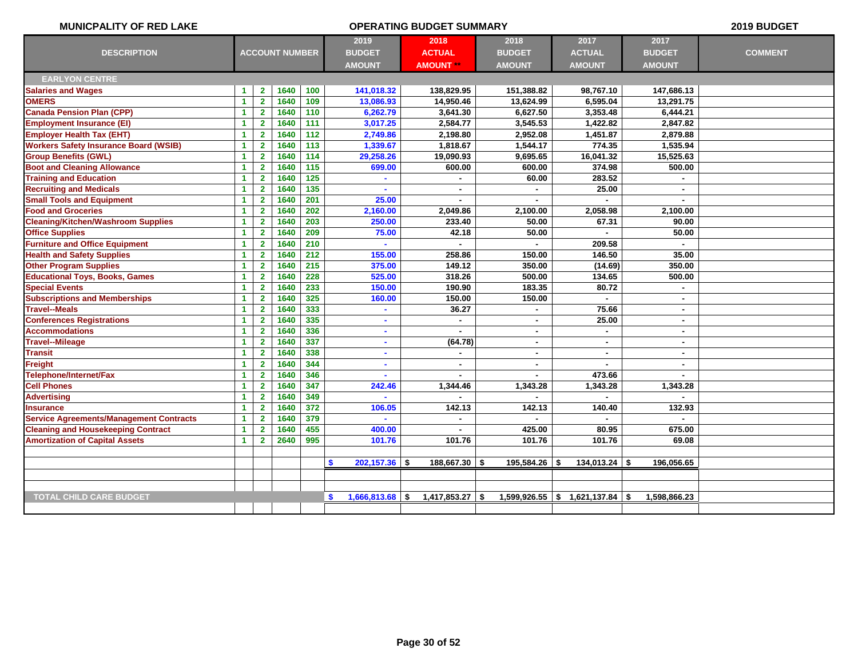| <b>MUNICPALITY OF RED LAKE</b>                 |                      |                         |                       |                  |                          | <b>OPERATING BUDGET SUMMARY</b> |                |                                     |                | 2019 BUDGET    |
|------------------------------------------------|----------------------|-------------------------|-----------------------|------------------|--------------------------|---------------------------------|----------------|-------------------------------------|----------------|----------------|
|                                                |                      |                         |                       |                  | 2019                     | 2018                            | 2018           | 2017                                | 2017           |                |
| <b>DESCRIPTION</b>                             |                      |                         | <b>ACCOUNT NUMBER</b> |                  | <b>BUDGET</b>            | <b>ACTUAL</b>                   | <b>BUDGET</b>  | <b>ACTUAL</b>                       | <b>BUDGET</b>  | <b>COMMENT</b> |
|                                                |                      |                         |                       |                  | <b>AMOUNT</b>            | <b>AMOUNT **</b>                | <b>AMOUNT</b>  | <b>AMOUNT</b>                       | <b>AMOUNT</b>  |                |
| <b>EARLYON CENTRE</b>                          |                      |                         |                       |                  |                          |                                 |                |                                     |                |                |
| <b>Salaries and Wages</b>                      | $\mathbf{1}$         | 2 <sup>1</sup>          | 1640                  | 100              | 141,018.32               | 138,829.95                      | 151,388.82     | 98,767.10                           | 147,686.13     |                |
| <b>OMERS</b>                                   | $\blacktriangleleft$ | $\mathbf{2}$            | 1640                  | 109              | 13,086.93                | 14,950.46                       | 13,624.99      | 6.595.04                            | 13.291.75      |                |
| <b>Canada Pension Plan (CPP)</b>               | $\mathbf{1}$         | $\overline{2}$          | 1640                  | 110              | 6,262.79                 | 3,641.30                        | 6,627.50       | 3,353.48                            | 6,444.21       |                |
| <b>Employment Insurance (EI)</b>               | $\blacktriangleleft$ | $\mathbf{2}$            | 1640                  | $\overline{111}$ | 3,017.25                 | 2,584.77                        | 3,545.53       | 1,422.82                            | 2,847.82       |                |
| <b>Employer Health Tax (EHT)</b>               | 1                    | $\mathbf{2}$            | 1640                  | 112              | 2,749.86                 | 2,198.80                        | 2,952.08       | 1,451.87                            | 2,879.88       |                |
| <b>Workers Safety Insurance Board (WSIB)</b>   | $\blacktriangleleft$ | $\overline{2}$          | 1640                  | 113              | 1,339.67                 | 1,818.67                        | 1,544.17       | 774.35                              | 1,535.94       |                |
| <b>Group Benefits (GWL)</b>                    | $\mathbf{1}$         | $\overline{2}$          | 1640                  | $\overline{114}$ | 29,258.26                | 19,090.93                       | 9,695.65       | 16,041.32                           | 15,525.63      |                |
| <b>Boot and Cleaning Allowance</b>             | $\blacktriangleleft$ | $\mathbf{2}$            | 1640                  | 115              | 699.00                   | 600.00                          | 600.00         | 374.98                              | 500.00         |                |
| <b>Training and Education</b>                  | $\blacktriangleleft$ | $\overline{2}$          | 1640                  | $\overline{125}$ | $\blacksquare$           |                                 | 60.00          | 283.52                              |                |                |
| <b>Recruiting and Medicals</b>                 | $\mathbf{1}$         | $\overline{2}$          | 1640                  | 135              |                          | $\blacksquare$                  | $\blacksquare$ | 25.00                               | $\blacksquare$ |                |
| <b>Small Tools and Equipment</b>               | 1                    | $\mathbf{2}$            | 1640                  | 201              | 25.00                    | $\blacksquare$                  | ×.             |                                     | $\blacksquare$ |                |
| <b>Food and Groceries</b>                      | $\mathbf{1}$         | $\mathbf{2}$            | 1640                  | 202              | 2,160.00                 | 2,049.86                        | 2,100.00       | 2,058.98                            | 2,100.00       |                |
| <b>Cleaning/Kitchen/Washroom Supplies</b>      | $\blacktriangleleft$ | $\overline{2}$          | 1640                  | 203              | 250.00                   | 233.40                          | 50.00          | 67.31                               | 90.00          |                |
| <b>Office Supplies</b>                         | $\mathbf{1}$         | $\overline{2}$          | 1640                  | 209              | 75.00                    | 42.18                           | 50.00          |                                     | 50.00          |                |
| <b>Furniture and Office Equipment</b>          | $\mathbf{1}$         | $\mathbf{2}$            | 1640                  | 210              | ÷                        | $\sim$                          | $\sim$         | 209.58                              | $\sim$         |                |
| <b>Health and Safety Supplies</b>              | 1                    | $\overline{2}$          | 1640                  | 212              | 155.00                   | 258.86                          | 150.00         | 146.50                              | 35.00          |                |
| <b>Other Program Supplies</b>                  | 1                    | $\overline{\mathbf{2}}$ | 1640                  | 215              | 375.00                   | 149.12                          | 350.00         | (14.69)                             | 350.00         |                |
| <b>Educational Toys, Books, Games</b>          | $\blacktriangleleft$ | $\mathbf{2}$            | 1640                  | 228              | 525.00                   | 318.26                          | 500.00         | 134.65                              | 500.00         |                |
| <b>Special Events</b>                          | $\mathbf{1}$         | $\mathbf{2}$            | 1640                  | 233              | 150.00                   | 190.90                          | 183.35         | 80.72                               |                |                |
| <b>Subscriptions and Memberships</b>           | $\mathbf{1}$         | $\overline{\mathbf{2}}$ | 1640                  | 325              | 160.00                   | 150.00                          | 150.00         |                                     | $\blacksquare$ |                |
| <b>Travel--Meals</b>                           | 1                    | $\mathbf{2}$            | 1640                  | 333              | ٠                        | 36.27                           | $\blacksquare$ | 75.66                               | ٠              |                |
| <b>Conferences Registrations</b>               | $\mathbf{1}$         | $\mathbf{2}$            | 1640                  | 335              | ä,                       | $\blacksquare$                  | $\blacksquare$ | 25.00                               | $\blacksquare$ |                |
| <b>Accommodations</b>                          | $\blacktriangleleft$ | $\overline{2}$          | 1640                  | 336              | ٠                        |                                 | $\blacksquare$ | $\sim$                              | $\blacksquare$ |                |
| <b>Travel--Mileage</b>                         | $\blacktriangleleft$ | $\overline{2}$          | 1640                  | 337              | ä                        | (64.78)                         | $\blacksquare$ | $\blacksquare$                      | $\blacksquare$ |                |
| <b>Transit</b>                                 | $\mathbf{1}$         | $\mathbf{2}$            | 1640                  | 338              | ÷.                       | $\sim$                          | $\blacksquare$ | $\sim$                              | $\blacksquare$ |                |
| <b>Freight</b>                                 | $\mathbf{1}$         | $\mathbf{2}$            | 1640                  | 344              | $\blacksquare$           | $\blacksquare$                  | $\blacksquare$ |                                     | $\sim$         |                |
| Telephone/Internet/Fax                         | $\mathbf{1}$         | $\overline{\mathbf{2}}$ | 1640                  | 346              |                          |                                 |                | 473.66                              |                |                |
| <b>Cell Phones</b>                             | $\blacktriangleleft$ | $\mathbf{2}$            | 1640                  | 347              | 242.46                   | 1,344.46                        | 1,343.28       | 1,343.28                            | 1,343.28       |                |
| <b>Advertising</b>                             | $\blacktriangleleft$ | $\mathbf{2}$            | 1640                  | 349              | $\overline{\phantom{a}}$ |                                 | $\sim$         |                                     |                |                |
| <b>Insurance</b>                               | 1                    | $\mathbf{2}$            | 1640                  | 372              | 106.05                   | 142.13                          | 142.13         | 140.40                              | 132.93         |                |
| <b>Service Agreements/Management Contracts</b> | $\blacktriangleleft$ | $\overline{2}$          | 1640                  | 379              |                          |                                 |                |                                     |                |                |
| <b>Cleaning and Housekeeping Contract</b>      | 1                    | $\mathbf{2}$            | 1640                  | 455              | 400.00                   |                                 | 425.00         | 80.95                               | 675.00         |                |
| <b>Amortization of Capital Assets</b>          | $\blacktriangleleft$ | $\mathbf{2}$            | 2640                  | 995              | 101.76                   | 101.76                          | 101.76         | 101.76                              | 69.08          |                |
|                                                |                      |                         |                       |                  |                          |                                 |                |                                     |                |                |
|                                                |                      |                         |                       |                  | $202,157.36$ \$<br>S.    | $188,667.30$ \\$                | 195,584.26 \$  | $134,013.24$ \$                     | 196,056.65     |                |
|                                                |                      |                         |                       |                  |                          |                                 |                |                                     |                |                |
|                                                |                      |                         |                       |                  |                          |                                 |                |                                     |                |                |
| <b>TOTAL CHILD CARE BUDGET</b>                 |                      |                         |                       |                  | $1,666,813.68$ \$<br>s.  | $1,417,853.27$ \$               |                | $1,599,926.55$ \$ $1,621,137.84$ \$ | 1,598,866.23   |                |
|                                                |                      |                         |                       |                  |                          |                                 |                |                                     |                |                |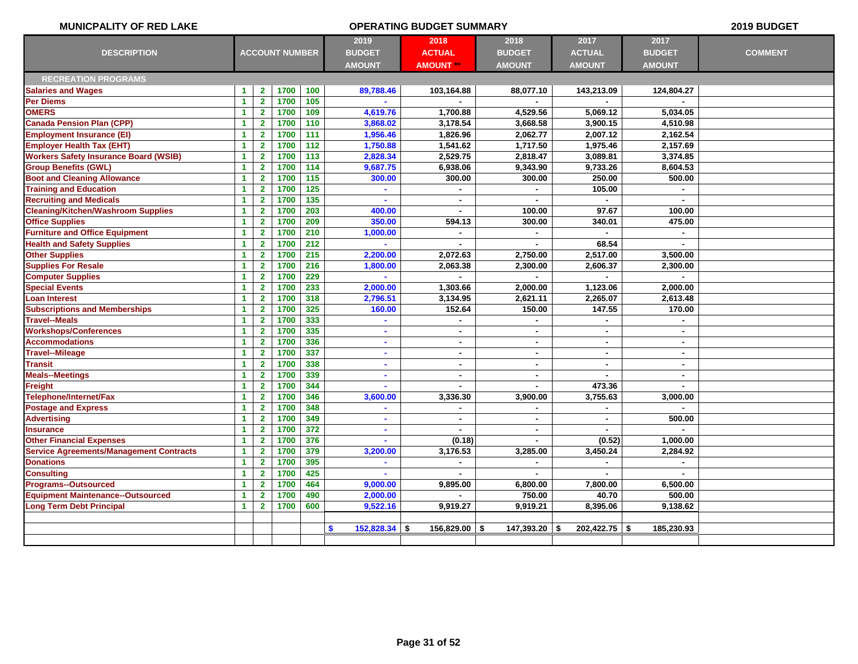| <b>MUNICPALITY OF RED LAKE</b>                 | <b>OPERATING BUDGET SUMMARY</b> |                         |                       |                  |                  |                        |                 |                 | 2019 BUDGET    |                |
|------------------------------------------------|---------------------------------|-------------------------|-----------------------|------------------|------------------|------------------------|-----------------|-----------------|----------------|----------------|
|                                                |                                 |                         |                       |                  | 2019             | 2018                   | 2018            | 2017            | 2017           |                |
| <b>DESCRIPTION</b>                             |                                 |                         | <b>ACCOUNT NUMBER</b> |                  | <b>BUDGET</b>    | <b>ACTUAL</b>          | <b>BUDGET</b>   | <b>ACTUAL</b>   | <b>BUDGET</b>  | <b>COMMENT</b> |
|                                                |                                 |                         |                       |                  | <b>AMOUNT</b>    | <b>AMOUNT **</b>       | <b>AMOUNT</b>   | <b>AMOUNT</b>   | <b>AMOUNT</b>  |                |
| <b>RECREATION PROGRAMS</b>                     |                                 |                         |                       |                  |                  |                        |                 |                 |                |                |
| <b>Salaries and Wages</b>                      | 1                               | $\mathbf{2}$            | 1700                  | 100              | 89,788.46        | 103,164.88             | 88,077.10       | 143,213.09      | 124,804.27     |                |
| Per Diems                                      | $\blacktriangleleft$            | $\overline{2}$          | 1700                  | $105$            |                  |                        |                 |                 |                |                |
| <b>OMERS</b>                                   | $\blacktriangleleft$            | $\overline{2}$          | 1700                  | 109              | 4,619.76         | 1,700.88               | 4,529.56        | 5,069.12        | 5,034.05       |                |
| <b>Canada Pension Plan (CPP)</b>               | $\blacktriangleleft$            | $\overline{2}$          | 1700                  | 110              | 3,868.02         | 3,178.54               | 3,668.58        | 3,900.15        | 4.510.98       |                |
| <b>Employment Insurance (EI)</b>               | $\blacktriangleleft$            | $\mathbf{2}$            | 1700                  | 111              | 1,956.46         | 1.826.96               | 2,062.77        | 2.007.12        | 2.162.54       |                |
| <b>Employer Health Tax (EHT)</b>               | $\blacktriangleleft$            | $\mathbf{2}$            | 1700                  | $\overline{112}$ | 1,750.88         | 1,541.62               | 1,717.50        | 1,975.46        | 2,157.69       |                |
| <b>Workers Safety Insurance Board (WSIB)</b>   | $\mathbf{1}$                    | $\overline{\mathbf{2}}$ | 1700                  | $\overline{113}$ | 2,828.34         | 2,529.75               | 2,818.47        | 3,089.81        | 3,374.85       |                |
| <b>Group Benefits (GWL)</b>                    | $\blacktriangleleft$            | $\overline{2}$          | 1700                  | 114              | 9,687.75         | 6,938.06               | 9,343.90        | 9,733.26        | 8,604.53       |                |
| <b>Boot and Cleaning Allowance</b>             | $\blacktriangleleft$            | $\mathbf{2}$            | 1700                  | 115              | 300.00           | 300.00                 | 300.00          | 250.00          | 500.00         |                |
| <b>Training and Education</b>                  | 1                               | $\mathbf{2}$            | 1700                  | $125$            |                  |                        | $\blacksquare$  | 105.00          | $\sim$         |                |
| <b>Recruiting and Medicals</b>                 | 1                               | $\mathbf{2}$            | 1700                  | 135              |                  | $\blacksquare$         |                 |                 |                |                |
| <b>Cleaning/Kitchen/Washroom Supplies</b>      | $\blacktriangleleft$            | $\overline{2}$          | 1700                  | 203              | 400.00           | ۰                      | 100.00          | 97.67           | 100.00         |                |
| <b>Office Supplies</b>                         | 1                               | $\overline{2}$          | 1700                  | 209              | 350.00           | 594.13                 | 300.00          | 340.01          | 475.00         |                |
| <b>Furniture and Office Equipment</b>          | $\blacktriangleleft$            | $\mathbf{2}$            | 1700                  | 210              | 1,000.00         | $\blacksquare$         | $\blacksquare$  |                 | $\blacksquare$ |                |
| <b>Health and Safety Supplies</b>              | $\blacktriangleleft$            | $\overline{2}$          | 1700                  | 212              | $\mathbf{r}$     | $\blacksquare$         | $\blacksquare$  | 68.54           | $\sim$         |                |
| <b>Other Supplies</b>                          | $\blacktriangleleft$            | $\overline{2}$          | 1700                  | 215              | 2,200.00         | 2,072.63               | 2,750.00        | 2,517.00        | 3,500.00       |                |
| <b>Supplies For Resale</b>                     | $\blacktriangleleft$            | $\overline{2}$          | 1700                  | 216              | 1,800.00         | 2,063.38               | 2,300.00        | 2,606.37        | 2,300.00       |                |
| <b>Computer Supplies</b>                       | 1                               | $\overline{2}$          | 1700                  | 229              |                  |                        |                 |                 |                |                |
| <b>Special Events</b>                          | $\mathbf{1}$                    | $\overline{2}$          | 1700                  | 233              | 2,000.00         | 1,303.66               | 2,000.00        | 1,123.06        | 2.000.00       |                |
| Loan Interest                                  | 1                               | $\mathbf{2}$            | 1700                  | 318              | 2,796.51         | 3,134.95               | 2,621.11        | 2,265.07        | 2,613.48       |                |
| <b>Subscriptions and Memberships</b>           | 1                               | $\mathbf{2}$            | 1700                  | 325              | 160.00           | 152.64                 | 150.00          | 147.55          | 170.00         |                |
| <b>Travel--Meals</b>                           | $\mathbf{1}$                    | $\mathbf{2}$            | 1700                  | 333              |                  |                        |                 |                 | $\sim$         |                |
| <b>Workshops/Conferences</b>                   | $\blacktriangleleft$            | $\mathbf{2}$            | 1700                  | 335              | $\sim$           | $\blacksquare$         | $\blacksquare$  | $\sim$          | $\blacksquare$ |                |
| <b>Accommodations</b>                          | $\blacktriangleleft$            | $\mathbf{2}$            | 1700                  | 336              | $\blacksquare$   | $\blacksquare$         | $\blacksquare$  | $\blacksquare$  | $\blacksquare$ |                |
| <b>Travel--Mileage</b>                         | $\mathbf{1}$                    | $\overline{2}$          | 1700                  | 337              | $\mathbf{r}$     | $\blacksquare$         | $\blacksquare$  | $\sim$          | $\sim$         |                |
| <b>Transit</b>                                 | $\mathbf{1}$                    | $\overline{2}$          | 1700                  | 338              | $\blacksquare$   | $\blacksquare$         | $\blacksquare$  | $\blacksquare$  | $\blacksquare$ |                |
| <b>Meals--Meetings</b>                         | 1                               | $\overline{2}$          | 1700                  | 339              | $\mathbf{r}$     | ä,                     | $\blacksquare$  | $\overline{a}$  | $\mathbf{r}$   |                |
| Freight                                        | -1                              | $\overline{2}$          | 1700                  | 344              |                  | ä,                     | $\blacksquare$  | 473.36          | $\sim$         |                |
| Telephone/Internet/Fax                         | $\blacktriangleleft$            | $\mathbf{2}$            | 1700                  | 346              | 3,600.00         | 3,336.30               | 3,900.00        | 3,755.63        | 3,000.00       |                |
| <b>Postage and Express</b>                     | 1                               | $\overline{2}$          | 1700                  | 348              |                  | $\blacksquare$         | $\blacksquare$  |                 |                |                |
| <b>Advertising</b>                             | 1                               | $\overline{2}$          | 1700                  | 349              | $\blacksquare$   | $\blacksquare$         | $\blacksquare$  | $\blacksquare$  | 500.00         |                |
| <b>Insurance</b>                               | 1                               | $\overline{2}$          | 1700                  | 372              | $\blacksquare$   | $\blacksquare$         | $\blacksquare$  | $\blacksquare$  |                |                |
| <b>Other Financial Expenses</b>                | $\blacktriangleleft$            | $\overline{2}$          | 1700                  | 376              | $\mathbf{r}$     | (0.18)                 | $\blacksquare$  | (0.52)          | 1,000.00       |                |
| <b>Service Agreements/Management Contracts</b> | $\blacktriangleleft$            | $\mathbf{2}$            | 1700                  | 379              | 3,200.00         | 3.176.53               | 3,285.00        | 3,450.24        | 2.284.92       |                |
| <b>Donations</b>                               | $\blacktriangleleft$            | $\overline{2}$          | 1700                  | 395              | ×                |                        | $\blacksquare$  |                 |                |                |
| <b>Consulting</b>                              | $\blacktriangleleft$            | $\overline{2}$          | 1700                  | 425              |                  | $\blacksquare$         | $\blacksquare$  | $\sim$          | $\mathbf{r}$   |                |
| <b>Programs--Outsourced</b>                    | $\blacktriangleleft$            | $\overline{2}$          | 1700                  | 464              | 9,000.00         | 9,895.00               | 6,800.00        | 7,800.00        | 6,500.00       |                |
| <b>Equipment Maintenance--Outsourced</b>       | $\blacktriangleleft$            | $\mathbf{2}$            | 1700                  | 490              | 2,000.00         |                        | 750.00          | 40.70           | 500.00         |                |
| <b>Long Term Debt Principal</b>                | $\blacktriangleleft$            | $\overline{2}$          | 1700                  | 600              | 9,522.16         | 9,919.27               | 9,919.21        | 8,395.06        | 9,138.62       |                |
|                                                |                                 |                         |                       |                  |                  |                        |                 |                 |                |                |
|                                                |                                 |                         |                       |                  | \$<br>152,828.34 | \$<br>$156,829.00$ \\$ | $147,393.20$ \$ | $202,422.75$ \$ | 185,230.93     |                |
|                                                |                                 |                         |                       |                  |                  |                        |                 |                 |                |                |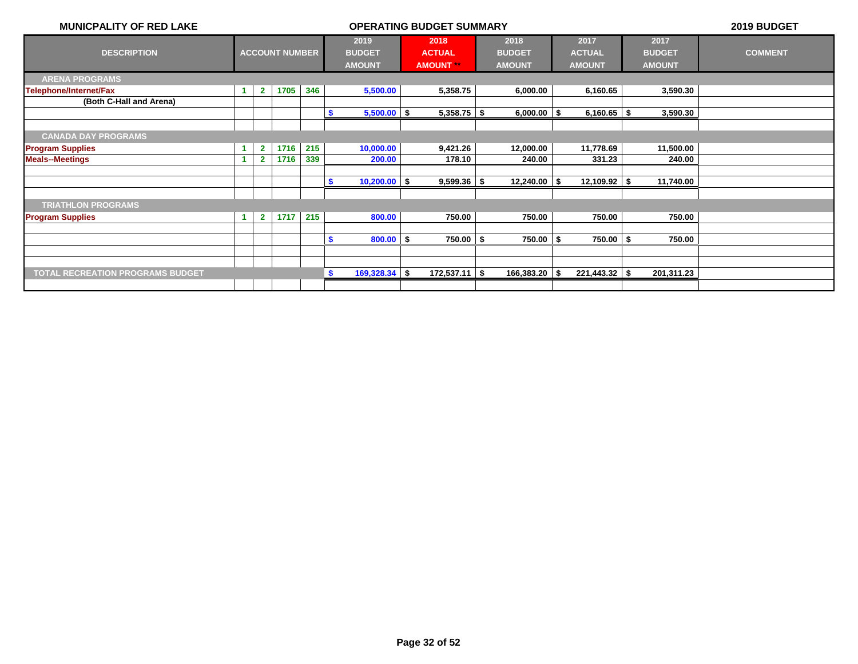| <b>MUNICPALITY OF RED LAKE</b>          | <b>OPERATING BUDGET SUMMARY</b> |                |                       |     |                                        |  |                                        |  |                                        |     |                                        | 2019 BUDGET |                                        |                |
|-----------------------------------------|---------------------------------|----------------|-----------------------|-----|----------------------------------------|--|----------------------------------------|--|----------------------------------------|-----|----------------------------------------|-------------|----------------------------------------|----------------|
| <b>DESCRIPTION</b>                      |                                 |                | <b>ACCOUNT NUMBER</b> |     | 2019<br><b>BUDGET</b><br><b>AMOUNT</b> |  | 2018<br><b>ACTUAL</b><br><b>AMOUNT</b> |  | 2018<br><b>BUDGET</b><br><b>AMOUNT</b> |     | 2017<br><b>ACTUAL</b><br><b>AMOUNT</b> |             | 2017<br><b>BUDGET</b><br><b>AMOUNT</b> | <b>COMMENT</b> |
| <b>ARENA PROGRAMS</b>                   |                                 |                |                       |     |                                        |  |                                        |  |                                        |     |                                        |             |                                        |                |
| Telephone/Internet/Fax                  |                                 | $\overline{2}$ | 1705                  | 346 | 5,500.00                               |  | 5,358.75                               |  | 6,000.00                               |     | 6,160.65                               |             | 3,590.30                               |                |
| (Both C-Hall and Arena)                 |                                 |                |                       |     |                                        |  |                                        |  |                                        |     |                                        |             |                                        |                |
|                                         |                                 |                |                       |     | $5,500.00$ \$<br>-\$                   |  | $5,358.75$ \$                          |  | $6,000.00$ \$                          |     | $6,160.65$ \$                          |             | 3,590.30                               |                |
|                                         |                                 |                |                       |     |                                        |  |                                        |  |                                        |     |                                        |             |                                        |                |
| <b>CANADA DAY PROGRAMS</b>              |                                 |                |                       |     |                                        |  |                                        |  |                                        |     |                                        |             |                                        |                |
| <b>Program Supplies</b>                 |                                 | $\mathbf{2}$   | 1716                  | 215 | 10,000.00                              |  | 9,421.26                               |  | 12,000.00                              |     | 11,778.69                              |             | 11,500.00                              |                |
| <b>Meals--Meetings</b>                  |                                 | $\overline{2}$ | 1716                  | 339 | 200.00                                 |  | 178.10                                 |  | 240.00                                 |     | 331.23                                 |             | 240.00                                 |                |
|                                         |                                 |                |                       |     |                                        |  |                                        |  |                                        |     |                                        |             |                                        |                |
|                                         |                                 |                |                       |     | $10,200.00$ \$<br>- \$                 |  | $9,599.36$ \$                          |  | $12,240.00$ \ \$                       |     | $12,109.92$ \$                         |             | 11,740.00                              |                |
|                                         |                                 |                |                       |     |                                        |  |                                        |  |                                        |     |                                        |             |                                        |                |
| <b>TRIATHLON PROGRAMS</b>               |                                 |                |                       |     |                                        |  |                                        |  |                                        |     |                                        |             |                                        |                |
| <b>Program Supplies</b>                 | -1                              | $\mathbf{2}$   | 1717                  | 215 | 800.00                                 |  | 750.00                                 |  | 750.00                                 |     | 750.00                                 |             | 750.00                                 |                |
|                                         |                                 |                |                       |     |                                        |  |                                        |  |                                        |     |                                        |             |                                        |                |
|                                         |                                 |                |                       |     | $800.00$ \$<br>-S                      |  | $750.00$ \\$                           |  | $750.00$ \$                            |     | $750.00$   \$                          |             | 750.00                                 |                |
|                                         |                                 |                |                       |     |                                        |  |                                        |  |                                        |     |                                        |             |                                        |                |
|                                         |                                 |                |                       |     |                                        |  |                                        |  |                                        |     |                                        |             |                                        |                |
| <b>TOTAL RECREATION PROGRAMS BUDGET</b> |                                 |                |                       |     | $169,328.34$ \$<br>S.                  |  | $172,537.11$ \$                        |  | 166,383.20                             | -\$ | $221,443.32$ \ \$                      |             | 201,311.23                             |                |
|                                         |                                 |                |                       |     |                                        |  |                                        |  |                                        |     |                                        |             |                                        |                |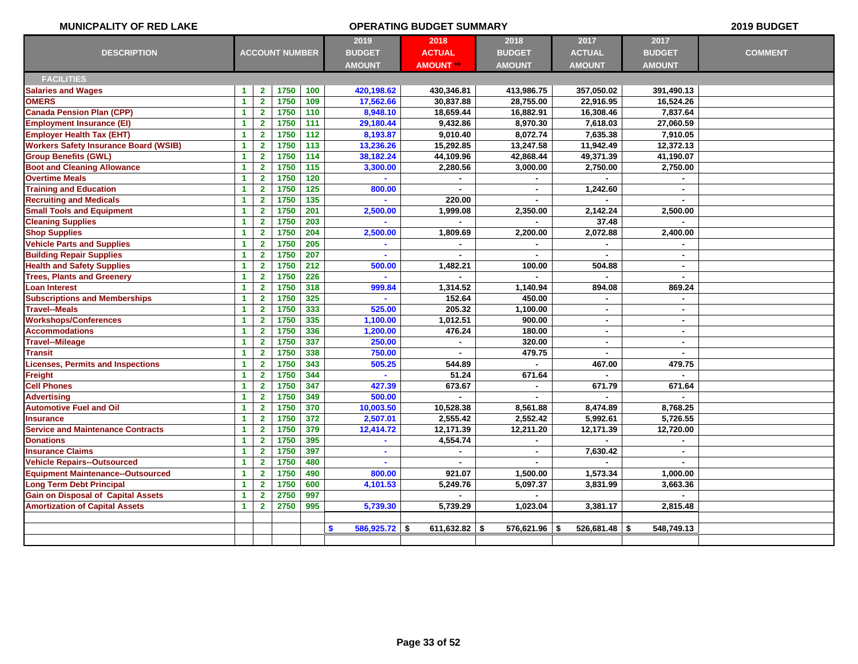| <b>MUNICPALITY OF RED LAKE</b>               |                      |                         |                       |                  |                       | <b>OPERATING BUDGET SUMMARY</b> |                    |                   |                   | 2019 BUDGET    |
|----------------------------------------------|----------------------|-------------------------|-----------------------|------------------|-----------------------|---------------------------------|--------------------|-------------------|-------------------|----------------|
|                                              |                      |                         |                       |                  | 2019                  | 2018                            | 2018               | 2017              | 2017              |                |
| <b>DESCRIPTION</b>                           |                      |                         | <b>ACCOUNT NUMBER</b> |                  | <b>BUDGET</b>         | <b>ACTUAL</b>                   | <b>BUDGET</b>      | <b>ACTUAL</b>     | <b>BUDGET</b>     | <b>COMMENT</b> |
|                                              |                      |                         |                       |                  | <b>AMOUNT</b>         | <b>AMOUNT</b>                   | <b>AMOUNT</b>      | <b>AMOUNT</b>     | <b>AMOUNT</b>     |                |
| <b>FACILITIES</b>                            |                      |                         |                       |                  |                       |                                 |                    |                   |                   |                |
| <b>Salaries and Wages</b>                    | 1                    | $\mathbf{2}$            | 1750                  | 100              | 420,198.62            | 430,346.81                      | 413,986.75         | 357,050.02        | 391,490.13        |                |
| <b>OMERS</b>                                 | $\mathbf{1}$         | $\mathbf{2}$            | 1750                  | 109              | 17,562.66             | 30,837.88                       | 28,755.00          | 22,916.95         | 16,524.26         |                |
| <b>Canada Pension Plan (CPP)</b>             | $\mathbf{1}$         | $\overline{\mathbf{2}}$ | 1750                  | 110              | 8,948.10              | 18,659.44                       | 16,882.91          | 16,308.46         | 7,837.64          |                |
| <b>Employment Insurance (EI)</b>             | $\mathbf{1}$         | $\mathbf{2}$            | 1750                  | $\overline{111}$ | 29,180.44             | 9,432.86                        | 8,970.30           | 7,618.03          | 27,060.59         |                |
| <b>Employer Health Tax (EHT)</b>             | $\mathbf{1}$         | $\mathbf{2}$            | 1750                  | 112              | 8,193.87              | 9,010.40                        | 8,072.74           | 7,635.38          | 7,910.05          |                |
| <b>Workers Safety Insurance Board (WSIB)</b> | $\mathbf{1}$         | $\mathbf{2}$            | 1750                  | 113              | 13,236.26             | 15,292.85                       | 13,247.58          | 11,942.49         | 12,372.13         |                |
| <b>Group Benefits (GWL)</b>                  | $\blacktriangleleft$ | $\mathbf{2}$            | 1750                  | 114              | 38,182.24             | 44,109.96                       | 42,868.44          | 49,371.39         | 41,190.07         |                |
| <b>Boot and Cleaning Allowance</b>           | $\mathbf{1}$         | $\mathbf{2}$            | 1750                  | 115              | 3,300.00              | 2,280.56                        | 3,000.00           | 2,750.00          | 2,750.00          |                |
| <b>Overtime Meals</b>                        | $\mathbf{1}$         | $\overline{2}$          | 1750                  | 120              |                       |                                 |                    |                   |                   |                |
| <b>Training and Education</b>                | $\blacktriangleleft$ | $\mathbf{2}$            | 1750                  | 125              | 800.00                |                                 | ä,                 | 1,242.60          | $\sim$            |                |
| <b>Recruiting and Medicals</b>               | $\mathbf{1}$         | $\overline{\mathbf{2}}$ | 1750                  | $135$            |                       | 220.00                          |                    |                   |                   |                |
| <b>Small Tools and Equipment</b>             | $\mathbf{1}$         | $\overline{\mathbf{2}}$ | 1750                  | 201              | 2,500.00              | 1,999.08                        | 2,350.00           | 2,142.24          | 2,500.00          |                |
| <b>Cleaning Supplies</b>                     | $\mathbf{1}$         | $\overline{2}$          | 1750                  | 203              |                       |                                 | $\blacksquare$     | 37.48             |                   |                |
| <b>Shop Supplies</b>                         | $\blacktriangleleft$ | $\mathbf{2}$            | 1750                  | 204              | 2,500.00              | 1,809.69                        | 2,200.00           | 2,072.88          | 2,400.00          |                |
| <b>Vehicle Parts and Supplies</b>            | $\blacktriangleleft$ | $\mathbf{2}$            | 1750                  | 205              | ä,                    |                                 | $\blacksquare$     |                   |                   |                |
| <b>Building Repair Supplies</b>              | 1                    | $\mathbf{2}$            | 1750                  | 207              |                       |                                 |                    | $\blacksquare$    | $\mathbf{r}$      |                |
| <b>Health and Safety Supplies</b>            | $\mathbf{1}$         | $\mathbf{2}$            | 1750                  | 212              | 500.00                | 1,482.21                        | 100.00             | 504.88            | $\sim$            |                |
| <b>Trees, Plants and Greenery</b>            | $\blacktriangleleft$ | $\mathbf{2}$            | 1750                  | 226              | ä                     |                                 |                    |                   | $\sim$            |                |
| <b>Loan Interest</b>                         | $\blacktriangleleft$ | $\mathbf{2}$            | 1750                  | 318              | 999.84                | 1,314.52                        | 1,140.94           | 894.08            | 869.24            |                |
| <b>Subscriptions and Memberships</b>         | $\mathbf{1}$         | $\overline{\mathbf{2}}$ | 1750                  | 325              |                       | 152.64                          | 450.00             | ÷.                | $\blacksquare$    |                |
| <b>Travel--Meals</b>                         | 1                    | $\overline{2}$          | 1750                  | 333              | 525.00                | 205.32                          | 1,100.00           | $\blacksquare$    | $\sim$            |                |
| <b>Workshops/Conferences</b>                 | $\blacktriangleleft$ | $\overline{\mathbf{2}}$ | 1750                  | 335              | 1,100.00              | 1,012.51                        | 900.00             | $\mathbf{r}$      | $\sim$            |                |
| <b>Accommodations</b>                        | $\blacktriangleleft$ | $\overline{\mathbf{2}}$ | 1750                  | 336              | 1,200.00              | 476.24                          | 180.00             | $\sim$            | $\blacksquare$    |                |
| <b>Travel--Mileage</b>                       | $\mathbf{1}$         | $\mathbf{2}$            | 1750                  | 337              | 250.00                | $\blacksquare$                  | 320.00             | $\blacksquare$    | $\blacksquare$    |                |
| <b>Transit</b>                               | $\blacktriangleleft$ | $\mathbf{2}$            | 1750                  | 338              | 750.00                |                                 | 479.75             | $\blacksquare$    | $\blacksquare$    |                |
| <b>Licenses, Permits and Inspections</b>     | $\mathbf{1}$         | $\mathbf{2}$            | 1750                  | 343              | 505.25                | 544.89                          |                    | 467.00            | 479.75            |                |
| Freight                                      | $\mathbf{1}$         | $\mathbf{2}$            | 1750                  | 344              | ä.                    | 51.24                           | 671.64             | $\blacksquare$    | $\mathbf{r}$      |                |
| <b>Cell Phones</b>                           | $\blacktriangleleft$ | $\mathbf{2}$            | 1750                  | 347              | 427.39                | 673.67                          |                    | 671.79            | 671.64            |                |
| <b>Advertising</b>                           | $\blacktriangleleft$ | $\overline{\mathbf{2}}$ | 1750                  | 349              | 500.00                |                                 |                    |                   |                   |                |
| <b>Automotive Fuel and Oil</b>               | $\blacktriangleleft$ | $\overline{\mathbf{2}}$ | 1750                  | 370              | 10,003.50             | 10,528.38                       | 8,561.88           | 8,474.89          | 8,768.25          |                |
| <b>Insurance</b>                             | $\mathbf{1}$         | $\overline{\mathbf{2}}$ | 1750                  | 372              | 2,507.01              | 2,555.42                        | 2,552.42           | 5,992.61          | 5,726.55          |                |
| <b>Service and Maintenance Contracts</b>     | $\blacktriangleleft$ | $\overline{2}$          | 1750                  | 379              | 12,414.72             | 12,171.39                       | 12,211.20          | 12,171.39         | 12,720.00         |                |
| <b>Donations</b>                             | $\mathbf{1}$         | $\mathbf{2}$            | 1750                  | 395              | $\blacksquare$        | 4,554.74                        | $\blacksquare$     | $\blacksquare$    | $\sim$            |                |
| <b>Insurance Claims</b>                      | $\blacktriangleleft$ | $\mathbf{2}$            | 1750                  | 397              | $\blacksquare$        | ä,                              | $\mathbf{r}$       | 7,630.42          | $\blacksquare$    |                |
| <b>Vehicle Repairs--Outsourced</b>           | $\mathbf{1}$         | $\mathbf{2}$            | 1750                  | 480              | ä,                    | $\blacksquare$                  | $\sim$             |                   |                   |                |
| <b>Equipment Maintenance--Outsourced</b>     | $\blacktriangleleft$ | $\mathbf{2}$            | 1750                  | 490              | 800.00                | 921.07                          | 1,500.00           | 1,573.34          | 1,000.00          |                |
| <b>Long Term Debt Principal</b>              | 1                    | $\mathbf{2}$            | 1750                  | 600              | 4,101.53              | 5,249.76                        | 5,097.37           | 3,831.99          | 3,663.36          |                |
| <b>Gain on Disposal of Capital Assets</b>    | $\mathbf{1}$         | $\mathbf{2}$            | 2750                  | 997              |                       |                                 |                    |                   |                   |                |
| <b>Amortization of Capital Assets</b>        | $\mathbf{1}$         | $\mathbf{2}$            | 2750                  | 995              | 5,739.30              | 5,739.29                        | 1,023.04           | 3,381.17          | 2,815.48          |                |
|                                              |                      |                         |                       |                  |                       |                                 |                    |                   |                   |                |
|                                              |                      |                         |                       |                  | $586,925.72$ \$<br>\$ | 611,632.82                      | 576,621.96<br>- \$ | 526,681.48<br>-\$ | 548,749.13<br>-\$ |                |
|                                              |                      |                         |                       |                  |                       |                                 |                    |                   |                   |                |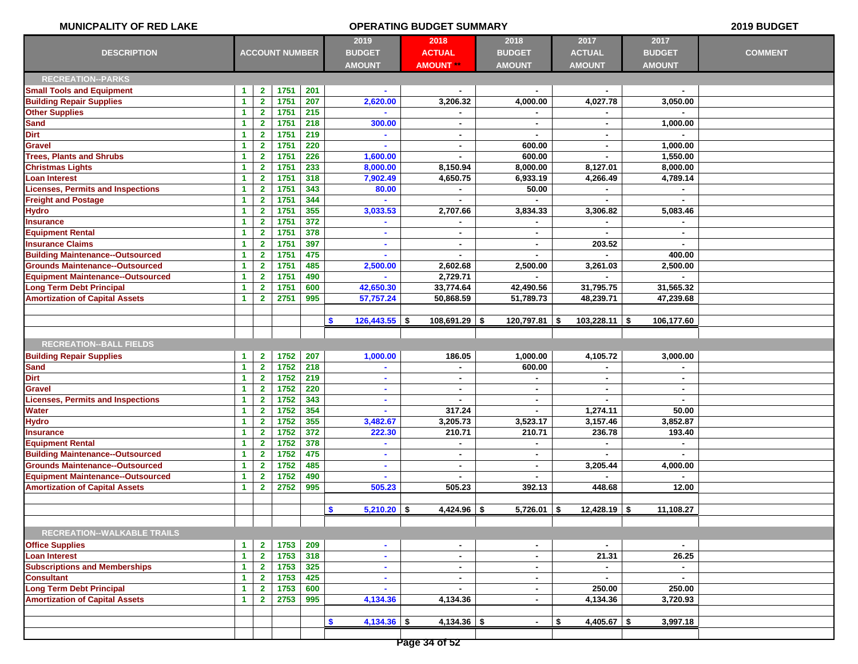| <b>MUNICPALITY OF RED LAKE</b>           | <b>OPERATING BUDGET SUMMARY</b> |                         |                       |                 |                                        |                                           |                                        |                                        | 2019 BUDGET                            |                |
|------------------------------------------|---------------------------------|-------------------------|-----------------------|-----------------|----------------------------------------|-------------------------------------------|----------------------------------------|----------------------------------------|----------------------------------------|----------------|
| <b>DESCRIPTION</b>                       |                                 |                         | <b>ACCOUNT NUMBER</b> |                 | 2019<br><b>BUDGET</b><br><b>AMOUNT</b> | 2018<br><b>ACTUAL</b><br><b>AMOUNT **</b> | 2018<br><b>BUDGET</b><br><b>AMOUNT</b> | 2017<br><b>ACTUAL</b><br><b>AMOUNT</b> | 2017<br><b>BUDGET</b><br><b>AMOUNT</b> | <b>COMMENT</b> |
| <b>RECREATION--PARKS</b>                 |                                 |                         |                       |                 |                                        |                                           |                                        |                                        |                                        |                |
| <b>Small Tools and Equipment</b>         | 1                               | $\mathbf{2}$            | 1751                  | 201             |                                        | $\blacksquare$                            |                                        |                                        |                                        |                |
| <b>Building Repair Supplies</b>          | $\blacktriangleleft$            | $\mathbf{2}$            | 1751                  | 207             | 2,620.00                               | 3,206.32                                  | 4,000.00                               | 4,027.78                               | 3,050.00                               |                |
| <b>Other Supplies</b>                    | $\blacktriangleleft$            | $\mathbf{2}$            | 1751                  | 215             |                                        |                                           |                                        |                                        |                                        |                |
| <b>Sand</b>                              | $\blacktriangleleft$            | $\mathbf{2}$            | 1751                  | 218             | 300.00                                 | $\blacksquare$                            | $\blacksquare$                         | $\sim$                                 | 1,000.00                               |                |
| <b>Dirt</b>                              | $\blacktriangleleft$            | $\mathbf{2}$            | 1751                  | 219             | $\blacksquare$                         | $\blacksquare$                            | $\blacksquare$                         | $\sim$                                 | $\sim$                                 |                |
| Gravel                                   | $\blacktriangleleft$            | $\mathbf{2}$            | 1751                  | 220             |                                        | ٠                                         | 600.00                                 |                                        | 1,000.00                               |                |
| <b>Trees, Plants and Shrubs</b>          | $\blacktriangleleft$            | $\mathbf{2}$            | 1751                  | 226             | 1,600.00                               | ۰                                         | 600.00                                 | $\sim$                                 | 1,550.00                               |                |
| <b>Christmas Lights</b>                  | $\blacktriangleleft$            | $\mathbf{2}$            | 1751                  | 233             | 8,000.00                               | 8,150.94                                  | 8,000.00                               | 8,127.01                               | 8,000.00                               |                |
| <b>Loan Interest</b>                     | $\blacktriangleleft$            | $\overline{\mathbf{2}}$ | 1751                  | 318             | 7,902.49                               | 4,650.75                                  | 6,933.19                               | 4,266.49                               | 4,789.14                               |                |
| <b>Licenses, Permits and Inspections</b> | $\blacktriangleleft$            | $\mathbf{2}$            | 1751                  | 343             | 80.00                                  | $\blacksquare$                            | 50.00                                  |                                        | $\sim$                                 |                |
| <b>Freight and Postage</b>               | $\blacktriangleleft$            | $\mathbf{2}$            | 1751                  | 344             |                                        |                                           | $\blacksquare$                         |                                        |                                        |                |
| <b>Hydro</b>                             | $\blacktriangleleft$            | $\mathbf{2}$            | 1751                  | 355             | 3,033.53                               | 2,707.66                                  | 3,834.33                               | 3,306.82                               | 5,083.46                               |                |
| <b>Insurance</b>                         | $\blacktriangleleft$            | $\mathbf{2}$            | 1751                  | 372             | $\sim$                                 | $\blacksquare$                            | $\blacksquare$                         | $\sim$                                 | $\sim$                                 |                |
| <b>Equipment Rental</b>                  | 1                               | $\mathbf{2}$            | 1751                  | 378             | ٠                                      | ٠                                         | $\blacksquare$                         |                                        | $\sim$                                 |                |
| <b>Insurance Claims</b>                  | $\blacktriangleleft$            | $\mathbf{2}$            | 1751                  | 397             |                                        | ۰                                         |                                        | 203.52                                 |                                        |                |
| <b>Building Maintenance--Outsourced</b>  | $\blacktriangleleft$            | $\mathbf{2}$            | 1751                  | 475             | $\mathbf{r}$                           | $\blacksquare$                            | $\blacksquare$                         |                                        | 400.00                                 |                |
| <b>Grounds Maintenance--Outsourced</b>   | $\blacktriangleleft$            | $\mathbf{2}$            | 1751                  | 485             | 2,500.00                               | 2,602.68                                  | 2,500.00                               | 3,261.03                               | 2,500.00                               |                |
| <b>Equipment Maintenance--Outsourced</b> | $\blacktriangleleft$            | $\mathbf{2}$            | 1751                  | 490             |                                        | 2,729.71                                  |                                        |                                        |                                        |                |
| <b>Long Term Debt Principal</b>          | $\blacktriangleleft$            | $\mathbf{2}$            | 1751                  | 600             | 42,650.30                              | 33,774.64                                 | 42,490.56                              | 31,795.75                              | 31,565.32                              |                |
| <b>Amortization of Capital Assets</b>    | 1                               | $\overline{2}$          | 2751                  | 995             | 57,757.24                              | 50,868.59                                 | 51,789.73                              | 48,239.71                              | 47,239.68                              |                |
|                                          |                                 |                         |                       |                 |                                        |                                           |                                        |                                        |                                        |                |
|                                          |                                 |                         |                       |                 | $\mathbf{s}$<br>$126,443.55$ \$        | $108,691.29$ \$                           | $120,797.81$ \$                        | $103,228.11$ \$                        | 106,177.60                             |                |
|                                          |                                 |                         |                       |                 |                                        |                                           |                                        |                                        |                                        |                |
| <b>RECREATION--BALL FIELDS</b>           |                                 |                         |                       |                 |                                        |                                           |                                        |                                        |                                        |                |
| <b>Building Repair Supplies</b>          | $\blacktriangleleft$            | $\mathbf{2}$            | 1752                  | 207             | 1,000.00                               | 186.05                                    | 1,000.00                               | 4,105.72                               | 3,000.00                               |                |
| <b>Sand</b>                              | $\mathbf{1}$                    | $\overline{2}$          | 1752                  | 218             |                                        |                                           | 600.00                                 |                                        |                                        |                |
| <b>Dirt</b>                              | $\blacktriangleleft$            | $\mathbf{2}$            | 1752                  | 219             | $\blacksquare$                         | ٠                                         | $\blacksquare$                         | $\sim$                                 | $\sim$                                 |                |
| <b>Gravel</b>                            | $\blacktriangleleft$            | $\mathbf{2}$            | 1752                  | 220             | ٠                                      | ٠                                         | $\blacksquare$                         | $\blacksquare$                         | $\sim$                                 |                |
| <b>Licenses, Permits and Inspections</b> | $\blacktriangleleft$            | $\mathbf{2}$            | 1752                  | 343             |                                        |                                           | $\blacksquare$                         |                                        |                                        |                |
| Water                                    | $\blacktriangleleft$            | $\mathbf{2}$            | 1752                  | 354             | $\blacksquare$                         | 317.24                                    | $\blacksquare$                         | 1,274.11                               | 50.00                                  |                |
| <b>Hydro</b>                             | 1                               | $\mathbf{2}$            | 1752                  | 355             | 3,482.67                               | 3,205.73                                  | 3,523.17                               | 3,157.46                               | 3,852.87                               |                |
| <b>Insurance</b>                         | $\blacktriangleleft$            | $\mathbf{2}$            | 1752                  | $\frac{372}{ }$ | 222.30                                 | 210.71                                    | 210.71                                 | 236.78                                 | 193.40                                 |                |
| <b>Equipment Rental</b>                  | $\blacktriangleleft$            | $\mathbf{2}$            | 1752                  | 378             |                                        |                                           |                                        |                                        | $\sim$                                 |                |
| <b>Building Maintenance--Outsourced</b>  | $\blacktriangleleft$            | $\mathbf{2}$            | 1752                  | 475             | ٠                                      | $\blacksquare$                            | $\blacksquare$                         |                                        |                                        |                |
| <b>Grounds Maintenance--Outsourced</b>   | $\blacktriangleleft$            | $\mathbf{2}$            | 1752                  | 485             | ٠                                      | $\blacksquare$                            | $\blacksquare$                         | 3,205.44                               | 4,000.00                               |                |
| Equipment Maintenance--Outsourced        | $\blacktriangleleft$            | $\mathbf{2}$            | 1752                  | 490             |                                        |                                           |                                        |                                        |                                        |                |
| <b>Amortization of Capital Assets</b>    | $\blacktriangleleft$            | $\overline{2}$          | 2752                  | 995             | 505.23                                 | 505.23                                    | 392.13                                 | 448.68                                 | 12.00                                  |                |
|                                          |                                 |                         |                       |                 |                                        |                                           |                                        |                                        |                                        |                |
|                                          |                                 |                         |                       |                 | $\bullet$<br>$5,210.20$ \$             | $4,424.96$ \$                             | $5,726.01$ \$                          | $12,428.19$ \$                         | 11,108.27                              |                |
|                                          |                                 |                         |                       |                 |                                        |                                           |                                        |                                        |                                        |                |
| <b>RECREATION--WALKABLE TRAILS</b>       |                                 |                         |                       |                 |                                        |                                           |                                        |                                        |                                        |                |
| <b>Office Supplies</b>                   | 1                               | $\mathbf{2}$            | 1753                  | 209             | $\blacksquare$                         | $\blacksquare$                            | $\blacksquare$                         | $\sim$                                 | $\sim$                                 |                |
| Loan Interest                            | $\blacktriangleleft$            | $\mathbf{2}$            | 1753                  | 318             | ٠                                      | $\blacksquare$                            | $\blacksquare$                         | 21.31                                  | 26.25                                  |                |
| <b>Subscriptions and Memberships</b>     | $\blacktriangleleft$            | $\mathbf{2}$            | 1753                  | 325             | $\blacksquare$                         | $\blacksquare$                            | $\blacksquare$                         | $\blacksquare$                         | $\sim$                                 |                |
| <b>Consultant</b>                        | $\blacktriangleleft$            | $\mathbf{2}$            | 1753                  | 425             | $\blacksquare$                         | $\blacksquare$                            | $\blacksquare$                         |                                        | $\sim$                                 |                |
| <b>Long Term Debt Principal</b>          | $\mathbf{1}$                    | $\mathbf{2}$            | 1753                  | 600             |                                        | $\blacksquare$                            | $\blacksquare$                         | 250.00                                 | 250.00                                 |                |
| <b>Amortization of Capital Assets</b>    | $\mathbf{1}$                    | $\mathbf{2}$            | 2753                  | 995             | 4,134.36                               | 4,134.36                                  | $\blacksquare$                         | 4,134.36                               | 3,720.93                               |                |
|                                          |                                 |                         |                       |                 |                                        |                                           |                                        |                                        |                                        |                |
|                                          |                                 |                         |                       |                 | \$<br>$4,134.36$ \$                    | $4,134.36$ \$                             | $\blacksquare$                         | $4,405.67$ \$<br>\$                    | 3,997.18                               |                |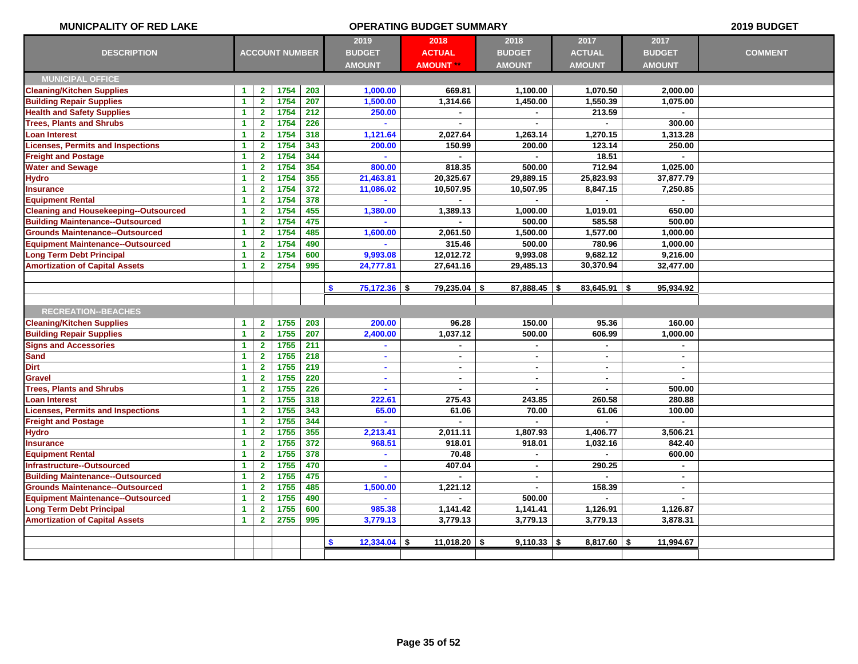| <b>MUNICPALITY OF RED LAKE</b>               | <b>OPERATING BUDGET SUMMARY</b> |                         |                       |     |                                |                  |                          |                 |                | 2019 BUDGET    |
|----------------------------------------------|---------------------------------|-------------------------|-----------------------|-----|--------------------------------|------------------|--------------------------|-----------------|----------------|----------------|
|                                              |                                 |                         |                       |     | 2019                           | 2018             | 2018                     | 2017            | 2017           |                |
| <b>DESCRIPTION</b>                           |                                 |                         | <b>ACCOUNT NUMBER</b> |     | <b>BUDGET</b>                  | <b>ACTUAL</b>    | <b>BUDGET</b>            | <b>ACTUAL</b>   | <b>BUDGET</b>  | <b>COMMENT</b> |
|                                              |                                 |                         |                       |     | <b>AMOUNT</b>                  | <b>AMOUNT **</b> | <b>AMOUNT</b>            | <b>AMOUNT</b>   | <b>AMOUNT</b>  |                |
| <b>MUNICIPAL OFFICE</b>                      |                                 |                         |                       |     |                                |                  |                          |                 |                |                |
| <b>Cleaning/Kitchen Supplies</b>             | $\blacktriangleleft$            | $\mathbf{2}$            | 1754                  | 203 | 1,000.00                       | 669.81           | 1,100.00                 | 1,070.50        | 2,000.00       |                |
| <b>Building Repair Supplies</b>              | $\blacktriangleleft$            | $\mathbf{2}$            | 1754                  | 207 | 1,500.00                       | 1,314.66         | 1,450.00                 | 1,550.39        | 1,075.00       |                |
| <b>Health and Safety Supplies</b>            | $\blacktriangleleft$            | $\mathbf{2}$            | 1754                  | 212 | 250.00                         |                  |                          | 213.59          |                |                |
| <b>Trees, Plants and Shrubs</b>              | $\blacktriangleleft$            | $\overline{\mathbf{2}}$ | 1754                  | 226 |                                |                  |                          |                 | 300.00         |                |
| <b>Loan Interest</b>                         | $\blacktriangleleft$            | $\mathbf{2}$            | 1754                  | 318 | 1,121.64                       | 2,027.64         | 1,263.14                 | 1,270.15        | 1,313.28       |                |
| <b>Licenses, Permits and Inspections</b>     | $\blacktriangleleft$            | $\mathbf{2}$            | 1754                  | 343 | 200.00                         | 150.99           | 200.00                   | 123.14          | 250.00         |                |
| <b>Freight and Postage</b>                   | $\blacktriangleleft$            | $\mathbf{2}$            | 1754                  | 344 |                                |                  |                          | 18.51           |                |                |
| <b>Water and Sewage</b>                      | $\blacktriangleleft$            | $\overline{\mathbf{2}}$ | 1754                  | 354 | 800.00                         | 818.35           | 500.00                   | 712.94          | 1.025.00       |                |
| <b>Hydro</b>                                 | $\blacktriangleleft$            | $\overline{2}$          | 1754                  | 355 | 21,463.81                      | 20,325.67        | 29,889.15                | 25,823.93       | 37,877.79      |                |
| <b>Insurance</b>                             | $\blacktriangleleft$            | $\mathbf{2}$            | 1754                  | 372 | 11,086.02                      | 10,507.95        | 10,507.95                | 8,847.15        | 7,250.85       |                |
| <b>Equipment Rental</b>                      | 1                               | $\mathbf{2}$            | 1754                  | 378 |                                |                  |                          |                 |                |                |
| <b>Cleaning and Housekeeping--Outsourced</b> | $\blacktriangleleft$            | $\overline{2}$          | 1754                  | 455 | 1,380.00                       | 1,389.13         | 1,000.00                 | 1,019.01        | 650.00         |                |
| <b>Building Maintenance--Outsourced</b>      | $\blacktriangleleft$            | $\mathbf{2}$            | 1754                  | 475 |                                |                  | 500.00                   | 585.58          | 500.00         |                |
| <b>Grounds Maintenance--Outsourced</b>       | $\blacktriangleleft$            | $\mathbf{2}$            | 1754                  | 485 | 1,600.00                       | 2,061.50         | 1,500.00                 | 1,577.00        | 1,000.00       |                |
| <b>Equipment Maintenance--Outsourced</b>     | $\blacktriangleleft$            | $\overline{2}$          | 1754                  | 490 |                                | 315.46           | 500.00                   | 780.96          | 1,000.00       |                |
| <b>Long Term Debt Principal</b>              | $\overline{1}$                  | $\overline{2}$          | 1754                  | 600 | 9,993.08                       | 12,012.72        | 9,993.08                 | 9,682.12        | 9,216.00       |                |
| <b>Amortization of Capital Assets</b>        | $\overline{1}$                  | $\overline{2}$          | 2754                  | 995 | 24,777.81                      | 27,641.16        | 29,485.13                | 30,370.94       | 32,477.00      |                |
|                                              |                                 |                         |                       |     |                                |                  |                          |                 |                |                |
|                                              |                                 |                         |                       |     | \$<br>$75,172.36$ \$           | $79,235.04$ \$   | $87,888.45$ \$           | $83,645.91$ \$  | 95,934.92      |                |
|                                              |                                 |                         |                       |     |                                |                  |                          |                 |                |                |
| <b>RECREATION--BEACHES</b>                   |                                 |                         |                       |     |                                |                  |                          |                 |                |                |
| <b>Cleaning/Kitchen Supplies</b>             | $\blacktriangleleft$            | $\mathbf{2}$            | 1755                  | 203 | 200.00                         | 96.28            | 150.00                   | 95.36           | 160.00         |                |
| <b>Building Repair Supplies</b>              | $\blacktriangleleft$            | $\overline{2}$          | 1755                  | 207 | 2,400.00                       | 1,037.12         | 500.00                   | 606.99          | 1,000.00       |                |
| <b>Signs and Accessories</b>                 | $\blacktriangleleft$            | $\mathbf{2}$            | 1755                  | 211 |                                | $\blacksquare$   | $\blacksquare$           | $\blacksquare$  | $\blacksquare$ |                |
| <b>Sand</b>                                  | $\blacktriangleleft$            | $\mathbf{2}$            | 1755                  | 218 |                                | $\blacksquare$   | $\blacksquare$           |                 | $\blacksquare$ |                |
| <b>Dirt</b>                                  | $\blacktriangleleft$            | $\overline{2}$          | 1755                  | 219 | $\blacksquare$                 | $\blacksquare$   | ×.                       | $\sim$          | $\blacksquare$ |                |
| <b>Gravel</b>                                | $\overline{1}$                  | $\overline{2}$          | 1755                  | 220 | $\sim$                         | $\blacksquare$   | $\blacksquare$           | $\blacksquare$  |                |                |
| <b>Trees, Plants and Shrubs</b>              | $\overline{1}$                  | $\overline{2}$          | 1755                  | 226 | $\blacksquare$                 | ä,               | $\blacksquare$           | $\overline{a}$  | 500.00         |                |
| Loan Interest                                | $\blacktriangleleft$            | $\overline{2}$          | 1755                  | 318 | 222.61                         | 275.43           | 243.85                   | 260.58          | 280.88         |                |
| <b>Licenses, Permits and Inspections</b>     | $\overline{1}$                  | $\overline{2}$          | 1755                  | 343 | 65.00                          | 61.06            | 70.00                    | 61.06           | 100.00         |                |
| <b>Freight and Postage</b>                   | $\blacktriangleleft$            | 2 <sup>1</sup>          | 1755                  | 344 | $\sim$                         | ۰                | ٠                        |                 | $\sim$         |                |
| <b>Hydro</b>                                 | $\blacktriangleleft$            | $\overline{2}$          | 1755                  | 355 | 2,213.41                       | 2,011.11         | 1,807.93                 | 1,406.77        | 3,506.21       |                |
| <b>Insurance</b>                             | $\blacktriangleleft$            | $\mathbf{2}$            | 1755                  | 372 | 968.51                         | 918.01           | 918.01                   | 1,032.16        | 842.40         |                |
| <b>Equipment Rental</b>                      | $\blacktriangleleft$            | 2 <sup>1</sup>          | 1755                  | 378 | $\mathbf{r}$                   | 70.48            | ×.                       |                 | 600.00         |                |
| Infrastructure--Outsourced                   | $\blacktriangleleft$            | $\mathbf{2}$            | 1755                  | 470 | $\sim$                         | 407.04           | ٠                        | 290.25          | $\sim$         |                |
| <b>Building Maintenance--Outsourced</b>      | $\blacktriangleleft$            | $\mathbf{2}$            | 1755                  | 475 | $\sim$                         |                  | $\blacksquare$           |                 | $\blacksquare$ |                |
| <b>Grounds Maintenance--Outsourced</b>       | $\blacktriangleleft$            | $\mathbf{2}$            | 1755                  | 485 | 1,500.00                       | 1,221.12         | ٠                        | 158.39          | $\sim$         |                |
| <b>Equipment Maintenance--Outsourced</b>     | $\blacktriangleleft$            | $\overline{2}$          | 1755                  | 490 | $\sim$                         | ÷.               | 500.00                   |                 | $\sim$         |                |
| <b>Long Term Debt Principal</b>              | $\blacktriangleleft$            | $\overline{2}$          | 1755                  | 600 | 985.38                         | 1,141.42         | 1,141.41                 | 1,126.91        | 1,126.87       |                |
| <b>Amortization of Capital Assets</b>        | $\blacktriangleleft$            | $\overline{2}$          | 2755                  | 995 | 3,779.13                       | 3,779.13         | 3,779.13                 | 3,779.13        | 3,878.31       |                |
|                                              |                                 |                         |                       |     |                                |                  |                          |                 |                |                |
|                                              |                                 |                         |                       |     | $\mathbf{s}$<br>$12,334.04$ \$ | $11,018.20$ \$   | $9,110.33$ $\frac{1}{5}$ | $8,817.60$ \ \$ | 11,994.67      |                |
|                                              |                                 |                         |                       |     |                                |                  |                          |                 |                |                |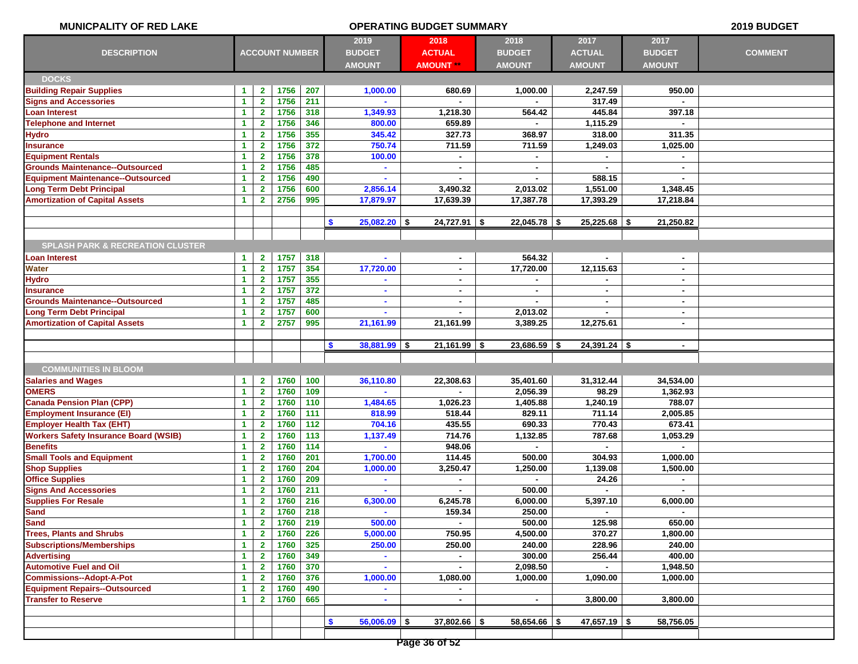| MUNICPALITY OF RED LAKE                                                 | <b>OPERATING BUDGET SUMMARY</b>              |                              |                       |            |                                 |                  |                |                  | 2019 BUDGET    |                |
|-------------------------------------------------------------------------|----------------------------------------------|------------------------------|-----------------------|------------|---------------------------------|------------------|----------------|------------------|----------------|----------------|
|                                                                         |                                              |                              |                       |            | 2019                            | 2018             | 2018           | 2017             | 2017           |                |
| <b>DESCRIPTION</b>                                                      |                                              |                              | <b>ACCOUNT NUMBER</b> |            | <b>BUDGET</b>                   | <b>ACTUAL</b>    | <b>BUDGET</b>  | <b>ACTUAL</b>    | <b>BUDGET</b>  | <b>COMMENT</b> |
|                                                                         |                                              |                              |                       |            | <b>AMOUNT</b>                   | <b>AMOUNT **</b> | <b>AMOUNT</b>  | <b>AMOUNT</b>    | <b>AMOUNT</b>  |                |
| <b>DOCKS</b>                                                            |                                              |                              |                       |            |                                 |                  |                |                  |                |                |
| <b>Building Repair Supplies</b>                                         | 1                                            | $\mathbf{2}$                 | 1756                  | 207        | 1,000.00                        | 680.69           | 1,000.00       | 2,247.59         | 950.00         |                |
| <b>Signs and Accessories</b>                                            | $\blacktriangleleft$                         | $\mathbf{2}$                 | 1756                  | 211        |                                 |                  |                | 317.49           |                |                |
| <b>Loan Interest</b>                                                    | $\blacktriangleleft$                         | $\mathbf{2}$                 | 1756                  | 318        | 1,349.93                        | 1,218.30         | 564.42         | 445.84           | 397.18         |                |
| <b>Telephone and Internet</b>                                           | $\blacktriangleleft$                         | $\mathbf{2}$                 | 1756                  | 346        | 800.00                          | 659.89           |                | 1,115.29         |                |                |
| <b>Hydro</b>                                                            | $\blacktriangleleft$                         | $\mathbf{2}$                 | 1756                  | 355        | 345.42                          | 327.73           | 368.97         | 318.00           | 311.35         |                |
| <b>Insurance</b>                                                        | 1                                            | $\mathbf{2}$                 | 1756                  | 372        | 750.74                          | 711.59           | 711.59         | 1,249.03         | 1,025.00       |                |
| <b>Equipment Rentals</b>                                                | $\blacktriangleleft$                         | $\mathbf{2}$                 | 1756                  | 378        | 100.00                          | $\blacksquare$   |                |                  |                |                |
| <b>Grounds Maintenance--Outsourced</b>                                  | $\blacktriangleleft$                         | $\mathbf{2}$                 | 1756                  | 485        | $\blacksquare$                  | $\blacksquare$   | $\blacksquare$ | $\sim$           | $\sim$         |                |
| <b>Equipment Maintenance--Outsourced</b>                                | $\blacktriangleleft$                         | $\mathbf{2}$                 | 1756                  | 490        |                                 |                  |                | 588.15           |                |                |
| <b>Long Term Debt Principal</b>                                         | $\blacktriangleleft$                         | $\mathbf{2}$                 | 1756                  | 600        | 2,856.14                        | 3,490.32         | 2,013.02       | 1,551.00         | 1,348.45       |                |
| <b>Amortization of Capital Assets</b>                                   | $\blacktriangleleft$                         | $\mathbf{2}$                 | 2756                  | 995        | 17,879.97                       | 17,639.39        | 17,387.78      | 17,393.29        | 17,218.84      |                |
|                                                                         |                                              |                              |                       |            |                                 |                  |                |                  |                |                |
|                                                                         |                                              |                              |                       |            | $25,082.20$ \$<br>S.            | $24,727.91$ \$   | $22,045.78$ \$ | $25,225.68$ \$   | 21,250.82      |                |
|                                                                         |                                              |                              |                       |            |                                 |                  |                |                  |                |                |
| <b>SPLASH PARK &amp; RECREATION CLUSTER</b>                             |                                              |                              |                       |            |                                 |                  |                |                  |                |                |
| <b>Loan Interest</b>                                                    | 1                                            | $\mathbf{2}$                 | 1757                  | 318        |                                 | $\blacksquare$   | 564.32         |                  | $\sim$         |                |
| <b>Water</b>                                                            | $\blacktriangleleft$                         | $\mathbf{2}$                 | 1757                  | 354        | 17,720.00                       | $\blacksquare$   | 17,720.00      | 12,115.63        | $\sim$         |                |
| <b>Hydro</b>                                                            | $\blacktriangleleft$                         | $\mathbf{2}$                 | 1757                  | 355        |                                 | $\sim$           |                |                  | $\blacksquare$ |                |
| <b>Insurance</b>                                                        | $\blacktriangleleft$                         | $\mathbf{2}$                 | 1757                  | 372        | $\sim$                          | $\blacksquare$   | $\blacksquare$ | $\sim$           | $\sim$         |                |
| <b>Grounds Maintenance--Outsourced</b>                                  | $\blacktriangleleft$                         | $\mathbf{2}$                 | 1757                  | 485        |                                 |                  |                |                  | $\sim$         |                |
| <b>Long Term Debt Principal</b>                                         | $\blacktriangleleft$                         | $\mathbf{2}$                 | 1757                  | 600        |                                 | $\blacksquare$   | 2,013.02       |                  | $\sim$         |                |
| <b>Amortization of Capital Assets</b>                                   | 1                                            | $\mathbf{2}$                 | 2757                  | 995        | 21,161.99                       | 21,161.99        | 3,389.25       | 12,275.61        | $\sim$         |                |
|                                                                         |                                              |                              |                       |            |                                 |                  |                |                  |                |                |
|                                                                         |                                              |                              |                       |            | $\bullet$<br>$38,881.99$ \$     | $21,161.99$ \$   | $23,686.59$ \$ | $24,391.24$ \$   | $\sim$         |                |
|                                                                         |                                              |                              |                       |            |                                 |                  |                |                  |                |                |
| <b>COMMUNITIES IN BLOOM</b>                                             |                                              |                              |                       |            |                                 |                  |                |                  |                |                |
| <b>Salaries and Wages</b>                                               | 1                                            | $\mathbf{2}$                 | 1760                  | 100        | 36,110.80                       | 22,308.63        | 35,401.60      | 31,312.44        | 34,534.00      |                |
| <b>OMERS</b>                                                            | $\blacktriangleleft$                         | $\mathbf{2}$                 | 1760                  | 109        |                                 |                  | 2,056.39       | 98.29            | 1,362.93       |                |
| <b>Canada Pension Plan (CPP)</b>                                        | $\blacktriangleleft$                         | $\mathbf{2}$                 | 1760                  | 110        | 1,484.65                        | 1,026.23         | 1,405.88       | 1,240.19         | 788.07         |                |
| <b>Employment Insurance (EI)</b>                                        | $\blacktriangleleft$                         | $\mathbf{2}$                 | 1760                  | 111        | 818.99                          | 518.44           | 829.11         | 711.14           | 2,005.85       |                |
| <b>Employer Health Tax (EHT)</b>                                        | $\blacktriangleleft$                         | $\mathbf{2}$                 | 1760                  | 112        | 704.16                          | 435.55           | 690.33         | 770.43           | 673.41         |                |
| <b>Workers Safety Insurance Board (WSIB)</b>                            | $\blacktriangleleft$                         | $\mathbf{2}$                 | 1760                  | 113        | 1,137.49                        | 714.76           | 1,132.85       | 787.68           | 1,053.29       |                |
| <b>Benefits</b>                                                         | 1                                            | $\mathbf{2}$                 | 1760                  | $114$      | $\sim$                          | 948.06           | $\blacksquare$ | $\blacksquare$   |                |                |
| <b>Small Tools and Equipment</b>                                        | 1                                            | $\mathbf{2}$                 | 1760                  | 201        | 1,700.00                        | 114.45           | 500.00         | 304.93           | 1,000.00       |                |
| <b>Shop Supplies</b>                                                    | $\blacktriangleleft$                         | $\mathbf{2}$                 | 1760                  | 204        | 1,000.00                        | 3,250.47         | 1,250.00       | 1,139.08         | 1,500.00       |                |
| <b>Office Supplies</b>                                                  | $\blacktriangleleft$                         | $\mathbf{2}$                 | 1760                  | 209        | $\sim$                          | $\blacksquare$   | $\blacksquare$ | 24.26            | $\sim$         |                |
| <b>Signs And Accessories</b>                                            | 1                                            | $\mathbf{2}$                 | 1760                  | 211        |                                 |                  | 500.00         |                  |                |                |
| <b>Supplies For Resale</b>                                              | 1                                            | $\overline{2}$               | 1760                  | 216        | 6,300.00                        | 6.245.78         | 6.000.00       | 5,397.10         | 6,000.00       |                |
| <b>Sand</b>                                                             | $\blacktriangleleft$                         | $2^{\circ}$                  | 1760                  | 218        | $\sim$                          | 159.34           | 250.00         |                  | $\sim$         |                |
| <b>Sand</b>                                                             | $\blacktriangleleft$                         | $\mathbf{2}$                 | 1760                  | 219        | 500.00                          |                  | 500.00         | 125.98           | 650.00         |                |
| <b>Trees, Plants and Shrubs</b><br><b>Subscriptions/Memberships</b>     | $\blacktriangleleft$                         | $\mathbf{2}$                 | 1760                  | 226<br>325 | 5,000.00                        | 750.95           | 4,500.00       | 370.27           | 1,800.00       |                |
|                                                                         | $\blacktriangleleft$                         | $\mathbf{2}$                 | 1760                  | 349        | 250.00                          | 250.00           | 240.00         | 228.96<br>256.44 | 240.00         |                |
| <b>Advertising</b><br><b>Automotive Fuel and Oil</b>                    | $\blacktriangleleft$<br>$\blacktriangleleft$ | $\mathbf{2}$                 | 1760                  | 370        |                                 | $\blacksquare$   | 300.00         |                  | 400.00         |                |
|                                                                         |                                              | $\mathbf{2}$                 | 1760                  |            | $\blacksquare$                  |                  | 2,098.50       |                  | 1,948.50       |                |
| <b>Commissions--Adopt-A-Pot</b><br><b>Equipment Repairs--Outsourced</b> | $\blacktriangleleft$                         | $\mathbf{2}$                 | 1760<br>1760          | 376<br>490 | 1,000.00                        | 1,080.00         | 1,000.00       | 1,090.00         | 1,000.00       |                |
| <b>Transfer to Reserve</b>                                              | $\blacktriangleleft$<br>$\mathbf{1}$         | $\mathbf{2}$<br>$\mathbf{2}$ | 1760                  | 665        | $\blacksquare$                  | $\blacksquare$   | $\blacksquare$ | 3,800.00         | 3,800.00       |                |
|                                                                         |                                              |                              |                       |            |                                 |                  |                |                  |                |                |
|                                                                         |                                              |                              |                       |            | $\mathbf{\$}$<br>$56,006.09$ \$ | $37,802.66$ \$   | $58,654.66$ \$ | $47,657.19$ \$   | 58,756.05      |                |
|                                                                         |                                              |                              |                       |            |                                 |                  |                |                  |                |                |
|                                                                         |                                              |                              |                       |            |                                 |                  |                |                  |                |                |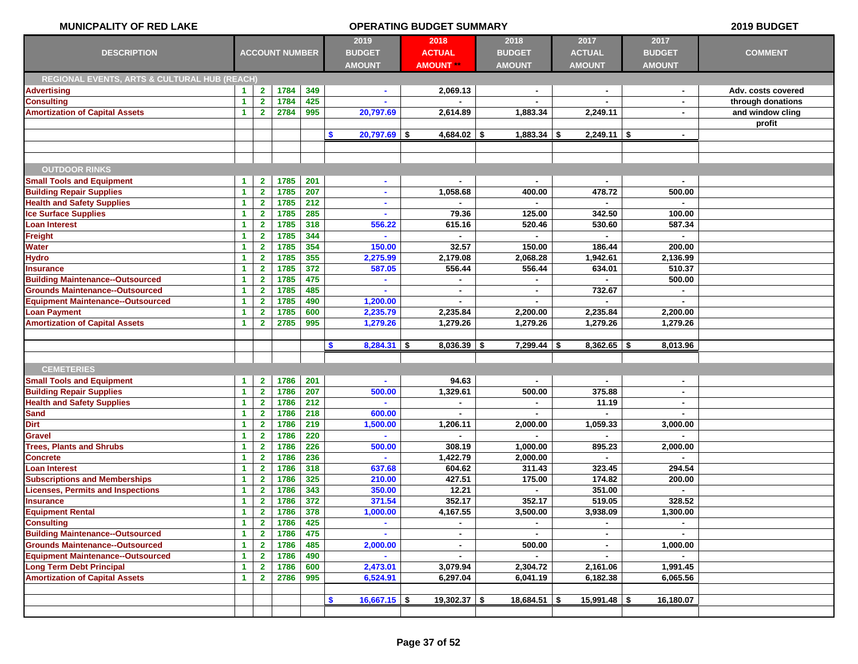## **MUNICPALITY OF RED LAKE OPERATING BUDGET SUMMARY 2019 BUDGET 2019 2018 2018 2017 2017 DESCRIPTION BUDGET ACTUAL BUDGET ACTUAL BUDGET COMMENT AMOUNT AMOUNT \*\* AMOUNT AMOUNT AMOUNT ACCOUNT NUMBER REGIONAL EVENTS, ARTS & CULTURAL HUB (REACH) Advertising 1 2 1784 349 - 2,069.13 - - - Adv. costs covered Consulting 1 2 1784 425 - - - - - through donations Amortization of Capital Assets 1 2 2784 995 20,797.69 2,614.89 1,883.34 2,249.11 - and window cling profit \$ 20,797.69 \$ 4,684.02 \$ 1,883.34 \$ 2,249.11 \$ - OUTDOOR RINKS Small Tools and Equipment 1 2 1785 201 - - - - - Building Repair Supplies 1 2 1785 207 - 1,058.68 400.00 478.72 500.00 Health and Safety Supplies 1 2 1785 212 - - - - - Ice Surface Supplies 1 2 1785 285 - 79.36 125.00 342.50 100.00 Loan Interest 1 2 1785 318 556.22 615.16 520.46 530.60 587.34 Freight 1 2 1785 344 - - - - - Water 1 2 1785 354 150.00 32.57 150.00 186.44 200.00 Hydro 1 2 1785 355 2,275.99 2,179.08 2,068.28 1,942.61 2,136.99 Insurance 1 2 1785 372 587.05 556.44 556.44 634.01 510.37 Building Maintenance--Outsourced 1 2 1785 475 - - - - 500.00 Grounds Maintenance--Outsourced 1 2 1785 485 - - - 732.67 - Equipment Maintenance--Outsourced 1 2 1785 490 1,200.00 - - - - Loan Payment 1 2 1785 600 2,235.79 2,235.84 2,200.00 2,235.84 2,200.00 Amortization of Capital Assets 1 2 2785 995 1,279.26 1,279.26 1,279.26 1,279.26 1,279.26 \$ 8,284.31 \$ 8,036.39 \$ 7,299.44 \$ 8,362.65 \$ 8,013.96 CEMETERIES Small Tools and Equipment 1 2 1786 201 - 94.63 - - - Building Repair Supplies 1 2 1786 207 500.00 1,329.61 500.00 375.88 - Health and Safety Supplies 1 2 1786 212 - - - 11.19 - Sand 1 2 1786 218 600.00 - - - - Dirt 1 2 1786 219 1,500.00 1,206.11 2,000.00 1,059.33 3,000.00 Gravel 1 2 1786 220 - - - - - Trees, Plants and Shrubs 1 2 1786 226 500.00 308.19 1,000.00 895.23 2,000.00 Concrete 1 2 1786 236 - 1,422.79 2,000.00 - - Loan Interest 1 2 1786 318 637.68 604.62 311.43 323.45 294.54 Subscriptions and Memberships 1 2 1786 325 210.00 427.51 175.00 174.82 200.00 Licenses, Permits and Inspections 1 2 1786 343 350.00 12.21 - 351.00 - Insurance 1 2 1786 372 371.54 352.17 352.17 519.05 328.52 Equipment Rental 1 2 1786 378 1,000.00 4,167.55 3,500.00 3,938.09 1,300.00 Consulting 1 2 1786 425 - - - - - Building Maintenance--Outsourced 1 2 1786 475 - - - - - Grounds Maintenance--Outsourced 1 2 1786 485 2,000.00 - 500.00 - 1,000.00 Equipment Maintenance--Outsourced 1 2 1786 490 - - - - - Long Term Debt Principal 1 2 1786 600 2,473.01 3,079.94 2,304.72 2,161.06 1,991.45 Amortization of Capital Assets 1 2 2786 995 6,524.91 6,297.04 6,041.19 6,182.38 6,065.56 \$ 16,667.15 \$ 19,302.37 \$ 18,684.51 \$ 15,991.48 \$ 16,180.07**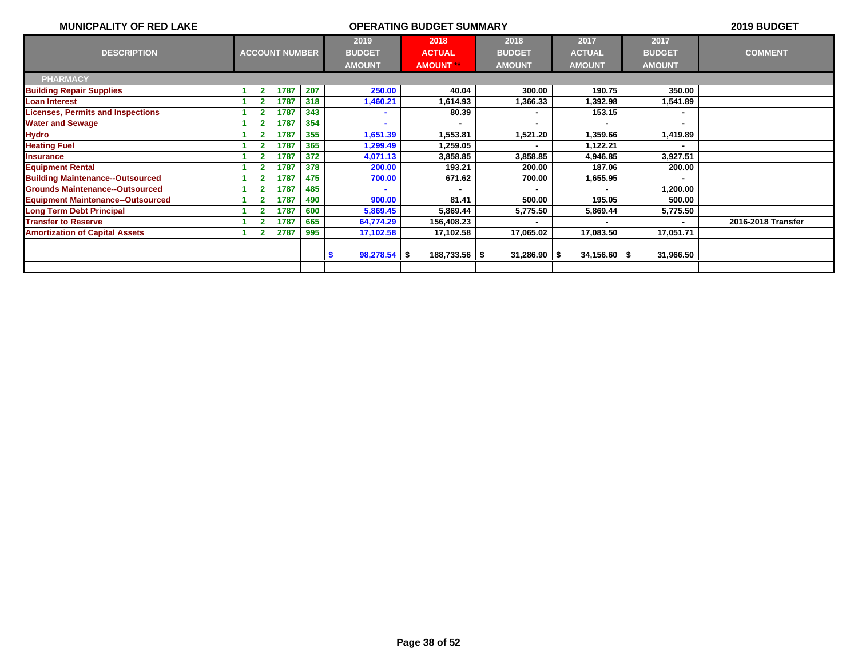| <b>MUNICPALITY OF RED LAKE</b>           |   |                |                       |     |                       | 2019 BUDGET      |                |                  |               |                    |
|------------------------------------------|---|----------------|-----------------------|-----|-----------------------|------------------|----------------|------------------|---------------|--------------------|
|                                          |   |                |                       |     | 2019                  | 2018             | 2018           | 2017             | 2017          |                    |
| <b>DESCRIPTION</b>                       |   |                | <b>ACCOUNT NUMBER</b> |     | <b>BUDGET</b>         | <b>ACTUAL</b>    | <b>BUDGET</b>  | <b>ACTUAL</b>    | <b>BUDGET</b> | <b>COMMENT</b>     |
|                                          |   |                |                       |     | <b>AMOUNT</b>         | <b>AMOUNT **</b> | <b>AMOUNT</b>  | <b>AMOUNT</b>    | <b>AMOUNT</b> |                    |
| <b>PHARMACY</b>                          |   |                |                       |     |                       |                  |                |                  |               |                    |
| <b>Building Repair Supplies</b>          | 1 | $\mathbf{2}$   | 1787                  | 207 | 250.00                | 40.04            | 300.00         | 190.75           | 350.00        |                    |
| <b>Loan Interest</b>                     |   | $\overline{2}$ | 1787                  | 318 | 1,460.21              | 1,614.93         | 1,366.33       | 1,392.98         | 1,541.89      |                    |
| <b>Licenses, Permits and Inspections</b> |   |                | 1787                  | 343 |                       | 80.39            |                | 153.15           |               |                    |
| <b>Water and Sewage</b>                  |   |                | 1787                  | 354 |                       | ۰.               |                |                  |               |                    |
| <b>Hydro</b>                             |   |                | 1787                  | 355 | 1,651.39              | 1,553.81         | 1,521.20       | 1,359.66         | 1,419.89      |                    |
| <b>Heating Fuel</b>                      |   |                | 1787                  | 365 | 1,299.49              | 1,259.05         |                | 1,122.21         |               |                    |
| <b>Insurance</b>                         |   |                | 1787                  | 372 | 4,071.13              | 3,858.85         | 3,858.85       | 4,946.85         | 3,927.51      |                    |
| <b>Equipment Rental</b>                  |   |                | 1787                  | 378 | 200.00                | 193.21           | 200.00         | 187.06           | 200.00        |                    |
| <b>Building Maintenance--Outsourced</b>  |   |                | 1787                  | 475 | 700.00                | 671.62           | 700.00         | 1,655.95         |               |                    |
| <b>Grounds Maintenance--Outsourced</b>   |   |                | 1787                  | 485 | $\blacksquare$        | $\blacksquare$   | $\blacksquare$ | $\blacksquare$   | 1,200.00      |                    |
| <b>Equipment Maintenance--Outsourced</b> |   |                | 1787                  | 490 | 900.00                | 81.41            | 500.00         | 195.05           | 500.00        |                    |
| <b>Long Term Debt Principal</b>          |   |                | 1787                  | 600 | 5,869.45              | 5,869.44         | 5,775.50       | 5,869.44         | 5,775.50      |                    |
| <b>Transfer to Reserve</b>               |   |                | 1787                  | 665 | 64,774.29             | 156,408.23       |                |                  |               | 2016-2018 Transfer |
| <b>Amortization of Capital Assets</b>    |   |                | 2787                  | 995 | 17,102.58             | 17,102.58        | 17,065.02      | 17,083.50        | 17,051.71     |                    |
|                                          |   |                |                       |     |                       |                  |                |                  |               |                    |
|                                          |   |                |                       |     | $98,278.54$ \\$<br>-S | $188,733.56$ \$  | $31,286.90$ \$ | $34,156.60$ \ \$ | 31,966.50     |                    |
|                                          |   |                |                       |     |                       |                  |                |                  |               |                    |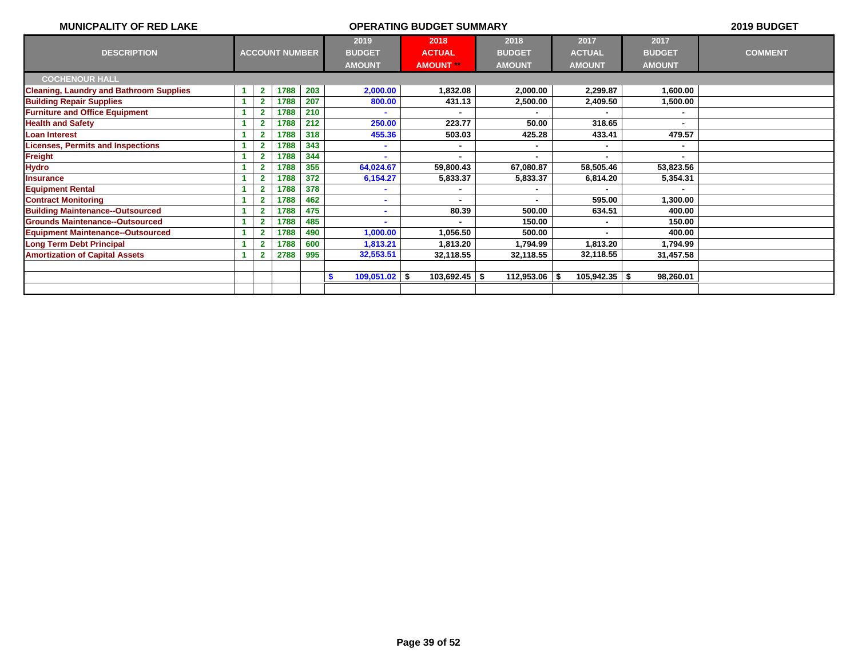| <b>MUNICPALITY OF RED LAKE</b>                 |                         |                       |     |                                        | 2019 BUDGET                                                                                                                   |                 |                   |                |                |
|------------------------------------------------|-------------------------|-----------------------|-----|----------------------------------------|-------------------------------------------------------------------------------------------------------------------------------|-----------------|-------------------|----------------|----------------|
| <b>DESCRIPTION</b>                             |                         | <b>ACCOUNT NUMBER</b> |     | 2019<br><b>BUDGET</b><br><b>AMOUNT</b> | 2018<br>2017<br>2018<br><b>BUDGET</b><br><b>ACTUAL</b><br><b>ACTUAL</b><br><b>AMOUNT</b><br><b>AMOUNT</b><br><b>AMOUNT **</b> |                 |                   |                | <b>COMMENT</b> |
| <b>COCHENOUR HALL</b>                          |                         |                       |     |                                        |                                                                                                                               |                 |                   |                |                |
| <b>Cleaning, Laundry and Bathroom Supplies</b> | $\mathbf{2}$            | 1788                  | 203 | 2,000.00                               | 1,832.08                                                                                                                      | 2,000.00        | 2,299.87          | 1,600.00       |                |
| <b>Building Repair Supplies</b>                | $\mathbf{2}$            | 1788                  | 207 | 800.00                                 | 431.13                                                                                                                        | 2,500.00        | 2,409.50          | 1,500.00       |                |
| <b>Furniture and Office Equipment</b>          |                         | 1788                  | 210 |                                        |                                                                                                                               |                 |                   |                |                |
| <b>Health and Safety</b>                       | $\overline{\mathbf{2}}$ | 1788                  | 212 | 250.00                                 | 223.77                                                                                                                        | 50.00           | 318.65            | $\blacksquare$ |                |
| <b>Loan Interest</b>                           | 2                       | 1788                  | 318 | 455.36                                 | 503.03                                                                                                                        | 425.28          | 433.41            | 479.57         |                |
| <b>Licenses, Permits and Inspections</b>       | 2                       | 1788                  | 343 |                                        | ٠                                                                                                                             |                 | $\blacksquare$    | $\blacksquare$ |                |
| <b>Freight</b>                                 |                         | 1788                  | 344 |                                        |                                                                                                                               |                 |                   |                |                |
| <b>Hydro</b>                                   | $\overline{2}$          | 1788                  | 355 | 64,024.67                              | 59,800.43                                                                                                                     | 67,080.87       | 58,505.46         | 53,823.56      |                |
| <b>Insurance</b>                               | $\overline{2}$          | 1788                  | 372 | 6,154.27                               | 5,833.37                                                                                                                      | 5,833.37        | 6,814.20          | 5,354.31       |                |
| <b>Equipment Rental</b>                        | 2                       | 1788                  | 378 |                                        |                                                                                                                               |                 |                   |                |                |
| <b>Contract Monitoring</b>                     | $\overline{2}$          | 1788                  | 462 |                                        |                                                                                                                               |                 | 595.00            | 1,300.00       |                |
| <b>Building Maintenance--Outsourced</b>        | $\overline{\mathbf{2}}$ | 1788                  | 475 |                                        | 80.39                                                                                                                         | 500.00          | 634.51            | 400.00         |                |
| <b>Grounds Maintenance--Outsourced</b>         | 2                       | 1788                  | 485 |                                        | $\blacksquare$                                                                                                                | 150.00          |                   | 150.00         |                |
| <b>Equipment Maintenance--Outsourced</b>       |                         | 1788                  | 490 | 1,000.00                               | 1,056.50                                                                                                                      | 500.00          |                   | 400.00         |                |
| <b>Long Term Debt Principal</b>                |                         | 1788                  | 600 | 1,813.21                               | 1,813.20                                                                                                                      | 1,794.99        | 1,813.20          | 1,794.99       |                |
| <b>Amortization of Capital Assets</b>          |                         | 2788                  | 995 | 32,553.51                              | 32,118.55                                                                                                                     | 32,118.55       | 32,118.55         | 31,457.58      |                |
|                                                |                         |                       |     |                                        |                                                                                                                               |                 |                   |                |                |
|                                                |                         |                       |     | $109,051.02$ \$<br>S.                  | $103,692.45$ \$                                                                                                               | $112,953.06$ \$ | $105,942.35$ \ \$ | 98,260.01      |                |
|                                                |                         |                       |     |                                        |                                                                                                                               |                 |                   |                |                |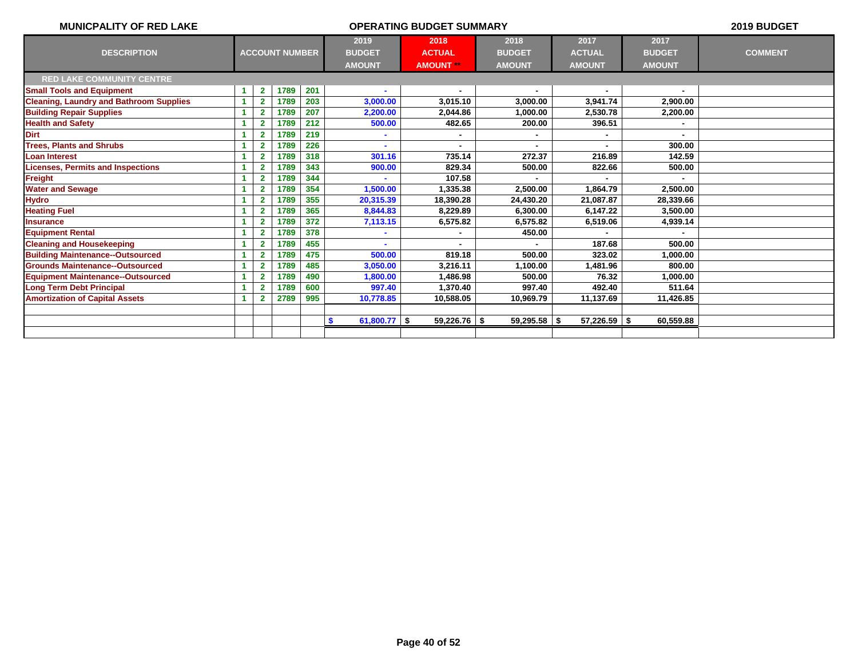| <b>MUNICPALITY OF RED LAKE</b>                 |    |                         |                       |     | 2019 BUDGET                            |                                           |                                        |                                        |                |  |
|------------------------------------------------|----|-------------------------|-----------------------|-----|----------------------------------------|-------------------------------------------|----------------------------------------|----------------------------------------|----------------|--|
| <b>DESCRIPTION</b>                             |    |                         | <b>ACCOUNT NUMBER</b> |     | 2019<br><b>BUDGET</b><br><b>AMOUNT</b> | 2018<br><b>ACTUAL</b><br><b>AMOUNT **</b> | 2018<br><b>BUDGET</b><br><b>AMOUNT</b> | 2017<br><b>BUDGET</b><br><b>AMOUNT</b> | <b>COMMENT</b> |  |
| <b>RED LAKE COMMUNITY CENTRE</b>               |    |                         |                       |     |                                        |                                           |                                        |                                        |                |  |
| <b>Small Tools and Equipment</b>               |    | $\overline{2}$          | 1789                  | 201 |                                        |                                           |                                        |                                        |                |  |
| <b>Cleaning, Laundry and Bathroom Supplies</b> |    | $\overline{\mathbf{2}}$ | 1789                  | 203 | 3,000.00                               | 3,015.10                                  | 3,000.00                               | 3,941.74                               | 2,900.00       |  |
| <b>Building Repair Supplies</b>                |    | $\overline{2}$          | 1789                  | 207 | 2,200.00                               | 2,044.86                                  | 1,000.00                               | 2,530.78                               | 2,200.00       |  |
| <b>Health and Safety</b>                       |    | $\overline{2}$          | 1789                  | 212 | 500.00                                 | 482.65                                    | 200.00                                 | 396.51                                 |                |  |
| <b>Dirt</b>                                    |    | $\overline{2}$          | 1789                  | 219 |                                        |                                           |                                        |                                        |                |  |
| <b>Trees, Plants and Shrubs</b>                |    | $\overline{2}$          | 1789                  | 226 |                                        |                                           |                                        |                                        | 300.00         |  |
| <b>Loan Interest</b>                           |    | $\overline{2}$          | 1789                  | 318 | 301.16                                 | 735.14                                    | 272.37                                 | 216.89                                 | 142.59         |  |
| <b>Licenses, Permits and Inspections</b>       |    | $\overline{2}$          | 1789                  | 343 | 900.00                                 | 829.34                                    | 500.00                                 | 822.66                                 | 500.00         |  |
| <b>Freight</b>                                 |    | $\overline{\mathbf{2}}$ | 1789                  | 344 |                                        | 107.58                                    |                                        |                                        |                |  |
| <b>Water and Sewage</b>                        |    | $\overline{2}$          | 1789                  | 354 | 1,500.00                               | 1.335.38                                  | 2.500.00                               | 1.864.79                               | 2.500.00       |  |
| <b>Hydro</b>                                   |    | $\overline{\mathbf{2}}$ | 1789                  | 355 | 20,315.39                              | 18,390.28                                 | 24,430.20                              | 21,087.87                              | 28,339.66      |  |
| <b>Heating Fuel</b>                            |    | $\overline{2}$          | 1789                  | 365 | 8,844.83                               | 8.229.89                                  | 6,300.00                               | 6,147.22                               | 3,500.00       |  |
| <b>Insurance</b>                               |    |                         | 1789                  | 372 | 7,113.15                               | 6,575.82                                  | 6,575.82                               | 6,519.06                               | 4,939.14       |  |
| <b>Equipment Rental</b>                        |    | $\overline{2}$          | 1789                  | 378 |                                        |                                           | 450.00                                 |                                        |                |  |
| <b>Cleaning and Housekeeping</b>               | -1 | $\overline{\mathbf{2}}$ | 1789                  | 455 |                                        |                                           |                                        | 187.68                                 | 500.00         |  |
| <b>Building Maintenance--Outsourced</b>        |    | 2                       | 1789                  | 475 | 500.00                                 | 819.18                                    | 500.00                                 | 323.02                                 | 1,000.00       |  |
| <b>Grounds Maintenance--Outsourced</b>         |    | $\overline{2}$          | 1789                  | 485 | 3,050.00                               | 3.216.11                                  | 1,100.00                               | 1,481.96                               | 800.00         |  |
| <b>Equipment Maintenance--Outsourced</b>       |    | 2                       | 1789                  | 490 | 1,800.00                               | 1,486.98                                  | 500.00                                 | 76.32                                  | 1,000.00       |  |
| <b>Long Term Debt Principal</b>                |    | 2                       | 1789                  | 600 | 997.40                                 | 1.370.40                                  | 997.40                                 | 492.40                                 | 511.64         |  |
| <b>Amortization of Capital Assets</b>          |    | $\overline{\mathbf{2}}$ | 2789                  | 995 | 10,778.85                              | 10.588.05                                 | 10,969.79                              | 11,137.69                              | 11,426.85      |  |
|                                                |    |                         |                       |     |                                        |                                           |                                        |                                        |                |  |
|                                                |    |                         |                       |     | 61,800.77 $\frac{1}{2}$<br>S.          | 59,226.76                                 | $59,295.58$ \$<br>- \$                 | $57,226.59$ \$                         | 60,559.88      |  |
|                                                |    |                         |                       |     |                                        |                                           |                                        |                                        |                |  |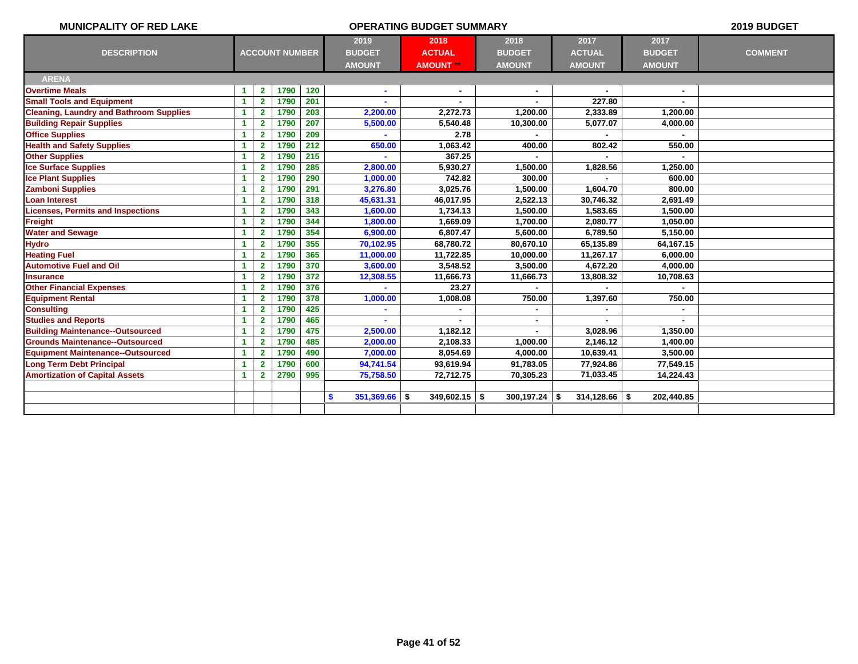| 2019<br>2018<br>2017<br>2017<br>2018<br><b>ACCOUNT NUMBER</b><br><b>ACTUAL</b><br><b>DESCRIPTION</b><br><b>BUDGET</b><br><b>ACTUAL</b><br><b>BUDGET</b><br><b>BUDGET</b><br><b>COMMENT</b><br><b>AMOUNT</b><br><b>AMOUNT **</b><br><b>AMOUNT</b><br><b>AMOUNT</b><br><b>AMOUNT</b><br><b>ARENA</b><br>1790<br>120<br><b>Overtime Meals</b><br>$\mathbf{2}$<br>1<br>$\sim$<br><b>Small Tools and Equipment</b><br>$\mathbf{2}$<br>1790<br>201<br>227.80<br>$\blacktriangleleft$<br>2,200.00<br><b>Cleaning, Laundry and Bathroom Supplies</b><br>$\overline{2}$<br>1790<br>203<br>2,272.73<br>1,200.00<br>2,333.89<br>1,200.00<br>1<br>207<br>5,077.07<br><b>Building Repair Supplies</b><br>$\overline{2}$<br>1790<br>5,500.00<br>5,540.48<br>10,300.00<br>4,000.00<br>1<br><b>Office Supplies</b><br>209<br>2.78<br>$\overline{2}$<br>1790<br>1<br>212<br><b>Health and Safety Supplies</b><br>650.00<br>802.42<br>$\overline{2}$<br>1790<br>1,063.42<br>400.00<br>550.00<br>1<br>215<br>1790<br>367.25<br><b>Other Supplies</b><br>1<br>$\mathbf{2}$<br>285<br><b>Ice Surface Supplies</b><br>$\overline{2}$<br>1790<br>2,800.00<br>5,930.27<br>1,500.00<br>1,828.56<br>1,250.00<br>1<br>290<br>742.82<br>300.00<br>1790<br>1,000.00<br><b>Ice Plant Supplies</b><br>$\overline{2}$<br>600.00<br>1<br>1790<br>291<br><b>Zamboni Supplies</b><br>$\overline{2}$<br>3,276.80<br>3,025.76<br>1,500.00<br>1,604.70<br>800.00<br>1<br>1790<br>318<br>45,631.31<br><b>Loan Interest</b><br>$\overline{2}$<br>46,017.95<br>2,522.13<br>30,746.32<br>1<br>2,691.49<br><b>Licenses, Permits and Inspections</b><br>1790<br>343<br>1,600.00<br>1<br>$\overline{2}$<br>1,734.13<br>1,500.00<br>1,583.65<br>1,500.00<br><b>Freight</b><br>1790<br>344<br>1,800.00<br>2,080.77<br>$\overline{2}$<br>1,669.09<br>1,700.00<br>1,050.00<br>1<br>1790<br>354<br><b>Water and Sewage</b><br>$\overline{2}$<br>6,900.00<br>6.807.47<br>5,600.00<br>6,789.50<br>1<br>5.150.00<br><b>Hydro</b><br>1790<br>355<br>70,102.95<br>$\overline{2}$<br>68,780.72<br>80,670.10<br>65,135.89<br>64,167.15<br>1<br><b>Heating Fuel</b><br>1790<br>365<br>$\mathbf{2}$<br>11,000.00<br>11,722.85<br>11,267.17<br>$\blacktriangleleft$<br>10,000.00<br>6,000.00<br><b>Automotive Fuel and Oil</b><br>1790<br>370<br>$\overline{2}$<br>3,548.52<br>4,672.20<br>1<br>3,600.00<br>3,500.00<br>4,000.00<br><b>Insurance</b><br>$\mathbf{2}$<br>1790<br>372<br>$\blacktriangleleft$<br>12,308.55<br>11,666.73<br>11,666.73<br>10,708.63<br>13,808.32<br>376<br><b>Other Financial Expenses</b><br>$\overline{2}$<br>1790<br>23.27<br>$\blacktriangleleft$<br><b>Equipment Rental</b><br>1790<br>378<br>$\overline{2}$<br>1,008.08<br>750.00<br>1,397.60<br>750.00<br>1<br>1,000.00<br><b>Consulting</b><br>1790<br>425<br>$\mathbf{2}$<br>1<br><b>Studies and Reports</b><br>465<br>$\overline{\mathbf{2}}$<br>1790<br>1 | <b>MUNICPALITY OF RED LAKE</b>          |   |              |      |     |          | 2019 BUDGET |          |          |  |
|--------------------------------------------------------------------------------------------------------------------------------------------------------------------------------------------------------------------------------------------------------------------------------------------------------------------------------------------------------------------------------------------------------------------------------------------------------------------------------------------------------------------------------------------------------------------------------------------------------------------------------------------------------------------------------------------------------------------------------------------------------------------------------------------------------------------------------------------------------------------------------------------------------------------------------------------------------------------------------------------------------------------------------------------------------------------------------------------------------------------------------------------------------------------------------------------------------------------------------------------------------------------------------------------------------------------------------------------------------------------------------------------------------------------------------------------------------------------------------------------------------------------------------------------------------------------------------------------------------------------------------------------------------------------------------------------------------------------------------------------------------------------------------------------------------------------------------------------------------------------------------------------------------------------------------------------------------------------------------------------------------------------------------------------------------------------------------------------------------------------------------------------------------------------------------------------------------------------------------------------------------------------------------------------------------------------------------------------------------------------------------------------------------------------------------------------------------------------------------------------------------------------------------------------------------------------------------------------------------------------------------------------------------------------------------------------------------------------------------------------------------------------------------------------------------------------------------------------------------------------------------------|-----------------------------------------|---|--------------|------|-----|----------|-------------|----------|----------|--|
|                                                                                                                                                                                                                                                                                                                                                                                                                                                                                                                                                                                                                                                                                                                                                                                                                                                                                                                                                                                                                                                                                                                                                                                                                                                                                                                                                                                                                                                                                                                                                                                                                                                                                                                                                                                                                                                                                                                                                                                                                                                                                                                                                                                                                                                                                                                                                                                                                                                                                                                                                                                                                                                                                                                                                                                                                                                                                      |                                         |   |              |      |     |          |             |          |          |  |
|                                                                                                                                                                                                                                                                                                                                                                                                                                                                                                                                                                                                                                                                                                                                                                                                                                                                                                                                                                                                                                                                                                                                                                                                                                                                                                                                                                                                                                                                                                                                                                                                                                                                                                                                                                                                                                                                                                                                                                                                                                                                                                                                                                                                                                                                                                                                                                                                                                                                                                                                                                                                                                                                                                                                                                                                                                                                                      |                                         |   |              |      |     |          |             |          |          |  |
|                                                                                                                                                                                                                                                                                                                                                                                                                                                                                                                                                                                                                                                                                                                                                                                                                                                                                                                                                                                                                                                                                                                                                                                                                                                                                                                                                                                                                                                                                                                                                                                                                                                                                                                                                                                                                                                                                                                                                                                                                                                                                                                                                                                                                                                                                                                                                                                                                                                                                                                                                                                                                                                                                                                                                                                                                                                                                      |                                         |   |              |      |     |          |             |          |          |  |
|                                                                                                                                                                                                                                                                                                                                                                                                                                                                                                                                                                                                                                                                                                                                                                                                                                                                                                                                                                                                                                                                                                                                                                                                                                                                                                                                                                                                                                                                                                                                                                                                                                                                                                                                                                                                                                                                                                                                                                                                                                                                                                                                                                                                                                                                                                                                                                                                                                                                                                                                                                                                                                                                                                                                                                                                                                                                                      |                                         |   |              |      |     |          |             |          |          |  |
|                                                                                                                                                                                                                                                                                                                                                                                                                                                                                                                                                                                                                                                                                                                                                                                                                                                                                                                                                                                                                                                                                                                                                                                                                                                                                                                                                                                                                                                                                                                                                                                                                                                                                                                                                                                                                                                                                                                                                                                                                                                                                                                                                                                                                                                                                                                                                                                                                                                                                                                                                                                                                                                                                                                                                                                                                                                                                      |                                         |   |              |      |     |          |             |          |          |  |
|                                                                                                                                                                                                                                                                                                                                                                                                                                                                                                                                                                                                                                                                                                                                                                                                                                                                                                                                                                                                                                                                                                                                                                                                                                                                                                                                                                                                                                                                                                                                                                                                                                                                                                                                                                                                                                                                                                                                                                                                                                                                                                                                                                                                                                                                                                                                                                                                                                                                                                                                                                                                                                                                                                                                                                                                                                                                                      |                                         |   |              |      |     |          |             |          |          |  |
|                                                                                                                                                                                                                                                                                                                                                                                                                                                                                                                                                                                                                                                                                                                                                                                                                                                                                                                                                                                                                                                                                                                                                                                                                                                                                                                                                                                                                                                                                                                                                                                                                                                                                                                                                                                                                                                                                                                                                                                                                                                                                                                                                                                                                                                                                                                                                                                                                                                                                                                                                                                                                                                                                                                                                                                                                                                                                      |                                         |   |              |      |     |          |             |          |          |  |
|                                                                                                                                                                                                                                                                                                                                                                                                                                                                                                                                                                                                                                                                                                                                                                                                                                                                                                                                                                                                                                                                                                                                                                                                                                                                                                                                                                                                                                                                                                                                                                                                                                                                                                                                                                                                                                                                                                                                                                                                                                                                                                                                                                                                                                                                                                                                                                                                                                                                                                                                                                                                                                                                                                                                                                                                                                                                                      |                                         |   |              |      |     |          |             |          |          |  |
|                                                                                                                                                                                                                                                                                                                                                                                                                                                                                                                                                                                                                                                                                                                                                                                                                                                                                                                                                                                                                                                                                                                                                                                                                                                                                                                                                                                                                                                                                                                                                                                                                                                                                                                                                                                                                                                                                                                                                                                                                                                                                                                                                                                                                                                                                                                                                                                                                                                                                                                                                                                                                                                                                                                                                                                                                                                                                      |                                         |   |              |      |     |          |             |          |          |  |
|                                                                                                                                                                                                                                                                                                                                                                                                                                                                                                                                                                                                                                                                                                                                                                                                                                                                                                                                                                                                                                                                                                                                                                                                                                                                                                                                                                                                                                                                                                                                                                                                                                                                                                                                                                                                                                                                                                                                                                                                                                                                                                                                                                                                                                                                                                                                                                                                                                                                                                                                                                                                                                                                                                                                                                                                                                                                                      |                                         |   |              |      |     |          |             |          |          |  |
|                                                                                                                                                                                                                                                                                                                                                                                                                                                                                                                                                                                                                                                                                                                                                                                                                                                                                                                                                                                                                                                                                                                                                                                                                                                                                                                                                                                                                                                                                                                                                                                                                                                                                                                                                                                                                                                                                                                                                                                                                                                                                                                                                                                                                                                                                                                                                                                                                                                                                                                                                                                                                                                                                                                                                                                                                                                                                      |                                         |   |              |      |     |          |             |          |          |  |
|                                                                                                                                                                                                                                                                                                                                                                                                                                                                                                                                                                                                                                                                                                                                                                                                                                                                                                                                                                                                                                                                                                                                                                                                                                                                                                                                                                                                                                                                                                                                                                                                                                                                                                                                                                                                                                                                                                                                                                                                                                                                                                                                                                                                                                                                                                                                                                                                                                                                                                                                                                                                                                                                                                                                                                                                                                                                                      |                                         |   |              |      |     |          |             |          |          |  |
|                                                                                                                                                                                                                                                                                                                                                                                                                                                                                                                                                                                                                                                                                                                                                                                                                                                                                                                                                                                                                                                                                                                                                                                                                                                                                                                                                                                                                                                                                                                                                                                                                                                                                                                                                                                                                                                                                                                                                                                                                                                                                                                                                                                                                                                                                                                                                                                                                                                                                                                                                                                                                                                                                                                                                                                                                                                                                      |                                         |   |              |      |     |          |             |          |          |  |
|                                                                                                                                                                                                                                                                                                                                                                                                                                                                                                                                                                                                                                                                                                                                                                                                                                                                                                                                                                                                                                                                                                                                                                                                                                                                                                                                                                                                                                                                                                                                                                                                                                                                                                                                                                                                                                                                                                                                                                                                                                                                                                                                                                                                                                                                                                                                                                                                                                                                                                                                                                                                                                                                                                                                                                                                                                                                                      |                                         |   |              |      |     |          |             |          |          |  |
|                                                                                                                                                                                                                                                                                                                                                                                                                                                                                                                                                                                                                                                                                                                                                                                                                                                                                                                                                                                                                                                                                                                                                                                                                                                                                                                                                                                                                                                                                                                                                                                                                                                                                                                                                                                                                                                                                                                                                                                                                                                                                                                                                                                                                                                                                                                                                                                                                                                                                                                                                                                                                                                                                                                                                                                                                                                                                      |                                         |   |              |      |     |          |             |          |          |  |
|                                                                                                                                                                                                                                                                                                                                                                                                                                                                                                                                                                                                                                                                                                                                                                                                                                                                                                                                                                                                                                                                                                                                                                                                                                                                                                                                                                                                                                                                                                                                                                                                                                                                                                                                                                                                                                                                                                                                                                                                                                                                                                                                                                                                                                                                                                                                                                                                                                                                                                                                                                                                                                                                                                                                                                                                                                                                                      |                                         |   |              |      |     |          |             |          |          |  |
|                                                                                                                                                                                                                                                                                                                                                                                                                                                                                                                                                                                                                                                                                                                                                                                                                                                                                                                                                                                                                                                                                                                                                                                                                                                                                                                                                                                                                                                                                                                                                                                                                                                                                                                                                                                                                                                                                                                                                                                                                                                                                                                                                                                                                                                                                                                                                                                                                                                                                                                                                                                                                                                                                                                                                                                                                                                                                      |                                         |   |              |      |     |          |             |          |          |  |
|                                                                                                                                                                                                                                                                                                                                                                                                                                                                                                                                                                                                                                                                                                                                                                                                                                                                                                                                                                                                                                                                                                                                                                                                                                                                                                                                                                                                                                                                                                                                                                                                                                                                                                                                                                                                                                                                                                                                                                                                                                                                                                                                                                                                                                                                                                                                                                                                                                                                                                                                                                                                                                                                                                                                                                                                                                                                                      |                                         |   |              |      |     |          |             |          |          |  |
|                                                                                                                                                                                                                                                                                                                                                                                                                                                                                                                                                                                                                                                                                                                                                                                                                                                                                                                                                                                                                                                                                                                                                                                                                                                                                                                                                                                                                                                                                                                                                                                                                                                                                                                                                                                                                                                                                                                                                                                                                                                                                                                                                                                                                                                                                                                                                                                                                                                                                                                                                                                                                                                                                                                                                                                                                                                                                      |                                         |   |              |      |     |          |             |          |          |  |
|                                                                                                                                                                                                                                                                                                                                                                                                                                                                                                                                                                                                                                                                                                                                                                                                                                                                                                                                                                                                                                                                                                                                                                                                                                                                                                                                                                                                                                                                                                                                                                                                                                                                                                                                                                                                                                                                                                                                                                                                                                                                                                                                                                                                                                                                                                                                                                                                                                                                                                                                                                                                                                                                                                                                                                                                                                                                                      |                                         |   |              |      |     |          |             |          |          |  |
|                                                                                                                                                                                                                                                                                                                                                                                                                                                                                                                                                                                                                                                                                                                                                                                                                                                                                                                                                                                                                                                                                                                                                                                                                                                                                                                                                                                                                                                                                                                                                                                                                                                                                                                                                                                                                                                                                                                                                                                                                                                                                                                                                                                                                                                                                                                                                                                                                                                                                                                                                                                                                                                                                                                                                                                                                                                                                      |                                         |   |              |      |     |          |             |          |          |  |
|                                                                                                                                                                                                                                                                                                                                                                                                                                                                                                                                                                                                                                                                                                                                                                                                                                                                                                                                                                                                                                                                                                                                                                                                                                                                                                                                                                                                                                                                                                                                                                                                                                                                                                                                                                                                                                                                                                                                                                                                                                                                                                                                                                                                                                                                                                                                                                                                                                                                                                                                                                                                                                                                                                                                                                                                                                                                                      |                                         |   |              |      |     |          |             |          |          |  |
|                                                                                                                                                                                                                                                                                                                                                                                                                                                                                                                                                                                                                                                                                                                                                                                                                                                                                                                                                                                                                                                                                                                                                                                                                                                                                                                                                                                                                                                                                                                                                                                                                                                                                                                                                                                                                                                                                                                                                                                                                                                                                                                                                                                                                                                                                                                                                                                                                                                                                                                                                                                                                                                                                                                                                                                                                                                                                      |                                         |   |              |      |     |          |             |          |          |  |
|                                                                                                                                                                                                                                                                                                                                                                                                                                                                                                                                                                                                                                                                                                                                                                                                                                                                                                                                                                                                                                                                                                                                                                                                                                                                                                                                                                                                                                                                                                                                                                                                                                                                                                                                                                                                                                                                                                                                                                                                                                                                                                                                                                                                                                                                                                                                                                                                                                                                                                                                                                                                                                                                                                                                                                                                                                                                                      |                                         |   |              |      |     |          |             |          |          |  |
|                                                                                                                                                                                                                                                                                                                                                                                                                                                                                                                                                                                                                                                                                                                                                                                                                                                                                                                                                                                                                                                                                                                                                                                                                                                                                                                                                                                                                                                                                                                                                                                                                                                                                                                                                                                                                                                                                                                                                                                                                                                                                                                                                                                                                                                                                                                                                                                                                                                                                                                                                                                                                                                                                                                                                                                                                                                                                      |                                         |   |              |      |     |          |             |          |          |  |
|                                                                                                                                                                                                                                                                                                                                                                                                                                                                                                                                                                                                                                                                                                                                                                                                                                                                                                                                                                                                                                                                                                                                                                                                                                                                                                                                                                                                                                                                                                                                                                                                                                                                                                                                                                                                                                                                                                                                                                                                                                                                                                                                                                                                                                                                                                                                                                                                                                                                                                                                                                                                                                                                                                                                                                                                                                                                                      |                                         |   |              |      |     |          |             |          |          |  |
|                                                                                                                                                                                                                                                                                                                                                                                                                                                                                                                                                                                                                                                                                                                                                                                                                                                                                                                                                                                                                                                                                                                                                                                                                                                                                                                                                                                                                                                                                                                                                                                                                                                                                                                                                                                                                                                                                                                                                                                                                                                                                                                                                                                                                                                                                                                                                                                                                                                                                                                                                                                                                                                                                                                                                                                                                                                                                      | <b>Building Maintenance--Outsourced</b> | 1 | $\mathbf{2}$ | 1790 | 475 | 2,500.00 | 1,182.12    | 3,028.96 | 1,350.00 |  |
| <b>Grounds Maintenance--Outsourced</b><br>485<br>$\overline{2}$<br>1790<br>2,000.00<br>2,108.33<br>1,000.00<br>2,146.12<br>1,400.00<br>1                                                                                                                                                                                                                                                                                                                                                                                                                                                                                                                                                                                                                                                                                                                                                                                                                                                                                                                                                                                                                                                                                                                                                                                                                                                                                                                                                                                                                                                                                                                                                                                                                                                                                                                                                                                                                                                                                                                                                                                                                                                                                                                                                                                                                                                                                                                                                                                                                                                                                                                                                                                                                                                                                                                                             |                                         |   |              |      |     |          |             |          |          |  |
| <b>Equipment Maintenance--Outsourced</b><br>$\overline{2}$<br>1790<br>490<br>7,000.00<br>8,054.69<br>1<br>4,000.00<br>10,639.41<br>3,500.00                                                                                                                                                                                                                                                                                                                                                                                                                                                                                                                                                                                                                                                                                                                                                                                                                                                                                                                                                                                                                                                                                                                                                                                                                                                                                                                                                                                                                                                                                                                                                                                                                                                                                                                                                                                                                                                                                                                                                                                                                                                                                                                                                                                                                                                                                                                                                                                                                                                                                                                                                                                                                                                                                                                                          |                                         |   |              |      |     |          |             |          |          |  |
| 1790<br>94,741.54<br>91,783.05<br>77,924.86<br><b>Long Term Debt Principal</b><br>$\overline{2}$<br>600<br>93,619.94<br>77,549.15<br>1                                                                                                                                                                                                                                                                                                                                                                                                                                                                                                                                                                                                                                                                                                                                                                                                                                                                                                                                                                                                                                                                                                                                                                                                                                                                                                                                                                                                                                                                                                                                                                                                                                                                                                                                                                                                                                                                                                                                                                                                                                                                                                                                                                                                                                                                                                                                                                                                                                                                                                                                                                                                                                                                                                                                               |                                         |   |              |      |     |          |             |          |          |  |
| <b>Amortization of Capital Assets</b><br>2790<br>995<br>75,758.50<br>72,712.75<br>70,305.23<br>71,033.45<br>14,224.43<br>1<br>$\mathbf{2}$                                                                                                                                                                                                                                                                                                                                                                                                                                                                                                                                                                                                                                                                                                                                                                                                                                                                                                                                                                                                                                                                                                                                                                                                                                                                                                                                                                                                                                                                                                                                                                                                                                                                                                                                                                                                                                                                                                                                                                                                                                                                                                                                                                                                                                                                                                                                                                                                                                                                                                                                                                                                                                                                                                                                           |                                         |   |              |      |     |          |             |          |          |  |
|                                                                                                                                                                                                                                                                                                                                                                                                                                                                                                                                                                                                                                                                                                                                                                                                                                                                                                                                                                                                                                                                                                                                                                                                                                                                                                                                                                                                                                                                                                                                                                                                                                                                                                                                                                                                                                                                                                                                                                                                                                                                                                                                                                                                                                                                                                                                                                                                                                                                                                                                                                                                                                                                                                                                                                                                                                                                                      |                                         |   |              |      |     |          |             |          |          |  |
| 351,369.66<br>\$<br>-\$<br>$349,602.15$ \$<br>$300,197.24$ \$<br>314,128.66<br>202,440.85                                                                                                                                                                                                                                                                                                                                                                                                                                                                                                                                                                                                                                                                                                                                                                                                                                                                                                                                                                                                                                                                                                                                                                                                                                                                                                                                                                                                                                                                                                                                                                                                                                                                                                                                                                                                                                                                                                                                                                                                                                                                                                                                                                                                                                                                                                                                                                                                                                                                                                                                                                                                                                                                                                                                                                                            |                                         |   |              |      |     |          |             |          |          |  |
|                                                                                                                                                                                                                                                                                                                                                                                                                                                                                                                                                                                                                                                                                                                                                                                                                                                                                                                                                                                                                                                                                                                                                                                                                                                                                                                                                                                                                                                                                                                                                                                                                                                                                                                                                                                                                                                                                                                                                                                                                                                                                                                                                                                                                                                                                                                                                                                                                                                                                                                                                                                                                                                                                                                                                                                                                                                                                      |                                         |   |              |      |     |          |             |          |          |  |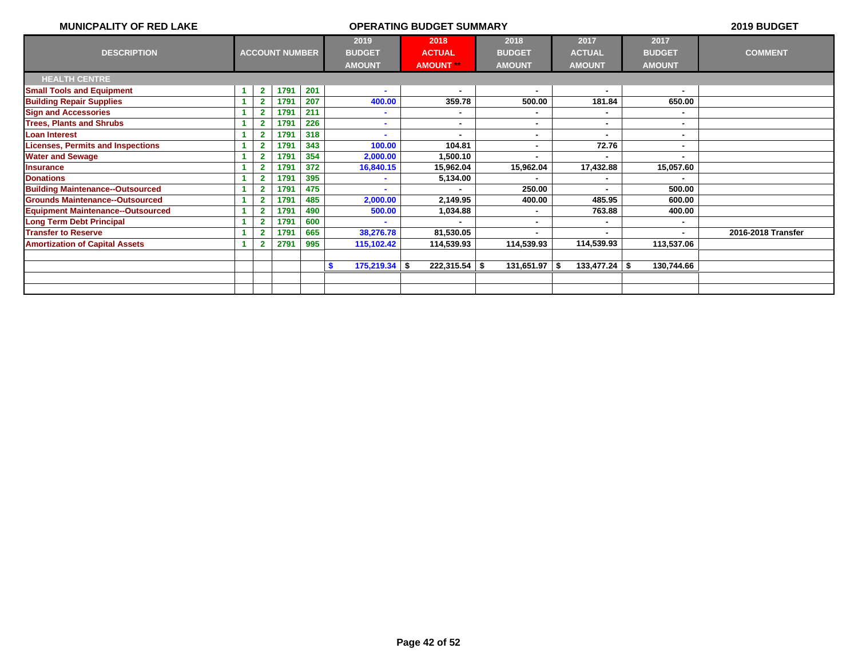| <b>MUNICPALITY OF RED LAKE</b>           |                |                       |     |                                        | 2019 BUDGET                            |                                        |                                        |                |                    |
|------------------------------------------|----------------|-----------------------|-----|----------------------------------------|----------------------------------------|----------------------------------------|----------------------------------------|----------------|--------------------|
| <b>DESCRIPTION</b>                       |                | <b>ACCOUNT NUMBER</b> |     | 2019<br><b>BUDGET</b><br><b>AMOUNT</b> | 2018<br><b>ACTUAL</b><br><b>AMOUNT</b> | 2018<br><b>BUDGET</b><br><b>AMOUNT</b> | 2017<br><b>BUDGET</b><br><b>AMOUNT</b> | <b>COMMENT</b> |                    |
| <b>HEALTH CENTRE</b>                     |                |                       |     |                                        |                                        |                                        |                                        |                |                    |
| <b>Small Tools and Equipment</b>         | $\mathbf{2}$   | 1791                  | 201 |                                        | $\blacksquare$                         |                                        |                                        |                |                    |
| <b>Building Repair Supplies</b>          | $\mathbf{2}$   | 1791                  | 207 | 400.00                                 | 359.78                                 | 500.00                                 | 181.84                                 | 650.00         |                    |
| <b>Sign and Accessories</b>              |                | 1791                  | 211 |                                        | ۰                                      | ٠                                      | ۰.                                     |                |                    |
| <b>Trees, Plants and Shrubs</b>          |                | 1791                  | 226 | ٠                                      | ۰                                      | ۰                                      | ۰.                                     | ۰.             |                    |
| <b>Loan Interest</b>                     |                | 1791                  | 318 |                                        | ۰                                      | ۰                                      | $\blacksquare$                         | ٠              |                    |
| <b>Licenses, Permits and Inspections</b> |                | 1791                  | 343 | 100.00                                 | 104.81                                 |                                        | 72.76                                  |                |                    |
| <b>Water and Sewage</b>                  | 2              | 1791                  | 354 | 2,000.00                               | 1,500.10                               |                                        |                                        |                |                    |
| <b>Insurance</b>                         |                | 1791                  | 372 | 16,840.15                              | 15,962.04                              | 15,962.04                              | 17,432.88                              | 15,057.60      |                    |
| <b>Donations</b>                         | $\overline{2}$ | 1791                  | 395 |                                        | 5,134.00                               |                                        |                                        |                |                    |
| <b>Building Maintenance--Outsourced</b>  | $\overline{2}$ | 1791                  | 475 |                                        |                                        | 250.00                                 | $\blacksquare$                         | 500.00         |                    |
| <b>Grounds Maintenance--Outsourced</b>   | $\overline{2}$ | 1791                  | 485 | 2,000.00                               | 2,149.95                               | 400.00                                 | 485.95                                 | 600.00         |                    |
| <b>Equipment Maintenance--Outsourced</b> |                | 1791                  | 490 | 500.00                                 | 1,034.88                               |                                        | 763.88                                 | 400.00         |                    |
| <b>Long Term Debt Principal</b>          |                | 1791                  | 600 |                                        |                                        |                                        |                                        |                |                    |
| <b>Transfer to Reserve</b>               |                | 1791                  | 665 | 38,276.78                              | 81,530.05                              |                                        |                                        |                | 2016-2018 Transfer |
| <b>Amortization of Capital Assets</b>    |                | 2791                  | 995 | 115,102.42                             | 114,539.93                             | 114,539.93                             | 114,539.93                             | 113,537.06     |                    |
|                                          |                |                       |     |                                        |                                        |                                        |                                        |                |                    |
|                                          |                |                       |     | $175,219.34$ \$<br>-S                  | $222,315.54$ \$                        | $131,651.97$ \$                        | $133,477.24$ \ \$                      | 130,744.66     |                    |
|                                          |                |                       |     |                                        |                                        |                                        |                                        |                |                    |
|                                          |                |                       |     |                                        |                                        |                                        |                                        |                |                    |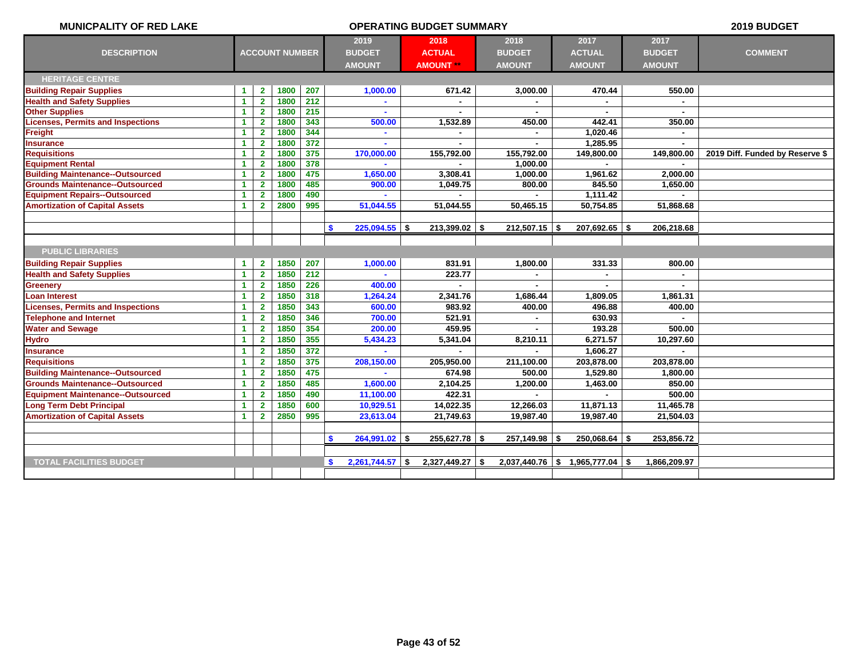| <b>MUNICPALITY OF RED LAKE</b>           |                      |                         |                       |              | <b>OPERATING BUDGET SUMMARY</b> |                       | 2019 BUDGET           |                       |  |                       |                                 |
|------------------------------------------|----------------------|-------------------------|-----------------------|--------------|---------------------------------|-----------------------|-----------------------|-----------------------|--|-----------------------|---------------------------------|
| <b>DESCRIPTION</b>                       |                      |                         | <b>ACCOUNT NUMBER</b> |              | 2019<br><b>BUDGET</b>           | 2018<br><b>ACTUAL</b> | 2018<br><b>BUDGET</b> | 2017<br><b>ACTUAL</b> |  | 2017<br><b>BUDGET</b> | <b>COMMENT</b>                  |
|                                          |                      |                         |                       |              | <b>AMOUNT</b>                   | <b>AMOUNT **</b>      | <b>AMOUNT</b>         | <b>AMOUNT</b>         |  | <b>AMOUNT</b>         |                                 |
| <b>HERITAGE CENTRE</b>                   |                      |                         |                       |              |                                 |                       |                       |                       |  |                       |                                 |
| <b>Building Repair Supplies</b>          | 1                    | $\mathbf{2}$            | 1800                  | 207          | 1,000.00                        | 671.42                | 3,000.00              | 470.44                |  | 550.00                |                                 |
| <b>Health and Safety Supplies</b>        | $\mathbf{1}$         | $\mathbf{2}$            | 1800                  | 212          | ä.                              | $\overline{a}$        | ÷.                    |                       |  | ÷.                    |                                 |
| <b>Other Supplies</b>                    | $\mathbf{1}$         | $\mathbf{2}$            | 1800                  | 215          |                                 |                       |                       |                       |  |                       |                                 |
| <b>Licenses, Permits and Inspections</b> | 1                    | $\mathbf{2}$            | 1800                  | 343          | 500.00                          | 1,532.89              | 450.00                | 442.41                |  | 350.00                |                                 |
| Freight                                  | $\mathbf{1}$         | $\mathbf{2}$            | 1800                  | 344          | ÷.                              |                       |                       | 1,020.46              |  |                       |                                 |
| <b>Insurance</b>                         | $\mathbf{1}$         | $\mathbf{2}$            | 1800                  | 372          | ÷                               |                       | $\blacksquare$        | 1,285.95              |  | ٠                     |                                 |
| <b>Requisitions</b>                      | $\mathbf{1}$         | $\overline{2}$          | 1800                  | 375          | 170,000.00                      | 155,792.00            | 155,792.00            | 149,800.00            |  | 149,800.00            | 2019 Diff. Funded by Reserve \$ |
| <b>Equipment Rental</b>                  | 1                    | $\overline{2}$          | 1800                  | 378          |                                 |                       | 1,000.00              |                       |  |                       |                                 |
| <b>Building Maintenance--Outsourced</b>  | 1                    | $\mathbf{2}$            | 1800                  | 475          | 1,650.00                        | 3,308.41              | 1,000.00              | 1,961.62              |  | 2,000.00              |                                 |
| <b>Grounds Maintenance--Outsourced</b>   | $\blacktriangleleft$ | $\mathbf{2}$            | 1800                  | 485          | 900.00                          | 1,049.75              | 800.00                | 845.50                |  | 1,650.00              |                                 |
| <b>Equipment Repairs--Outsourced</b>     | 1                    | $\mathbf{2}$            | 1800                  | 490          |                                 |                       |                       | 1,111.42              |  |                       |                                 |
| <b>Amortization of Capital Assets</b>    | 1.                   | $\overline{2}$          | 2800                  | 995          | 51,044.55                       | 51,044.55             | 50,465.15             | 50,754.85             |  | 51,868.68             |                                 |
|                                          |                      |                         |                       |              |                                 |                       |                       |                       |  |                       |                                 |
|                                          |                      |                         |                       |              | $225,094.55$ \$<br>\$           | $213,399.02$ \$       | $212,507.15$ \$       | $207,692.65$ \$       |  | 206,218.68            |                                 |
|                                          |                      |                         |                       |              |                                 |                       |                       |                       |  |                       |                                 |
| <b>PUBLIC LIBRARIES</b>                  |                      |                         |                       |              |                                 |                       |                       |                       |  |                       |                                 |
| <b>Building Repair Supplies</b>          | 1                    | $\mathbf{2}$            | 1850                  | 207          | 1,000.00                        | 831.91                | 1,800.00              | 331.33                |  | 800.00                |                                 |
| <b>Health and Safety Supplies</b>        | $\mathbf{1}$         | $\mathbf{2}$            | 1850                  | 212          | ä.                              | 223.77                | $\blacksquare$        |                       |  | ÷.                    |                                 |
| <b>Greenery</b>                          | $\blacktriangleleft$ | $\mathbf{2}$            | 1850                  | 226          | 400.00                          |                       |                       |                       |  | ÷.                    |                                 |
| Loan Interest                            | $\mathbf{1}$         | $\overline{2}$          | 1850                  | 318          | 1,264.24                        | 2,341.76              | 1,686.44              | 1,809.05              |  | 1,861.31              |                                 |
| <b>Licenses, Permits and Inspections</b> | 1                    | $\overline{2}$          | 1850                  | 343          | 600.00                          | 983.92                | 400.00                | 496.88                |  | 400.00                |                                 |
| <b>Telephone and Internet</b>            | 1                    | $\mathbf{2}$            | 1850                  | 346          | 700.00                          | 521.91                |                       | 630.93                |  |                       |                                 |
| <b>Water and Sewage</b>                  | $\blacktriangleleft$ | $\mathbf{2}$            | 1850                  | 354          | 200.00                          | 459.95                | $\sim$                | 193.28                |  | 500.00                |                                 |
| <b>Hydro</b>                             | 1                    | $\mathbf{2}$            | 1850                  | 355          | 5,434.23                        | 5,341.04              | 8,210.11              | 6,271.57              |  | 10,297.60             |                                 |
| <b>Insurance</b>                         | 1                    | $\overline{2}$          | 1850                  | 372          | ä.                              |                       | $\blacksquare$        | 1,606.27              |  | $\sim$                |                                 |
| <b>Requisitions</b>                      | 1                    | $\overline{\mathbf{2}}$ | 1850                  | 375          | 208,150.00                      | 205,950.00            | 211,100.00            | 203,878.00            |  | 203,878.00            |                                 |
| <b>Building Maintenance--Outsourced</b>  | $\blacktriangleleft$ | $\mathbf{2}$            | 1850                  | 475          | $\mathbf{r}$                    | 674.98                | 500.00                | 1,529.80              |  | 1,800.00              |                                 |
| <b>Grounds Maintenance--Outsourced</b>   | $\mathbf{1}$         | $\mathbf{2}$            | 1850                  | 485          | 1,600.00                        | 2,104.25              | 1,200.00              | 1,463.00              |  | 850.00                |                                 |
| <b>Equipment Maintenance--Outsourced</b> | $\mathbf{1}$         | $\overline{2}$          | 1850                  | 490          | 11,100.00                       | 422.31                |                       |                       |  | 500.00                |                                 |
| <b>Long Term Debt Principal</b>          | $\mathbf{1}$         | $\mathbf{2}$            | 1850                  | 600          | 10,929.51                       | 14,022.35             | 12,266.03             | 11,871.13             |  | 11,465.78             |                                 |
| <b>Amortization of Capital Assets</b>    | $\blacktriangleleft$ | $\overline{2}$          | 2850                  | 995          | 23,613.04                       | 21,749.63             | 19,987.40             | 19,987.40             |  | 21,504.03             |                                 |
|                                          |                      |                         |                       |              |                                 |                       |                       |                       |  |                       |                                 |
|                                          |                      |                         |                       |              | $264,991.02$ \$<br>\$           | 255,627.78 \$         | 257,149.98 \$         | $250,068.64$ \$       |  | 253,856.72            |                                 |
|                                          |                      |                         |                       |              |                                 |                       |                       |                       |  |                       |                                 |
| <b>TOTAL FACILITIES BUDGET</b>           |                      |                         |                       |              | \$                              | $2,327,449.27$ \$     | $2,037,440.76$ \$     |                       |  | 1,866,209.97          |                                 |
|                                          | $2,261,744.57$ \$    |                         |                       | 1,965,777.04 |                                 |                       |                       |                       |  |                       |                                 |
|                                          |                      |                         |                       |              |                                 |                       |                       |                       |  |                       |                                 |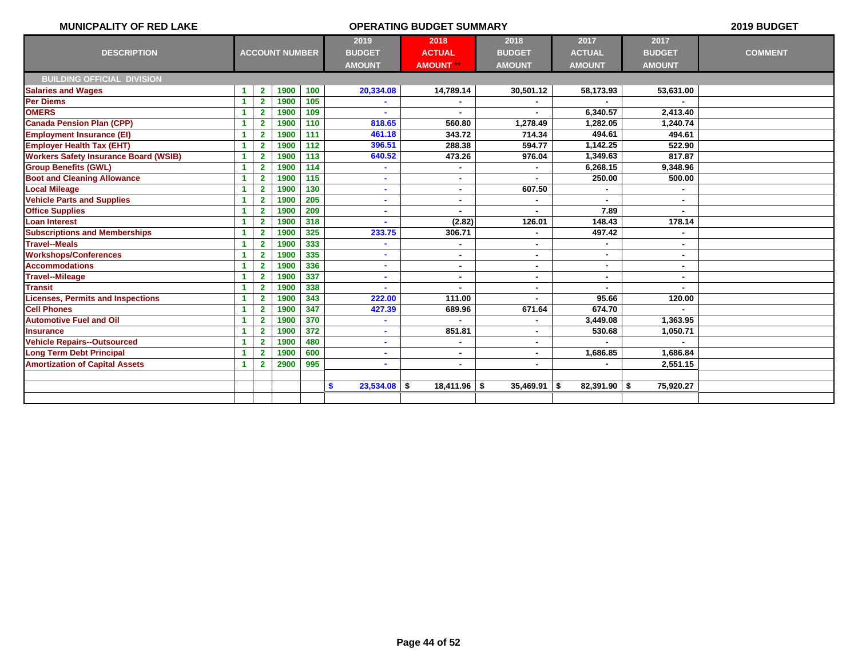| <b>MUNICPALITY OF RED LAKE</b>               |    |                |                       |     |                          | 2019 BUDGET      |                |                |               |                |
|----------------------------------------------|----|----------------|-----------------------|-----|--------------------------|------------------|----------------|----------------|---------------|----------------|
|                                              |    |                |                       |     | 2019                     | 2018             | 2018           | 2017           | 2017          |                |
| <b>DESCRIPTION</b>                           |    |                | <b>ACCOUNT NUMBER</b> |     | <b>BUDGET</b>            | <b>ACTUAL</b>    | <b>BUDGET</b>  | <b>ACTUAL</b>  | <b>BUDGET</b> | <b>COMMENT</b> |
|                                              |    |                |                       |     | <b>AMOUNT</b>            | <b>AMOUNT **</b> | <b>AMOUNT</b>  | <b>AMOUNT</b>  | <b>AMOUNT</b> |                |
| <b>BUILDING OFFICIAL DIVISION</b>            |    |                |                       |     |                          |                  |                |                |               |                |
| <b>Salaries and Wages</b>                    | -1 | $\mathbf{2}$   | 1900                  | 100 | 20,334.08                | 14,789.14        | 30,501.12      | 58,173.93      | 53,631.00     |                |
| <b>Per Diems</b>                             | -1 | $\overline{2}$ | 1900                  | 105 |                          |                  |                |                |               |                |
| <b>OMERS</b>                                 | -1 | $\overline{2}$ | 1900                  | 109 |                          |                  |                | 6,340.57       | 2.413.40      |                |
| <b>Canada Pension Plan (CPP)</b>             | -1 | $\mathbf{2}$   | 1900                  | 110 | 818.65                   | 560.80           | 1,278.49       | 1,282.05       | 1,240.74      |                |
| <b>Employment Insurance (EI)</b>             |    | $\overline{2}$ | 1900                  | 111 | 461.18                   | 343.72           | 714.34         | 494.61         | 494.61        |                |
| <b>Employer Health Tax (EHT)</b>             |    | $\mathbf{2}$   | 1900                  | 112 | 396.51                   | 288.38           | 594.77         | 1,142.25       | 522.90        |                |
| <b>Workers Safety Insurance Board (WSIB)</b> |    | $\overline{2}$ | 1900                  | 113 | 640.52                   | 473.26           | 976.04         | 1,349.63       | 817.87        |                |
| <b>Group Benefits (GWL)</b>                  | -1 | $\overline{2}$ | 1900                  | 114 |                          |                  |                | 6,268.15       | 9,348.96      |                |
| <b>Boot and Cleaning Allowance</b>           | -1 | $\overline{2}$ | 1900                  | 115 |                          | $\blacksquare$   |                | 250.00         | 500.00        |                |
| <b>Local Mileage</b>                         |    | $\mathbf{2}$   | 1900                  | 130 | ٠                        | $\blacksquare$   | 607.50         |                |               |                |
| <b>Vehicle Parts and Supplies</b>            |    | $\overline{2}$ | 1900                  | 205 |                          | $\blacksquare$   |                |                | ٠             |                |
| <b>Office Supplies</b>                       |    | $\overline{2}$ | 1900                  | 209 | $\overline{\phantom{0}}$ | $\blacksquare$   |                | 7.89           |               |                |
| <b>Loan Interest</b>                         |    | $\overline{2}$ | 1900                  | 318 |                          | (2.82)           | 126.01         | 148.43         | 178.14        |                |
| <b>Subscriptions and Memberships</b>         | 1  | $\overline{2}$ | 1900                  | 325 | 233.75                   | 306.71           |                | 497.42         |               |                |
| <b>Travel--Meals</b>                         |    | $\overline{2}$ | 1900                  | 333 |                          | $\blacksquare$   | ۰              |                |               |                |
| <b>Workshops/Conferences</b>                 |    | $\overline{2}$ | 1900                  | 335 |                          |                  |                | ٠              |               |                |
| <b>Accommodations</b>                        |    | $\overline{2}$ | 1900                  | 336 |                          | $\blacksquare$   |                | ٠              |               |                |
| <b>Travel--Mileage</b>                       |    | $\overline{2}$ | 1900                  | 337 |                          | $\blacksquare$   |                | ٠              |               |                |
| <b>Transit</b>                               |    | $\overline{2}$ | 1900                  | 338 |                          |                  |                |                |               |                |
| <b>Licenses, Permits and Inspections</b>     |    | $\overline{2}$ | 1900                  | 343 | 222.00                   | 111.00           |                | 95.66          | 120.00        |                |
| <b>Cell Phones</b>                           |    | $\overline{2}$ | 1900                  | 347 | 427.39                   | 689.96           | 671.64         | 674.70         |               |                |
| <b>Automotive Fuel and Oil</b>               | -1 | $\overline{2}$ | 1900                  | 370 |                          |                  | ۰              | 3,449.08       | 1,363.95      |                |
| <b>Insurance</b>                             | -1 | $\overline{2}$ | 1900                  | 372 |                          | 851.81           | ۰              | 530.68         | 1,050.71      |                |
| <b>Vehicle Repairs--Outsourced</b>           | -1 | $\overline{2}$ | 1900                  | 480 |                          |                  |                |                |               |                |
| <b>Long Term Debt Principal</b>              |    | $\overline{2}$ | 1900                  | 600 |                          | $\blacksquare$   | $\blacksquare$ | 1,686.85       | 1,686.84      |                |
| <b>Amortization of Capital Assets</b>        | -1 | $\overline{2}$ | 2900                  | 995 | ٠                        | $\blacksquare$   | $\blacksquare$ |                | 2,551.15      |                |
|                                              |    |                |                       |     |                          |                  |                |                |               |                |
|                                              |    |                |                       |     | $23,534.08$ \$<br>\$     | $18,411.96$ \$   | $35,469.91$ \$ | $82,391.90$ \$ | 75,920.27     |                |
|                                              |    |                |                       |     |                          |                  |                |                |               |                |
|                                              |    |                |                       |     |                          |                  |                |                |               |                |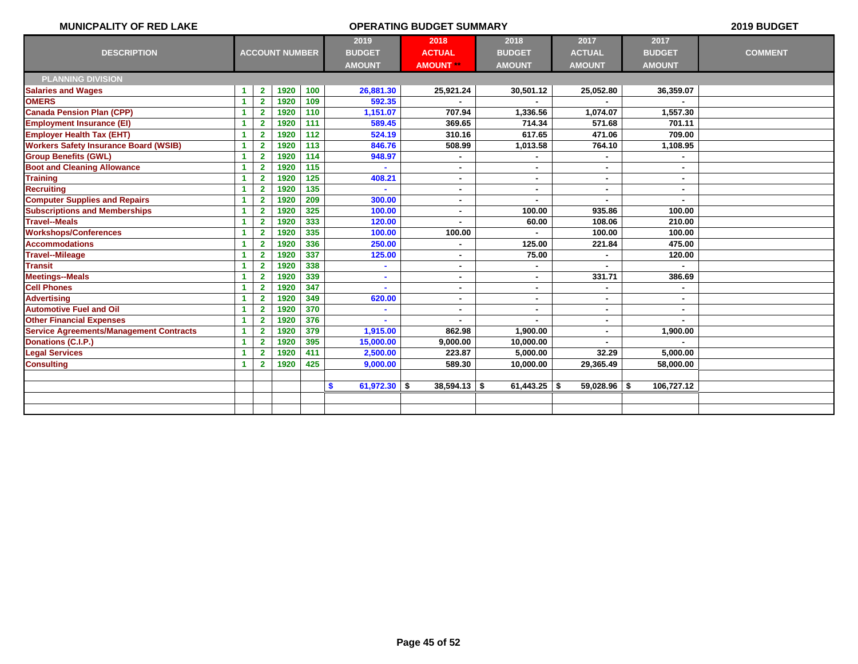| <b>MUNICPALITY OF RED LAKE</b>                 |                      |                         |                       |     |                               | 2019 BUDGET      |                |                |                |                |
|------------------------------------------------|----------------------|-------------------------|-----------------------|-----|-------------------------------|------------------|----------------|----------------|----------------|----------------|
|                                                |                      |                         |                       |     | 2019                          | 2018             | 2018           | 2017           | 2017           |                |
| <b>DESCRIPTION</b>                             |                      |                         | <b>ACCOUNT NUMBER</b> |     | <b>BUDGET</b>                 | <b>ACTUAL</b>    | <b>BUDGET</b>  | <b>ACTUAL</b>  | <b>BUDGET</b>  | <b>COMMENT</b> |
|                                                |                      |                         |                       |     | <b>AMOUNT</b>                 | <b>AMOUNT **</b> | <b>AMOUNT</b>  | <b>AMOUNT</b>  | <b>AMOUNT</b>  |                |
| <b>PLANNING DIVISION</b>                       |                      |                         |                       |     |                               |                  |                |                |                |                |
| <b>Salaries and Wages</b>                      | $\mathbf{1}$         | $\overline{2}$          | 1920                  | 100 | 26,881.30                     | 25,921.24        | 30,501.12      | 25,052.80      | 36,359.07      |                |
| <b>OMERS</b>                                   | $\blacktriangleleft$ | $\overline{2}$          | 1920                  | 109 | 592.35                        |                  |                |                |                |                |
| <b>Canada Pension Plan (CPP)</b>               | $\blacktriangleleft$ | $\overline{2}$          | 1920                  | 110 | 1,151.07                      | 707.94           | 1,336.56       | 1,074.07       | 1,557.30       |                |
| <b>Employment Insurance (EI)</b>               | 1                    | $\overline{2}$          | 1920                  | 111 | 589.45                        | 369.65           | 714.34         | 571.68         | 701.11         |                |
| <b>Employer Health Tax (EHT)</b>               | $\blacktriangleleft$ | $\overline{2}$          | 1920                  | 112 | 524.19                        | 310.16           | 617.65         | 471.06         | 709.00         |                |
| <b>Workers Safety Insurance Board (WSIB)</b>   | 1                    | $\overline{\mathbf{2}}$ | 1920                  | 113 | 846.76                        | 508.99           | 1,013.58       | 764.10         | 1,108.95       |                |
| <b>Group Benefits (GWL)</b>                    | $\blacktriangleleft$ | $\overline{2}$          | 1920                  | 114 | 948.97                        |                  |                |                |                |                |
| <b>Boot and Cleaning Allowance</b>             | 1                    | $\mathbf{2}$            | 1920                  | 115 |                               | $\blacksquare$   | ٠              | $\blacksquare$ | ٠              |                |
| <b>Training</b>                                | $\blacktriangleleft$ | $\overline{2}$          | 1920                  | 125 | 408.21                        | $\blacksquare$   | ۰              |                | ٠              |                |
| <b>Recruiting</b>                              | $\blacktriangleleft$ | $\overline{2}$          | 1920                  | 135 |                               | $\blacksquare$   | $\blacksquare$ | $\blacksquare$ | ٠              |                |
| <b>Computer Supplies and Repairs</b>           | $\mathbf{1}$         | $\mathbf{2}$            | 1920                  | 209 | 300.00                        | $\blacksquare$   | ٠              |                | ٠              |                |
| <b>Subscriptions and Memberships</b>           | $\blacktriangleleft$ | $\mathbf{2}$            | 1920                  | 325 | 100.00                        | $\blacksquare$   | 100.00         | 935.86         | 100.00         |                |
| <b>Travel--Meals</b>                           | 1                    | $\overline{2}$          | 1920                  | 333 | 120.00                        |                  | 60.00          | 108.06         | 210.00         |                |
| <b>Workshops/Conferences</b>                   | $\blacktriangleleft$ | $\overline{2}$          | 1920                  | 335 | 100.00                        | 100.00           | $\blacksquare$ | 100.00         | 100.00         |                |
| <b>Accommodations</b>                          | 1                    | $\mathbf{2}$            | 1920                  | 336 | 250.00                        |                  | 125.00         | 221.84         | 475.00         |                |
| <b>Travel--Mileage</b>                         | $\blacktriangleleft$ | $\overline{2}$          | 1920                  | 337 | 125.00                        | $\blacksquare$   | 75.00          |                | 120.00         |                |
| <b>Transit</b>                                 | $\blacktriangleleft$ | $\overline{2}$          | 1920                  | 338 | ä,                            |                  |                |                |                |                |
| <b>Meetings--Meals</b>                         | $\blacktriangleleft$ | $\overline{2}$          | 1920                  | 339 | ٠                             |                  | $\blacksquare$ | 331.71         | 386.69         |                |
| <b>Cell Phones</b>                             | 1                    | $\overline{2}$          | 1920                  | 347 |                               | $\blacksquare$   | $\blacksquare$ |                |                |                |
| <b>Advertising</b>                             | $\blacktriangleleft$ | $\overline{2}$          | 1920                  | 349 | 620.00                        | $\sim$           | $\blacksquare$ |                | $\blacksquare$ |                |
| <b>Automotive Fuel and Oil</b>                 | 1                    | $\overline{2}$          | 1920                  | 370 |                               | $\blacksquare$   | $\blacksquare$ | $\blacksquare$ |                |                |
| <b>Other Financial Expenses</b>                | 1                    | $\mathbf{2}$            | 1920                  | 376 |                               |                  |                |                |                |                |
| <b>Service Agreements/Management Contracts</b> | $\blacktriangleleft$ | $\mathbf{2}$            | 1920                  | 379 | 1,915.00                      | 862.98           | 1,900.00       |                | 1,900.00       |                |
| Donations (C.I.P.)                             | $\blacktriangleleft$ | $\overline{2}$          | 1920                  | 395 | 15,000.00                     | 9,000.00         | 10,000.00      |                |                |                |
| <b>Legal Services</b>                          | 1                    | $\overline{2}$          | 1920                  | 411 | 2,500.00                      | 223.87           | 5,000.00       | 32.29          | 5,000.00       |                |
| <b>Consulting</b>                              | 1                    | $\overline{2}$          | 1920                  | 425 | 9,000.00                      | 589.30           | 10,000.00      | 29,365.49      | 58,000.00      |                |
|                                                |                      |                         |                       |     |                               |                  |                |                |                |                |
|                                                |                      |                         |                       |     | 61,972.30 $\frac{1}{2}$<br>S. | $38,594.13$ \$   | $61,443.25$ \$ | $59,028.96$ \$ | 106,727.12     |                |
|                                                |                      |                         |                       |     |                               |                  |                |                |                |                |
|                                                |                      |                         |                       |     |                               |                  |                |                |                |                |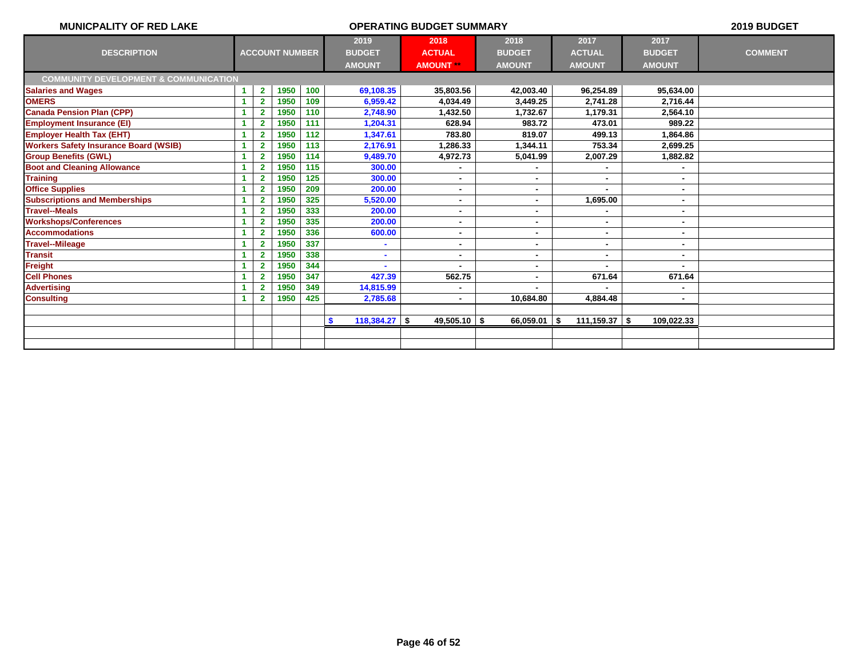| <b>MUNICPALITY OF RED LAKE</b>                   |                      |                         |                       |     |                              | 2019 BUDGET      |                |                   |               |                |
|--------------------------------------------------|----------------------|-------------------------|-----------------------|-----|------------------------------|------------------|----------------|-------------------|---------------|----------------|
|                                                  |                      |                         |                       |     | 2019                         | 2018             | 2018           | 2017              | 2017          |                |
| <b>DESCRIPTION</b>                               |                      |                         | <b>ACCOUNT NUMBER</b> |     | <b>BUDGET</b>                | <b>ACTUAL</b>    | <b>BUDGET</b>  | <b>ACTUAL</b>     | <b>BUDGET</b> | <b>COMMENT</b> |
|                                                  |                      |                         |                       |     | <b>AMOUNT</b>                | <b>AMOUNT **</b> | <b>AMOUNT</b>  | <b>AMOUNT</b>     | <b>AMOUNT</b> |                |
| <b>COMMUNITY DEVELOPMENT &amp; COMMUNICATION</b> |                      |                         |                       |     |                              |                  |                |                   |               |                |
| <b>Salaries and Wages</b>                        | -1                   | $\mathbf{2}$            | 1950                  | 100 | 69,108.35                    | 35,803.56        | 42,003.40      | 96,254.89         | 95,634.00     |                |
| <b>OMERS</b>                                     | $\blacktriangleleft$ | $\overline{2}$          | 1950                  | 109 | 6,959.42                     | 4.034.49         | 3,449.25       | 2,741.28          | 2.716.44      |                |
| <b>Canada Pension Plan (CPP)</b>                 |                      | 2                       | 1950                  | 110 | 2,748.90                     | 1,432.50         | 1,732.67       | 1,179.31          | 2,564.10      |                |
| <b>Employment Insurance (EI)</b>                 |                      | $\overline{2}$          | 1950                  | 111 | 1,204.31                     | 628.94           | 983.72         | 473.01            | 989.22        |                |
| <b>Employer Health Tax (EHT)</b>                 |                      | $\overline{\mathbf{2}}$ | 1950                  | 112 | 1,347.61                     | 783.80           | 819.07         | 499.13            | 1,864.86      |                |
| <b>Workers Safety Insurance Board (WSIB)</b>     |                      | $\overline{2}$          | 1950                  | 113 | 2,176.91                     | 1.286.33         | 1,344.11       | 753.34            | 2,699.25      |                |
| <b>Group Benefits (GWL)</b>                      |                      | $\overline{2}$          | 1950                  | 114 | 9,489.70                     | 4,972.73         | 5,041.99       | 2,007.29          | 1,882.82      |                |
| <b>Boot and Cleaning Allowance</b>               |                      | $\overline{2}$          | 1950                  | 115 | 300.00                       |                  |                |                   |               |                |
| <b>Training</b>                                  |                      | $\overline{2}$          | 1950                  | 125 | 300.00                       | ٠                |                | ٠                 |               |                |
| <b>Office Supplies</b>                           | 1                    | $\mathbf{2}$            | 1950                  | 209 | 200.00                       | ۰                |                |                   |               |                |
| <b>Subscriptions and Memberships</b>             |                      | $\overline{2}$          | 1950                  | 325 | 5,520.00                     |                  |                | 1,695.00          |               |                |
| <b>Travel--Meals</b>                             |                      | $\overline{2}$          | 1950                  | 333 | 200.00                       | ۰                |                |                   |               |                |
| <b>Workshops/Conferences</b>                     |                      | $\overline{2}$          | 1950                  | 335 | 200.00                       |                  |                |                   |               |                |
| <b>Accommodations</b>                            |                      | $\overline{2}$          | 1950                  | 336 | 600.00                       | ۰                |                | ٠                 |               |                |
| <b>Travel--Mileage</b>                           |                      | $\overline{2}$          | 1950                  | 337 |                              | $\blacksquare$   |                | $\blacksquare$    |               |                |
| <b>Transit</b>                                   |                      | 2                       | 1950                  | 338 |                              | $\blacksquare$   |                | $\blacksquare$    |               |                |
| <b>Freight</b>                                   | 1                    | $\overline{2}$          | 1950                  | 344 |                              |                  |                |                   |               |                |
| <b>Cell Phones</b>                               |                      | $\overline{2}$          | 1950                  | 347 | 427.39                       | 562.75           | ٠              | 671.64            | 671.64        |                |
| <b>Advertising</b>                               |                      | $\overline{2}$          | 1950                  | 349 | 14,815.99                    | $\blacksquare$   |                |                   |               |                |
| <b>Consulting</b>                                |                      | $\mathbf{2}$            | 1950                  | 425 | 2,785.68                     | $\blacksquare$   | 10,684.80      | 4.884.48          | ٠             |                |
|                                                  |                      |                         |                       |     |                              |                  |                |                   |               |                |
|                                                  |                      |                         |                       |     | $118,384.27$ \\$<br><b>S</b> | $49,505.10$ \$   | $66,059.01$ \$ | $111,159.37$ \ \$ | 109,022.33    |                |
|                                                  |                      |                         |                       |     |                              |                  |                |                   |               |                |
|                                                  |                      |                         |                       |     |                              |                  |                |                   |               |                |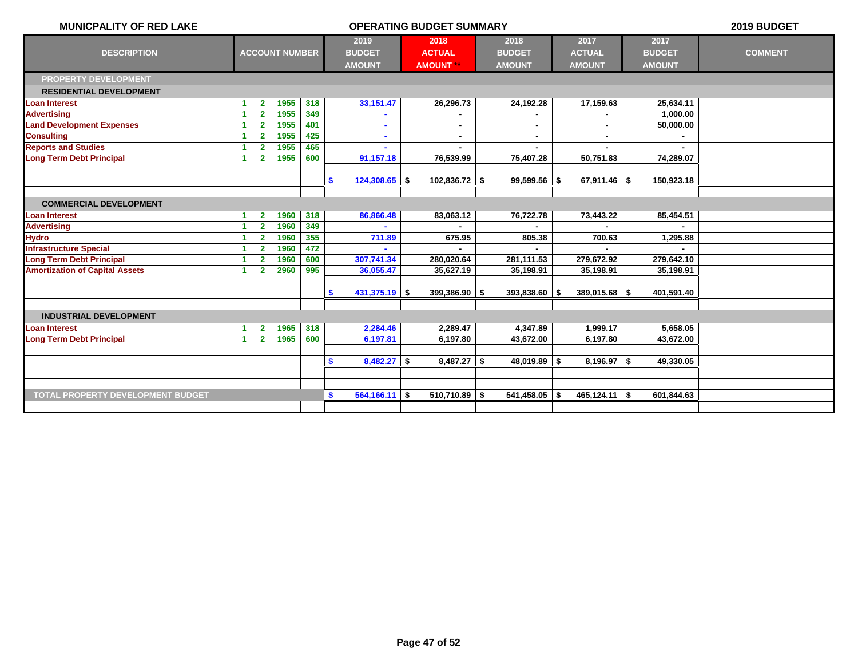| <b>MUNICPALITY OF RED LAKE</b>           |                      |                |                       |     | <b>OPERATING BUDGET SUMMARY</b> |                  | 2019 BUDGET     |                  |               |                |
|------------------------------------------|----------------------|----------------|-----------------------|-----|---------------------------------|------------------|-----------------|------------------|---------------|----------------|
|                                          |                      |                |                       |     | 2019                            | 2018             | 2018            | 2017             | 2017          |                |
| <b>DESCRIPTION</b>                       |                      |                | <b>ACCOUNT NUMBER</b> |     | <b>BUDGET</b>                   | <b>ACTUAL</b>    | <b>BUDGET</b>   | <b>ACTUAL</b>    | <b>BUDGET</b> | <b>COMMENT</b> |
|                                          |                      |                |                       |     | <b>AMOUNT</b>                   | <b>AMOUNT</b> ** | <b>AMOUNT</b>   | <b>AMOUNT</b>    | <b>AMOUNT</b> |                |
| <b>PROPERTY DEVELOPMENT</b>              |                      |                |                       |     |                                 |                  |                 |                  |               |                |
| <b>RESIDENTIAL DEVELOPMENT</b>           |                      |                |                       |     |                                 |                  |                 |                  |               |                |
| <b>Loan Interest</b>                     | 1                    | $\mathbf{2}$   | 1955                  | 318 | 33, 151.47                      | 26,296.73        | 24,192.28       | 17,159.63        | 25,634.11     |                |
| <b>Advertising</b>                       | 1                    | $\overline{2}$ | 1955                  | 349 |                                 |                  |                 |                  | 1,000.00      |                |
| <b>Land Development Expenses</b>         | 1                    | $\mathbf{2}$   | 1955                  | 401 |                                 |                  |                 | $\blacksquare$   | 50,000.00     |                |
| <b>Consulting</b>                        |                      | $\mathbf{2}$   | 1955                  | 425 |                                 | $\blacksquare$   |                 | ٠                |               |                |
| <b>Reports and Studies</b>               | 1                    | $\overline{2}$ | 1955                  | 465 |                                 |                  |                 |                  |               |                |
| <b>Long Term Debt Principal</b>          | 1                    | $\overline{2}$ | 1955                  | 600 | 91,157.18                       | 76,539.99        | 75,407.28       | 50,751.83        | 74,289.07     |                |
|                                          |                      |                |                       |     |                                 |                  |                 |                  |               |                |
|                                          |                      |                |                       |     | $124,308.65$ \$<br><b>S</b>     | $102,836.72$ \$  | $99,599.56$ \$  | $67,911.46$ \$   | 150,923.18    |                |
|                                          |                      |                |                       |     |                                 |                  |                 |                  |               |                |
| <b>COMMERCIAL DEVELOPMENT</b>            |                      |                |                       |     |                                 |                  |                 |                  |               |                |
| <b>Loan Interest</b>                     | $\blacktriangleleft$ | $\mathbf{2}$   | 1960                  | 318 | 86,866.48                       | 83,063.12        | 76,722.78       | 73,443.22        | 85,454.51     |                |
| <b>Advertising</b>                       | 1                    | $\overline{2}$ | 1960                  | 349 |                                 |                  |                 |                  |               |                |
| <b>Hydro</b>                             | 1                    | $\mathbf{2}$   | 1960                  | 355 | 711.89                          | 675.95           | 805.38          | 700.63           | 1,295.88      |                |
| <b>Infrastructure Special</b>            | 1                    | $\mathbf{2}$   | 1960                  | 472 |                                 |                  |                 |                  |               |                |
| <b>Long Term Debt Principal</b>          | 1                    | $\mathbf{2}$   | 1960                  | 600 | 307,741.34                      | 280,020.64       | 281,111.53      | 279,672.92       | 279,642.10    |                |
| <b>Amortization of Capital Assets</b>    | 1                    | $\overline{2}$ | 2960                  | 995 | 36,055.47                       | 35,627.19        | 35,198.91       | 35,198.91        | 35,198.91     |                |
|                                          |                      |                |                       |     |                                 |                  |                 |                  |               |                |
|                                          |                      |                |                       |     | 431,375.19 \$<br><b>S</b>       | $399,386.90$ \$  | $393,838.60$ \$ | $389,015.68$ \$  | 401,591.40    |                |
|                                          |                      |                |                       |     |                                 |                  |                 |                  |               |                |
| <b>INDUSTRIAL DEVELOPMENT</b>            |                      |                |                       |     |                                 |                  |                 |                  |               |                |
| <b>Loan Interest</b>                     | $\blacktriangleleft$ | $\mathbf{2}$   | 1965                  | 318 | 2,284.46                        | 2,289.47         | 4,347.89        | 1,999.17         | 5,658.05      |                |
| <b>Long Term Debt Principal</b>          | $\blacktriangleleft$ | $\mathbf{2}$   | 1965                  | 600 | 6,197.81                        | 6,197.80         | 43,672.00       | 6,197.80         | 43,672.00     |                |
|                                          |                      |                |                       |     |                                 |                  |                 |                  |               |                |
|                                          |                      |                |                       |     | S.<br>$8,482.27$ \$             | $8,487.27$ \$    | $48,019.89$ \$  | $8,196.97$ \$    | 49,330.05     |                |
|                                          |                      |                |                       |     |                                 |                  |                 |                  |               |                |
|                                          |                      |                |                       |     |                                 |                  |                 |                  |               |                |
| <b>TOTAL PROPERTY DEVELOPMENT BUDGET</b> |                      |                |                       |     | $\mathbf{s}$<br>$564,166.11$ \$ | $510,710.89$ \$  | $541,458.05$ \$ | $465, 124.11$ \$ | 601,844.63    |                |
|                                          |                      |                |                       |     |                                 |                  |                 |                  |               |                |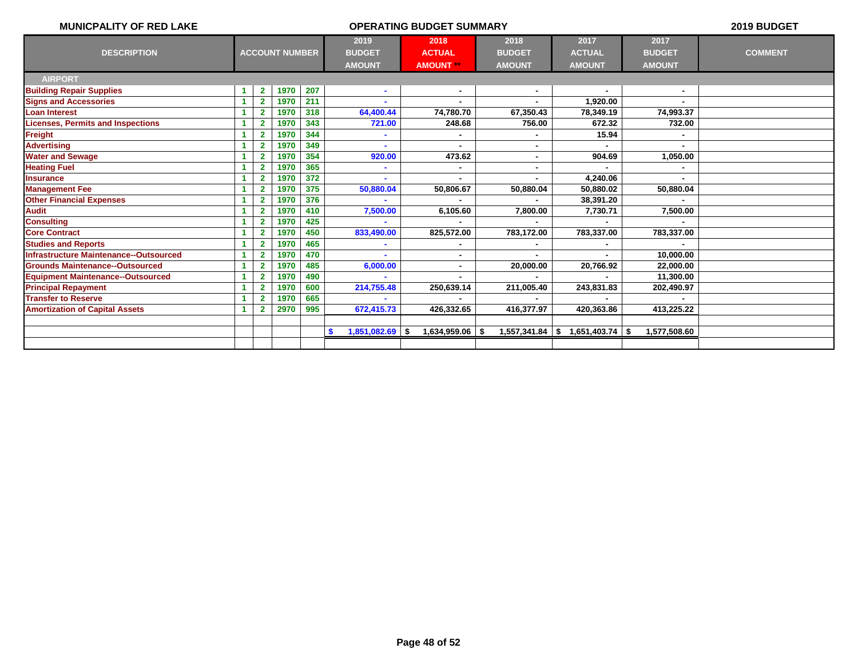| 2019<br>2018<br>2017<br>2017<br>2018<br><b>ACCOUNT NUMBER</b><br><b>DESCRIPTION</b><br><b>ACTUAL</b><br><b>BUDGET</b><br><b>ACTUAL</b><br><b>COMMENT</b><br><b>BUDGET</b><br><b>BUDGET</b><br><b>AMOUNT</b><br><b>AMOUNT</b><br><b>AMOUNT</b><br><b>AMOUNT</b><br><b>AMOUNT **</b><br><b>AIRPORT</b><br>207<br><b>Building Repair Supplies</b><br>1970<br>1<br>$\mathbf{2}$<br>$\blacksquare$<br>$\blacksquare$<br>$\blacksquare$<br>$\sim$<br><b>Signs and Accessories</b><br>1970<br>$\overline{2}$<br>211<br>1.920.00<br>1<br>318<br>64,400.44<br><b>Loan Interest</b><br>1970<br>74,780.70<br>67,350.43<br>78,349.19<br>74,993.37<br>$\mathbf{2}$<br><b>Licenses, Permits and Inspections</b><br>1970<br>$\overline{2}$<br>343<br>721.00<br>248.68<br>756.00<br>672.32<br>732.00<br>Freight<br>15.94<br>1970<br>344<br><b>Advertising</b><br>1970<br>349<br>$\overline{2}$<br><b>Water and Sewage</b><br>920.00<br>1970<br>354<br>473.62<br>1,050.00<br>904.69<br><b>Heating Fuel</b><br>1970<br>365<br>2<br>4,240.06<br>1970<br>372<br><b>Insurance</b><br>$\overline{\mathbf{2}}$<br><b>Management Fee</b><br>375<br>1970<br>50,880.02<br>50,880.04<br>50,806.67<br>50,880.04<br>50,880.04<br>2<br>1<br><b>Other Financial Expenses</b><br>376<br>38,391.20<br>1970<br><b>Audit</b><br>1970<br>410<br>7,500.00<br>6,105.60<br>7,800.00<br>7,730.71<br>7,500.00<br><b>Consulting</b><br>1970<br>425<br>$\overline{\mathbf{2}}$<br><b>Core Contract</b><br>1970<br>450<br>833,490.00<br>825,572.00<br>783,172.00<br>783,337.00<br>783,337.00<br>2<br><b>Studies and Reports</b><br>1970<br>465<br>$\mathbf{2}$<br>Infrastructure Maintenance--Outsourced<br>1970<br>470<br>10,000.00<br>2<br>$\blacksquare$<br><b>Grounds Maintenance--Outsourced</b><br>1970<br>6,000.00<br>20,766.92<br>$\overline{2}$<br>485<br>20,000.00<br>22,000.00<br>٠<br><b>Equipment Maintenance--Outsourced</b><br>1970<br>490<br>11,300.00<br><b>Principal Repayment</b><br>1970<br>600<br>$\mathbf{2}$<br>214,755.48<br>250,639.14<br>211,005.40<br>243,831.83<br>202,490.97<br><b>Transfer to Reserve</b><br>1970<br>665<br>672,415.73<br><b>Amortization of Capital Assets</b><br>2970<br>995<br>426,332.65<br>416,377.97<br>420,363.86<br>413,225.22<br>$1,557,341.84$ \\$ 1,651,403.74 \\$<br>1,577,508.60<br>$1,851,082.69$ \$<br>$1,634,959.06$ \\$<br>-S | <b>MUNICPALITY OF RED LAKE</b><br><b>OPERATING BUDGET SUMMARY</b><br>2019 BUDGET |  |  |  |  |  |  |  |  |  |  |  |  |  |  |
|--------------------------------------------------------------------------------------------------------------------------------------------------------------------------------------------------------------------------------------------------------------------------------------------------------------------------------------------------------------------------------------------------------------------------------------------------------------------------------------------------------------------------------------------------------------------------------------------------------------------------------------------------------------------------------------------------------------------------------------------------------------------------------------------------------------------------------------------------------------------------------------------------------------------------------------------------------------------------------------------------------------------------------------------------------------------------------------------------------------------------------------------------------------------------------------------------------------------------------------------------------------------------------------------------------------------------------------------------------------------------------------------------------------------------------------------------------------------------------------------------------------------------------------------------------------------------------------------------------------------------------------------------------------------------------------------------------------------------------------------------------------------------------------------------------------------------------------------------------------------------------------------------------------------------------------------------------------------------------------------------------------------------------------------------------------------------------------------------------------------------------------------------------------------------------------------------------------------------------------------------------------------------------------------------------------------------------------------------|----------------------------------------------------------------------------------|--|--|--|--|--|--|--|--|--|--|--|--|--|--|
|                                                                                                                                                                                                                                                                                                                                                                                                                                                                                                                                                                                                                                                                                                                                                                                                                                                                                                                                                                                                                                                                                                                                                                                                                                                                                                                                                                                                                                                                                                                                                                                                                                                                                                                                                                                                                                                                                                                                                                                                                                                                                                                                                                                                                                                                                                                                                  |                                                                                  |  |  |  |  |  |  |  |  |  |  |  |  |  |  |
|                                                                                                                                                                                                                                                                                                                                                                                                                                                                                                                                                                                                                                                                                                                                                                                                                                                                                                                                                                                                                                                                                                                                                                                                                                                                                                                                                                                                                                                                                                                                                                                                                                                                                                                                                                                                                                                                                                                                                                                                                                                                                                                                                                                                                                                                                                                                                  |                                                                                  |  |  |  |  |  |  |  |  |  |  |  |  |  |  |
|                                                                                                                                                                                                                                                                                                                                                                                                                                                                                                                                                                                                                                                                                                                                                                                                                                                                                                                                                                                                                                                                                                                                                                                                                                                                                                                                                                                                                                                                                                                                                                                                                                                                                                                                                                                                                                                                                                                                                                                                                                                                                                                                                                                                                                                                                                                                                  |                                                                                  |  |  |  |  |  |  |  |  |  |  |  |  |  |  |
|                                                                                                                                                                                                                                                                                                                                                                                                                                                                                                                                                                                                                                                                                                                                                                                                                                                                                                                                                                                                                                                                                                                                                                                                                                                                                                                                                                                                                                                                                                                                                                                                                                                                                                                                                                                                                                                                                                                                                                                                                                                                                                                                                                                                                                                                                                                                                  |                                                                                  |  |  |  |  |  |  |  |  |  |  |  |  |  |  |
|                                                                                                                                                                                                                                                                                                                                                                                                                                                                                                                                                                                                                                                                                                                                                                                                                                                                                                                                                                                                                                                                                                                                                                                                                                                                                                                                                                                                                                                                                                                                                                                                                                                                                                                                                                                                                                                                                                                                                                                                                                                                                                                                                                                                                                                                                                                                                  |                                                                                  |  |  |  |  |  |  |  |  |  |  |  |  |  |  |
|                                                                                                                                                                                                                                                                                                                                                                                                                                                                                                                                                                                                                                                                                                                                                                                                                                                                                                                                                                                                                                                                                                                                                                                                                                                                                                                                                                                                                                                                                                                                                                                                                                                                                                                                                                                                                                                                                                                                                                                                                                                                                                                                                                                                                                                                                                                                                  |                                                                                  |  |  |  |  |  |  |  |  |  |  |  |  |  |  |
|                                                                                                                                                                                                                                                                                                                                                                                                                                                                                                                                                                                                                                                                                                                                                                                                                                                                                                                                                                                                                                                                                                                                                                                                                                                                                                                                                                                                                                                                                                                                                                                                                                                                                                                                                                                                                                                                                                                                                                                                                                                                                                                                                                                                                                                                                                                                                  |                                                                                  |  |  |  |  |  |  |  |  |  |  |  |  |  |  |
|                                                                                                                                                                                                                                                                                                                                                                                                                                                                                                                                                                                                                                                                                                                                                                                                                                                                                                                                                                                                                                                                                                                                                                                                                                                                                                                                                                                                                                                                                                                                                                                                                                                                                                                                                                                                                                                                                                                                                                                                                                                                                                                                                                                                                                                                                                                                                  |                                                                                  |  |  |  |  |  |  |  |  |  |  |  |  |  |  |
|                                                                                                                                                                                                                                                                                                                                                                                                                                                                                                                                                                                                                                                                                                                                                                                                                                                                                                                                                                                                                                                                                                                                                                                                                                                                                                                                                                                                                                                                                                                                                                                                                                                                                                                                                                                                                                                                                                                                                                                                                                                                                                                                                                                                                                                                                                                                                  |                                                                                  |  |  |  |  |  |  |  |  |  |  |  |  |  |  |
|                                                                                                                                                                                                                                                                                                                                                                                                                                                                                                                                                                                                                                                                                                                                                                                                                                                                                                                                                                                                                                                                                                                                                                                                                                                                                                                                                                                                                                                                                                                                                                                                                                                                                                                                                                                                                                                                                                                                                                                                                                                                                                                                                                                                                                                                                                                                                  |                                                                                  |  |  |  |  |  |  |  |  |  |  |  |  |  |  |
|                                                                                                                                                                                                                                                                                                                                                                                                                                                                                                                                                                                                                                                                                                                                                                                                                                                                                                                                                                                                                                                                                                                                                                                                                                                                                                                                                                                                                                                                                                                                                                                                                                                                                                                                                                                                                                                                                                                                                                                                                                                                                                                                                                                                                                                                                                                                                  |                                                                                  |  |  |  |  |  |  |  |  |  |  |  |  |  |  |
|                                                                                                                                                                                                                                                                                                                                                                                                                                                                                                                                                                                                                                                                                                                                                                                                                                                                                                                                                                                                                                                                                                                                                                                                                                                                                                                                                                                                                                                                                                                                                                                                                                                                                                                                                                                                                                                                                                                                                                                                                                                                                                                                                                                                                                                                                                                                                  |                                                                                  |  |  |  |  |  |  |  |  |  |  |  |  |  |  |
|                                                                                                                                                                                                                                                                                                                                                                                                                                                                                                                                                                                                                                                                                                                                                                                                                                                                                                                                                                                                                                                                                                                                                                                                                                                                                                                                                                                                                                                                                                                                                                                                                                                                                                                                                                                                                                                                                                                                                                                                                                                                                                                                                                                                                                                                                                                                                  |                                                                                  |  |  |  |  |  |  |  |  |  |  |  |  |  |  |
|                                                                                                                                                                                                                                                                                                                                                                                                                                                                                                                                                                                                                                                                                                                                                                                                                                                                                                                                                                                                                                                                                                                                                                                                                                                                                                                                                                                                                                                                                                                                                                                                                                                                                                                                                                                                                                                                                                                                                                                                                                                                                                                                                                                                                                                                                                                                                  |                                                                                  |  |  |  |  |  |  |  |  |  |  |  |  |  |  |
|                                                                                                                                                                                                                                                                                                                                                                                                                                                                                                                                                                                                                                                                                                                                                                                                                                                                                                                                                                                                                                                                                                                                                                                                                                                                                                                                                                                                                                                                                                                                                                                                                                                                                                                                                                                                                                                                                                                                                                                                                                                                                                                                                                                                                                                                                                                                                  |                                                                                  |  |  |  |  |  |  |  |  |  |  |  |  |  |  |
|                                                                                                                                                                                                                                                                                                                                                                                                                                                                                                                                                                                                                                                                                                                                                                                                                                                                                                                                                                                                                                                                                                                                                                                                                                                                                                                                                                                                                                                                                                                                                                                                                                                                                                                                                                                                                                                                                                                                                                                                                                                                                                                                                                                                                                                                                                                                                  |                                                                                  |  |  |  |  |  |  |  |  |  |  |  |  |  |  |
|                                                                                                                                                                                                                                                                                                                                                                                                                                                                                                                                                                                                                                                                                                                                                                                                                                                                                                                                                                                                                                                                                                                                                                                                                                                                                                                                                                                                                                                                                                                                                                                                                                                                                                                                                                                                                                                                                                                                                                                                                                                                                                                                                                                                                                                                                                                                                  |                                                                                  |  |  |  |  |  |  |  |  |  |  |  |  |  |  |
|                                                                                                                                                                                                                                                                                                                                                                                                                                                                                                                                                                                                                                                                                                                                                                                                                                                                                                                                                                                                                                                                                                                                                                                                                                                                                                                                                                                                                                                                                                                                                                                                                                                                                                                                                                                                                                                                                                                                                                                                                                                                                                                                                                                                                                                                                                                                                  |                                                                                  |  |  |  |  |  |  |  |  |  |  |  |  |  |  |
|                                                                                                                                                                                                                                                                                                                                                                                                                                                                                                                                                                                                                                                                                                                                                                                                                                                                                                                                                                                                                                                                                                                                                                                                                                                                                                                                                                                                                                                                                                                                                                                                                                                                                                                                                                                                                                                                                                                                                                                                                                                                                                                                                                                                                                                                                                                                                  |                                                                                  |  |  |  |  |  |  |  |  |  |  |  |  |  |  |
|                                                                                                                                                                                                                                                                                                                                                                                                                                                                                                                                                                                                                                                                                                                                                                                                                                                                                                                                                                                                                                                                                                                                                                                                                                                                                                                                                                                                                                                                                                                                                                                                                                                                                                                                                                                                                                                                                                                                                                                                                                                                                                                                                                                                                                                                                                                                                  |                                                                                  |  |  |  |  |  |  |  |  |  |  |  |  |  |  |
|                                                                                                                                                                                                                                                                                                                                                                                                                                                                                                                                                                                                                                                                                                                                                                                                                                                                                                                                                                                                                                                                                                                                                                                                                                                                                                                                                                                                                                                                                                                                                                                                                                                                                                                                                                                                                                                                                                                                                                                                                                                                                                                                                                                                                                                                                                                                                  |                                                                                  |  |  |  |  |  |  |  |  |  |  |  |  |  |  |
|                                                                                                                                                                                                                                                                                                                                                                                                                                                                                                                                                                                                                                                                                                                                                                                                                                                                                                                                                                                                                                                                                                                                                                                                                                                                                                                                                                                                                                                                                                                                                                                                                                                                                                                                                                                                                                                                                                                                                                                                                                                                                                                                                                                                                                                                                                                                                  |                                                                                  |  |  |  |  |  |  |  |  |  |  |  |  |  |  |
|                                                                                                                                                                                                                                                                                                                                                                                                                                                                                                                                                                                                                                                                                                                                                                                                                                                                                                                                                                                                                                                                                                                                                                                                                                                                                                                                                                                                                                                                                                                                                                                                                                                                                                                                                                                                                                                                                                                                                                                                                                                                                                                                                                                                                                                                                                                                                  |                                                                                  |  |  |  |  |  |  |  |  |  |  |  |  |  |  |
|                                                                                                                                                                                                                                                                                                                                                                                                                                                                                                                                                                                                                                                                                                                                                                                                                                                                                                                                                                                                                                                                                                                                                                                                                                                                                                                                                                                                                                                                                                                                                                                                                                                                                                                                                                                                                                                                                                                                                                                                                                                                                                                                                                                                                                                                                                                                                  |                                                                                  |  |  |  |  |  |  |  |  |  |  |  |  |  |  |
|                                                                                                                                                                                                                                                                                                                                                                                                                                                                                                                                                                                                                                                                                                                                                                                                                                                                                                                                                                                                                                                                                                                                                                                                                                                                                                                                                                                                                                                                                                                                                                                                                                                                                                                                                                                                                                                                                                                                                                                                                                                                                                                                                                                                                                                                                                                                                  |                                                                                  |  |  |  |  |  |  |  |  |  |  |  |  |  |  |
|                                                                                                                                                                                                                                                                                                                                                                                                                                                                                                                                                                                                                                                                                                                                                                                                                                                                                                                                                                                                                                                                                                                                                                                                                                                                                                                                                                                                                                                                                                                                                                                                                                                                                                                                                                                                                                                                                                                                                                                                                                                                                                                                                                                                                                                                                                                                                  |                                                                                  |  |  |  |  |  |  |  |  |  |  |  |  |  |  |
|                                                                                                                                                                                                                                                                                                                                                                                                                                                                                                                                                                                                                                                                                                                                                                                                                                                                                                                                                                                                                                                                                                                                                                                                                                                                                                                                                                                                                                                                                                                                                                                                                                                                                                                                                                                                                                                                                                                                                                                                                                                                                                                                                                                                                                                                                                                                                  |                                                                                  |  |  |  |  |  |  |  |  |  |  |  |  |  |  |
|                                                                                                                                                                                                                                                                                                                                                                                                                                                                                                                                                                                                                                                                                                                                                                                                                                                                                                                                                                                                                                                                                                                                                                                                                                                                                                                                                                                                                                                                                                                                                                                                                                                                                                                                                                                                                                                                                                                                                                                                                                                                                                                                                                                                                                                                                                                                                  |                                                                                  |  |  |  |  |  |  |  |  |  |  |  |  |  |  |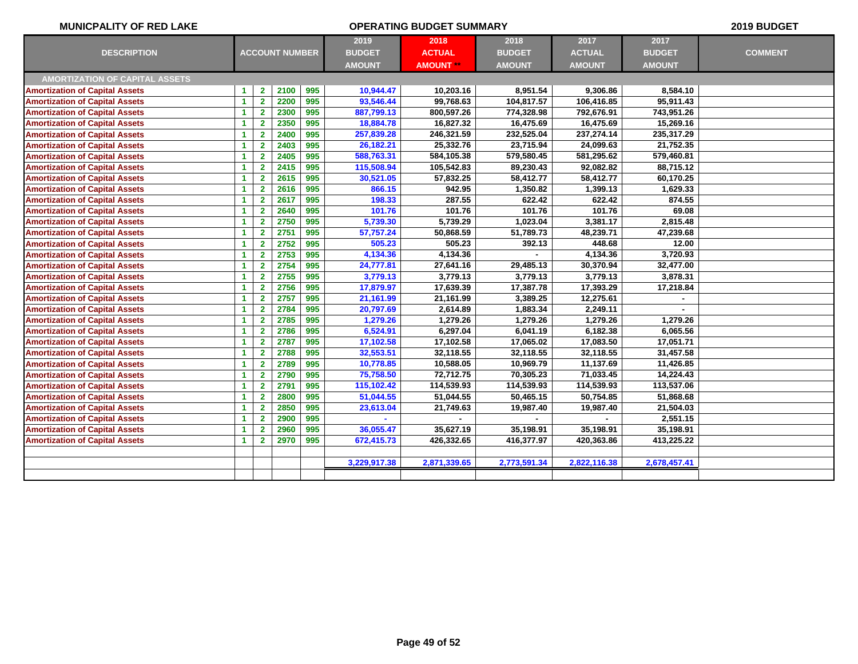| <b>MUNICPALITY OF RED LAKE</b>        |                      |                         | 2019 BUDGET           |     |               |                  |               |               |               |                |
|---------------------------------------|----------------------|-------------------------|-----------------------|-----|---------------|------------------|---------------|---------------|---------------|----------------|
|                                       |                      |                         |                       |     | 2019          | 2018             | 2018          | 2017          | 2017          |                |
| <b>DESCRIPTION</b>                    |                      |                         | <b>ACCOUNT NUMBER</b> |     | <b>BUDGET</b> | <b>ACTUAL</b>    | <b>BUDGET</b> | <b>ACTUAL</b> | <b>BUDGET</b> | <b>COMMENT</b> |
|                                       |                      |                         |                       |     | <b>AMOUNT</b> | <b>AMOUNT **</b> | <b>AMOUNT</b> | <b>AMOUNT</b> | <b>AMOUNT</b> |                |
| <b>AMORTIZATION OF CAPITAL ASSETS</b> |                      |                         |                       |     |               |                  |               |               |               |                |
| <b>Amortization of Capital Assets</b> | $\blacktriangleleft$ | $\mathbf{2}$            | 2100                  | 995 | 10,944.47     | 10,203.16        | 8,951.54      | 9,306.86      | 8,584.10      |                |
| <b>Amortization of Capital Assets</b> | $\blacktriangleleft$ | $\overline{2}$          | 2200                  | 995 | 93,546.44     | 99,768.63        | 104,817.57    | 106,416.85    | 95,911.43     |                |
| <b>Amortization of Capital Assets</b> | $\blacktriangleleft$ | $\mathbf{2}$            | 2300                  | 995 | 887,799.13    | 800,597.26       | 774,328.98    | 792,676.91    | 743,951.26    |                |
| <b>Amortization of Capital Assets</b> | $\blacktriangleleft$ | $\overline{2}$          | 2350                  | 995 | 18,884.78     | 16,827.32        | 16,475.69     | 16,475.69     | 15,269.16     |                |
| <b>Amortization of Capital Assets</b> | $\blacktriangleleft$ | $\overline{2}$          | 2400                  | 995 | 257,839.28    | 246,321.59       | 232,525.04    | 237,274.14    | 235,317.29    |                |
| <b>Amortization of Capital Assets</b> | $\blacktriangleleft$ | $\mathbf{2}$            | 2403                  | 995 | 26,182.21     | 25,332.76        | 23,715.94     | 24,099.63     | 21,752.35     |                |
| <b>Amortization of Capital Assets</b> | $\blacktriangleleft$ | $\mathbf{2}$            | 2405                  | 995 | 588,763.31    | 584,105.38       | 579,580.45    | 581,295.62    | 579,460.81    |                |
| <b>Amortization of Capital Assets</b> | $\blacktriangleleft$ | 2 <sup>1</sup>          | 2415                  | 995 | 115,508.94    | 105,542.83       | 89,230.43     | 92,082.82     | 88,715.12     |                |
| <b>Amortization of Capital Assets</b> | $\blacktriangleleft$ | $\overline{2}$          | 2615                  | 995 | 30,521.05     | 57,832.25        | 58,412.77     | 58,412.77     | 60,170.25     |                |
| <b>Amortization of Capital Assets</b> | $\blacktriangleleft$ | $\mathbf{2}$            | 2616                  | 995 | 866.15        | 942.95           | 1,350.82      | 1,399.13      | 1,629.33      |                |
| <b>Amortization of Capital Assets</b> | $\blacktriangleleft$ | $\mathbf{2}$            | 2617                  | 995 | 198.33        | 287.55           | 622.42        | 622.42        | 874.55        |                |
| <b>Amortization of Capital Assets</b> | $\blacktriangleleft$ | $\overline{2}$          | 2640                  | 995 | 101.76        | 101.76           | 101.76        | 101.76        | 69.08         |                |
| <b>Amortization of Capital Assets</b> | $\blacktriangleleft$ | $\overline{2}$          | 2750                  | 995 | 5,739.30      | 5,739.29         | 1,023.04      | 3,381.17      | 2,815.48      |                |
| <b>Amortization of Capital Assets</b> | $\blacktriangleleft$ | $\mathbf{2}$            | 2751                  | 995 | 57,757.24     | 50,868.59        | 51,789.73     | 48,239.71     | 47,239.68     |                |
| <b>Amortization of Capital Assets</b> | $\blacktriangleleft$ | $\overline{\mathbf{2}}$ | 2752                  | 995 | 505.23        | 505.23           | 392.13        | 448.68        | 12.00         |                |
| <b>Amortization of Capital Assets</b> | $\blacktriangleleft$ | $\mathbf{2}$            | 2753                  | 995 | 4,134.36      | 4,134.36         |               | 4,134.36      | 3,720.93      |                |
| <b>Amortization of Capital Assets</b> | $\blacktriangleleft$ | $\mathbf{2}$            | 2754                  | 995 | 24,777.81     | 27,641.16        | 29,485.13     | 30,370.94     | 32,477.00     |                |
| <b>Amortization of Capital Assets</b> | $\blacktriangleleft$ | $\overline{2}$          | 2755                  | 995 | 3,779.13      | 3,779.13         | 3,779.13      | 3,779.13      | 3,878.31      |                |
| <b>Amortization of Capital Assets</b> | $\blacktriangleleft$ | $\mathbf{2}$            | 2756                  | 995 | 17,879.97     | 17,639.39        | 17,387.78     | 17,393.29     | 17,218.84     |                |
| <b>Amortization of Capital Assets</b> | $\blacktriangleleft$ | $\mathbf{2}$            | 2757                  | 995 | 21,161.99     | 21,161.99        | 3,389.25      | 12,275.61     | $\sim$        |                |
| <b>Amortization of Capital Assets</b> | $\blacktriangleleft$ | $\mathbf{2}$            | 2784                  | 995 | 20,797.69     | 2,614.89         | 1,883.34      | 2,249.11      |               |                |
| <b>Amortization of Capital Assets</b> | $\blacktriangleleft$ | $\mathbf{2}$            | 2785                  | 995 | 1,279.26      | 1,279.26         | 1,279.26      | 1,279.26      | 1,279.26      |                |
| <b>Amortization of Capital Assets</b> | $\blacktriangleleft$ | $\mathbf{2}$            | 2786                  | 995 | 6,524.91      | 6,297.04         | 6,041.19      | 6,182.38      | 6,065.56      |                |
| <b>Amortization of Capital Assets</b> | $\blacktriangleleft$ | $\mathbf{2}$            | 2787                  | 995 | 17,102.58     | 17,102.58        | 17,065.02     | 17,083.50     | 17,051.71     |                |
| <b>Amortization of Capital Assets</b> | $\blacktriangleleft$ | $\mathbf{2}$            | 2788                  | 995 | 32,553.51     | 32,118.55        | 32,118.55     | 32,118.55     | 31,457.58     |                |
| <b>Amortization of Capital Assets</b> | $\blacktriangleleft$ | $\mathbf{2}$            | 2789                  | 995 | 10,778.85     | 10,588.05        | 10,969.79     | 11,137.69     | 11,426.85     |                |
| <b>Amortization of Capital Assets</b> | $\blacktriangleleft$ | $\mathbf{2}$            | 2790                  | 995 | 75,758.50     | 72,712.75        | 70,305.23     | 71,033.45     | 14,224.43     |                |
| <b>Amortization of Capital Assets</b> | $\blacktriangleleft$ | 2 <sup>1</sup>          | 2791                  | 995 | 115,102.42    | 114,539.93       | 114,539.93    | 114,539.93    | 113,537.06    |                |
| <b>Amortization of Capital Assets</b> | $\blacktriangleleft$ | $\mathbf{2}$            | 2800                  | 995 | 51,044.55     | 51,044.55        | 50,465.15     | 50,754.85     | 51,868.68     |                |
| <b>Amortization of Capital Assets</b> | $\blacktriangleleft$ | $\mathbf{2}$            | 2850                  | 995 | 23,613.04     | 21,749.63        | 19,987.40     | 19,987.40     | 21,504.03     |                |
| <b>Amortization of Capital Assets</b> | $\blacktriangleleft$ | $\overline{2}$          | 2900                  | 995 |               |                  |               |               | 2,551.15      |                |
| <b>Amortization of Capital Assets</b> | $\blacktriangleleft$ | $\mathbf{2}$            | 2960                  | 995 | 36,055.47     | 35,627.19        | 35,198.91     | 35,198.91     | 35,198.91     |                |
| <b>Amortization of Capital Assets</b> | $\blacktriangleleft$ | $\mathbf{2}$            | 2970                  | 995 | 672,415.73    | 426,332.65       | 416,377.97    | 420,363.86    | 413,225.22    |                |
|                                       |                      |                         |                       |     |               |                  |               |               |               |                |
|                                       |                      |                         |                       |     | 3,229,917.38  | 2,871,339.65     | 2,773,591.34  | 2,822,116.38  | 2,678,457.41  |                |
|                                       |                      |                         |                       |     |               |                  |               |               |               |                |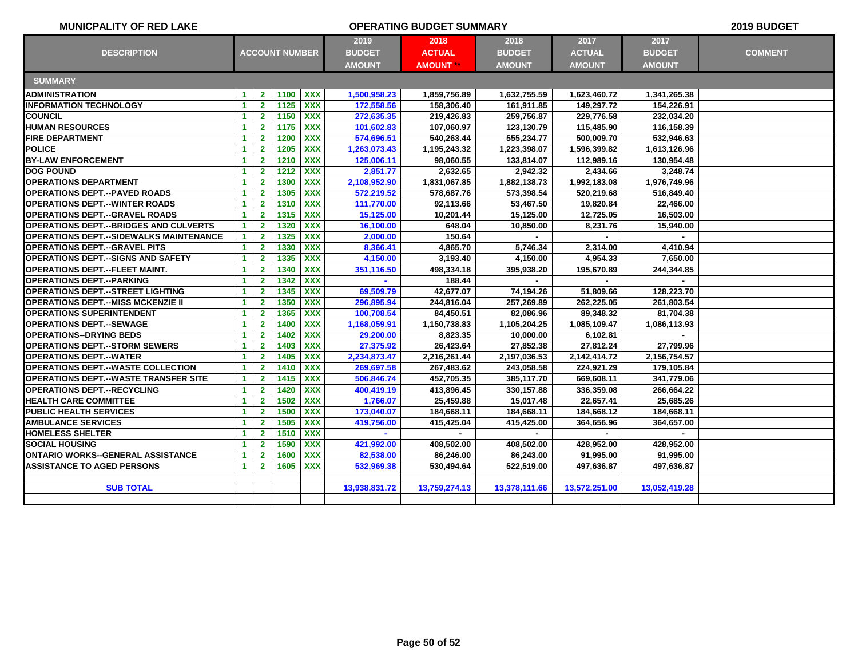| <b>MUNICPALITY OF RED LAKE</b>                 |                      |                       |      | <b>OPERATING BUDGET SUMMARY</b> |               |                  |               |               |               |                |  |  |  |
|------------------------------------------------|----------------------|-----------------------|------|---------------------------------|---------------|------------------|---------------|---------------|---------------|----------------|--|--|--|
| <b>DESCRIPTION</b>                             |                      | <b>ACCOUNT NUMBER</b> |      |                                 | 2019          | 2018             | 2018          | 2017          | 2017          |                |  |  |  |
|                                                |                      |                       |      |                                 | <b>BUDGET</b> | <b>ACTUAL</b>    | <b>BUDGET</b> | <b>ACTUAL</b> | <b>BUDGET</b> | <b>COMMENT</b> |  |  |  |
|                                                |                      |                       |      |                                 | <b>AMOUNT</b> | <b>AMOUNT **</b> | <b>AMOUNT</b> | <b>AMOUNT</b> | <b>AMOUNT</b> |                |  |  |  |
| <b>SUMMARY</b>                                 |                      |                       |      |                                 |               |                  |               |               |               |                |  |  |  |
| <b>ADMINISTRATION</b>                          | $\blacktriangleleft$ | $\mathbf{2}$          | 1100 | <b>XXX</b>                      | 1,500,958.23  | 1,859,756.89     | 1,632,755.59  | 1,623,460.72  | 1,341,265.38  |                |  |  |  |
| <b>INFORMATION TECHNOLOGY</b>                  | $\blacktriangleleft$ | 2 <sup>1</sup>        | 1125 | <b>XXX</b>                      | 172,558.56    | 158,306.40       | 161,911.85    | 149,297.72    | 154,226.91    |                |  |  |  |
| <b>COUNCIL</b>                                 | $\blacktriangleleft$ | $\overline{2}$        | 1150 | <b>XXX</b>                      | 272,635.35    | 219,426.83       | 259,756.87    | 229,776.58    | 232,034.20    |                |  |  |  |
| <b>HUMAN RESOURCES</b>                         | $\blacktriangleleft$ | $\mathbf{2}$          | 1175 | <b>XXX</b>                      | 101,602.83    | 107,060.97       | 123,130.79    | 115,485.90    | 116,158.39    |                |  |  |  |
| <b>FIRE DEPARTMENT</b>                         | $\blacktriangleleft$ | $\overline{2}$        | 1200 | <b>XXX</b>                      | 574,696.51    | 540,263.44       | 555,234.77    | 500,009.70    | 532,946.63    |                |  |  |  |
| <b>POLICE</b>                                  | $\blacktriangleleft$ | $\overline{2}$        | 1205 | <b>XXX</b>                      | 1,263,073.43  | 1,195,243.32     | 1,223,398.07  | 1,596,399.82  | 1,613,126.96  |                |  |  |  |
| <b>BY-LAW ENFORCEMENT</b>                      | -1                   | $\overline{2}$        | 1210 | <b>XXX</b>                      | 125,006.11    | 98.060.55        | 133,814.07    | 112,989.16    | 130.954.48    |                |  |  |  |
| <b>DOG POUND</b>                               | $\blacktriangleleft$ | $\overline{2}$        | 1212 | <b>XXX</b>                      | 2,851.77      | 2,632.65         | 2,942.32      | 2,434.66      | 3.248.74      |                |  |  |  |
| <b>OPERATIONS DEPARTMENT</b>                   | $\blacktriangleleft$ | $\mathbf{2}$          | 1300 | <b>XXX</b>                      | 2,108,952.90  | 1,831,067.85     | 1,882,138.73  | 1,992,183.08  | 1,976,749.96  |                |  |  |  |
| <b>OPERATIONS DEPT.--PAVED ROADS</b>           | $\blacktriangleleft$ | $\mathbf{2}$          | 1305 | <b>XXX</b>                      | 572,219.52    | 578,687.76       | 573,398.54    | 520,219.68    | 516,849.40    |                |  |  |  |
| <b>OPERATIONS DEPT.--WINTER ROADS</b>          | $\blacktriangleleft$ | $\mathbf{2}$          | 1310 | <b>XXX</b>                      | 111,770.00    | 92,113.66        | 53,467.50     | 19,820.84     | 22,466.00     |                |  |  |  |
| <b>OPERATIONS DEPT.--GRAVEL ROADS</b>          | $\blacktriangleleft$ | $\mathbf{2}$          | 1315 | <b>XXX</b>                      | 15,125.00     | 10,201.44        | 15,125.00     | 12,725.05     | 16,503.00     |                |  |  |  |
| <b>OPERATIONS DEPT.--BRIDGES AND CULVERTS</b>  | 1                    | $\mathbf{2}$          | 1320 | <b>XXX</b>                      | 16,100.00     | 648.04           | 10,850.00     | 8,231.76      | 15,940.00     |                |  |  |  |
| <b>OPERATIONS DEPT.--SIDEWALKS MAINTENANCE</b> | $\blacktriangleleft$ | $\overline{2}$        | 1325 | <b>XXX</b>                      | 2,000.00      | 150.64           |               |               |               |                |  |  |  |
| <b>OPERATIONS DEPT.--GRAVEL PITS</b>           | $\blacktriangleleft$ | $\mathbf{2}$          | 1330 | <b>XXX</b>                      | 8,366.41      | 4,865.70         | 5,746.34      | 2,314.00      | 4,410.94      |                |  |  |  |
| <b>OPERATIONS DEPT.--SIGNS AND SAFETY</b>      | 1                    | $\mathbf{2}$          | 1335 | <b>XXX</b>                      | 4,150.00      | 3,193.40         | 4,150.00      | 4,954.33      | 7,650.00      |                |  |  |  |
| <b>OPERATIONS DEPT.--FLEET MAINT.</b>          | $\blacktriangleleft$ | $\mathbf{2}$          | 1340 | <b>XXX</b>                      | 351,116.50    | 498,334.18       | 395,938.20    | 195,670.89    | 244,344.85    |                |  |  |  |
| <b>OPERATIONS DEPT.--PARKING</b>               | $\blacktriangleleft$ | $\mathbf{2}$          | 1342 | <b>XXX</b>                      | $\sim$        | 188.44           | $\mathbf{r}$  |               |               |                |  |  |  |
| <b>OPERATIONS DEPT.--STREET LIGHTING</b>       | $\blacktriangleleft$ | $\overline{2}$        | 1345 | <b>XXX</b>                      | 69,509.79     | 42,677.07        | 74,194.26     | 51,809.66     | 128,223.70    |                |  |  |  |
| <b>OPERATIONS DEPT.--MISS MCKENZIE II</b>      | $\blacktriangleleft$ | $\overline{2}$        | 1350 | <b>XXX</b>                      | 296,895.94    | 244,816.04       | 257,269.89    | 262,225.05    | 261,803.54    |                |  |  |  |
| <b>IOPERATIONS SUPERINTENDENT</b>              | $\blacktriangleleft$ | $\overline{2}$        | 1365 | <b>XXX</b>                      | 100,708.54    | 84,450.51        | 82,086.96     | 89,348.32     | 81,704.38     |                |  |  |  |
| <b>IOPERATIONS DEPT.--SEWAGE</b>               | $\mathbf{1}$         | $\mathbf{2}$          | 1400 | <b>XXX</b>                      | 1,168,059.91  | 1,150,738.83     | 1,105,204.25  | 1,085,109.47  | 1,086,113.93  |                |  |  |  |
| <b>OPERATIONS--DRYING BEDS</b>                 | $\blacktriangleleft$ | $\overline{2}$        | 1402 | <b>XXX</b>                      | 29,200.00     | 8,823.35         | 10,000.00     | 6,102.81      |               |                |  |  |  |
| <b> OPERATIONS DEPT.--STORM SEWERS</b>         | 1                    | $\mathbf{2}$          | 1403 | $\overline{XXX}$                | 27,375.92     | 26,423.64        | 27,852.38     | 27,812.24     | 27,799.96     |                |  |  |  |
| <b> OPERATIONS DEPT.--WATER</b>                | $\blacktriangleleft$ | $\mathbf{2}$          | 1405 | <b>XXX</b>                      | 2,234,873.47  | 2,216,261.44     | 2,197,036.53  | 2,142,414.72  | 2,156,754.57  |                |  |  |  |
| <b>OPERATIONS DEPT.--WASTE COLLECTION</b>      | $\blacktriangleleft$ | $\mathbf{2}$          | 1410 | <b>XXX</b>                      | 269,697.58    | 267,483.62       | 243,058.58    | 224,921.29    | 179,105.84    |                |  |  |  |
| <b>IOPERATIONS DEPT.--WASTE TRANSFER SITE</b>  | $\blacktriangleleft$ | $\mathbf{2}$          | 1415 | <b>XXX</b>                      | 506,846.74    | 452,705.35       | 385,117.70    | 669,608.11    | 341,779.06    |                |  |  |  |
| <b> OPERATIONS DEPT.--RECYCLING</b>            | $\blacktriangleleft$ | $\mathbf{2}$          | 1420 | <b>XXX</b>                      | 400,419.19    | 413,896.45       | 330,157.88    | 336,359.08    | 266,664.22    |                |  |  |  |
| <b>HEALTH CARE COMMITTEE</b>                   | $\blacktriangleleft$ | $\mathbf{2}$          | 1502 | <b>XXX</b>                      | 1,766.07      | 25,459.88        | 15,017.48     | 22,657.41     | 25,685.26     |                |  |  |  |
| <b>PUBLIC HEALTH SERVICES</b>                  | $\blacktriangleleft$ | $\mathbf{2}$          | 1500 | <b>XXX</b>                      | 173,040.07    | 184,668.11       | 184,668.11    | 184,668.12    | 184,668.11    |                |  |  |  |
| <b>AMBULANCE SERVICES</b>                      | $\blacktriangleleft$ | $\overline{2}$        | 1505 | <b>XXX</b>                      | 419,756.00    | 415,425.04       | 415,425.00    | 364,656.96    | 364,657.00    |                |  |  |  |
| <b>HOMELESS SHELTER</b>                        | $\blacktriangleleft$ | $\overline{2}$        | 1510 | <b>XXX</b>                      |               | $\sim$           |               | ж.            |               |                |  |  |  |
| <b>ISOCIAL HOUSING</b>                         | $\blacktriangleleft$ | $\overline{2}$        | 1590 | <b>XXX</b>                      | 421,992.00    | 408,502.00       | 408,502.00    | 428,952.00    | 428,952.00    |                |  |  |  |
| IONTARIO WORKS--GENERAL ASSISTANCE             | $\blacktriangleleft$ | $\overline{2}$        | 1600 | <b>XXX</b>                      | 82,538.00     | 86,246.00        | 86,243.00     | 91,995.00     | 91,995.00     |                |  |  |  |
| <b>ASSISTANCE TO AGED PERSONS</b>              | $\blacktriangleleft$ | $\mathbf{2}$          | 1605 | <b>XXX</b>                      | 532,969.38    | 530,494.64       | 522,519.00    | 497,636.87    | 497,636.87    |                |  |  |  |
|                                                |                      |                       |      |                                 |               |                  |               |               |               |                |  |  |  |
| <b>SUB TOTAL</b>                               |                      |                       |      |                                 | 13,938,831.72 | 13,759,274.13    | 13,378,111.66 | 13,572,251.00 | 13,052,419.28 |                |  |  |  |
|                                                |                      |                       |      |                                 |               |                  |               |               |               |                |  |  |  |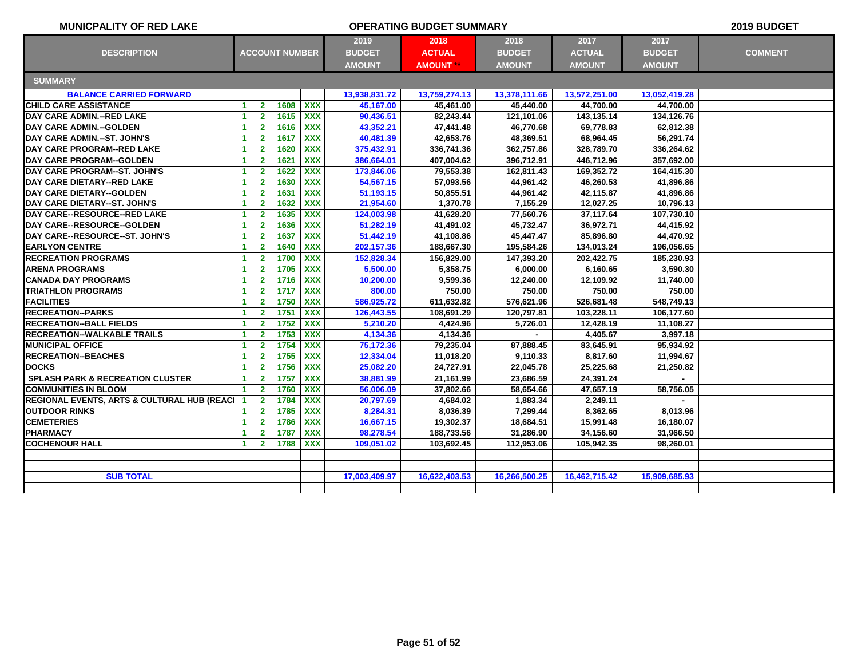| <b>MUNICPALITY OF RED LAKE</b>              |                       |                | 2019 BUDGET |                  |               |               |                                |               |               |                |  |  |
|---------------------------------------------|-----------------------|----------------|-------------|------------------|---------------|---------------|--------------------------------|---------------|---------------|----------------|--|--|
|                                             |                       |                |             |                  | 2019          | 2018          | 2018                           | 2017          | 2017          |                |  |  |
| <b>DESCRIPTION</b>                          | <b>ACCOUNT NUMBER</b> |                |             |                  | <b>BUDGET</b> | <b>ACTUAL</b> | <b>BUDGET</b>                  | <b>ACTUAL</b> | <b>BUDGET</b> | <b>COMMENT</b> |  |  |
|                                             |                       |                |             |                  | <b>AMOUNT</b> | <b>AMOUNT</b> | <b>AMOUNT</b><br><b>AMOUNT</b> |               | <b>AMOUNT</b> |                |  |  |
| <b>SUMMARY</b>                              |                       |                |             |                  |               |               |                                |               |               |                |  |  |
| <b>BALANCE CARRIED FORWARD</b>              |                       |                |             |                  | 13,938,831.72 | 13,759,274.13 | 13,378,111.66                  | 13,572,251.00 | 13,052,419.28 |                |  |  |
| <b>CHILD CARE ASSISTANCE</b>                | $\blacktriangleleft$  | $\mathbf{2}$   | 1608        | <b>XXX</b>       | 45,167.00     | 45,461.00     | 45,440.00                      | 44,700.00     | 44,700.00     |                |  |  |
| DAY CARE ADMIN.--RED LAKE                   | $\blacktriangleleft$  | $\mathbf{2}$   | 1615        | <b>XXX</b>       | 90,436.51     | 82,243.44     | 121,101.06                     | 143,135.14    | 134,126.76    |                |  |  |
| DAY CARE ADMIN .-- GOLDEN                   | $\mathbf{1}$          | $\mathbf{2}$   | 1616        | <b>XXX</b>       | 43,352.21     | 47,441.48     | 46,770.68                      | 69,778.83     | 62,812.38     |                |  |  |
| DAY CARE ADMIN.--ST. JOHN'S                 | $\blacktriangleleft$  | $\mathbf{2}$   | 1617        | <b>XXX</b>       | 40,481.39     | 42,653.76     | 48,369.51                      | 68,964.45     | 56,291.74     |                |  |  |
| DAY CARE PROGRAM--RED LAKE                  | $\mathbf{1}$          | $\overline{2}$ | 1620        | <b>XXX</b>       | 375,432.91    | 336,741.36    | 362,757.86                     | 328,789.70    | 336,264.62    |                |  |  |
| <b>DAY CARE PROGRAM--GOLDEN</b>             | $\blacktriangleleft$  | $\overline{2}$ | 1621        | <b>XXX</b>       | 386,664.01    | 407,004.62    | 396,712.91                     | 446,712.96    | 357,692.00    |                |  |  |
| <b>DAY CARE PROGRAM--ST. JOHN'S</b>         | $\blacktriangleleft$  | $\mathbf{2}$   | 1622        | <b>XXX</b>       | 173,846.06    | 79,553.38     | 162.811.43                     | 169,352.72    | 164.415.30    |                |  |  |
| DAY CARE DIETARY--RED LAKE                  | $\blacktriangleleft$  | $\mathbf{2}$   | 1630        | <b>XXX</b>       | 54,567.15     | 57,093.56     | 44,961.42                      | 46,260.53     | 41,896.86     |                |  |  |
| DAY CARE DIETARY--GOLDEN                    | $\mathbf{1}$          | $\mathbf{2}$   | 1631        | <b>XXX</b>       | 51,193.15     | 50,855.51     | 44,961.42                      | 42,115.87     | 41.896.86     |                |  |  |
| DAY CARE DIETARY--ST. JOHN'S                | $\mathbf{1}$          | $\overline{2}$ | 1632        | <b>XXX</b>       | 21,954.60     | 1,370.78      | 7,155.29                       | 12,027.25     | 10,796.13     |                |  |  |
| <b>DAY CARE--RESOURCE--RED LAKE</b>         | $\mathbf{1}$          | $\mathbf{2}$   | 1635        | <b>XXX</b>       | 124,003.98    | 41,628.20     | 77,560.76                      | 37,117.64     | 107,730.10    |                |  |  |
| DAY CARE--RESOURCE--GOLDEN                  | $\blacktriangleleft$  | $\overline{2}$ | 1636        | <b>XXX</b>       | 51,282.19     | 41,491.02     | 45,732.47                      | 36,972.71     | 44,415.92     |                |  |  |
| DAY CARE--RESOURCE--ST. JOHN'S              | $\mathbf{1}$          | $\mathbf{2}$   | 1637        | <b>XXX</b>       | 51,442.19     | 41,108.86     | 45,447.47                      | 85,896.80     | 44,470.92     |                |  |  |
| <b>EARLYON CENTRE</b>                       | $\blacktriangleleft$  | $\mathbf{2}$   | 1640        | <b>XXX</b>       | 202, 157.36   | 188,667.30    | 195,584.26                     | 134,013.24    | 196,056.65    |                |  |  |
| <b>RECREATION PROGRAMS</b>                  | $\mathbf{1}$          | $\overline{2}$ | 1700        | <b>XXX</b>       | 152,828.34    | 156,829.00    | 147,393.20                     | 202,422.75    | 185,230.93    |                |  |  |
| <b>ARENA PROGRAMS</b>                       | $\blacktriangleleft$  | $\mathbf{2}$   | 1705        | <b>XXX</b>       | 5,500.00      | 5,358.75      | 6,000.00                       | 6,160.65      | 3.590.30      |                |  |  |
| <b>CANADA DAY PROGRAMS</b>                  | $\blacktriangleleft$  | $\mathbf{2}$   | 1716        | <b>XXX</b>       | 10,200.00     | 9,599.36      | 12,240.00                      | 12,109.92     | 11,740.00     |                |  |  |
| <b>ITRIATHLON PROGRAMS</b>                  | 1                     | $\mathbf{2}$   | 1717        | <b>XXX</b>       | 800.00        | 750.00        | 750.00                         | 750.00        | 750.00        |                |  |  |
| <b>FACILITIES</b>                           | $\blacktriangleleft$  | $\overline{2}$ | 1750        | <b>XXX</b>       | 586,925.72    | 611,632.82    | 576,621.96                     | 526,681.48    | 548,749.13    |                |  |  |
| <b>RECREATION--PARKS</b>                    | $\mathbf{1}$          | $\overline{2}$ | 1751        | <b>XXX</b>       | 126,443.55    | 108,691.29    | 120,797.81                     | 103,228.11    | 106,177.60    |                |  |  |
| <b>RECREATION--BALL FIELDS</b>              | $\blacktriangleleft$  | $\mathbf{2}$   | 1752        | <b>XXX</b>       | 5,210.20      | 4,424.96      | 5,726.01                       | 12,428.19     | 11,108.27     |                |  |  |
| <b>RECREATION--WALKABLE TRAILS</b>          | $\blacktriangleleft$  | $\overline{2}$ | 1753        | $\overline{XXX}$ | 4,134.36      | 4,134.36      |                                | 4,405.67      | 3,997.18      |                |  |  |
| <b>MUNICIPAL OFFICE</b>                     | $\blacktriangleleft$  | $\mathbf{2}$   | 1754        | <b>XXX</b>       | 75,172.36     | 79,235.04     | 87,888.45                      | 83,645.91     | 95.934.92     |                |  |  |
| <b>RECREATION--BEACHES</b>                  | $\blacktriangleleft$  | $\mathbf{2}$   | 1755        | <b>XXX</b>       | 12,334.04     | 11,018.20     | 9,110.33                       | 8,817.60      | 11,994.67     |                |  |  |
| <b>DOCKS</b>                                | $\mathbf{1}$          | $\mathbf{2}$   | 1756        | <b>XXX</b>       | 25,082.20     | 24,727.91     | 22,045.78                      | 25,225.68     | 21,250.82     |                |  |  |
| <b>SPLASH PARK &amp; RECREATION CLUSTER</b> | $\blacktriangleleft$  | $\overline{2}$ | 1757        | <b>XXX</b>       | 38,881.99     | 21,161.99     | 23,686.59                      | 24,391.24     | $\sim$        |                |  |  |
| <b>COMMUNITIES IN BLOOM</b>                 | 1                     | $\overline{2}$ | 1760        | <b>XXX</b>       | 56,006.09     | 37,802.66     | 58,654.66                      | 47,657.19     | 58,756.05     |                |  |  |
| REGIONAL EVENTS, ARTS & CULTURAL HUB (REACL | $\blacktriangleleft$  | $\overline{2}$ | 1784        | <b>XXX</b>       | 20,797.69     | 4,684.02      | 1,883.34                       | 2,249.11      | $\sim$        |                |  |  |
| <b>OUTDOOR RINKS</b>                        | $\mathbf{1}$          | $\mathbf{2}$   | 1785        | <b>XXX</b>       | 8,284.31      | 8,036.39      | 7,299.44                       | 8,362.65      | 8,013.96      |                |  |  |
| <b>CEMETERIES</b>                           | $\blacktriangleleft$  | $\overline{2}$ | 1786        | <b>XXX</b>       | 16,667.15     | 19,302.37     | 18,684.51                      | 15,991.48     | 16,180.07     |                |  |  |
| <b>PHARMACY</b>                             | $\blacktriangleleft$  | $\mathbf{2}$   | 1787        | <b>XXX</b>       | 98,278.54     | 188,733.56    | 31,286.90                      | 34,156.60     | 31,966.50     |                |  |  |
| <b>COCHENOUR HALL</b>                       | $\mathbf{1}$          | $\mathbf{2}$   | 1788        | <b>XXX</b>       | 109,051.02    | 103,692.45    | 112,953.06                     | 105,942.35    | 98,260.01     |                |  |  |
|                                             |                       |                |             |                  |               |               |                                |               |               |                |  |  |
|                                             |                       |                |             |                  |               |               |                                |               |               |                |  |  |
| <b>SUB TOTAL</b>                            |                       |                |             |                  | 17,003,409.97 | 16,622,403.53 | 16,266,500.25                  | 16,462,715.42 | 15,909,685.93 |                |  |  |
|                                             |                       |                |             |                  |               |               |                                |               |               |                |  |  |
|                                             |                       |                |             |                  |               |               |                                |               |               |                |  |  |